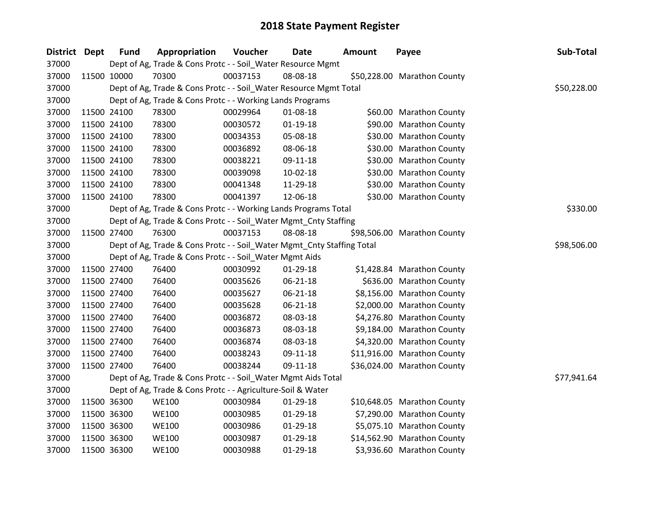| District Dept | <b>Fund</b> | Appropriation                                                          | Voucher  | <b>Date</b>    | Amount | Payee                       | Sub-Total   |
|---------------|-------------|------------------------------------------------------------------------|----------|----------------|--------|-----------------------------|-------------|
| 37000         |             | Dept of Ag, Trade & Cons Protc - - Soil_Water Resource Mgmt            |          |                |        |                             |             |
| 37000         | 11500 10000 | 70300                                                                  | 00037153 | 08-08-18       |        | \$50,228.00 Marathon County |             |
| 37000         |             | Dept of Ag, Trade & Cons Protc - - Soil_Water Resource Mgmt Total      |          |                |        |                             | \$50,228.00 |
| 37000         |             | Dept of Ag, Trade & Cons Protc - - Working Lands Programs              |          |                |        |                             |             |
| 37000         | 11500 24100 | 78300                                                                  | 00029964 | 01-08-18       |        | \$60.00 Marathon County     |             |
| 37000         | 11500 24100 | 78300                                                                  | 00030572 | $01 - 19 - 18$ |        | \$90.00 Marathon County     |             |
| 37000         | 11500 24100 | 78300                                                                  | 00034353 | 05-08-18       |        | \$30.00 Marathon County     |             |
| 37000         | 11500 24100 | 78300                                                                  | 00036892 | 08-06-18       |        | \$30.00 Marathon County     |             |
| 37000         | 11500 24100 | 78300                                                                  | 00038221 | 09-11-18       |        | \$30.00 Marathon County     |             |
| 37000         | 11500 24100 | 78300                                                                  | 00039098 | $10-02-18$     |        | \$30.00 Marathon County     |             |
| 37000         | 11500 24100 | 78300                                                                  | 00041348 | 11-29-18       |        | \$30.00 Marathon County     |             |
| 37000         | 11500 24100 | 78300                                                                  | 00041397 | 12-06-18       |        | \$30.00 Marathon County     |             |
| 37000         |             | Dept of Ag, Trade & Cons Protc - - Working Lands Programs Total        |          |                |        |                             | \$330.00    |
| 37000         |             | Dept of Ag, Trade & Cons Protc - - Soil_Water Mgmt_Cnty Staffing       |          |                |        |                             |             |
| 37000         | 11500 27400 | 76300                                                                  | 00037153 | 08-08-18       |        | \$98,506.00 Marathon County |             |
| 37000         |             | Dept of Ag, Trade & Cons Protc - - Soil_Water Mgmt_Cnty Staffing Total |          |                |        |                             | \$98,506.00 |
| 37000         |             | Dept of Ag, Trade & Cons Protc - - Soil_Water Mgmt Aids                |          |                |        |                             |             |
| 37000         | 11500 27400 | 76400                                                                  | 00030992 | 01-29-18       |        | \$1,428.84 Marathon County  |             |
| 37000         | 11500 27400 | 76400                                                                  | 00035626 | 06-21-18       |        | \$636.00 Marathon County    |             |
| 37000         | 11500 27400 | 76400                                                                  | 00035627 | 06-21-18       |        | \$8,156.00 Marathon County  |             |
| 37000         | 11500 27400 | 76400                                                                  | 00035628 | 06-21-18       |        | \$2,000.00 Marathon County  |             |
| 37000         | 11500 27400 | 76400                                                                  | 00036872 | 08-03-18       |        | \$4,276.80 Marathon County  |             |
| 37000         | 11500 27400 | 76400                                                                  | 00036873 | 08-03-18       |        | \$9,184.00 Marathon County  |             |
| 37000         | 11500 27400 | 76400                                                                  | 00036874 | 08-03-18       |        | \$4,320.00 Marathon County  |             |
| 37000         | 11500 27400 | 76400                                                                  | 00038243 | 09-11-18       |        | \$11,916.00 Marathon County |             |
| 37000         | 11500 27400 | 76400                                                                  | 00038244 | 09-11-18       |        | \$36,024.00 Marathon County |             |
| 37000         |             | Dept of Ag, Trade & Cons Protc - - Soil_Water Mgmt Aids Total          |          |                |        |                             | \$77,941.64 |
| 37000         |             | Dept of Ag, Trade & Cons Protc - - Agriculture-Soil & Water            |          |                |        |                             |             |
| 37000         | 11500 36300 | <b>WE100</b>                                                           | 00030984 | 01-29-18       |        | \$10,648.05 Marathon County |             |
| 37000         | 11500 36300 | <b>WE100</b>                                                           | 00030985 | 01-29-18       |        | \$7,290.00 Marathon County  |             |
| 37000         | 11500 36300 | <b>WE100</b>                                                           | 00030986 | 01-29-18       |        | \$5,075.10 Marathon County  |             |
| 37000         | 11500 36300 | <b>WE100</b>                                                           | 00030987 | 01-29-18       |        | \$14,562.90 Marathon County |             |
| 37000         | 11500 36300 | <b>WE100</b>                                                           | 00030988 | $01-29-18$     |        | \$3,936.60 Marathon County  |             |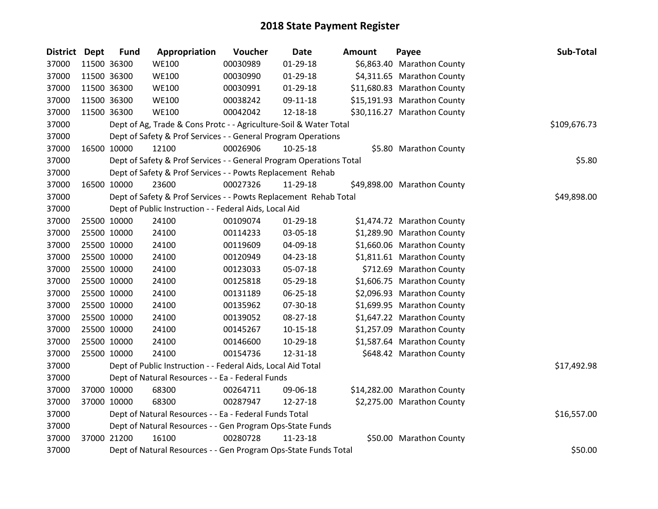| District Dept | <b>Fund</b> | Appropriation                                                       | Voucher  | <b>Date</b>    | <b>Amount</b> | Payee                       | Sub-Total   |
|---------------|-------------|---------------------------------------------------------------------|----------|----------------|---------------|-----------------------------|-------------|
| 37000         | 11500 36300 | <b>WE100</b>                                                        | 00030989 | 01-29-18       |               | \$6,863.40 Marathon County  |             |
| 37000         | 11500 36300 | <b>WE100</b>                                                        | 00030990 | $01-29-18$     |               | \$4,311.65 Marathon County  |             |
| 37000         | 11500 36300 | <b>WE100</b>                                                        | 00030991 | 01-29-18       |               | \$11,680.83 Marathon County |             |
| 37000         | 11500 36300 | <b>WE100</b>                                                        | 00038242 | 09-11-18       |               | \$15,191.93 Marathon County |             |
| 37000         | 11500 36300 | <b>WE100</b>                                                        | 00042042 | 12-18-18       |               | \$30,116.27 Marathon County |             |
| 37000         |             | Dept of Ag, Trade & Cons Protc - - Agriculture-Soil & Water Total   |          | \$109,676.73   |               |                             |             |
| 37000         |             | Dept of Safety & Prof Services - - General Program Operations       |          |                |               |                             |             |
| 37000         | 16500 10000 | 12100                                                               | 00026906 | $10 - 25 - 18$ |               | \$5.80 Marathon County      |             |
| 37000         |             | Dept of Safety & Prof Services - - General Program Operations Total |          |                |               |                             | \$5.80      |
| 37000         |             | Dept of Safety & Prof Services - - Powts Replacement Rehab          |          |                |               |                             |             |
| 37000         | 16500 10000 | 23600                                                               | 00027326 | 11-29-18       |               | \$49,898.00 Marathon County |             |
| 37000         |             | Dept of Safety & Prof Services - - Powts Replacement Rehab Total    |          |                |               |                             | \$49,898.00 |
| 37000         |             | Dept of Public Instruction - - Federal Aids, Local Aid              |          |                |               |                             |             |
| 37000         | 25500 10000 | 24100                                                               | 00109074 | $01-29-18$     |               | \$1,474.72 Marathon County  |             |
| 37000         | 25500 10000 | 24100                                                               | 00114233 | 03-05-18       |               | \$1,289.90 Marathon County  |             |
| 37000         | 25500 10000 | 24100                                                               | 00119609 | 04-09-18       |               | \$1,660.06 Marathon County  |             |
| 37000         | 25500 10000 | 24100                                                               | 00120949 | 04-23-18       |               | \$1,811.61 Marathon County  |             |
| 37000         | 25500 10000 | 24100                                                               | 00123033 | 05-07-18       |               | \$712.69 Marathon County    |             |
| 37000         | 25500 10000 | 24100                                                               | 00125818 | 05-29-18       |               | \$1,606.75 Marathon County  |             |
| 37000         | 25500 10000 | 24100                                                               | 00131189 | 06-25-18       |               | \$2,096.93 Marathon County  |             |
| 37000         | 25500 10000 | 24100                                                               | 00135962 | 07-30-18       |               | \$1,699.95 Marathon County  |             |
| 37000         | 25500 10000 | 24100                                                               | 00139052 | 08-27-18       |               | \$1,647.22 Marathon County  |             |
| 37000         | 25500 10000 | 24100                                                               | 00145267 | $10-15-18$     |               | \$1,257.09 Marathon County  |             |
| 37000         | 25500 10000 | 24100                                                               | 00146600 | 10-29-18       |               | \$1,587.64 Marathon County  |             |
| 37000         | 25500 10000 | 24100                                                               | 00154736 | 12-31-18       |               | \$648.42 Marathon County    |             |
| 37000         |             | Dept of Public Instruction - - Federal Aids, Local Aid Total        |          |                |               |                             | \$17,492.98 |
| 37000         |             | Dept of Natural Resources - - Ea - Federal Funds                    |          |                |               |                             |             |
| 37000         | 37000 10000 | 68300                                                               | 00264711 | 09-06-18       |               | \$14,282.00 Marathon County |             |
| 37000         | 37000 10000 | 68300                                                               | 00287947 | 12-27-18       |               | \$2,275.00 Marathon County  |             |
| 37000         |             | Dept of Natural Resources - - Ea - Federal Funds Total              |          | \$16,557.00    |               |                             |             |
| 37000         |             | Dept of Natural Resources - - Gen Program Ops-State Funds           |          |                |               |                             |             |
| 37000         | 37000 21200 | 16100                                                               | 00280728 | 11-23-18       |               | \$50.00 Marathon County     |             |
| 37000         |             | Dept of Natural Resources - - Gen Program Ops-State Funds Total     |          |                |               |                             | \$50.00     |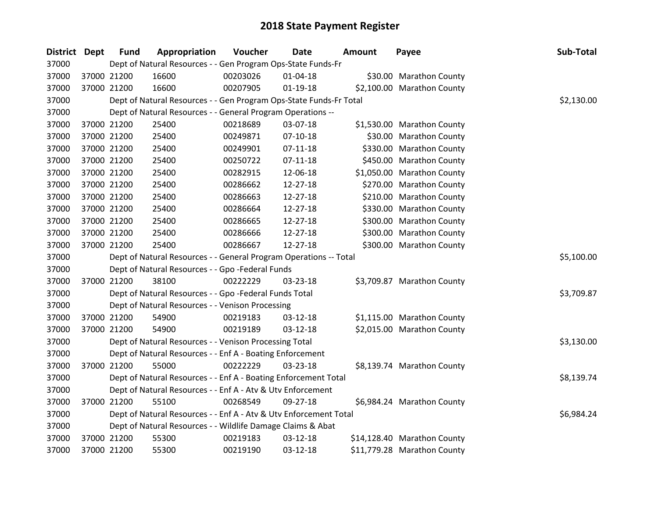| <b>District Dept</b> |             | <b>Fund</b> | Appropriation                                                      | Voucher  | Date           | <b>Amount</b> | Payee                       | Sub-Total  |
|----------------------|-------------|-------------|--------------------------------------------------------------------|----------|----------------|---------------|-----------------------------|------------|
| 37000                |             |             | Dept of Natural Resources - - Gen Program Ops-State Funds-Fr       |          |                |               |                             |            |
| 37000                | 37000 21200 |             | 16600                                                              | 00203026 | $01 - 04 - 18$ |               | \$30.00 Marathon County     |            |
| 37000                | 37000 21200 |             | 16600                                                              | 00207905 | $01 - 19 - 18$ |               | \$2,100.00 Marathon County  |            |
| 37000                |             |             | Dept of Natural Resources - - Gen Program Ops-State Funds-Fr Total |          |                |               |                             | \$2,130.00 |
| 37000                |             |             | Dept of Natural Resources - - General Program Operations --        |          |                |               |                             |            |
| 37000                | 37000 21200 |             | 25400                                                              | 00218689 | 03-07-18       |               | \$1,530.00 Marathon County  |            |
| 37000                | 37000 21200 |             | 25400                                                              | 00249871 | $07-10-18$     |               | \$30.00 Marathon County     |            |
| 37000                |             | 37000 21200 | 25400                                                              | 00249901 | $07-11-18$     |               | \$330.00 Marathon County    |            |
| 37000                |             | 37000 21200 | 25400                                                              | 00250722 | $07 - 11 - 18$ |               | \$450.00 Marathon County    |            |
| 37000                | 37000 21200 |             | 25400                                                              | 00282915 | 12-06-18       |               | \$1,050.00 Marathon County  |            |
| 37000                |             | 37000 21200 | 25400                                                              | 00286662 | 12-27-18       |               | \$270.00 Marathon County    |            |
| 37000                | 37000 21200 |             | 25400                                                              | 00286663 | 12-27-18       |               | \$210.00 Marathon County    |            |
| 37000                | 37000 21200 |             | 25400                                                              | 00286664 | 12-27-18       |               | \$330.00 Marathon County    |            |
| 37000                | 37000 21200 |             | 25400                                                              | 00286665 | 12-27-18       |               | \$300.00 Marathon County    |            |
| 37000                | 37000 21200 |             | 25400                                                              | 00286666 | 12-27-18       |               | \$300.00 Marathon County    |            |
| 37000                | 37000 21200 |             | 25400                                                              | 00286667 | $12 - 27 - 18$ |               | \$300.00 Marathon County    |            |
| 37000                |             |             | Dept of Natural Resources - - General Program Operations -- Total  |          |                |               |                             | \$5,100.00 |
| 37000                |             |             | Dept of Natural Resources - - Gpo -Federal Funds                   |          |                |               |                             |            |
| 37000                |             | 37000 21200 | 38100                                                              | 00222229 | 03-23-18       |               | \$3,709.87 Marathon County  |            |
| 37000                |             |             | Dept of Natural Resources - - Gpo -Federal Funds Total             |          |                |               |                             | \$3,709.87 |
| 37000                |             |             | Dept of Natural Resources - - Venison Processing                   |          |                |               |                             |            |
| 37000                |             | 37000 21200 | 54900                                                              | 00219183 | 03-12-18       |               | \$1,115.00 Marathon County  |            |
| 37000                | 37000 21200 |             | 54900                                                              | 00219189 | 03-12-18       |               | \$2,015.00 Marathon County  |            |
| 37000                |             |             | Dept of Natural Resources - - Venison Processing Total             |          |                |               |                             | \$3,130.00 |
| 37000                |             |             | Dept of Natural Resources - - Enf A - Boating Enforcement          |          |                |               |                             |            |
| 37000                | 37000 21200 |             | 55000                                                              | 00222229 | 03-23-18       |               | \$8,139.74 Marathon County  |            |
| 37000                |             |             | Dept of Natural Resources - - Enf A - Boating Enforcement Total    |          |                |               |                             | \$8,139.74 |
| 37000                |             |             | Dept of Natural Resources - - Enf A - Atv & Utv Enforcement        |          |                |               |                             |            |
| 37000                | 37000 21200 |             | 55100                                                              | 00268549 | 09-27-18       |               | \$6,984.24 Marathon County  |            |
| 37000                |             |             | Dept of Natural Resources - - Enf A - Atv & Utv Enforcement Total  |          |                |               |                             | \$6,984.24 |
| 37000                |             |             | Dept of Natural Resources - - Wildlife Damage Claims & Abat        |          |                |               |                             |            |
| 37000                | 37000 21200 |             | 55300                                                              | 00219183 | 03-12-18       |               | \$14,128.40 Marathon County |            |
| 37000                | 37000 21200 |             | 55300                                                              | 00219190 | $03 - 12 - 18$ |               | \$11,779.28 Marathon County |            |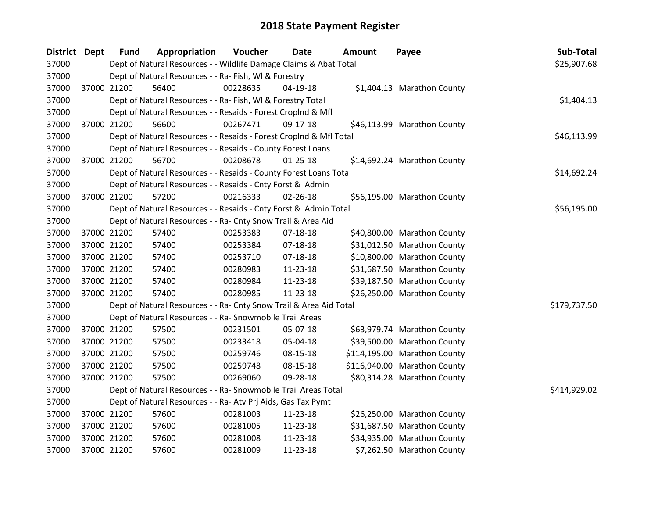| <b>District Dept</b> | <b>Fund</b> | Appropriation                                                      | Voucher  | Date           | <b>Amount</b> | Payee                        | Sub-Total    |
|----------------------|-------------|--------------------------------------------------------------------|----------|----------------|---------------|------------------------------|--------------|
| 37000                |             | Dept of Natural Resources - - Wildlife Damage Claims & Abat Total  |          |                |               |                              | \$25,907.68  |
| 37000                |             | Dept of Natural Resources - - Ra- Fish, WI & Forestry              |          |                |               |                              |              |
| 37000                | 37000 21200 | 56400                                                              | 00228635 | $04-19-18$     |               | \$1,404.13 Marathon County   |              |
| 37000                |             | Dept of Natural Resources - - Ra- Fish, WI & Forestry Total        |          |                |               |                              | \$1,404.13   |
| 37000                |             | Dept of Natural Resources - - Resaids - Forest CropInd & Mfl       |          |                |               |                              |              |
| 37000                | 37000 21200 | 56600                                                              | 00267471 | 09-17-18       |               | \$46,113.99 Marathon County  |              |
| 37000                |             | Dept of Natural Resources - - Resaids - Forest Croplnd & Mfl Total |          |                |               |                              | \$46,113.99  |
| 37000                |             | Dept of Natural Resources - - Resaids - County Forest Loans        |          |                |               |                              |              |
| 37000                | 37000 21200 | 56700                                                              | 00208678 | $01 - 25 - 18$ |               | \$14,692.24 Marathon County  |              |
| 37000                |             | Dept of Natural Resources - - Resaids - County Forest Loans Total  |          |                |               |                              | \$14,692.24  |
| 37000                |             | Dept of Natural Resources - - Resaids - Cnty Forst & Admin         |          |                |               |                              |              |
| 37000                | 37000 21200 | 57200                                                              | 00216333 | $02 - 26 - 18$ |               | \$56,195.00 Marathon County  |              |
| 37000                |             | Dept of Natural Resources - - Resaids - Cnty Forst & Admin Total   |          |                |               |                              | \$56,195.00  |
| 37000                |             | Dept of Natural Resources - - Ra- Cnty Snow Trail & Area Aid       |          |                |               |                              |              |
| 37000                | 37000 21200 | 57400                                                              | 00253383 | $07-18-18$     |               | \$40,800.00 Marathon County  |              |
| 37000                | 37000 21200 | 57400                                                              | 00253384 | 07-18-18       |               | \$31,012.50 Marathon County  |              |
| 37000                | 37000 21200 | 57400                                                              | 00253710 | $07 - 18 - 18$ |               | \$10,800.00 Marathon County  |              |
| 37000                | 37000 21200 | 57400                                                              | 00280983 | 11-23-18       |               | \$31,687.50 Marathon County  |              |
| 37000                | 37000 21200 | 57400                                                              | 00280984 | 11-23-18       |               | \$39,187.50 Marathon County  |              |
| 37000                | 37000 21200 | 57400                                                              | 00280985 | 11-23-18       |               | \$26,250.00 Marathon County  |              |
| 37000                |             | Dept of Natural Resources - - Ra- Cnty Snow Trail & Area Aid Total |          |                |               |                              | \$179,737.50 |
| 37000                |             | Dept of Natural Resources - - Ra- Snowmobile Trail Areas           |          |                |               |                              |              |
| 37000                | 37000 21200 | 57500                                                              | 00231501 | 05-07-18       |               | \$63,979.74 Marathon County  |              |
| 37000                | 37000 21200 | 57500                                                              | 00233418 | 05-04-18       |               | \$39,500.00 Marathon County  |              |
| 37000                | 37000 21200 | 57500                                                              | 00259746 | 08-15-18       |               | \$114,195.00 Marathon County |              |
| 37000                | 37000 21200 | 57500                                                              | 00259748 | 08-15-18       |               | \$116,940.00 Marathon County |              |
| 37000                | 37000 21200 | 57500                                                              | 00269060 | 09-28-18       |               | \$80,314.28 Marathon County  |              |
| 37000                |             | Dept of Natural Resources - - Ra- Snowmobile Trail Areas Total     |          |                |               |                              | \$414,929.02 |
| 37000                |             | Dept of Natural Resources - - Ra- Atv Prj Aids, Gas Tax Pymt       |          |                |               |                              |              |
| 37000                | 37000 21200 | 57600                                                              | 00281003 | 11-23-18       |               | \$26,250.00 Marathon County  |              |
| 37000                | 37000 21200 | 57600                                                              | 00281005 | 11-23-18       |               | \$31,687.50 Marathon County  |              |
| 37000                | 37000 21200 | 57600                                                              | 00281008 | 11-23-18       |               | \$34,935.00 Marathon County  |              |
| 37000                | 37000 21200 | 57600                                                              | 00281009 | 11-23-18       |               | \$7,262.50 Marathon County   |              |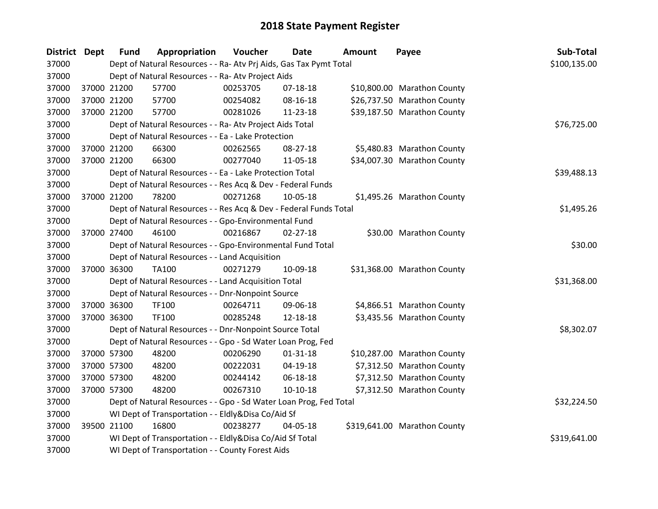| District Dept | <b>Fund</b>                                                       | Appropriation                                                      | Voucher  | <b>Date</b>    | <b>Amount</b> | Payee                        | Sub-Total    |
|---------------|-------------------------------------------------------------------|--------------------------------------------------------------------|----------|----------------|---------------|------------------------------|--------------|
| 37000         |                                                                   | Dept of Natural Resources - - Ra- Atv Prj Aids, Gas Tax Pymt Total |          |                |               |                              | \$100,135.00 |
| 37000         |                                                                   | Dept of Natural Resources - - Ra- Atv Project Aids                 |          |                |               |                              |              |
| 37000         | 37000 21200                                                       | 57700                                                              | 00253705 | $07-18-18$     |               | \$10,800.00 Marathon County  |              |
| 37000         | 37000 21200                                                       | 57700                                                              | 00254082 | 08-16-18       |               | \$26,737.50 Marathon County  |              |
| 37000         | 37000 21200                                                       | 57700                                                              | 00281026 | 11-23-18       |               | \$39,187.50 Marathon County  |              |
| 37000         |                                                                   | Dept of Natural Resources - - Ra- Atv Project Aids Total           |          |                |               |                              | \$76,725.00  |
| 37000         |                                                                   | Dept of Natural Resources - - Ea - Lake Protection                 |          |                |               |                              |              |
| 37000         | 37000 21200                                                       | 66300                                                              | 00262565 | 08-27-18       |               | \$5,480.83 Marathon County   |              |
| 37000         | 37000 21200                                                       | 66300                                                              | 00277040 | 11-05-18       |               | \$34,007.30 Marathon County  |              |
| 37000         |                                                                   | Dept of Natural Resources - - Ea - Lake Protection Total           |          |                |               |                              | \$39,488.13  |
| 37000         |                                                                   | Dept of Natural Resources - - Res Acq & Dev - Federal Funds        |          |                |               |                              |              |
| 37000         | 37000 21200                                                       | 78200                                                              | 00271268 | 10-05-18       |               | \$1,495.26 Marathon County   |              |
| 37000         |                                                                   | Dept of Natural Resources - - Res Acq & Dev - Federal Funds Total  |          |                |               |                              | \$1,495.26   |
| 37000         |                                                                   | Dept of Natural Resources - - Gpo-Environmental Fund               |          |                |               |                              |              |
| 37000         | 37000 27400                                                       | 46100                                                              | 00216867 | $02 - 27 - 18$ |               | \$30.00 Marathon County      |              |
| 37000         |                                                                   | Dept of Natural Resources - - Gpo-Environmental Fund Total         |          |                |               |                              | \$30.00      |
| 37000         |                                                                   | Dept of Natural Resources - - Land Acquisition                     |          |                |               |                              |              |
| 37000         | 37000 36300                                                       | TA100                                                              | 00271279 | 10-09-18       |               | \$31,368.00 Marathon County  |              |
| 37000         |                                                                   | Dept of Natural Resources - - Land Acquisition Total               |          |                |               |                              | \$31,368.00  |
| 37000         |                                                                   | Dept of Natural Resources - - Dnr-Nonpoint Source                  |          |                |               |                              |              |
| 37000         | 37000 36300                                                       | <b>TF100</b>                                                       | 00264711 | 09-06-18       |               | \$4,866.51 Marathon County   |              |
| 37000         | 37000 36300                                                       | <b>TF100</b>                                                       | 00285248 | 12-18-18       |               | \$3,435.56 Marathon County   |              |
| 37000         |                                                                   | Dept of Natural Resources - - Dnr-Nonpoint Source Total            |          |                |               |                              | \$8,302.07   |
| 37000         |                                                                   | Dept of Natural Resources - - Gpo - Sd Water Loan Prog, Fed        |          |                |               |                              |              |
| 37000         | 37000 57300                                                       | 48200                                                              | 00206290 | $01 - 31 - 18$ |               | \$10,287.00 Marathon County  |              |
| 37000         | 37000 57300                                                       | 48200                                                              | 00222031 | 04-19-18       |               | \$7,312.50 Marathon County   |              |
| 37000         | 37000 57300                                                       | 48200                                                              | 00244142 | 06-18-18       |               | \$7,312.50 Marathon County   |              |
| 37000         | 37000 57300                                                       | 48200                                                              | 00267310 | $10-10-18$     |               | \$7,312.50 Marathon County   |              |
| 37000         | Dept of Natural Resources - - Gpo - Sd Water Loan Prog, Fed Total |                                                                    |          |                |               |                              | \$32,224.50  |
| 37000         | WI Dept of Transportation - - Eldly&Disa Co/Aid Sf                |                                                                    |          |                |               |                              |              |
| 37000         | 39500 21100                                                       | 16800                                                              | 00238277 | 04-05-18       |               | \$319,641.00 Marathon County |              |
| 37000         |                                                                   | WI Dept of Transportation - - Eldly&Disa Co/Aid Sf Total           |          |                |               |                              | \$319,641.00 |
| 37000         |                                                                   | WI Dept of Transportation - - County Forest Aids                   |          |                |               |                              |              |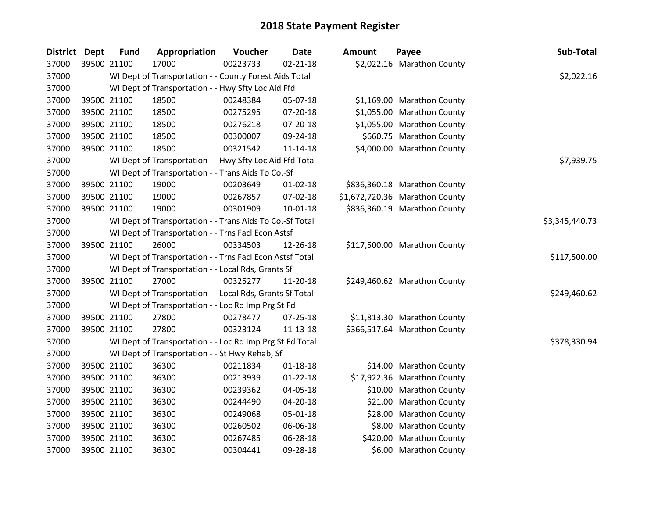| <b>District</b> | Dept | <b>Fund</b> | Appropriation                                            | Voucher  | <b>Date</b>    | <b>Amount</b> | Payee                          | Sub-Total      |
|-----------------|------|-------------|----------------------------------------------------------|----------|----------------|---------------|--------------------------------|----------------|
| 37000           |      | 39500 21100 | 17000                                                    | 00223733 | $02 - 21 - 18$ |               | \$2,022.16 Marathon County     |                |
| 37000           |      |             | WI Dept of Transportation - - County Forest Aids Total   |          |                |               |                                | \$2,022.16     |
| 37000           |      |             | WI Dept of Transportation - - Hwy Sfty Loc Aid Ffd       |          |                |               |                                |                |
| 37000           |      | 39500 21100 | 18500                                                    | 00248384 | 05-07-18       |               | \$1,169.00 Marathon County     |                |
| 37000           |      | 39500 21100 | 18500                                                    | 00275295 | 07-20-18       |               | \$1,055.00 Marathon County     |                |
| 37000           |      | 39500 21100 | 18500                                                    | 00276218 | 07-20-18       |               | \$1,055.00 Marathon County     |                |
| 37000           |      | 39500 21100 | 18500                                                    | 00300007 | 09-24-18       |               | \$660.75 Marathon County       |                |
| 37000           |      | 39500 21100 | 18500                                                    | 00321542 | $11 - 14 - 18$ |               | \$4,000.00 Marathon County     |                |
| 37000           |      |             | WI Dept of Transportation - - Hwy Sfty Loc Aid Ffd Total |          |                |               |                                | \$7,939.75     |
| 37000           |      |             | WI Dept of Transportation - - Trans Aids To Co.-Sf       |          |                |               |                                |                |
| 37000           |      | 39500 21100 | 19000                                                    | 00203649 | $01 - 02 - 18$ |               | \$836,360.18 Marathon County   |                |
| 37000           |      | 39500 21100 | 19000                                                    | 00267857 | 07-02-18       |               | \$1,672,720.36 Marathon County |                |
| 37000           |      | 39500 21100 | 19000                                                    | 00301909 | $10 - 01 - 18$ |               | \$836,360.19 Marathon County   |                |
| 37000           |      |             | WI Dept of Transportation - - Trans Aids To Co.-Sf Total |          |                |               |                                | \$3,345,440.73 |
| 37000           |      |             | WI Dept of Transportation - - Trns Facl Econ Astsf       |          |                |               |                                |                |
| 37000           |      | 39500 21100 | 26000                                                    | 00334503 | 12-26-18       |               | \$117,500.00 Marathon County   |                |
| 37000           |      |             | WI Dept of Transportation - - Trns Facl Econ Astsf Total |          |                |               |                                | \$117,500.00   |
| 37000           |      |             | WI Dept of Transportation - - Local Rds, Grants Sf       |          |                |               |                                |                |
| 37000           |      | 39500 21100 | 27000                                                    | 00325277 | 11-20-18       |               | \$249,460.62 Marathon County   |                |
| 37000           |      |             | WI Dept of Transportation - - Local Rds, Grants Sf Total |          |                |               |                                | \$249,460.62   |
| 37000           |      |             | WI Dept of Transportation - - Loc Rd Imp Prg St Fd       |          |                |               |                                |                |
| 37000           |      | 39500 21100 | 27800                                                    | 00278477 | 07-25-18       |               | \$11,813.30 Marathon County    |                |
| 37000           |      | 39500 21100 | 27800                                                    | 00323124 | 11-13-18       |               | \$366,517.64 Marathon County   |                |
| 37000           |      |             | WI Dept of Transportation - - Loc Rd Imp Prg St Fd Total |          |                |               |                                | \$378,330.94   |
| 37000           |      |             | WI Dept of Transportation - - St Hwy Rehab, Sf           |          |                |               |                                |                |
| 37000           |      | 39500 21100 | 36300                                                    | 00211834 | $01 - 18 - 18$ |               | \$14.00 Marathon County        |                |
| 37000           |      | 39500 21100 | 36300                                                    | 00213939 | $01 - 22 - 18$ |               | \$17,922.36 Marathon County    |                |
| 37000           |      | 39500 21100 | 36300                                                    | 00239362 | 04-05-18       |               | \$10.00 Marathon County        |                |
| 37000           |      | 39500 21100 | 36300                                                    | 00244490 | 04-20-18       |               | \$21.00 Marathon County        |                |
| 37000           |      | 39500 21100 | 36300                                                    | 00249068 | 05-01-18       |               | \$28.00 Marathon County        |                |
| 37000           |      | 39500 21100 | 36300                                                    | 00260502 | 06-06-18       |               | \$8.00 Marathon County         |                |
| 37000           |      | 39500 21100 | 36300                                                    | 00267485 | 06-28-18       |               | \$420.00 Marathon County       |                |
| 37000           |      | 39500 21100 | 36300                                                    | 00304441 | 09-28-18       |               | \$6.00 Marathon County         |                |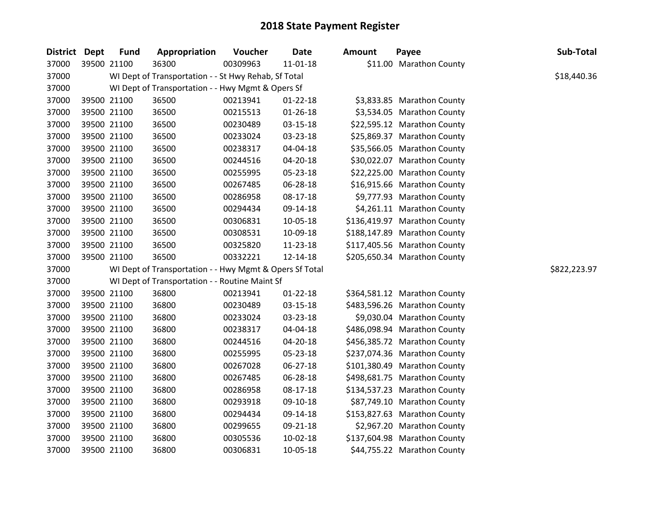| District Dept | <b>Fund</b> | Appropriation                                           | Voucher  | <b>Date</b>    | <b>Amount</b> | Payee                        | Sub-Total    |
|---------------|-------------|---------------------------------------------------------|----------|----------------|---------------|------------------------------|--------------|
| 37000         | 39500 21100 | 36300                                                   | 00309963 | 11-01-18       |               | \$11.00 Marathon County      |              |
| 37000         |             | WI Dept of Transportation - - St Hwy Rehab, Sf Total    |          |                |               |                              | \$18,440.36  |
| 37000         |             | WI Dept of Transportation - - Hwy Mgmt & Opers Sf       |          |                |               |                              |              |
| 37000         | 39500 21100 | 36500                                                   | 00213941 | $01 - 22 - 18$ |               | \$3,833.85 Marathon County   |              |
| 37000         | 39500 21100 | 36500                                                   | 00215513 | 01-26-18       |               | \$3,534.05 Marathon County   |              |
| 37000         | 39500 21100 | 36500                                                   | 00230489 | 03-15-18       |               | \$22,595.12 Marathon County  |              |
| 37000         | 39500 21100 | 36500                                                   | 00233024 | 03-23-18       |               | \$25,869.37 Marathon County  |              |
| 37000         | 39500 21100 | 36500                                                   | 00238317 | 04-04-18       |               | \$35,566.05 Marathon County  |              |
| 37000         | 39500 21100 | 36500                                                   | 00244516 | 04-20-18       |               | \$30,022.07 Marathon County  |              |
| 37000         | 39500 21100 | 36500                                                   | 00255995 | 05-23-18       |               | \$22,225.00 Marathon County  |              |
| 37000         | 39500 21100 | 36500                                                   | 00267485 | 06-28-18       |               | \$16,915.66 Marathon County  |              |
| 37000         | 39500 21100 | 36500                                                   | 00286958 | 08-17-18       |               | \$9,777.93 Marathon County   |              |
| 37000         | 39500 21100 | 36500                                                   | 00294434 | 09-14-18       |               | \$4,261.11 Marathon County   |              |
| 37000         | 39500 21100 | 36500                                                   | 00306831 | 10-05-18       |               | \$136,419.97 Marathon County |              |
| 37000         | 39500 21100 | 36500                                                   | 00308531 | 10-09-18       |               | \$188,147.89 Marathon County |              |
| 37000         | 39500 21100 | 36500                                                   | 00325820 | 11-23-18       |               | \$117,405.56 Marathon County |              |
| 37000         | 39500 21100 | 36500                                                   | 00332221 | 12-14-18       |               | \$205,650.34 Marathon County |              |
| 37000         |             | WI Dept of Transportation - - Hwy Mgmt & Opers Sf Total |          |                |               |                              | \$822,223.97 |
| 37000         |             | WI Dept of Transportation - - Routine Maint Sf          |          |                |               |                              |              |
| 37000         | 39500 21100 | 36800                                                   | 00213941 | $01 - 22 - 18$ |               | \$364,581.12 Marathon County |              |
| 37000         | 39500 21100 | 36800                                                   | 00230489 | 03-15-18       |               | \$483,596.26 Marathon County |              |
| 37000         | 39500 21100 | 36800                                                   | 00233024 | 03-23-18       |               | \$9,030.04 Marathon County   |              |
| 37000         | 39500 21100 | 36800                                                   | 00238317 | 04-04-18       |               | \$486,098.94 Marathon County |              |
| 37000         | 39500 21100 | 36800                                                   | 00244516 | 04-20-18       |               | \$456,385.72 Marathon County |              |
| 37000         | 39500 21100 | 36800                                                   | 00255995 | 05-23-18       |               | \$237,074.36 Marathon County |              |
| 37000         | 39500 21100 | 36800                                                   | 00267028 | 06-27-18       |               | \$101,380.49 Marathon County |              |
| 37000         | 39500 21100 | 36800                                                   | 00267485 | 06-28-18       |               | \$498,681.75 Marathon County |              |
| 37000         | 39500 21100 | 36800                                                   | 00286958 | 08-17-18       |               | \$134,537.23 Marathon County |              |
| 37000         | 39500 21100 | 36800                                                   | 00293918 | 09-10-18       |               | \$87,749.10 Marathon County  |              |
| 37000         | 39500 21100 | 36800                                                   | 00294434 | 09-14-18       |               | \$153,827.63 Marathon County |              |
| 37000         | 39500 21100 | 36800                                                   | 00299655 | 09-21-18       |               | \$2,967.20 Marathon County   |              |
| 37000         | 39500 21100 | 36800                                                   | 00305536 | 10-02-18       |               | \$137,604.98 Marathon County |              |
| 37000         | 39500 21100 | 36800                                                   | 00306831 | 10-05-18       |               | \$44,755.22 Marathon County  |              |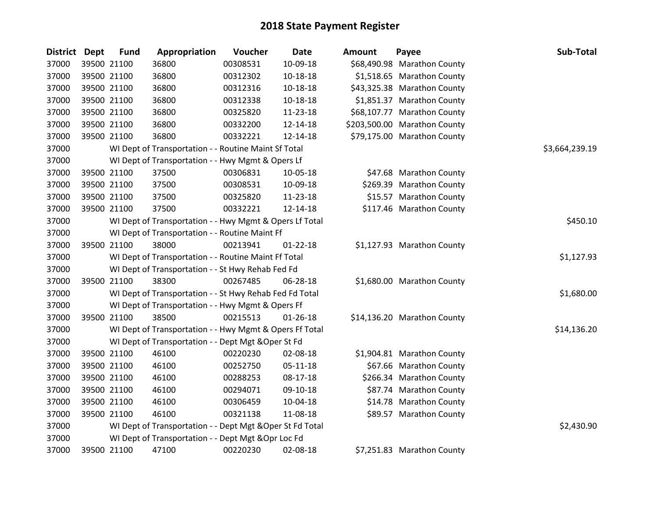| <b>District Dept</b> | <b>Fund</b> | Appropriation                                             | Voucher  | <b>Date</b>    | <b>Amount</b> | Payee                        | Sub-Total      |
|----------------------|-------------|-----------------------------------------------------------|----------|----------------|---------------|------------------------------|----------------|
| 37000                | 39500 21100 | 36800                                                     | 00308531 | 10-09-18       |               | \$68,490.98 Marathon County  |                |
| 37000                | 39500 21100 | 36800                                                     | 00312302 | $10 - 18 - 18$ |               | \$1,518.65 Marathon County   |                |
| 37000                | 39500 21100 | 36800                                                     | 00312316 | 10-18-18       |               | \$43,325.38 Marathon County  |                |
| 37000                | 39500 21100 | 36800                                                     | 00312338 | 10-18-18       |               | \$1,851.37 Marathon County   |                |
| 37000                | 39500 21100 | 36800                                                     | 00325820 | 11-23-18       |               | \$68,107.77 Marathon County  |                |
| 37000                | 39500 21100 | 36800                                                     | 00332200 | $12 - 14 - 18$ |               | \$203,500.00 Marathon County |                |
| 37000                | 39500 21100 | 36800                                                     | 00332221 | 12-14-18       |               | \$79,175.00 Marathon County  |                |
| 37000                |             | WI Dept of Transportation - - Routine Maint Sf Total      |          |                |               |                              | \$3,664,239.19 |
| 37000                |             | WI Dept of Transportation - - Hwy Mgmt & Opers Lf         |          |                |               |                              |                |
| 37000                | 39500 21100 | 37500                                                     | 00306831 | 10-05-18       |               | \$47.68 Marathon County      |                |
| 37000                | 39500 21100 | 37500                                                     | 00308531 | 10-09-18       |               | \$269.39 Marathon County     |                |
| 37000                | 39500 21100 | 37500                                                     | 00325820 | 11-23-18       |               | \$15.57 Marathon County      |                |
| 37000                | 39500 21100 | 37500                                                     | 00332221 | 12-14-18       |               | \$117.46 Marathon County     |                |
| 37000                |             | WI Dept of Transportation - - Hwy Mgmt & Opers Lf Total   |          |                |               |                              | \$450.10       |
| 37000                |             | WI Dept of Transportation - - Routine Maint Ff            |          |                |               |                              |                |
| 37000                | 39500 21100 | 38000                                                     | 00213941 | $01 - 22 - 18$ |               | \$1,127.93 Marathon County   |                |
| 37000                |             | WI Dept of Transportation - - Routine Maint Ff Total      |          |                |               |                              | \$1,127.93     |
| 37000                |             | WI Dept of Transportation - - St Hwy Rehab Fed Fd         |          |                |               |                              |                |
| 37000                | 39500 21100 | 38300                                                     | 00267485 | 06-28-18       |               | \$1,680.00 Marathon County   |                |
| 37000                |             | WI Dept of Transportation - - St Hwy Rehab Fed Fd Total   |          |                |               |                              | \$1,680.00     |
| 37000                |             | WI Dept of Transportation - - Hwy Mgmt & Opers Ff         |          |                |               |                              |                |
| 37000                | 39500 21100 | 38500                                                     | 00215513 | $01 - 26 - 18$ |               | \$14,136.20 Marathon County  |                |
| 37000                |             | WI Dept of Transportation - - Hwy Mgmt & Opers Ff Total   |          |                |               |                              | \$14,136.20    |
| 37000                |             | WI Dept of Transportation - - Dept Mgt & Oper St Fd       |          |                |               |                              |                |
| 37000                | 39500 21100 | 46100                                                     | 00220230 | 02-08-18       |               | \$1,904.81 Marathon County   |                |
| 37000                | 39500 21100 | 46100                                                     | 00252750 | 05-11-18       |               | \$67.66 Marathon County      |                |
| 37000                | 39500 21100 | 46100                                                     | 00288253 | 08-17-18       |               | \$266.34 Marathon County     |                |
| 37000                | 39500 21100 | 46100                                                     | 00294071 | 09-10-18       |               | \$87.74 Marathon County      |                |
| 37000                | 39500 21100 | 46100                                                     | 00306459 | 10-04-18       |               | \$14.78 Marathon County      |                |
| 37000                | 39500 21100 | 46100                                                     | 00321138 | 11-08-18       |               | \$89.57 Marathon County      |                |
| 37000                |             | WI Dept of Transportation - - Dept Mgt & Oper St Fd Total |          |                |               |                              | \$2,430.90     |
| 37000                |             | WI Dept of Transportation - - Dept Mgt & Opr Loc Fd       |          |                |               |                              |                |
| 37000                | 39500 21100 | 47100                                                     | 00220230 | 02-08-18       |               | \$7,251.83 Marathon County   |                |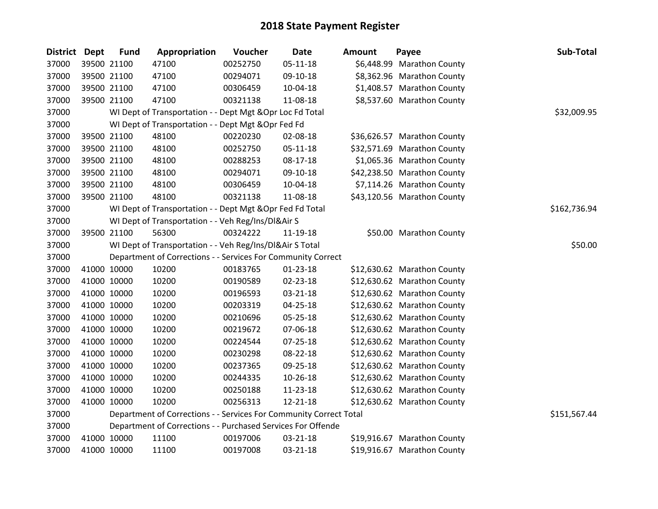| <b>District</b> | <b>Dept</b> | <b>Fund</b> | Appropriation                                                      | Voucher  | <b>Date</b>    | <b>Amount</b> | Payee                       | Sub-Total    |
|-----------------|-------------|-------------|--------------------------------------------------------------------|----------|----------------|---------------|-----------------------------|--------------|
| 37000           |             | 39500 21100 | 47100                                                              | 00252750 | $05 - 11 - 18$ |               | \$6,448.99 Marathon County  |              |
| 37000           |             | 39500 21100 | 47100                                                              | 00294071 | 09-10-18       |               | \$8,362.96 Marathon County  |              |
| 37000           |             | 39500 21100 | 47100                                                              | 00306459 | 10-04-18       |               | \$1,408.57 Marathon County  |              |
| 37000           |             | 39500 21100 | 47100                                                              | 00321138 | 11-08-18       |               | \$8,537.60 Marathon County  |              |
| 37000           |             |             | WI Dept of Transportation - - Dept Mgt & Opr Loc Fd Total          |          |                |               |                             | \$32,009.95  |
| 37000           |             |             | WI Dept of Transportation - - Dept Mgt & Opr Fed Fd                |          |                |               |                             |              |
| 37000           |             | 39500 21100 | 48100                                                              | 00220230 | 02-08-18       |               | \$36,626.57 Marathon County |              |
| 37000           |             | 39500 21100 | 48100                                                              | 00252750 | 05-11-18       |               | \$32,571.69 Marathon County |              |
| 37000           |             | 39500 21100 | 48100                                                              | 00288253 | 08-17-18       |               | \$1,065.36 Marathon County  |              |
| 37000           |             | 39500 21100 | 48100                                                              | 00294071 | 09-10-18       |               | \$42,238.50 Marathon County |              |
| 37000           |             | 39500 21100 | 48100                                                              | 00306459 | 10-04-18       |               | \$7,114.26 Marathon County  |              |
| 37000           |             | 39500 21100 | 48100                                                              | 00321138 | 11-08-18       |               | \$43,120.56 Marathon County |              |
| 37000           |             |             | WI Dept of Transportation - - Dept Mgt & Opr Fed Fd Total          |          |                |               |                             | \$162,736.94 |
| 37000           |             |             | WI Dept of Transportation - - Veh Reg/Ins/DI&Air S                 |          |                |               |                             |              |
| 37000           |             | 39500 21100 | 56300                                                              | 00324222 | 11-19-18       |               | \$50.00 Marathon County     |              |
| 37000           |             |             | WI Dept of Transportation - - Veh Reg/Ins/DI&Air S Total           |          |                |               |                             | \$50.00      |
| 37000           |             |             | Department of Corrections - - Services For Community Correct       |          |                |               |                             |              |
| 37000           |             | 41000 10000 | 10200                                                              | 00183765 | $01 - 23 - 18$ |               | \$12,630.62 Marathon County |              |
| 37000           |             | 41000 10000 | 10200                                                              | 00190589 | 02-23-18       |               | \$12,630.62 Marathon County |              |
| 37000           |             | 41000 10000 | 10200                                                              | 00196593 | 03-21-18       |               | \$12,630.62 Marathon County |              |
| 37000           |             | 41000 10000 | 10200                                                              | 00203319 | $04 - 25 - 18$ |               | \$12,630.62 Marathon County |              |
| 37000           |             | 41000 10000 | 10200                                                              | 00210696 | 05-25-18       |               | \$12,630.62 Marathon County |              |
| 37000           |             | 41000 10000 | 10200                                                              | 00219672 | 07-06-18       |               | \$12,630.62 Marathon County |              |
| 37000           |             | 41000 10000 | 10200                                                              | 00224544 | 07-25-18       |               | \$12,630.62 Marathon County |              |
| 37000           |             | 41000 10000 | 10200                                                              | 00230298 | 08-22-18       |               | \$12,630.62 Marathon County |              |
| 37000           |             | 41000 10000 | 10200                                                              | 00237365 | 09-25-18       |               | \$12,630.62 Marathon County |              |
| 37000           |             | 41000 10000 | 10200                                                              | 00244335 | 10-26-18       |               | \$12,630.62 Marathon County |              |
| 37000           |             | 41000 10000 | 10200                                                              | 00250188 | 11-23-18       |               | \$12,630.62 Marathon County |              |
| 37000           |             | 41000 10000 | 10200                                                              | 00256313 | 12-21-18       |               | \$12,630.62 Marathon County |              |
| 37000           |             |             | Department of Corrections - - Services For Community Correct Total |          |                |               |                             | \$151,567.44 |
| 37000           |             |             | Department of Corrections - - Purchased Services For Offende       |          |                |               |                             |              |
| 37000           |             | 41000 10000 | 11100                                                              | 00197006 | 03-21-18       |               | \$19,916.67 Marathon County |              |
| 37000           |             | 41000 10000 | 11100                                                              | 00197008 | 03-21-18       |               | \$19,916.67 Marathon County |              |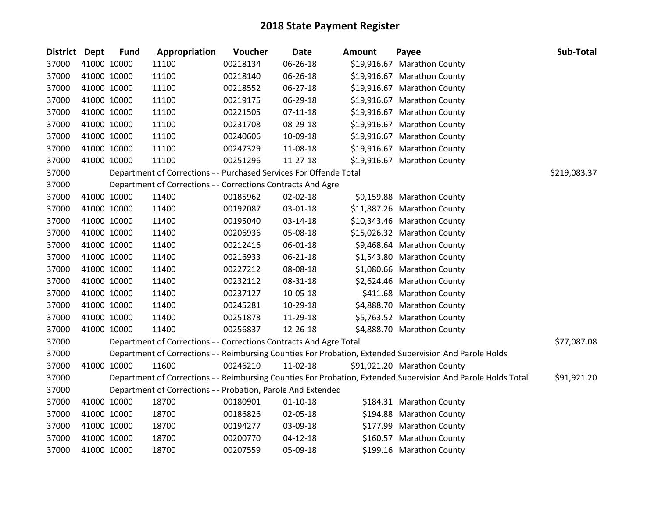| District Dept |             | <b>Fund</b> | Appropriation                                                      | Voucher  | <b>Date</b>    | Amount | Payee                                                                                                         | Sub-Total    |
|---------------|-------------|-------------|--------------------------------------------------------------------|----------|----------------|--------|---------------------------------------------------------------------------------------------------------------|--------------|
| 37000         |             | 41000 10000 | 11100                                                              | 00218134 | 06-26-18       |        | \$19,916.67 Marathon County                                                                                   |              |
| 37000         |             | 41000 10000 | 11100                                                              | 00218140 | 06-26-18       |        | \$19,916.67 Marathon County                                                                                   |              |
| 37000         |             | 41000 10000 | 11100                                                              | 00218552 | 06-27-18       |        | \$19,916.67 Marathon County                                                                                   |              |
| 37000         | 41000 10000 |             | 11100                                                              | 00219175 | 06-29-18       |        | \$19,916.67 Marathon County                                                                                   |              |
| 37000         | 41000 10000 |             | 11100                                                              | 00221505 | $07-11-18$     |        | \$19,916.67 Marathon County                                                                                   |              |
| 37000         |             | 41000 10000 | 11100                                                              | 00231708 | 08-29-18       |        | \$19,916.67 Marathon County                                                                                   |              |
| 37000         |             | 41000 10000 | 11100                                                              | 00240606 | 10-09-18       |        | \$19,916.67 Marathon County                                                                                   |              |
| 37000         |             | 41000 10000 | 11100                                                              | 00247329 | 11-08-18       |        | \$19,916.67 Marathon County                                                                                   |              |
| 37000         | 41000 10000 |             | 11100                                                              | 00251296 | $11 - 27 - 18$ |        | \$19,916.67 Marathon County                                                                                   |              |
| 37000         |             |             | Department of Corrections - - Purchased Services For Offende Total |          |                |        |                                                                                                               | \$219,083.37 |
| 37000         |             |             | Department of Corrections - - Corrections Contracts And Agre       |          |                |        |                                                                                                               |              |
| 37000         |             | 41000 10000 | 11400                                                              | 00185962 | 02-02-18       |        | \$9,159.88 Marathon County                                                                                    |              |
| 37000         |             | 41000 10000 | 11400                                                              | 00192087 | 03-01-18       |        | \$11,887.26 Marathon County                                                                                   |              |
| 37000         | 41000 10000 |             | 11400                                                              | 00195040 | 03-14-18       |        | \$10,343.46 Marathon County                                                                                   |              |
| 37000         | 41000 10000 |             | 11400                                                              | 00206936 | 05-08-18       |        | \$15,026.32 Marathon County                                                                                   |              |
| 37000         |             | 41000 10000 | 11400                                                              | 00212416 | 06-01-18       |        | \$9,468.64 Marathon County                                                                                    |              |
| 37000         |             | 41000 10000 | 11400                                                              | 00216933 | $06 - 21 - 18$ |        | \$1,543.80 Marathon County                                                                                    |              |
| 37000         | 41000 10000 |             | 11400                                                              | 00227212 | 08-08-18       |        | \$1,080.66 Marathon County                                                                                    |              |
| 37000         | 41000 10000 |             | 11400                                                              | 00232112 | 08-31-18       |        | \$2,624.46 Marathon County                                                                                    |              |
| 37000         |             | 41000 10000 | 11400                                                              | 00237127 | 10-05-18       |        | \$411.68 Marathon County                                                                                      |              |
| 37000         |             | 41000 10000 | 11400                                                              | 00245281 | 10-29-18       |        | \$4,888.70 Marathon County                                                                                    |              |
| 37000         |             | 41000 10000 | 11400                                                              | 00251878 | 11-29-18       |        | \$5,763.52 Marathon County                                                                                    |              |
| 37000         |             | 41000 10000 | 11400                                                              | 00256837 | 12-26-18       |        | \$4,888.70 Marathon County                                                                                    |              |
| 37000         |             |             | Department of Corrections - - Corrections Contracts And Agre Total |          |                |        |                                                                                                               | \$77,087.08  |
| 37000         |             |             |                                                                    |          |                |        | Department of Corrections - - Reimbursing Counties For Probation, Extended Supervision And Parole Holds       |              |
| 37000         | 41000 10000 |             | 11600                                                              | 00246210 | 11-02-18       |        | \$91,921.20 Marathon County                                                                                   |              |
| 37000         |             |             |                                                                    |          |                |        | Department of Corrections - - Reimbursing Counties For Probation, Extended Supervision And Parole Holds Total | \$91,921.20  |
| 37000         |             |             | Department of Corrections - - Probation, Parole And Extended       |          |                |        |                                                                                                               |              |
| 37000         |             | 41000 10000 | 18700                                                              | 00180901 | $01 - 10 - 18$ |        | \$184.31 Marathon County                                                                                      |              |
| 37000         | 41000 10000 |             | 18700                                                              | 00186826 | 02-05-18       |        | \$194.88 Marathon County                                                                                      |              |
| 37000         |             | 41000 10000 | 18700                                                              | 00194277 | 03-09-18       |        | \$177.99 Marathon County                                                                                      |              |
| 37000         |             | 41000 10000 | 18700                                                              | 00200770 | $04 - 12 - 18$ |        | \$160.57 Marathon County                                                                                      |              |
| 37000         | 41000 10000 |             | 18700                                                              | 00207559 | 05-09-18       |        | \$199.16 Marathon County                                                                                      |              |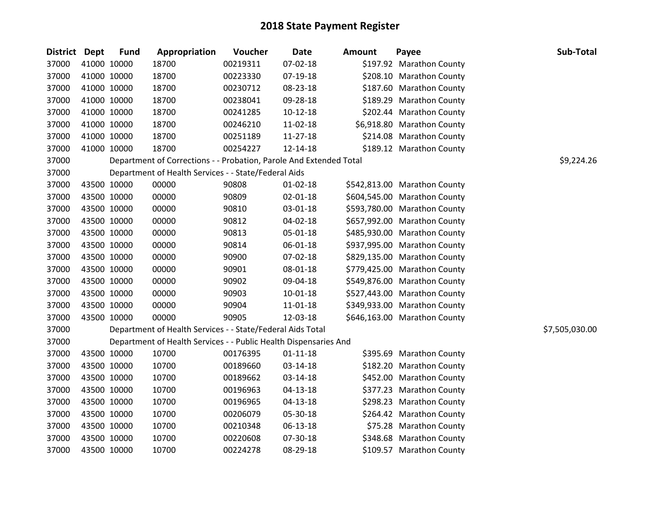| District Dept | <b>Fund</b> | Appropriation                                                      | Voucher  | <b>Date</b>    | <b>Amount</b> | Payee                        | Sub-Total      |
|---------------|-------------|--------------------------------------------------------------------|----------|----------------|---------------|------------------------------|----------------|
| 37000         | 41000 10000 | 18700                                                              | 00219311 | 07-02-18       |               | \$197.92 Marathon County     |                |
| 37000         | 41000 10000 | 18700                                                              | 00223330 | 07-19-18       |               | \$208.10 Marathon County     |                |
| 37000         | 41000 10000 | 18700                                                              | 00230712 | 08-23-18       |               | \$187.60 Marathon County     |                |
| 37000         | 41000 10000 | 18700                                                              | 00238041 | 09-28-18       |               | \$189.29 Marathon County     |                |
| 37000         | 41000 10000 | 18700                                                              | 00241285 | $10 - 12 - 18$ |               | \$202.44 Marathon County     |                |
| 37000         | 41000 10000 | 18700                                                              | 00246210 | 11-02-18       |               | \$6,918.80 Marathon County   |                |
| 37000         | 41000 10000 | 18700                                                              | 00251189 | 11-27-18       |               | \$214.08 Marathon County     |                |
| 37000         | 41000 10000 | 18700                                                              | 00254227 | 12-14-18       |               | \$189.12 Marathon County     |                |
| 37000         |             | Department of Corrections - - Probation, Parole And Extended Total |          |                |               |                              | \$9,224.26     |
| 37000         |             | Department of Health Services - - State/Federal Aids               |          |                |               |                              |                |
| 37000         | 43500 10000 | 00000                                                              | 90808    | $01 - 02 - 18$ |               | \$542,813.00 Marathon County |                |
| 37000         | 43500 10000 | 00000                                                              | 90809    | 02-01-18       |               | \$604,545.00 Marathon County |                |
| 37000         | 43500 10000 | 00000                                                              | 90810    | 03-01-18       |               | \$593,780.00 Marathon County |                |
| 37000         | 43500 10000 | 00000                                                              | 90812    | 04-02-18       |               | \$657,992.00 Marathon County |                |
| 37000         | 43500 10000 | 00000                                                              | 90813    | 05-01-18       |               | \$485,930.00 Marathon County |                |
| 37000         | 43500 10000 | 00000                                                              | 90814    | 06-01-18       |               | \$937,995.00 Marathon County |                |
| 37000         | 43500 10000 | 00000                                                              | 90900    | 07-02-18       |               | \$829,135.00 Marathon County |                |
| 37000         | 43500 10000 | 00000                                                              | 90901    | 08-01-18       |               | \$779,425.00 Marathon County |                |
| 37000         | 43500 10000 | 00000                                                              | 90902    | 09-04-18       |               | \$549,876.00 Marathon County |                |
| 37000         | 43500 10000 | 00000                                                              | 90903    | 10-01-18       |               | \$527,443.00 Marathon County |                |
| 37000         | 43500 10000 | 00000                                                              | 90904    | 11-01-18       |               | \$349,933.00 Marathon County |                |
| 37000         | 43500 10000 | 00000                                                              | 90905    | 12-03-18       |               | \$646,163.00 Marathon County |                |
| 37000         |             | Department of Health Services - - State/Federal Aids Total         |          |                |               |                              | \$7,505,030.00 |
| 37000         |             | Department of Health Services - - Public Health Dispensaries And   |          |                |               |                              |                |
| 37000         | 43500 10000 | 10700                                                              | 00176395 | $01 - 11 - 18$ |               | \$395.69 Marathon County     |                |
| 37000         | 43500 10000 | 10700                                                              | 00189660 | 03-14-18       |               | \$182.20 Marathon County     |                |
| 37000         | 43500 10000 | 10700                                                              | 00189662 | 03-14-18       |               | \$452.00 Marathon County     |                |
| 37000         | 43500 10000 | 10700                                                              | 00196963 | $04 - 13 - 18$ |               | \$377.23 Marathon County     |                |
| 37000         | 43500 10000 | 10700                                                              | 00196965 | 04-13-18       |               | \$298.23 Marathon County     |                |
| 37000         | 43500 10000 | 10700                                                              | 00206079 | 05-30-18       |               | \$264.42 Marathon County     |                |
| 37000         | 43500 10000 | 10700                                                              | 00210348 | 06-13-18       |               | \$75.28 Marathon County      |                |
| 37000         | 43500 10000 | 10700                                                              | 00220608 | 07-30-18       |               | \$348.68 Marathon County     |                |
| 37000         | 43500 10000 | 10700                                                              | 00224278 | 08-29-18       |               | \$109.57 Marathon County     |                |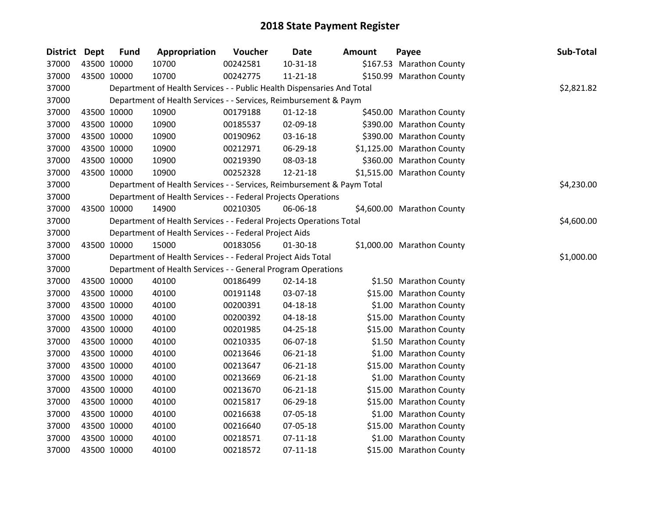| <b>District</b> | Dept        | <b>Fund</b> | Appropriation                                                          | Voucher  | <b>Date</b>    | <b>Amount</b> | Payee                      | Sub-Total  |
|-----------------|-------------|-------------|------------------------------------------------------------------------|----------|----------------|---------------|----------------------------|------------|
| 37000           |             | 43500 10000 | 10700                                                                  | 00242581 | 10-31-18       |               | \$167.53 Marathon County   |            |
| 37000           |             | 43500 10000 | 10700                                                                  | 00242775 | $11 - 21 - 18$ |               | \$150.99 Marathon County   |            |
| 37000           |             |             | Department of Health Services - - Public Health Dispensaries And Total |          |                |               |                            | \$2,821.82 |
| 37000           |             |             | Department of Health Services - - Services, Reimbursement & Paym       |          |                |               |                            |            |
| 37000           |             | 43500 10000 | 10900                                                                  | 00179188 | $01 - 12 - 18$ |               | \$450.00 Marathon County   |            |
| 37000           |             | 43500 10000 | 10900                                                                  | 00185537 | 02-09-18       |               | \$390.00 Marathon County   |            |
| 37000           |             | 43500 10000 | 10900                                                                  | 00190962 | 03-16-18       |               | \$390.00 Marathon County   |            |
| 37000           | 43500 10000 |             | 10900                                                                  | 00212971 | 06-29-18       |               | \$1,125.00 Marathon County |            |
| 37000           | 43500 10000 |             | 10900                                                                  | 00219390 | 08-03-18       |               | \$360.00 Marathon County   |            |
| 37000           |             | 43500 10000 | 10900                                                                  | 00252328 | 12-21-18       |               | \$1,515.00 Marathon County |            |
| 37000           |             |             | Department of Health Services - - Services, Reimbursement & Paym Total |          |                |               |                            | \$4,230.00 |
| 37000           |             |             | Department of Health Services - - Federal Projects Operations          |          |                |               |                            |            |
| 37000           |             | 43500 10000 | 14900                                                                  | 00210305 | 06-06-18       |               | \$4,600.00 Marathon County |            |
| 37000           |             |             | Department of Health Services - - Federal Projects Operations Total    |          |                |               |                            | \$4,600.00 |
| 37000           |             |             | Department of Health Services - - Federal Project Aids                 |          |                |               |                            |            |
| 37000           |             | 43500 10000 | 15000                                                                  | 00183056 | 01-30-18       |               | \$1,000.00 Marathon County |            |
| 37000           |             |             | Department of Health Services - - Federal Project Aids Total           |          |                |               |                            | \$1,000.00 |
| 37000           |             |             | Department of Health Services - - General Program Operations           |          |                |               |                            |            |
| 37000           | 43500 10000 |             | 40100                                                                  | 00186499 | $02 - 14 - 18$ |               | \$1.50 Marathon County     |            |
| 37000           | 43500 10000 |             | 40100                                                                  | 00191148 | 03-07-18       |               | \$15.00 Marathon County    |            |
| 37000           |             | 43500 10000 | 40100                                                                  | 00200391 | 04-18-18       |               | \$1.00 Marathon County     |            |
| 37000           |             | 43500 10000 | 40100                                                                  | 00200392 | 04-18-18       |               | \$15.00 Marathon County    |            |
| 37000           | 43500 10000 |             | 40100                                                                  | 00201985 | 04-25-18       |               | \$15.00 Marathon County    |            |
| 37000           |             | 43500 10000 | 40100                                                                  | 00210335 | 06-07-18       |               | \$1.50 Marathon County     |            |
| 37000           |             | 43500 10000 | 40100                                                                  | 00213646 | 06-21-18       |               | \$1.00 Marathon County     |            |
| 37000           |             | 43500 10000 | 40100                                                                  | 00213647 | 06-21-18       |               | \$15.00 Marathon County    |            |
| 37000           |             | 43500 10000 | 40100                                                                  | 00213669 | $06 - 21 - 18$ |               | \$1.00 Marathon County     |            |
| 37000           | 43500 10000 |             | 40100                                                                  | 00213670 | 06-21-18       |               | \$15.00 Marathon County    |            |
| 37000           |             | 43500 10000 | 40100                                                                  | 00215817 | 06-29-18       |               | \$15.00 Marathon County    |            |
| 37000           |             | 43500 10000 | 40100                                                                  | 00216638 | 07-05-18       |               | \$1.00 Marathon County     |            |
| 37000           |             | 43500 10000 | 40100                                                                  | 00216640 | 07-05-18       |               | \$15.00 Marathon County    |            |
| 37000           |             | 43500 10000 | 40100                                                                  | 00218571 | $07 - 11 - 18$ |               | \$1.00 Marathon County     |            |
| 37000           | 43500 10000 |             | 40100                                                                  | 00218572 | $07 - 11 - 18$ |               | \$15.00 Marathon County    |            |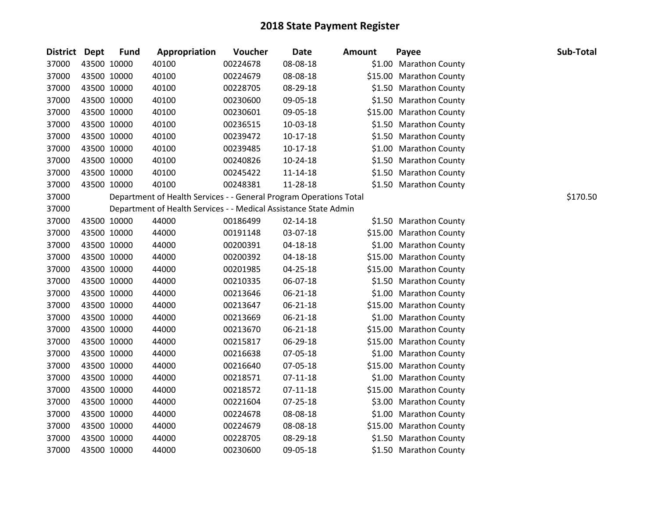| District Dept |             | <b>Fund</b> | <b>Appropriation</b>                                               | Voucher  | Date           | Amount | Payee                   | Sub-Total |
|---------------|-------------|-------------|--------------------------------------------------------------------|----------|----------------|--------|-------------------------|-----------|
| 37000         |             | 43500 10000 | 40100                                                              | 00224678 | 08-08-18       |        | \$1.00 Marathon County  |           |
| 37000         |             | 43500 10000 | 40100                                                              | 00224679 | 08-08-18       |        | \$15.00 Marathon County |           |
| 37000         |             | 43500 10000 | 40100                                                              | 00228705 | 08-29-18       |        | \$1.50 Marathon County  |           |
| 37000         |             | 43500 10000 | 40100                                                              | 00230600 | 09-05-18       |        | \$1.50 Marathon County  |           |
| 37000         |             | 43500 10000 | 40100                                                              | 00230601 | 09-05-18       |        | \$15.00 Marathon County |           |
| 37000         |             | 43500 10000 | 40100                                                              | 00236515 | 10-03-18       |        | \$1.50 Marathon County  |           |
| 37000         |             | 43500 10000 | 40100                                                              | 00239472 | $10-17-18$     |        | \$1.50 Marathon County  |           |
| 37000         |             | 43500 10000 | 40100                                                              | 00239485 | $10-17-18$     |        | \$1.00 Marathon County  |           |
| 37000         |             | 43500 10000 | 40100                                                              | 00240826 | 10-24-18       |        | \$1.50 Marathon County  |           |
| 37000         |             | 43500 10000 | 40100                                                              | 00245422 | 11-14-18       |        | \$1.50 Marathon County  |           |
| 37000         |             | 43500 10000 | 40100                                                              | 00248381 | 11-28-18       |        | \$1.50 Marathon County  |           |
| 37000         |             |             | Department of Health Services - - General Program Operations Total |          |                |        |                         | \$170.50  |
| 37000         |             |             | Department of Health Services - - Medical Assistance State Admin   |          |                |        |                         |           |
| 37000         |             | 43500 10000 | 44000                                                              | 00186499 | $02 - 14 - 18$ |        | \$1.50 Marathon County  |           |
| 37000         |             | 43500 10000 | 44000                                                              | 00191148 | 03-07-18       |        | \$15.00 Marathon County |           |
| 37000         |             | 43500 10000 | 44000                                                              | 00200391 | 04-18-18       |        | \$1.00 Marathon County  |           |
| 37000         |             | 43500 10000 | 44000                                                              | 00200392 | 04-18-18       |        | \$15.00 Marathon County |           |
| 37000         |             | 43500 10000 | 44000                                                              | 00201985 | 04-25-18       |        | \$15.00 Marathon County |           |
| 37000         |             | 43500 10000 | 44000                                                              | 00210335 | 06-07-18       |        | \$1.50 Marathon County  |           |
| 37000         |             | 43500 10000 | 44000                                                              | 00213646 | 06-21-18       |        | \$1.00 Marathon County  |           |
| 37000         |             | 43500 10000 | 44000                                                              | 00213647 | $06 - 21 - 18$ |        | \$15.00 Marathon County |           |
| 37000         |             | 43500 10000 | 44000                                                              | 00213669 | 06-21-18       |        | \$1.00 Marathon County  |           |
| 37000         |             | 43500 10000 | 44000                                                              | 00213670 | 06-21-18       |        | \$15.00 Marathon County |           |
| 37000         |             | 43500 10000 | 44000                                                              | 00215817 | 06-29-18       |        | \$15.00 Marathon County |           |
| 37000         |             | 43500 10000 | 44000                                                              | 00216638 | 07-05-18       |        | \$1.00 Marathon County  |           |
| 37000         |             | 43500 10000 | 44000                                                              | 00216640 | 07-05-18       |        | \$15.00 Marathon County |           |
| 37000         |             | 43500 10000 | 44000                                                              | 00218571 | 07-11-18       |        | \$1.00 Marathon County  |           |
| 37000         |             | 43500 10000 | 44000                                                              | 00218572 | $07-11-18$     |        | \$15.00 Marathon County |           |
| 37000         |             | 43500 10000 | 44000                                                              | 00221604 | 07-25-18       |        | \$3.00 Marathon County  |           |
| 37000         |             | 43500 10000 | 44000                                                              | 00224678 | 08-08-18       |        | \$1.00 Marathon County  |           |
| 37000         |             | 43500 10000 | 44000                                                              | 00224679 | 08-08-18       |        | \$15.00 Marathon County |           |
| 37000         |             | 43500 10000 | 44000                                                              | 00228705 | 08-29-18       |        | \$1.50 Marathon County  |           |
| 37000         | 43500 10000 |             | 44000                                                              | 00230600 | 09-05-18       |        | \$1.50 Marathon County  |           |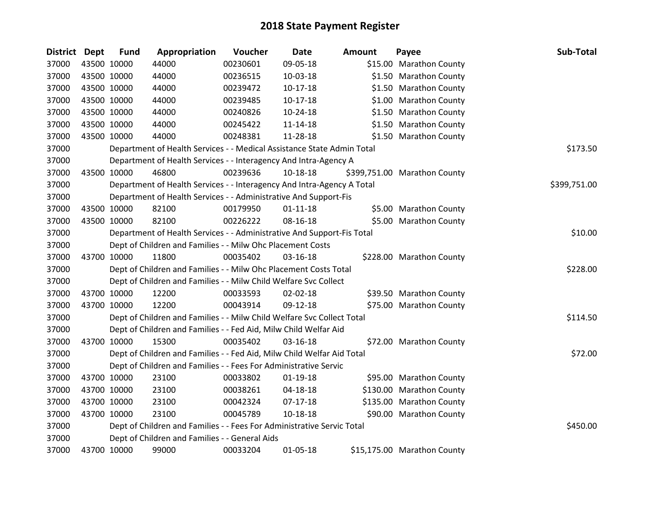| District Dept |             | <b>Fund</b> | Appropriation                                                                     | Voucher  | <b>Date</b>    | <b>Amount</b> | Payee                        | Sub-Total    |  |
|---------------|-------------|-------------|-----------------------------------------------------------------------------------|----------|----------------|---------------|------------------------------|--------------|--|
| 37000         |             | 43500 10000 | 44000                                                                             | 00230601 | 09-05-18       |               | \$15.00 Marathon County      |              |  |
| 37000         | 43500 10000 |             | 44000                                                                             | 00236515 | 10-03-18       |               | \$1.50 Marathon County       |              |  |
| 37000         | 43500 10000 |             | 44000                                                                             | 00239472 | $10-17-18$     |               | \$1.50 Marathon County       |              |  |
| 37000         | 43500 10000 |             | 44000                                                                             | 00239485 | 10-17-18       |               | \$1.00 Marathon County       |              |  |
| 37000         | 43500 10000 |             | 44000                                                                             | 00240826 | $10-24-18$     |               | \$1.50 Marathon County       |              |  |
| 37000         | 43500 10000 |             | 44000                                                                             | 00245422 | $11 - 14 - 18$ |               | \$1.50 Marathon County       |              |  |
| 37000         |             | 43500 10000 | 44000                                                                             | 00248381 | 11-28-18       |               | \$1.50 Marathon County       |              |  |
| 37000         |             |             | Department of Health Services - - Medical Assistance State Admin Total            |          |                |               |                              | \$173.50     |  |
| 37000         |             |             | Department of Health Services - - Interagency And Intra-Agency A                  |          |                |               |                              |              |  |
| 37000         | 43500 10000 |             | 46800                                                                             | 00239636 | 10-18-18       |               | \$399,751.00 Marathon County |              |  |
| 37000         |             |             | Department of Health Services - - Interagency And Intra-Agency A Total            |          |                |               |                              | \$399,751.00 |  |
| 37000         |             |             | Department of Health Services - - Administrative And Support-Fis                  |          |                |               |                              |              |  |
| 37000         | 43500 10000 |             | 82100                                                                             | 00179950 | $01 - 11 - 18$ |               | \$5.00 Marathon County       |              |  |
| 37000         | 43500 10000 |             | 82100                                                                             | 00226222 | 08-16-18       |               | \$5.00 Marathon County       |              |  |
| 37000         |             |             | \$10.00<br>Department of Health Services - - Administrative And Support-Fis Total |          |                |               |                              |              |  |
| 37000         |             |             | Dept of Children and Families - - Milw Ohc Placement Costs                        |          |                |               |                              |              |  |
| 37000         |             | 43700 10000 | 11800                                                                             | 00035402 | 03-16-18       |               | \$228.00 Marathon County     |              |  |
| 37000         |             |             | Dept of Children and Families - - Milw Ohc Placement Costs Total                  |          |                |               |                              | \$228.00     |  |
| 37000         |             |             | Dept of Children and Families - - Milw Child Welfare Svc Collect                  |          |                |               |                              |              |  |
| 37000         | 43700 10000 |             | 12200                                                                             | 00033593 | 02-02-18       |               | \$39.50 Marathon County      |              |  |
| 37000         |             | 43700 10000 | 12200                                                                             | 00043914 | 09-12-18       |               | \$75.00 Marathon County      |              |  |
| 37000         |             |             | Dept of Children and Families - - Milw Child Welfare Svc Collect Total            |          |                |               |                              | \$114.50     |  |
| 37000         |             |             | Dept of Children and Families - - Fed Aid, Milw Child Welfar Aid                  |          |                |               |                              |              |  |
| 37000         | 43700 10000 |             | 15300                                                                             | 00035402 | 03-16-18       |               | \$72.00 Marathon County      |              |  |
| 37000         |             |             | Dept of Children and Families - - Fed Aid, Milw Child Welfar Aid Total            |          |                |               |                              | \$72.00      |  |
| 37000         |             |             | Dept of Children and Families - - Fees For Administrative Servic                  |          |                |               |                              |              |  |
| 37000         | 43700 10000 |             | 23100                                                                             | 00033802 | $01-19-18$     |               | \$95.00 Marathon County      |              |  |
| 37000         | 43700 10000 |             | 23100                                                                             | 00038261 | 04-18-18       |               | \$130.00 Marathon County     |              |  |
| 37000         | 43700 10000 |             | 23100                                                                             | 00042324 | $07-17-18$     |               | \$135.00 Marathon County     |              |  |
| 37000         | 43700 10000 |             | 23100                                                                             | 00045789 | $10-18-18$     |               | \$90.00 Marathon County      |              |  |
| 37000         |             |             | Dept of Children and Families - - Fees For Administrative Servic Total            |          |                |               |                              | \$450.00     |  |
| 37000         |             |             | Dept of Children and Families - - General Aids                                    |          |                |               |                              |              |  |
| 37000         | 43700 10000 |             | 99000                                                                             | 00033204 | $01 - 05 - 18$ |               | \$15,175.00 Marathon County  |              |  |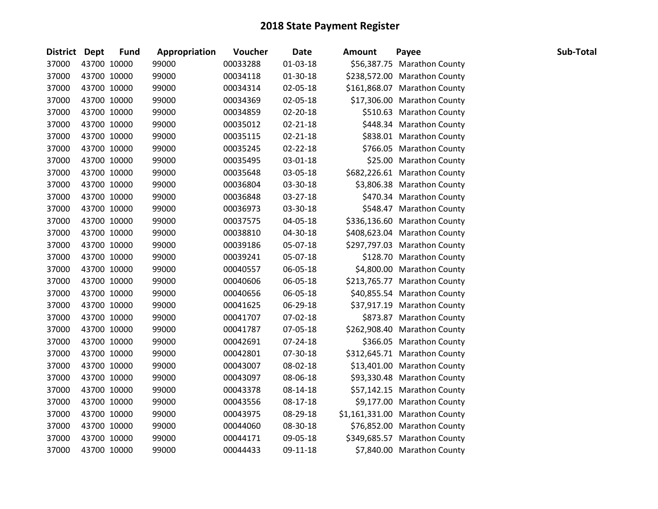| District Dept |             | <b>Fund</b> | Appropriation | Voucher  | <b>Date</b>    | <b>Amount</b> | Payee                          | Sub-Total |
|---------------|-------------|-------------|---------------|----------|----------------|---------------|--------------------------------|-----------|
| 37000         | 43700 10000 |             | 99000         | 00033288 | $01 - 03 - 18$ |               | \$56,387.75 Marathon County    |           |
| 37000         |             | 43700 10000 | 99000         | 00034118 | 01-30-18       |               | \$238,572.00 Marathon County   |           |
| 37000         | 43700 10000 |             | 99000         | 00034314 | 02-05-18       |               | \$161,868.07 Marathon County   |           |
| 37000         | 43700 10000 |             | 99000         | 00034369 | 02-05-18       |               | \$17,306.00 Marathon County    |           |
| 37000         |             | 43700 10000 | 99000         | 00034859 | 02-20-18       |               | \$510.63 Marathon County       |           |
| 37000         |             | 43700 10000 | 99000         | 00035012 | $02 - 21 - 18$ |               | \$448.34 Marathon County       |           |
| 37000         |             | 43700 10000 | 99000         | 00035115 | $02 - 21 - 18$ |               | \$838.01 Marathon County       |           |
| 37000         | 43700 10000 |             | 99000         | 00035245 | 02-22-18       |               | \$766.05 Marathon County       |           |
| 37000         | 43700 10000 |             | 99000         | 00035495 | 03-01-18       |               | \$25.00 Marathon County        |           |
| 37000         |             | 43700 10000 | 99000         | 00035648 | 03-05-18       |               | \$682,226.61 Marathon County   |           |
| 37000         | 43700 10000 |             | 99000         | 00036804 | 03-30-18       |               | \$3,806.38 Marathon County     |           |
| 37000         |             | 43700 10000 | 99000         | 00036848 | 03-27-18       |               | \$470.34 Marathon County       |           |
| 37000         |             | 43700 10000 | 99000         | 00036973 | 03-30-18       |               | \$548.47 Marathon County       |           |
| 37000         | 43700 10000 |             | 99000         | 00037575 | 04-05-18       |               | \$336,136.60 Marathon County   |           |
| 37000         |             | 43700 10000 | 99000         | 00038810 | 04-30-18       |               | \$408,623.04 Marathon County   |           |
| 37000         | 43700 10000 |             | 99000         | 00039186 | 05-07-18       |               | \$297,797.03 Marathon County   |           |
| 37000         |             | 43700 10000 | 99000         | 00039241 | 05-07-18       |               | \$128.70 Marathon County       |           |
| 37000         |             | 43700 10000 | 99000         | 00040557 | 06-05-18       |               | \$4,800.00 Marathon County     |           |
| 37000         | 43700 10000 |             | 99000         | 00040606 | 06-05-18       |               | \$213,765.77 Marathon County   |           |
| 37000         | 43700 10000 |             | 99000         | 00040656 | 06-05-18       |               | \$40,855.54 Marathon County    |           |
| 37000         |             | 43700 10000 | 99000         | 00041625 | 06-29-18       |               | \$37,917.19 Marathon County    |           |
| 37000         |             | 43700 10000 | 99000         | 00041707 | 07-02-18       |               | \$873.87 Marathon County       |           |
| 37000         |             | 43700 10000 | 99000         | 00041787 | 07-05-18       |               | \$262,908.40 Marathon County   |           |
| 37000         | 43700 10000 |             | 99000         | 00042691 | 07-24-18       |               | \$366.05 Marathon County       |           |
| 37000         |             | 43700 10000 | 99000         | 00042801 | 07-30-18       |               | \$312,645.71 Marathon County   |           |
| 37000         | 43700 10000 |             | 99000         | 00043007 | 08-02-18       |               | \$13,401.00 Marathon County    |           |
| 37000         |             | 43700 10000 | 99000         | 00043097 | 08-06-18       |               | \$93,330.48 Marathon County    |           |
| 37000         |             | 43700 10000 | 99000         | 00043378 | 08-14-18       |               | \$57,142.15 Marathon County    |           |
| 37000         | 43700 10000 |             | 99000         | 00043556 | 08-17-18       |               | \$9,177.00 Marathon County     |           |
| 37000         | 43700 10000 |             | 99000         | 00043975 | 08-29-18       |               | \$1,161,331.00 Marathon County |           |
| 37000         | 43700 10000 |             | 99000         | 00044060 | 08-30-18       |               | \$76,852.00 Marathon County    |           |
| 37000         |             | 43700 10000 | 99000         | 00044171 | 09-05-18       |               | \$349,685.57 Marathon County   |           |
| 37000         | 43700 10000 |             | 99000         | 00044433 | 09-11-18       |               | \$7,840.00 Marathon County     |           |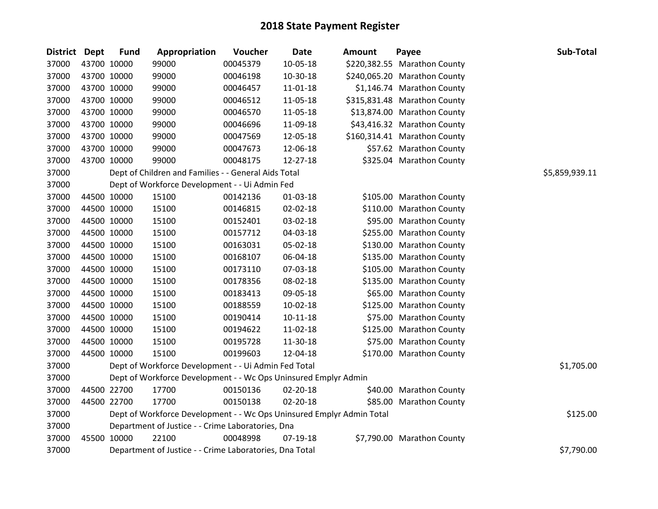| <b>District</b> | Dept        | <b>Fund</b> | Appropriation                                                         | Voucher  | <b>Date</b>    | <b>Amount</b> | Payee                        | Sub-Total      |
|-----------------|-------------|-------------|-----------------------------------------------------------------------|----------|----------------|---------------|------------------------------|----------------|
| 37000           |             | 43700 10000 | 99000                                                                 | 00045379 | 10-05-18       |               | \$220,382.55 Marathon County |                |
| 37000           |             | 43700 10000 | 99000                                                                 | 00046198 | 10-30-18       |               | \$240,065.20 Marathon County |                |
| 37000           |             | 43700 10000 | 99000                                                                 | 00046457 | 11-01-18       |               | \$1,146.74 Marathon County   |                |
| 37000           |             | 43700 10000 | 99000                                                                 | 00046512 | 11-05-18       |               | \$315,831.48 Marathon County |                |
| 37000           |             | 43700 10000 | 99000                                                                 | 00046570 | 11-05-18       |               | \$13,874.00 Marathon County  |                |
| 37000           |             | 43700 10000 | 99000                                                                 | 00046696 | 11-09-18       |               | \$43,416.32 Marathon County  |                |
| 37000           |             | 43700 10000 | 99000                                                                 | 00047569 | 12-05-18       |               | \$160,314.41 Marathon County |                |
| 37000           |             | 43700 10000 | 99000                                                                 | 00047673 | 12-06-18       |               | \$57.62 Marathon County      |                |
| 37000           | 43700 10000 |             | 99000                                                                 | 00048175 | 12-27-18       |               | \$325.04 Marathon County     |                |
| 37000           |             |             | Dept of Children and Families - - General Aids Total                  |          |                |               |                              | \$5,859,939.11 |
| 37000           |             |             | Dept of Workforce Development - - Ui Admin Fed                        |          |                |               |                              |                |
| 37000           |             | 44500 10000 | 15100                                                                 | 00142136 | 01-03-18       |               | \$105.00 Marathon County     |                |
| 37000           |             | 44500 10000 | 15100                                                                 | 00146815 | $02 - 02 - 18$ |               | \$110.00 Marathon County     |                |
| 37000           |             | 44500 10000 | 15100                                                                 | 00152401 | 03-02-18       |               | \$95.00 Marathon County      |                |
| 37000           |             | 44500 10000 | 15100                                                                 | 00157712 | 04-03-18       |               | \$255.00 Marathon County     |                |
| 37000           |             | 44500 10000 | 15100                                                                 | 00163031 | 05-02-18       |               | \$130.00 Marathon County     |                |
| 37000           |             | 44500 10000 | 15100                                                                 | 00168107 | 06-04-18       |               | \$135.00 Marathon County     |                |
| 37000           |             | 44500 10000 | 15100                                                                 | 00173110 | 07-03-18       |               | \$105.00 Marathon County     |                |
| 37000           |             | 44500 10000 | 15100                                                                 | 00178356 | 08-02-18       |               | \$135.00 Marathon County     |                |
| 37000           |             | 44500 10000 | 15100                                                                 | 00183413 | 09-05-18       |               | \$65.00 Marathon County      |                |
| 37000           |             | 44500 10000 | 15100                                                                 | 00188559 | 10-02-18       |               | \$125.00 Marathon County     |                |
| 37000           |             | 44500 10000 | 15100                                                                 | 00190414 | $10-11-18$     |               | \$75.00 Marathon County      |                |
| 37000           |             | 44500 10000 | 15100                                                                 | 00194622 | 11-02-18       |               | \$125.00 Marathon County     |                |
| 37000           |             | 44500 10000 | 15100                                                                 | 00195728 | 11-30-18       |               | \$75.00 Marathon County      |                |
| 37000           |             | 44500 10000 | 15100                                                                 | 00199603 | 12-04-18       |               | \$170.00 Marathon County     |                |
| 37000           |             |             | Dept of Workforce Development - - Ui Admin Fed Total                  |          |                |               |                              | \$1,705.00     |
| 37000           |             |             | Dept of Workforce Development - - Wc Ops Uninsured Emplyr Admin       |          |                |               |                              |                |
| 37000           |             | 44500 22700 | 17700                                                                 | 00150136 | 02-20-18       |               | \$40.00 Marathon County      |                |
| 37000           |             | 44500 22700 | 17700                                                                 | 00150138 | 02-20-18       |               | \$85.00 Marathon County      |                |
| 37000           |             |             | Dept of Workforce Development - - Wc Ops Uninsured Emplyr Admin Total |          |                |               |                              | \$125.00       |
| 37000           |             |             | Department of Justice - - Crime Laboratories, Dna                     |          |                |               |                              |                |
| 37000           |             | 45500 10000 | 22100                                                                 | 00048998 | 07-19-18       |               | \$7,790.00 Marathon County   |                |
| 37000           |             |             | Department of Justice - - Crime Laboratories, Dna Total               |          |                |               |                              | \$7,790.00     |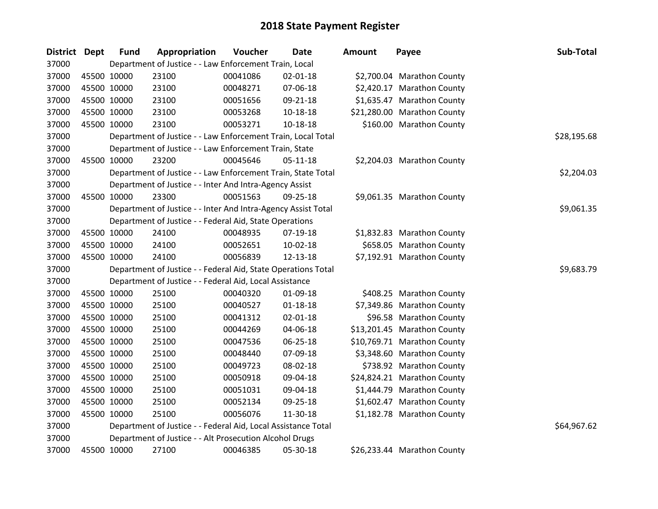| <b>District Dept</b> | <b>Fund</b> | Appropriation                                                 | Voucher  | <b>Date</b>    | Amount | Payee                       | Sub-Total   |
|----------------------|-------------|---------------------------------------------------------------|----------|----------------|--------|-----------------------------|-------------|
| 37000                |             | Department of Justice - - Law Enforcement Train, Local        |          |                |        |                             |             |
| 37000                | 45500 10000 | 23100                                                         | 00041086 | 02-01-18       |        | \$2,700.04 Marathon County  |             |
| 37000                | 45500 10000 | 23100                                                         | 00048271 | 07-06-18       |        | \$2,420.17 Marathon County  |             |
| 37000                | 45500 10000 | 23100                                                         | 00051656 | 09-21-18       |        | \$1,635.47 Marathon County  |             |
| 37000                | 45500 10000 | 23100                                                         | 00053268 | $10 - 18 - 18$ |        | \$21,280.00 Marathon County |             |
| 37000                | 45500 10000 | 23100                                                         | 00053271 | 10-18-18       |        | \$160.00 Marathon County    |             |
| 37000                |             | Department of Justice - - Law Enforcement Train, Local Total  |          |                |        |                             | \$28,195.68 |
| 37000                |             | Department of Justice - - Law Enforcement Train, State        |          |                |        |                             |             |
| 37000                | 45500 10000 | 23200                                                         | 00045646 | $05-11-18$     |        | \$2,204.03 Marathon County  |             |
| 37000                |             | Department of Justice - - Law Enforcement Train, State Total  |          |                |        |                             | \$2,204.03  |
| 37000                |             | Department of Justice - - Inter And Intra-Agency Assist       |          |                |        |                             |             |
| 37000                | 45500 10000 | 23300                                                         | 00051563 | 09-25-18       |        | \$9,061.35 Marathon County  |             |
| 37000                |             | Department of Justice - - Inter And Intra-Agency Assist Total |          |                |        |                             | \$9,061.35  |
| 37000                |             | Department of Justice - - Federal Aid, State Operations       |          |                |        |                             |             |
| 37000                | 45500 10000 | 24100                                                         | 00048935 | 07-19-18       |        | \$1,832.83 Marathon County  |             |
| 37000                | 45500 10000 | 24100                                                         | 00052651 | 10-02-18       |        | \$658.05 Marathon County    |             |
| 37000                | 45500 10000 | 24100                                                         | 00056839 | 12-13-18       |        | \$7,192.91 Marathon County  |             |
| 37000                |             | Department of Justice - - Federal Aid, State Operations Total |          |                |        |                             | \$9,683.79  |
| 37000                |             | Department of Justice - - Federal Aid, Local Assistance       |          |                |        |                             |             |
| 37000                | 45500 10000 | 25100                                                         | 00040320 | 01-09-18       |        | \$408.25 Marathon County    |             |
| 37000                | 45500 10000 | 25100                                                         | 00040527 | $01 - 18 - 18$ |        | \$7,349.86 Marathon County  |             |
| 37000                | 45500 10000 | 25100                                                         | 00041312 | $02 - 01 - 18$ |        | \$96.58 Marathon County     |             |
| 37000                | 45500 10000 | 25100                                                         | 00044269 | 04-06-18       |        | \$13,201.45 Marathon County |             |
| 37000                | 45500 10000 | 25100                                                         | 00047536 | 06-25-18       |        | \$10,769.71 Marathon County |             |
| 37000                | 45500 10000 | 25100                                                         | 00048440 | 07-09-18       |        | \$3,348.60 Marathon County  |             |
| 37000                | 45500 10000 | 25100                                                         | 00049723 | 08-02-18       |        | \$738.92 Marathon County    |             |
| 37000                | 45500 10000 | 25100                                                         | 00050918 | 09-04-18       |        | \$24,824.21 Marathon County |             |
| 37000                | 45500 10000 | 25100                                                         | 00051031 | 09-04-18       |        | \$1,444.79 Marathon County  |             |
| 37000                | 45500 10000 | 25100                                                         | 00052134 | 09-25-18       |        | \$1,602.47 Marathon County  |             |
| 37000                | 45500 10000 | 25100                                                         | 00056076 | 11-30-18       |        | \$1,182.78 Marathon County  |             |
| 37000                |             | Department of Justice - - Federal Aid, Local Assistance Total |          |                |        |                             | \$64,967.62 |
| 37000                |             | Department of Justice - - Alt Prosecution Alcohol Drugs       |          |                |        |                             |             |
| 37000                | 45500 10000 | 27100                                                         | 00046385 | 05-30-18       |        | \$26,233.44 Marathon County |             |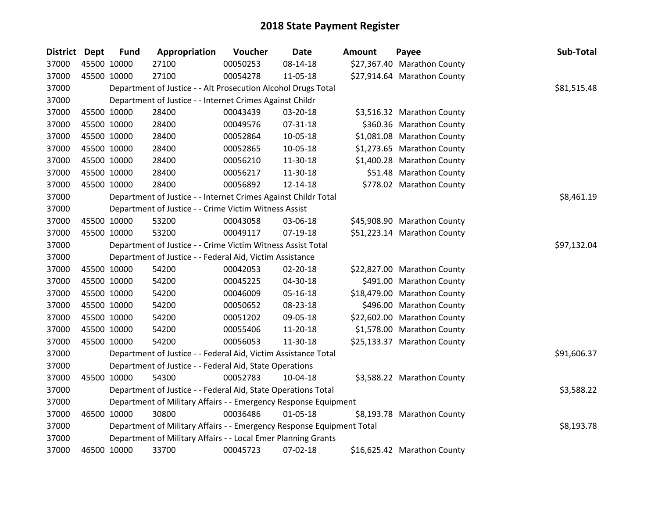| <b>District</b> | <b>Dept</b> | <b>Fund</b> | Appropriation                                                         | Voucher  | <b>Date</b>    | <b>Amount</b> | Payee                       | Sub-Total   |
|-----------------|-------------|-------------|-----------------------------------------------------------------------|----------|----------------|---------------|-----------------------------|-------------|
| 37000           |             | 45500 10000 | 27100                                                                 | 00050253 | 08-14-18       |               | \$27,367.40 Marathon County |             |
| 37000           |             | 45500 10000 | 27100                                                                 | 00054278 | 11-05-18       |               | \$27,914.64 Marathon County |             |
| 37000           |             |             | Department of Justice - - Alt Prosecution Alcohol Drugs Total         |          |                |               |                             | \$81,515.48 |
| 37000           |             |             | Department of Justice - - Internet Crimes Against Childr              |          |                |               |                             |             |
| 37000           |             | 45500 10000 | 28400                                                                 | 00043439 | 03-20-18       |               | \$3,516.32 Marathon County  |             |
| 37000           |             | 45500 10000 | 28400                                                                 | 00049576 | 07-31-18       |               | \$360.36 Marathon County    |             |
| 37000           |             | 45500 10000 | 28400                                                                 | 00052864 | 10-05-18       |               | \$1,081.08 Marathon County  |             |
| 37000           |             | 45500 10000 | 28400                                                                 | 00052865 | 10-05-18       |               | \$1,273.65 Marathon County  |             |
| 37000           |             | 45500 10000 | 28400                                                                 | 00056210 | 11-30-18       |               | \$1,400.28 Marathon County  |             |
| 37000           |             | 45500 10000 | 28400                                                                 | 00056217 | 11-30-18       |               | \$51.48 Marathon County     |             |
| 37000           |             | 45500 10000 | 28400                                                                 | 00056892 | 12-14-18       |               | \$778.02 Marathon County    |             |
| 37000           |             |             | Department of Justice - - Internet Crimes Against Childr Total        |          |                |               |                             | \$8,461.19  |
| 37000           |             |             | Department of Justice - - Crime Victim Witness Assist                 |          |                |               |                             |             |
| 37000           |             | 45500 10000 | 53200                                                                 | 00043058 | 03-06-18       |               | \$45,908.90 Marathon County |             |
| 37000           |             | 45500 10000 | 53200                                                                 | 00049117 | 07-19-18       |               | \$51,223.14 Marathon County |             |
| 37000           |             |             | Department of Justice - - Crime Victim Witness Assist Total           |          |                |               |                             | \$97,132.04 |
| 37000           |             |             | Department of Justice - - Federal Aid, Victim Assistance              |          |                |               |                             |             |
| 37000           |             | 45500 10000 | 54200                                                                 | 00042053 | $02 - 20 - 18$ |               | \$22,827.00 Marathon County |             |
| 37000           |             | 45500 10000 | 54200                                                                 | 00045225 | 04-30-18       |               | \$491.00 Marathon County    |             |
| 37000           |             | 45500 10000 | 54200                                                                 | 00046009 | 05-16-18       |               | \$18,479.00 Marathon County |             |
| 37000           |             | 45500 10000 | 54200                                                                 | 00050652 | 08-23-18       |               | \$496.00 Marathon County    |             |
| 37000           |             | 45500 10000 | 54200                                                                 | 00051202 | 09-05-18       |               | \$22,602.00 Marathon County |             |
| 37000           |             | 45500 10000 | 54200                                                                 | 00055406 | 11-20-18       |               | \$1,578.00 Marathon County  |             |
| 37000           |             | 45500 10000 | 54200                                                                 | 00056053 | 11-30-18       |               | \$25,133.37 Marathon County |             |
| 37000           |             |             | Department of Justice - - Federal Aid, Victim Assistance Total        |          |                |               |                             | \$91,606.37 |
| 37000           |             |             | Department of Justice - - Federal Aid, State Operations               |          |                |               |                             |             |
| 37000           |             | 45500 10000 | 54300                                                                 | 00052783 | 10-04-18       |               | \$3,588.22 Marathon County  |             |
| 37000           |             |             | Department of Justice - - Federal Aid, State Operations Total         |          |                |               |                             | \$3,588.22  |
| 37000           |             |             | Department of Military Affairs - - Emergency Response Equipment       |          |                |               |                             |             |
| 37000           |             | 46500 10000 | 30800                                                                 | 00036486 | 01-05-18       |               | \$8,193.78 Marathon County  |             |
| 37000           |             |             | Department of Military Affairs - - Emergency Response Equipment Total |          |                |               |                             | \$8,193.78  |
| 37000           |             |             | Department of Military Affairs - - Local Emer Planning Grants         |          |                |               |                             |             |
| 37000           |             | 46500 10000 | 33700                                                                 | 00045723 | 07-02-18       |               | \$16,625.42 Marathon County |             |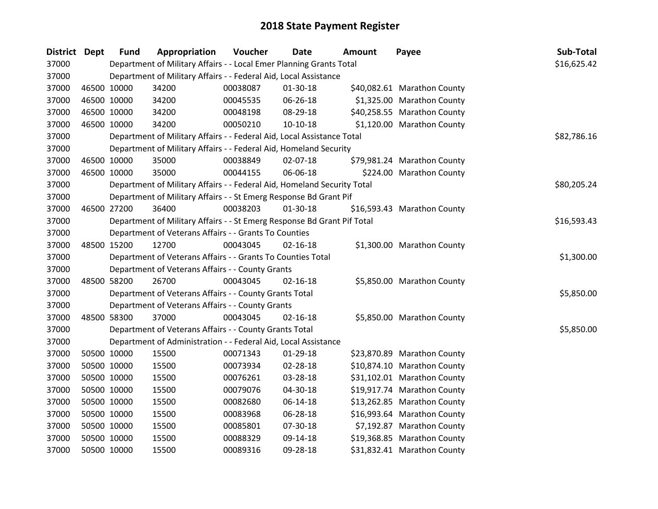| District Dept |             | <b>Fund</b> | Appropriation                                                           | Voucher  | Date           | Amount | Payee                       | Sub-Total   |
|---------------|-------------|-------------|-------------------------------------------------------------------------|----------|----------------|--------|-----------------------------|-------------|
| 37000         |             |             | Department of Military Affairs - - Local Emer Planning Grants Total     |          |                |        |                             | \$16,625.42 |
| 37000         |             |             | Department of Military Affairs - - Federal Aid, Local Assistance        |          |                |        |                             |             |
| 37000         | 46500 10000 |             | 34200                                                                   | 00038087 | 01-30-18       |        | \$40,082.61 Marathon County |             |
| 37000         | 46500 10000 |             | 34200                                                                   | 00045535 | 06-26-18       |        | \$1,325.00 Marathon County  |             |
| 37000         | 46500 10000 |             | 34200                                                                   | 00048198 | 08-29-18       |        | \$40,258.55 Marathon County |             |
| 37000         | 46500 10000 |             | 34200                                                                   | 00050210 | $10-10-18$     |        | \$1,120.00 Marathon County  |             |
| 37000         |             |             | Department of Military Affairs - - Federal Aid, Local Assistance Total  |          |                |        |                             | \$82,786.16 |
| 37000         |             |             | Department of Military Affairs - - Federal Aid, Homeland Security       |          |                |        |                             |             |
| 37000         | 46500 10000 |             | 35000                                                                   | 00038849 | 02-07-18       |        | \$79,981.24 Marathon County |             |
| 37000         | 46500 10000 |             | 35000                                                                   | 00044155 | 06-06-18       |        | \$224.00 Marathon County    |             |
| 37000         |             |             | Department of Military Affairs - - Federal Aid, Homeland Security Total |          |                |        |                             | \$80,205.24 |
| 37000         |             |             | Department of Military Affairs - - St Emerg Response Bd Grant Pif       |          |                |        |                             |             |
| 37000         |             | 46500 27200 | 36400                                                                   | 00038203 | $01-30-18$     |        | \$16,593.43 Marathon County |             |
| 37000         |             |             | Department of Military Affairs - - St Emerg Response Bd Grant Pif Total |          |                |        |                             | \$16,593.43 |
| 37000         |             |             | Department of Veterans Affairs - - Grants To Counties                   |          |                |        |                             |             |
| 37000         | 48500 15200 |             | 12700                                                                   | 00043045 | $02 - 16 - 18$ |        | \$1,300.00 Marathon County  |             |
| 37000         |             |             | Department of Veterans Affairs - - Grants To Counties Total             |          |                |        |                             | \$1,300.00  |
| 37000         |             |             | Department of Veterans Affairs - - County Grants                        |          |                |        |                             |             |
| 37000         |             | 48500 58200 | 26700                                                                   | 00043045 | $02 - 16 - 18$ |        | \$5,850.00 Marathon County  |             |
| 37000         |             |             | Department of Veterans Affairs - - County Grants Total                  |          |                |        |                             | \$5,850.00  |
| 37000         |             |             | Department of Veterans Affairs - - County Grants                        |          |                |        |                             |             |
| 37000         |             | 48500 58300 | 37000                                                                   | 00043045 | $02 - 16 - 18$ |        | \$5,850.00 Marathon County  |             |
| 37000         |             |             | Department of Veterans Affairs - - County Grants Total                  |          |                |        |                             | \$5,850.00  |
| 37000         |             |             | Department of Administration - - Federal Aid, Local Assistance          |          |                |        |                             |             |
| 37000         | 50500 10000 |             | 15500                                                                   | 00071343 | 01-29-18       |        | \$23,870.89 Marathon County |             |
| 37000         | 50500 10000 |             | 15500                                                                   | 00073934 | 02-28-18       |        | \$10,874.10 Marathon County |             |
| 37000         |             | 50500 10000 | 15500                                                                   | 00076261 | 03-28-18       |        | \$31,102.01 Marathon County |             |
| 37000         |             | 50500 10000 | 15500                                                                   | 00079076 | 04-30-18       |        | \$19,917.74 Marathon County |             |
| 37000         | 50500 10000 |             | 15500                                                                   | 00082680 | 06-14-18       |        | \$13,262.85 Marathon County |             |
| 37000         | 50500 10000 |             | 15500                                                                   | 00083968 | 06-28-18       |        | \$16,993.64 Marathon County |             |
| 37000         | 50500 10000 |             | 15500                                                                   | 00085801 | 07-30-18       |        | \$7,192.87 Marathon County  |             |
| 37000         | 50500 10000 |             | 15500                                                                   | 00088329 | 09-14-18       |        | \$19,368.85 Marathon County |             |
| 37000         | 50500 10000 |             | 15500                                                                   | 00089316 | 09-28-18       |        | \$31,832.41 Marathon County |             |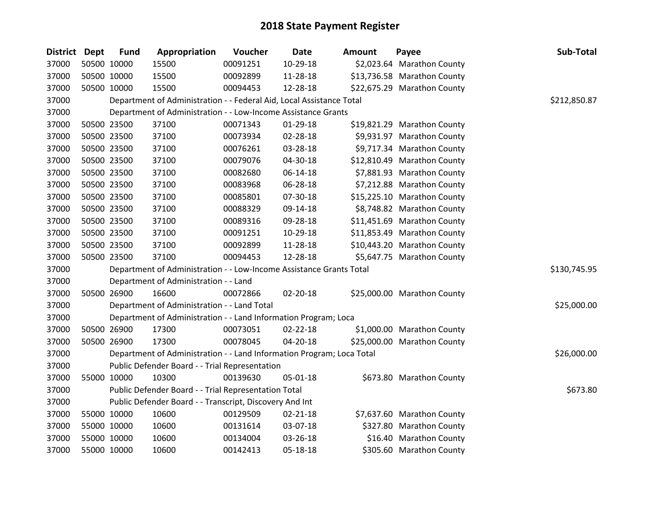| District Dept |             | <b>Fund</b> | Appropriation                                                         | Voucher  | <b>Date</b>    | <b>Amount</b> | Payee                       | Sub-Total    |
|---------------|-------------|-------------|-----------------------------------------------------------------------|----------|----------------|---------------|-----------------------------|--------------|
| 37000         |             | 50500 10000 | 15500                                                                 | 00091251 | 10-29-18       |               | \$2,023.64 Marathon County  |              |
| 37000         |             | 50500 10000 | 15500                                                                 | 00092899 | 11-28-18       |               | \$13,736.58 Marathon County |              |
| 37000         |             | 50500 10000 | 15500                                                                 | 00094453 | 12-28-18       |               | \$22,675.29 Marathon County |              |
| 37000         |             |             | Department of Administration - - Federal Aid, Local Assistance Total  |          |                |               |                             | \$212,850.87 |
| 37000         |             |             | Department of Administration - - Low-Income Assistance Grants         |          |                |               |                             |              |
| 37000         |             | 50500 23500 | 37100                                                                 | 00071343 | $01-29-18$     |               | \$19,821.29 Marathon County |              |
| 37000         |             | 50500 23500 | 37100                                                                 | 00073934 | 02-28-18       |               | \$9,931.97 Marathon County  |              |
| 37000         |             | 50500 23500 | 37100                                                                 | 00076261 | 03-28-18       |               | \$9,717.34 Marathon County  |              |
| 37000         | 50500 23500 |             | 37100                                                                 | 00079076 | 04-30-18       |               | \$12,810.49 Marathon County |              |
| 37000         |             | 50500 23500 | 37100                                                                 | 00082680 | 06-14-18       |               | \$7,881.93 Marathon County  |              |
| 37000         |             | 50500 23500 | 37100                                                                 | 00083968 | 06-28-18       |               | \$7,212.88 Marathon County  |              |
| 37000         |             | 50500 23500 | 37100                                                                 | 00085801 | 07-30-18       |               | \$15,225.10 Marathon County |              |
| 37000         | 50500 23500 |             | 37100                                                                 | 00088329 | 09-14-18       |               | \$8,748.82 Marathon County  |              |
| 37000         | 50500 23500 |             | 37100                                                                 | 00089316 | 09-28-18       |               | \$11,451.69 Marathon County |              |
| 37000         |             | 50500 23500 | 37100                                                                 | 00091251 | 10-29-18       |               | \$11,853.49 Marathon County |              |
| 37000         |             | 50500 23500 | 37100                                                                 | 00092899 | 11-28-18       |               | \$10,443.20 Marathon County |              |
| 37000         |             | 50500 23500 | 37100                                                                 | 00094453 | 12-28-18       |               | \$5,647.75 Marathon County  |              |
| 37000         |             |             | Department of Administration - - Low-Income Assistance Grants Total   |          |                |               |                             | \$130,745.95 |
| 37000         |             |             | Department of Administration - - Land                                 |          |                |               |                             |              |
| 37000         |             | 50500 26900 | 16600                                                                 | 00072866 | 02-20-18       |               | \$25,000.00 Marathon County |              |
| 37000         |             |             | Department of Administration - - Land Total                           |          |                |               |                             | \$25,000.00  |
| 37000         |             |             | Department of Administration - - Land Information Program; Loca       |          |                |               |                             |              |
| 37000         |             | 50500 26900 | 17300                                                                 | 00073051 | 02-22-18       |               | \$1,000.00 Marathon County  |              |
| 37000         |             | 50500 26900 | 17300                                                                 | 00078045 | 04-20-18       |               | \$25,000.00 Marathon County |              |
| 37000         |             |             | Department of Administration - - Land Information Program; Loca Total |          |                |               |                             | \$26,000.00  |
| 37000         |             |             | Public Defender Board - - Trial Representation                        |          |                |               |                             |              |
| 37000         |             | 55000 10000 | 10300                                                                 | 00139630 | 05-01-18       |               | \$673.80 Marathon County    |              |
| 37000         |             |             | Public Defender Board - - Trial Representation Total                  |          |                |               |                             | \$673.80     |
| 37000         |             |             | Public Defender Board - - Transcript, Discovery And Int               |          |                |               |                             |              |
| 37000         |             | 55000 10000 | 10600                                                                 | 00129509 | $02 - 21 - 18$ |               | \$7,637.60 Marathon County  |              |
| 37000         |             | 55000 10000 | 10600                                                                 | 00131614 | 03-07-18       |               | \$327.80 Marathon County    |              |
| 37000         |             | 55000 10000 | 10600                                                                 | 00134004 | 03-26-18       |               | \$16.40 Marathon County     |              |
| 37000         | 55000 10000 |             | 10600                                                                 | 00142413 | 05-18-18       |               | \$305.60 Marathon County    |              |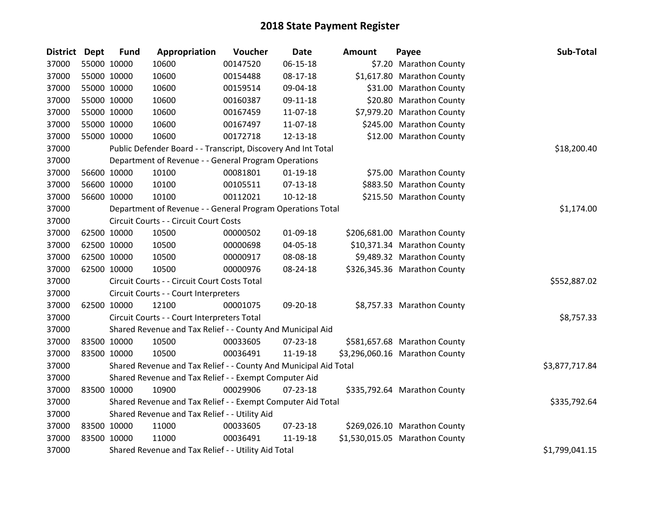| <b>District</b> | Dept        | <b>Fund</b> | Appropriation                                                    | Voucher  | <b>Date</b>    | <b>Amount</b> | Payee                          | Sub-Total      |
|-----------------|-------------|-------------|------------------------------------------------------------------|----------|----------------|---------------|--------------------------------|----------------|
| 37000           | 55000 10000 |             | 10600                                                            | 00147520 | 06-15-18       |               | \$7.20 Marathon County         |                |
| 37000           | 55000 10000 |             | 10600                                                            | 00154488 | 08-17-18       |               | \$1,617.80 Marathon County     |                |
| 37000           | 55000 10000 |             | 10600                                                            | 00159514 | 09-04-18       |               | \$31.00 Marathon County        |                |
| 37000           | 55000 10000 |             | 10600                                                            | 00160387 | 09-11-18       |               | \$20.80 Marathon County        |                |
| 37000           | 55000 10000 |             | 10600                                                            | 00167459 | 11-07-18       |               | \$7,979.20 Marathon County     |                |
| 37000           | 55000 10000 |             | 10600                                                            | 00167497 | 11-07-18       |               | \$245.00 Marathon County       |                |
| 37000           | 55000 10000 |             | 10600                                                            | 00172718 | 12-13-18       |               | \$12.00 Marathon County        |                |
| 37000           |             |             | Public Defender Board - - Transcript, Discovery And Int Total    |          |                |               |                                | \$18,200.40    |
| 37000           |             |             | Department of Revenue - - General Program Operations             |          |                |               |                                |                |
| 37000           | 56600 10000 |             | 10100                                                            | 00081801 | $01-19-18$     |               | \$75.00 Marathon County        |                |
| 37000           | 56600 10000 |             | 10100                                                            | 00105511 | $07-13-18$     |               | \$883.50 Marathon County       |                |
| 37000           | 56600 10000 |             | 10100                                                            | 00112021 | $10-12-18$     |               | \$215.50 Marathon County       |                |
| 37000           |             |             | Department of Revenue - - General Program Operations Total       |          |                |               |                                | \$1,174.00     |
| 37000           |             |             | Circuit Courts - - Circuit Court Costs                           |          |                |               |                                |                |
| 37000           | 62500 10000 |             | 10500                                                            | 00000502 | 01-09-18       |               | \$206,681.00 Marathon County   |                |
| 37000           | 62500 10000 |             | 10500                                                            | 00000698 | 04-05-18       |               | \$10,371.34 Marathon County    |                |
| 37000           | 62500 10000 |             | 10500                                                            | 00000917 | 08-08-18       |               | \$9,489.32 Marathon County     |                |
| 37000           | 62500 10000 |             | 10500                                                            | 00000976 | 08-24-18       |               | \$326,345.36 Marathon County   |                |
| 37000           |             |             | Circuit Courts - - Circuit Court Costs Total                     |          |                |               |                                | \$552,887.02   |
| 37000           |             |             | Circuit Courts - - Court Interpreters                            |          |                |               |                                |                |
| 37000           | 62500 10000 |             | 12100                                                            | 00001075 | 09-20-18       |               | \$8,757.33 Marathon County     |                |
| 37000           |             |             | Circuit Courts - - Court Interpreters Total                      |          |                |               |                                | \$8,757.33     |
| 37000           |             |             | Shared Revenue and Tax Relief - - County And Municipal Aid       |          |                |               |                                |                |
| 37000           | 83500 10000 |             | 10500                                                            | 00033605 | 07-23-18       |               | \$581,657.68 Marathon County   |                |
| 37000           | 83500 10000 |             | 10500                                                            | 00036491 | 11-19-18       |               | \$3,296,060.16 Marathon County |                |
| 37000           |             |             | Shared Revenue and Tax Relief - - County And Municipal Aid Total |          |                |               |                                | \$3,877,717.84 |
| 37000           |             |             | Shared Revenue and Tax Relief - - Exempt Computer Aid            |          |                |               |                                |                |
| 37000           | 83500 10000 |             | 10900                                                            | 00029906 | $07 - 23 - 18$ |               | \$335,792.64 Marathon County   |                |
| 37000           |             |             | Shared Revenue and Tax Relief - - Exempt Computer Aid Total      |          |                |               |                                | \$335,792.64   |
| 37000           |             |             | Shared Revenue and Tax Relief - - Utility Aid                    |          |                |               |                                |                |
| 37000           | 83500 10000 |             | 11000                                                            | 00033605 | 07-23-18       |               | \$269,026.10 Marathon County   |                |
| 37000           | 83500 10000 |             | 11000                                                            | 00036491 | 11-19-18       |               | \$1,530,015.05 Marathon County |                |
| 37000           |             |             | Shared Revenue and Tax Relief - - Utility Aid Total              |          |                |               |                                | \$1,799,041.15 |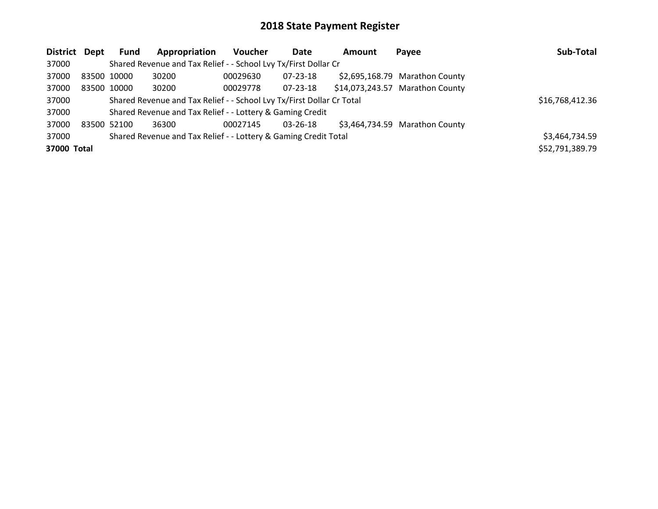| District Dept |             | Fund        | Appropriation                                                         | <b>Voucher</b> | Date     | Amount | Payee                           | Sub-Total       |
|---------------|-------------|-------------|-----------------------------------------------------------------------|----------------|----------|--------|---------------------------------|-----------------|
| 37000         |             |             | Shared Revenue and Tax Relief - - School Lvy Tx/First Dollar Cr       |                |          |        |                                 |                 |
| 37000         | 83500 10000 |             | 30200                                                                 | 00029630       | 07-23-18 |        | \$2,695,168.79 Marathon County  |                 |
| 37000         |             | 83500 10000 | 30200                                                                 | 00029778       | 07-23-18 |        | \$14,073,243.57 Marathon County |                 |
| 37000         |             |             | Shared Revenue and Tax Relief - - School Lvy Tx/First Dollar Cr Total |                |          |        |                                 | \$16,768,412.36 |
| 37000         |             |             | Shared Revenue and Tax Relief - - Lottery & Gaming Credit             |                |          |        |                                 |                 |
| 37000         |             | 83500 52100 | 36300                                                                 | 00027145       | 03-26-18 |        | \$3,464,734.59 Marathon County  |                 |
| 37000         |             |             | Shared Revenue and Tax Relief - - Lottery & Gaming Credit Total       |                |          |        |                                 | \$3,464,734.59  |
| 37000 Total   |             |             |                                                                       |                |          |        |                                 | \$52,791,389.79 |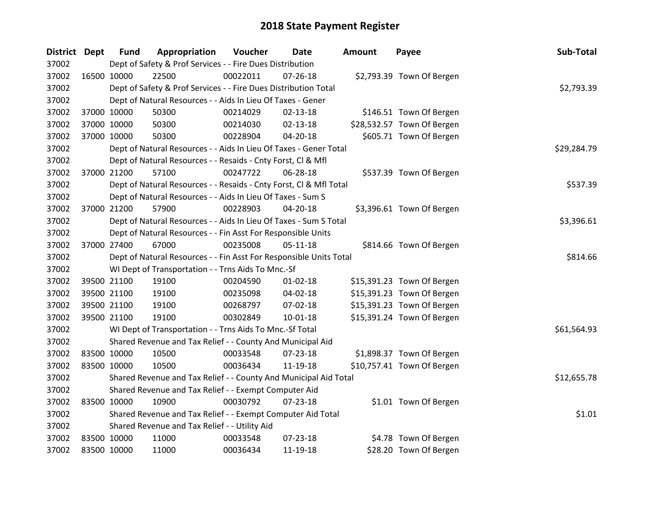| District Dept |             | <b>Fund</b> | Appropriation                                                      | Voucher  | Date           | <b>Amount</b> | Payee                      | Sub-Total   |
|---------------|-------------|-------------|--------------------------------------------------------------------|----------|----------------|---------------|----------------------------|-------------|
| 37002         |             |             | Dept of Safety & Prof Services - - Fire Dues Distribution          |          |                |               |                            |             |
| 37002         |             | 16500 10000 | 22500                                                              | 00022011 | $07 - 26 - 18$ |               | \$2,793.39 Town Of Bergen  |             |
| 37002         |             |             | Dept of Safety & Prof Services - - Fire Dues Distribution Total    |          |                |               |                            | \$2,793.39  |
| 37002         |             |             | Dept of Natural Resources - - Aids In Lieu Of Taxes - Gener        |          |                |               |                            |             |
| 37002         |             | 37000 10000 | 50300                                                              | 00214029 | $02 - 13 - 18$ |               | \$146.51 Town Of Bergen    |             |
| 37002         |             | 37000 10000 | 50300                                                              | 00214030 | $02 - 13 - 18$ |               | \$28,532.57 Town Of Bergen |             |
| 37002         |             | 37000 10000 | 50300                                                              | 00228904 | $04 - 20 - 18$ |               | \$605.71 Town Of Bergen    |             |
| 37002         |             |             | Dept of Natural Resources - - Aids In Lieu Of Taxes - Gener Total  |          |                |               |                            | \$29,284.79 |
| 37002         |             |             | Dept of Natural Resources - - Resaids - Cnty Forst, Cl & Mfl       |          |                |               |                            |             |
| 37002         |             | 37000 21200 | 57100                                                              | 00247722 | 06-28-18       |               | \$537.39 Town Of Bergen    |             |
| 37002         |             |             | Dept of Natural Resources - - Resaids - Cnty Forst, CI & Mfl Total |          |                |               |                            | \$537.39    |
| 37002         |             |             | Dept of Natural Resources - - Aids In Lieu Of Taxes - Sum S        |          |                |               |                            |             |
| 37002         |             | 37000 21200 | 57900                                                              | 00228903 | 04-20-18       |               | \$3,396.61 Town Of Bergen  |             |
| 37002         |             |             | Dept of Natural Resources - - Aids In Lieu Of Taxes - Sum S Total  |          |                |               |                            | \$3,396.61  |
| 37002         |             |             | Dept of Natural Resources - - Fin Asst For Responsible Units       |          |                |               |                            |             |
| 37002         |             | 37000 27400 | 67000                                                              | 00235008 | $05-11-18$     |               | \$814.66 Town Of Bergen    |             |
| 37002         |             |             | Dept of Natural Resources - - Fin Asst For Responsible Units Total |          |                |               |                            | \$814.66    |
| 37002         |             |             | WI Dept of Transportation - - Trns Aids To Mnc.-Sf                 |          |                |               |                            |             |
| 37002         |             | 39500 21100 | 19100                                                              | 00204590 | $01 - 02 - 18$ |               | \$15,391.23 Town Of Bergen |             |
| 37002         |             | 39500 21100 | 19100                                                              | 00235098 | 04-02-18       |               | \$15,391.23 Town Of Bergen |             |
| 37002         |             | 39500 21100 | 19100                                                              | 00268797 | 07-02-18       |               | \$15,391.23 Town Of Bergen |             |
| 37002         |             | 39500 21100 | 19100                                                              | 00302849 | 10-01-18       |               | \$15,391.24 Town Of Bergen |             |
| 37002         |             |             | WI Dept of Transportation - - Trns Aids To Mnc.-Sf Total           |          |                |               |                            | \$61,564.93 |
| 37002         |             |             | Shared Revenue and Tax Relief - - County And Municipal Aid         |          |                |               |                            |             |
| 37002         | 83500 10000 |             | 10500                                                              | 00033548 | $07 - 23 - 18$ |               | \$1,898.37 Town Of Bergen  |             |
| 37002         |             | 83500 10000 | 10500                                                              | 00036434 | 11-19-18       |               | \$10,757.41 Town Of Bergen |             |
| 37002         |             |             | Shared Revenue and Tax Relief - - County And Municipal Aid Total   |          |                |               |                            | \$12,655.78 |
| 37002         |             |             | Shared Revenue and Tax Relief - - Exempt Computer Aid              |          |                |               |                            |             |
| 37002         | 83500 10000 |             | 10900                                                              | 00030792 | 07-23-18       |               | \$1.01 Town Of Bergen      |             |
| 37002         |             |             | Shared Revenue and Tax Relief - - Exempt Computer Aid Total        |          |                |               |                            | \$1.01      |
| 37002         |             |             | Shared Revenue and Tax Relief - - Utility Aid                      |          |                |               |                            |             |
| 37002         | 83500 10000 |             | 11000                                                              | 00033548 | 07-23-18       |               | \$4.78 Town Of Bergen      |             |
| 37002         | 83500 10000 |             | 11000                                                              | 00036434 | 11-19-18       |               | \$28.20 Town Of Bergen     |             |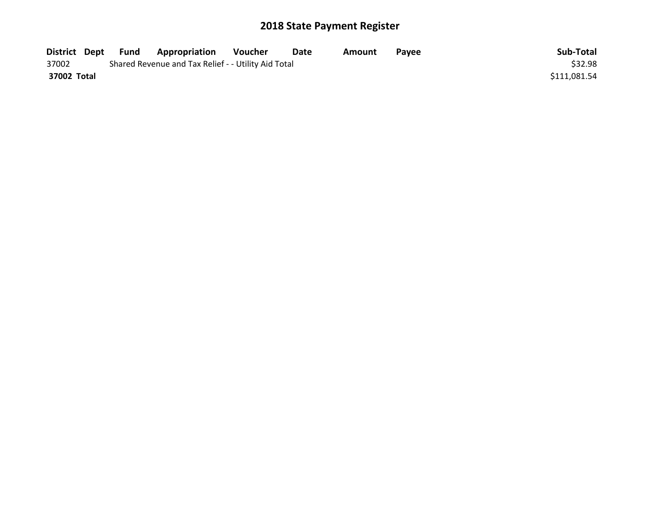| District Dept | Fund | <b>Appropriation</b>                                | Voucher | Date | Amount | <b>Pavee</b> | Sub-Total    |
|---------------|------|-----------------------------------------------------|---------|------|--------|--------------|--------------|
| 37002         |      | Shared Revenue and Tax Relief - - Utility Aid Total |         |      |        |              | \$32.98      |
| 37002 Total   |      |                                                     |         |      |        |              | \$111,081.54 |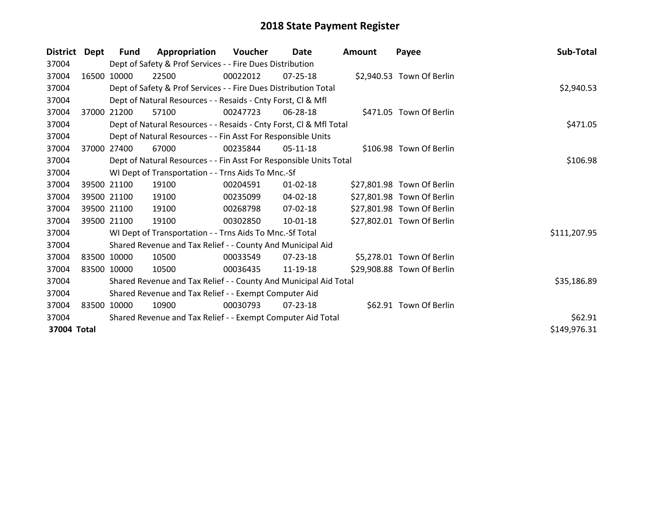| District    | Dept  | Fund        | Appropriation                                                      | Voucher    | Date           | <b>Amount</b> | Payee                      | Sub-Total    |
|-------------|-------|-------------|--------------------------------------------------------------------|------------|----------------|---------------|----------------------------|--------------|
| 37004       |       |             | Dept of Safety & Prof Services - - Fire Dues Distribution          |            |                |               |                            |              |
| 37004       |       | 16500 10000 | 22500                                                              | 00022012   | $07 - 25 - 18$ |               | \$2,940.53 Town Of Berlin  |              |
| 37004       |       |             | Dept of Safety & Prof Services - - Fire Dues Distribution Total    | \$2,940.53 |                |               |                            |              |
| 37004       |       |             | Dept of Natural Resources - - Resaids - Cnty Forst, CI & Mfl       |            |                |               |                            |              |
| 37004       | 37000 | 21200       | 57100                                                              | 00247723   | 06-28-18       |               | \$471.05 Town Of Berlin    |              |
| 37004       |       |             | Dept of Natural Resources - - Resaids - Cnty Forst, Cl & Mfl Total |            |                |               |                            | \$471.05     |
| 37004       |       |             | Dept of Natural Resources - - Fin Asst For Responsible Units       |            |                |               |                            |              |
| 37004       | 37000 | 27400       | 67000                                                              | 00235844   | 05-11-18       |               | \$106.98 Town Of Berlin    |              |
| 37004       |       |             | Dept of Natural Resources - - Fin Asst For Responsible Units Total |            |                |               |                            | \$106.98     |
| 37004       |       |             | WI Dept of Transportation - - Trns Aids To Mnc.-Sf                 |            |                |               |                            |              |
| 37004       |       | 39500 21100 | 19100                                                              | 00204591   | $01 - 02 - 18$ |               | \$27,801.98 Town Of Berlin |              |
| 37004       |       | 39500 21100 | 19100                                                              | 00235099   | 04-02-18       |               | \$27,801.98 Town Of Berlin |              |
| 37004       |       | 39500 21100 | 19100                                                              | 00268798   | 07-02-18       |               | \$27,801.98 Town Of Berlin |              |
| 37004       |       | 39500 21100 | 19100                                                              | 00302850   | $10-01-18$     |               | \$27,802.01 Town Of Berlin |              |
| 37004       |       |             | WI Dept of Transportation - - Trns Aids To Mnc.-Sf Total           |            |                |               |                            | \$111,207.95 |
| 37004       |       |             | Shared Revenue and Tax Relief - - County And Municipal Aid         |            |                |               |                            |              |
| 37004       |       | 83500 10000 | 10500                                                              | 00033549   | $07 - 23 - 18$ |               | \$5,278.01 Town Of Berlin  |              |
| 37004       |       | 83500 10000 | 10500                                                              | 00036435   | 11-19-18       |               | \$29,908.88 Town Of Berlin |              |
| 37004       |       |             | Shared Revenue and Tax Relief - - County And Municipal Aid Total   |            |                |               |                            | \$35,186.89  |
| 37004       |       |             | Shared Revenue and Tax Relief - - Exempt Computer Aid              |            |                |               |                            |              |
| 37004       |       | 83500 10000 | 10900                                                              | 00030793   | 07-23-18       |               | \$62.91 Town Of Berlin     |              |
| 37004       |       |             | Shared Revenue and Tax Relief - - Exempt Computer Aid Total        |            |                |               |                            | \$62.91      |
| 37004 Total |       |             |                                                                    |            |                |               |                            | \$149,976.31 |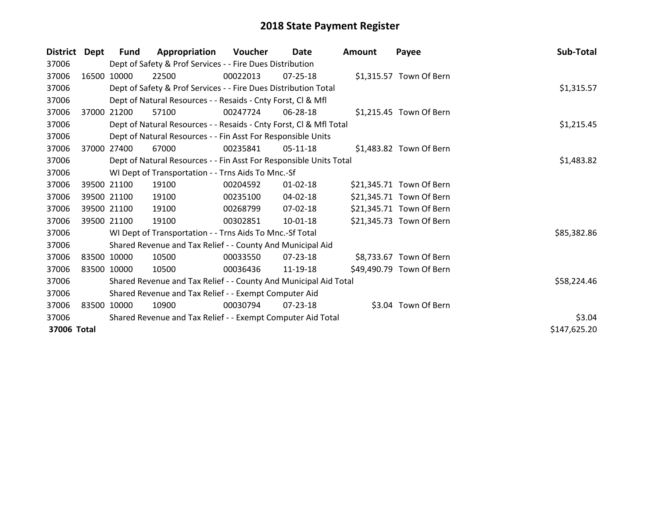| <b>District</b> | Dept  | <b>Fund</b> | Appropriation                                                      | Voucher  | Date           | <b>Amount</b> | Payee                    | Sub-Total    |
|-----------------|-------|-------------|--------------------------------------------------------------------|----------|----------------|---------------|--------------------------|--------------|
| 37006           |       |             | Dept of Safety & Prof Services - - Fire Dues Distribution          |          |                |               |                          |              |
| 37006           |       | 16500 10000 | 22500                                                              | 00022013 | 07-25-18       |               | \$1,315.57 Town Of Bern  |              |
| 37006           |       |             | Dept of Safety & Prof Services - - Fire Dues Distribution Total    |          |                |               |                          | \$1,315.57   |
| 37006           |       |             | Dept of Natural Resources - - Resaids - Cnty Forst, CI & Mfl       |          |                |               |                          |              |
| 37006           | 37000 | 21200       | 57100                                                              | 00247724 | 06-28-18       |               | \$1,215.45 Town Of Bern  |              |
| 37006           |       |             | Dept of Natural Resources - - Resaids - Cnty Forst, Cl & Mfl Total |          |                |               |                          | \$1,215.45   |
| 37006           |       |             | Dept of Natural Resources - - Fin Asst For Responsible Units       |          |                |               |                          |              |
| 37006           | 37000 | 27400       | 67000                                                              | 00235841 | 05-11-18       |               | \$1,483.82 Town Of Bern  |              |
| 37006           |       |             | Dept of Natural Resources - - Fin Asst For Responsible Units Total |          |                |               |                          | \$1,483.82   |
| 37006           |       |             | WI Dept of Transportation - - Trns Aids To Mnc.-Sf                 |          |                |               |                          |              |
| 37006           |       | 39500 21100 | 19100                                                              | 00204592 | 01-02-18       |               | \$21,345.71 Town Of Bern |              |
| 37006           |       | 39500 21100 | 19100                                                              | 00235100 | 04-02-18       |               | \$21,345.71 Town Of Bern |              |
| 37006           |       | 39500 21100 | 19100                                                              | 00268799 | 07-02-18       |               | \$21,345.71 Town Of Bern |              |
| 37006           |       | 39500 21100 | 19100                                                              | 00302851 | $10 - 01 - 18$ |               | \$21,345.73 Town Of Bern |              |
| 37006           |       |             | WI Dept of Transportation - - Trns Aids To Mnc.-Sf Total           |          |                |               |                          | \$85,382.86  |
| 37006           |       |             | Shared Revenue and Tax Relief - - County And Municipal Aid         |          |                |               |                          |              |
| 37006           |       | 83500 10000 | 10500                                                              | 00033550 | 07-23-18       |               | \$8,733.67 Town Of Bern  |              |
| 37006           |       | 83500 10000 | 10500                                                              | 00036436 | 11-19-18       |               | \$49,490.79 Town Of Bern |              |
| 37006           |       |             | Shared Revenue and Tax Relief - - County And Municipal Aid Total   |          |                |               |                          | \$58,224.46  |
| 37006           |       |             | Shared Revenue and Tax Relief - - Exempt Computer Aid              |          |                |               |                          |              |
| 37006           |       | 83500 10000 | 10900                                                              | 00030794 | $07 - 23 - 18$ |               | \$3.04 Town Of Bern      |              |
| 37006           |       |             | Shared Revenue and Tax Relief - - Exempt Computer Aid Total        |          |                |               |                          | \$3.04       |
| 37006 Total     |       |             |                                                                    |          |                |               |                          | \$147,625.20 |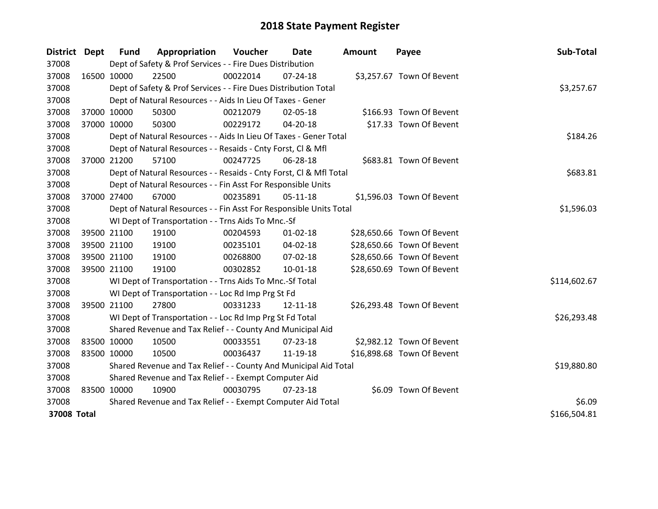| <b>District</b> | Dept        | <b>Fund</b> | Appropriation                                                      | Voucher     | Date           | <b>Amount</b> | Payee                      | Sub-Total    |
|-----------------|-------------|-------------|--------------------------------------------------------------------|-------------|----------------|---------------|----------------------------|--------------|
| 37008           |             |             | Dept of Safety & Prof Services - - Fire Dues Distribution          |             |                |               |                            |              |
| 37008           | 16500 10000 |             | 22500                                                              | 00022014    | 07-24-18       |               | \$3,257.67 Town Of Bevent  |              |
| 37008           |             |             | Dept of Safety & Prof Services - - Fire Dues Distribution Total    |             |                |               |                            | \$3,257.67   |
| 37008           |             |             | Dept of Natural Resources - - Aids In Lieu Of Taxes - Gener        |             |                |               |                            |              |
| 37008           |             | 37000 10000 | 50300                                                              | 00212079    | 02-05-18       |               | \$166.93 Town Of Bevent    |              |
| 37008           | 37000 10000 |             | 50300                                                              | 00229172    | 04-20-18       |               | \$17.33 Town Of Bevent     |              |
| 37008           |             |             | Dept of Natural Resources - - Aids In Lieu Of Taxes - Gener Total  |             |                |               |                            | \$184.26     |
| 37008           |             |             | Dept of Natural Resources - - Resaids - Cnty Forst, Cl & Mfl       |             |                |               |                            |              |
| 37008           |             | 37000 21200 | 57100                                                              | 00247725    | 06-28-18       |               | \$683.81 Town Of Bevent    |              |
| 37008           |             |             | Dept of Natural Resources - - Resaids - Cnty Forst, Cl & Mfl Total |             |                |               |                            | \$683.81     |
| 37008           |             |             | Dept of Natural Resources - - Fin Asst For Responsible Units       |             |                |               |                            |              |
| 37008           |             | 37000 27400 | 67000                                                              | 00235891    | $05-11-18$     |               | \$1,596.03 Town Of Bevent  |              |
| 37008           |             |             | Dept of Natural Resources - - Fin Asst For Responsible Units Total |             |                |               |                            | \$1,596.03   |
| 37008           |             |             | WI Dept of Transportation - - Trns Aids To Mnc.-Sf                 |             |                |               |                            |              |
| 37008           |             | 39500 21100 | 19100                                                              | 00204593    | $01 - 02 - 18$ |               | \$28,650.66 Town Of Bevent |              |
| 37008           |             | 39500 21100 | 19100                                                              | 00235101    | $04 - 02 - 18$ |               | \$28,650.66 Town Of Bevent |              |
| 37008           |             | 39500 21100 | 19100                                                              | 00268800    | 07-02-18       |               | \$28,650.66 Town Of Bevent |              |
| 37008           | 39500 21100 |             | 19100                                                              | 00302852    | $10 - 01 - 18$ |               | \$28,650.69 Town Of Bevent |              |
| 37008           |             |             | WI Dept of Transportation - - Trns Aids To Mnc.-Sf Total           |             |                |               |                            | \$114,602.67 |
| 37008           |             |             | WI Dept of Transportation - - Loc Rd Imp Prg St Fd                 |             |                |               |                            |              |
| 37008           |             | 39500 21100 | 27800                                                              | 00331233    | 12-11-18       |               | \$26,293.48 Town Of Bevent |              |
| 37008           |             |             | WI Dept of Transportation - - Loc Rd Imp Prg St Fd Total           |             |                |               |                            | \$26,293.48  |
| 37008           |             |             | Shared Revenue and Tax Relief - - County And Municipal Aid         |             |                |               |                            |              |
| 37008           |             | 83500 10000 | 10500                                                              | 00033551    | $07 - 23 - 18$ |               | \$2,982.12 Town Of Bevent  |              |
| 37008           |             | 83500 10000 | 10500                                                              | 00036437    | 11-19-18       |               | \$16,898.68 Town Of Bevent |              |
| 37008           |             |             | Shared Revenue and Tax Relief - - County And Municipal Aid Total   | \$19,880.80 |                |               |                            |              |
| 37008           |             |             | Shared Revenue and Tax Relief - - Exempt Computer Aid              |             |                |               |                            |              |
| 37008           | 83500 10000 |             | 10900                                                              | 00030795    | $07 - 23 - 18$ |               | \$6.09 Town Of Bevent      |              |
| 37008           |             |             | Shared Revenue and Tax Relief - - Exempt Computer Aid Total        |             |                |               |                            | \$6.09       |
| 37008 Total     |             |             |                                                                    |             |                |               |                            | \$166,504.81 |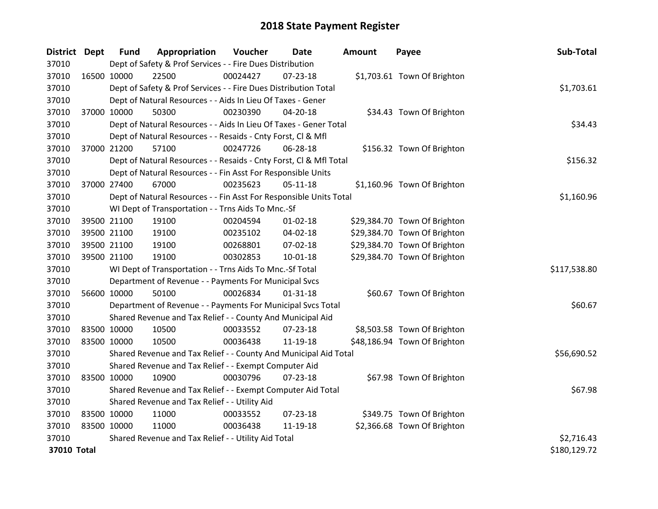| District Dept |             | <b>Fund</b>                                         | Appropriation                                                      | Voucher  | Date           | <b>Amount</b> | Payee                        | Sub-Total    |
|---------------|-------------|-----------------------------------------------------|--------------------------------------------------------------------|----------|----------------|---------------|------------------------------|--------------|
| 37010         |             |                                                     | Dept of Safety & Prof Services - - Fire Dues Distribution          |          |                |               |                              |              |
| 37010         |             | 16500 10000                                         | 22500                                                              | 00024427 | $07 - 23 - 18$ |               | \$1,703.61 Town Of Brighton  |              |
| 37010         |             |                                                     | Dept of Safety & Prof Services - - Fire Dues Distribution Total    |          |                |               |                              | \$1,703.61   |
| 37010         |             |                                                     | Dept of Natural Resources - - Aids In Lieu Of Taxes - Gener        |          |                |               |                              |              |
| 37010         |             | 37000 10000                                         | 50300                                                              | 00230390 | 04-20-18       |               | \$34.43 Town Of Brighton     |              |
| 37010         |             |                                                     | Dept of Natural Resources - - Aids In Lieu Of Taxes - Gener Total  |          |                |               |                              | \$34.43      |
| 37010         |             |                                                     | Dept of Natural Resources - - Resaids - Cnty Forst, Cl & Mfl       |          |                |               |                              |              |
| 37010         |             | 37000 21200                                         | 57100                                                              | 00247726 | 06-28-18       |               | \$156.32 Town Of Brighton    |              |
| 37010         |             |                                                     | Dept of Natural Resources - - Resaids - Cnty Forst, Cl & Mfl Total |          |                |               |                              | \$156.32     |
| 37010         |             |                                                     | Dept of Natural Resources - - Fin Asst For Responsible Units       |          |                |               |                              |              |
| 37010         |             | 37000 27400                                         | 67000                                                              | 00235623 | $05-11-18$     |               | \$1,160.96 Town Of Brighton  |              |
| 37010         |             |                                                     | Dept of Natural Resources - - Fin Asst For Responsible Units Total |          |                |               |                              | \$1,160.96   |
| 37010         |             |                                                     | WI Dept of Transportation - - Trns Aids To Mnc.-Sf                 |          |                |               |                              |              |
| 37010         |             | 39500 21100                                         | 19100                                                              | 00204594 | $01 - 02 - 18$ |               | \$29,384.70 Town Of Brighton |              |
| 37010         |             | 39500 21100                                         | 19100                                                              | 00235102 | 04-02-18       |               | \$29,384.70 Town Of Brighton |              |
| 37010         |             | 39500 21100                                         | 19100                                                              | 00268801 | 07-02-18       |               | \$29,384.70 Town Of Brighton |              |
| 37010         |             | 39500 21100                                         | 19100                                                              | 00302853 | $10 - 01 - 18$ |               | \$29,384.70 Town Of Brighton |              |
| 37010         |             |                                                     | WI Dept of Transportation - - Trns Aids To Mnc.-Sf Total           |          |                |               |                              | \$117,538.80 |
| 37010         |             |                                                     | Department of Revenue - - Payments For Municipal Svcs              |          |                |               |                              |              |
| 37010         | 56600 10000 |                                                     | 50100                                                              | 00026834 | $01 - 31 - 18$ |               | \$60.67 Town Of Brighton     |              |
| 37010         |             |                                                     | Department of Revenue - - Payments For Municipal Svcs Total        |          |                |               |                              | \$60.67      |
| 37010         |             |                                                     | Shared Revenue and Tax Relief - - County And Municipal Aid         |          |                |               |                              |              |
| 37010         | 83500 10000 |                                                     | 10500                                                              | 00033552 | $07 - 23 - 18$ |               | \$8,503.58 Town Of Brighton  |              |
| 37010         | 83500 10000 |                                                     | 10500                                                              | 00036438 | 11-19-18       |               | \$48,186.94 Town Of Brighton |              |
| 37010         |             |                                                     | Shared Revenue and Tax Relief - - County And Municipal Aid Total   |          |                |               |                              | \$56,690.52  |
| 37010         |             |                                                     | Shared Revenue and Tax Relief - - Exempt Computer Aid              |          |                |               |                              |              |
| 37010         | 83500 10000 |                                                     | 10900                                                              | 00030796 | 07-23-18       |               | \$67.98 Town Of Brighton     |              |
| 37010         |             |                                                     | Shared Revenue and Tax Relief - - Exempt Computer Aid Total        |          |                |               |                              | \$67.98      |
| 37010         |             | Shared Revenue and Tax Relief - - Utility Aid       |                                                                    |          |                |               |                              |              |
| 37010         | 83500 10000 |                                                     | 11000                                                              | 00033552 | $07 - 23 - 18$ |               | \$349.75 Town Of Brighton    |              |
| 37010         | 83500 10000 |                                                     | 11000                                                              | 00036438 | 11-19-18       |               | \$2,366.68 Town Of Brighton  |              |
| 37010         |             | Shared Revenue and Tax Relief - - Utility Aid Total | \$2,716.43                                                         |          |                |               |                              |              |
| 37010 Total   |             |                                                     |                                                                    |          |                |               |                              | \$180,129.72 |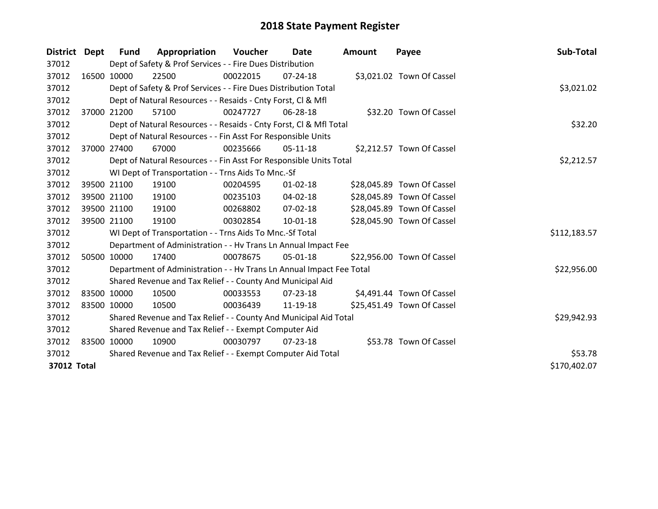| District Dept |             | <b>Fund</b>                                                 | Appropriation                                                        | Voucher     | Date           | <b>Amount</b> | Payee                      | Sub-Total    |
|---------------|-------------|-------------------------------------------------------------|----------------------------------------------------------------------|-------------|----------------|---------------|----------------------------|--------------|
| 37012         |             |                                                             | Dept of Safety & Prof Services - - Fire Dues Distribution            |             |                |               |                            |              |
| 37012         | 16500 10000 |                                                             | 22500                                                                | 00022015    | $07 - 24 - 18$ |               | \$3,021.02 Town Of Cassel  |              |
| 37012         |             |                                                             | Dept of Safety & Prof Services - - Fire Dues Distribution Total      |             |                |               |                            | \$3,021.02   |
| 37012         |             |                                                             | Dept of Natural Resources - - Resaids - Cnty Forst, CI & Mfl         |             |                |               |                            |              |
| 37012         |             | 37000 21200                                                 | 57100                                                                | 00247727    | 06-28-18       |               | \$32.20 Town Of Cassel     |              |
| 37012         |             |                                                             | Dept of Natural Resources - - Resaids - Cnty Forst, CI & Mfl Total   | \$32.20     |                |               |                            |              |
| 37012         |             |                                                             | Dept of Natural Resources - - Fin Asst For Responsible Units         |             |                |               |                            |              |
| 37012         |             | 37000 27400                                                 | 67000                                                                | 00235666    | $05-11-18$     |               | \$2,212.57 Town Of Cassel  |              |
| 37012         |             |                                                             | Dept of Natural Resources - - Fin Asst For Responsible Units Total   |             |                |               |                            | \$2,212.57   |
| 37012         |             |                                                             | WI Dept of Transportation - - Trns Aids To Mnc.-Sf                   |             |                |               |                            |              |
| 37012         |             | 39500 21100                                                 | 19100                                                                | 00204595    | $01 - 02 - 18$ |               | \$28,045.89 Town Of Cassel |              |
| 37012         |             | 39500 21100                                                 | 19100                                                                | 00235103    | 04-02-18       |               | \$28,045.89 Town Of Cassel |              |
| 37012         |             | 39500 21100                                                 | 19100                                                                | 00268802    | $07 - 02 - 18$ |               | \$28,045.89 Town Of Cassel |              |
| 37012         |             | 39500 21100                                                 | 19100                                                                | 00302854    | 10-01-18       |               | \$28,045.90 Town Of Cassel |              |
| 37012         |             |                                                             | WI Dept of Transportation - - Trns Aids To Mnc.-Sf Total             |             |                |               |                            | \$112,183.57 |
| 37012         |             |                                                             | Department of Administration - - Hv Trans Ln Annual Impact Fee       |             |                |               |                            |              |
| 37012         | 50500 10000 |                                                             | 17400                                                                | 00078675    | $05 - 01 - 18$ |               | \$22,956.00 Town Of Cassel |              |
| 37012         |             |                                                             | Department of Administration - - Hv Trans Ln Annual Impact Fee Total |             |                |               |                            | \$22,956.00  |
| 37012         |             |                                                             | Shared Revenue and Tax Relief - - County And Municipal Aid           |             |                |               |                            |              |
| 37012         | 83500 10000 |                                                             | 10500                                                                | 00033553    | $07 - 23 - 18$ |               | \$4,491.44 Town Of Cassel  |              |
| 37012         | 83500 10000 |                                                             | 10500                                                                | 00036439    | 11-19-18       |               | \$25,451.49 Town Of Cassel |              |
| 37012         |             |                                                             | Shared Revenue and Tax Relief - - County And Municipal Aid Total     | \$29,942.93 |                |               |                            |              |
| 37012         |             |                                                             | Shared Revenue and Tax Relief - - Exempt Computer Aid                |             |                |               |                            |              |
| 37012         | 83500 10000 |                                                             | 10900                                                                | 00030797    | 07-23-18       |               | \$53.78 Town Of Cassel     |              |
| 37012         |             | Shared Revenue and Tax Relief - - Exempt Computer Aid Total | \$53.78                                                              |             |                |               |                            |              |
| 37012 Total   |             |                                                             |                                                                      |             |                |               |                            | \$170,402.07 |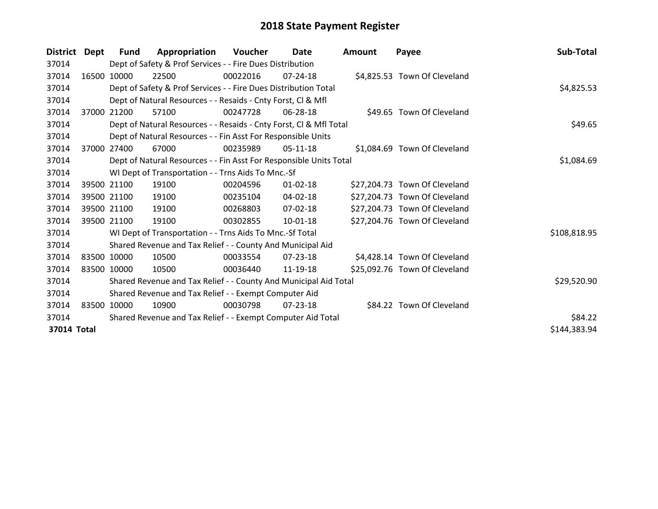| District    | Dept  | <b>Fund</b> | Appropriation                                                      | Voucher  | Date           | <b>Amount</b> | Payee                         | Sub-Total    |
|-------------|-------|-------------|--------------------------------------------------------------------|----------|----------------|---------------|-------------------------------|--------------|
| 37014       |       |             | Dept of Safety & Prof Services - - Fire Dues Distribution          |          |                |               |                               |              |
| 37014       |       | 16500 10000 | 22500                                                              | 00022016 | $07 - 24 - 18$ |               | \$4,825.53 Town Of Cleveland  |              |
| 37014       |       |             | Dept of Safety & Prof Services - - Fire Dues Distribution Total    |          |                |               |                               | \$4,825.53   |
| 37014       |       |             | Dept of Natural Resources - - Resaids - Cnty Forst, CI & Mfl       |          |                |               |                               |              |
| 37014       |       | 37000 21200 | 57100                                                              | 00247728 | 06-28-18       |               | \$49.65 Town Of Cleveland     |              |
| 37014       |       |             | Dept of Natural Resources - - Resaids - Cnty Forst, CI & Mfl Total |          |                |               |                               | \$49.65      |
| 37014       |       |             | Dept of Natural Resources - - Fin Asst For Responsible Units       |          |                |               |                               |              |
| 37014       | 37000 | 27400       | 67000                                                              | 00235989 | $05-11-18$     |               | \$1,084.69 Town Of Cleveland  |              |
| 37014       |       |             | Dept of Natural Resources - - Fin Asst For Responsible Units Total |          |                |               |                               | \$1,084.69   |
| 37014       |       |             | WI Dept of Transportation - - Trns Aids To Mnc.-Sf                 |          |                |               |                               |              |
| 37014       |       | 39500 21100 | 19100                                                              | 00204596 | $01 - 02 - 18$ |               | \$27,204.73 Town Of Cleveland |              |
| 37014       |       | 39500 21100 | 19100                                                              | 00235104 | 04-02-18       |               | \$27,204.73 Town Of Cleveland |              |
| 37014       |       | 39500 21100 | 19100                                                              | 00268803 | 07-02-18       |               | \$27,204.73 Town Of Cleveland |              |
| 37014       |       | 39500 21100 | 19100                                                              | 00302855 | 10-01-18       |               | \$27,204.76 Town Of Cleveland |              |
| 37014       |       |             | WI Dept of Transportation - - Trns Aids To Mnc.-Sf Total           |          |                |               |                               | \$108,818.95 |
| 37014       |       |             | Shared Revenue and Tax Relief - - County And Municipal Aid         |          |                |               |                               |              |
| 37014       |       | 83500 10000 | 10500                                                              | 00033554 | $07 - 23 - 18$ |               | \$4,428.14 Town Of Cleveland  |              |
| 37014       |       | 83500 10000 | 10500                                                              | 00036440 | 11-19-18       |               | \$25,092.76 Town Of Cleveland |              |
| 37014       |       |             | Shared Revenue and Tax Relief - - County And Municipal Aid Total   |          |                |               |                               | \$29,520.90  |
| 37014       |       |             | Shared Revenue and Tax Relief - - Exempt Computer Aid              |          |                |               |                               |              |
| 37014       |       | 83500 10000 | 10900                                                              | 00030798 | $07 - 23 - 18$ |               | \$84.22 Town Of Cleveland     |              |
| 37014       |       |             | Shared Revenue and Tax Relief - - Exempt Computer Aid Total        |          |                |               |                               | \$84.22      |
| 37014 Total |       |             |                                                                    |          |                |               |                               | \$144,383.94 |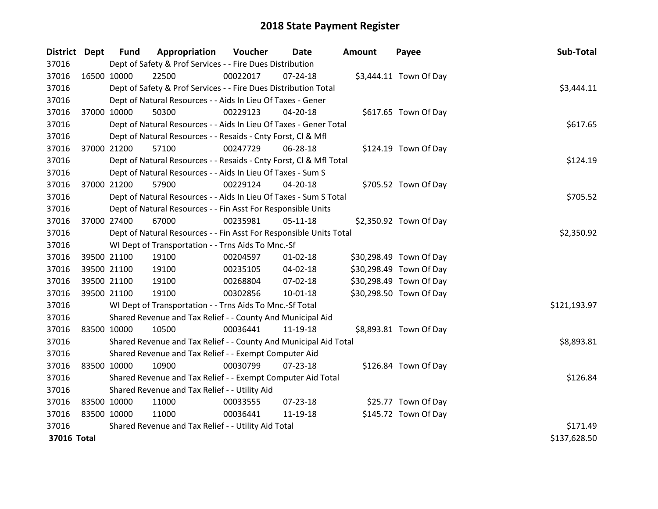| District Dept |             | <b>Fund</b> | Appropriation                                                      | Voucher    | <b>Date</b>    | Amount | Payee                   | Sub-Total    |
|---------------|-------------|-------------|--------------------------------------------------------------------|------------|----------------|--------|-------------------------|--------------|
| 37016         |             |             | Dept of Safety & Prof Services - - Fire Dues Distribution          |            |                |        |                         |              |
| 37016         | 16500 10000 |             | 22500                                                              | 00022017   | $07 - 24 - 18$ |        | \$3,444.11 Town Of Day  |              |
| 37016         |             |             | Dept of Safety & Prof Services - - Fire Dues Distribution Total    |            |                |        |                         | \$3,444.11   |
| 37016         |             |             | Dept of Natural Resources - - Aids In Lieu Of Taxes - Gener        |            |                |        |                         |              |
| 37016         | 37000 10000 |             | 50300                                                              | 00229123   | 04-20-18       |        | \$617.65 Town Of Day    |              |
| 37016         |             |             | Dept of Natural Resources - - Aids In Lieu Of Taxes - Gener Total  | \$617.65   |                |        |                         |              |
| 37016         |             |             | Dept of Natural Resources - - Resaids - Cnty Forst, CI & Mfl       |            |                |        |                         |              |
| 37016         | 37000 21200 |             | 57100                                                              | 00247729   | 06-28-18       |        | \$124.19 Town Of Day    |              |
| 37016         |             |             | Dept of Natural Resources - - Resaids - Cnty Forst, Cl & Mfl Total |            |                |        |                         | \$124.19     |
| 37016         |             |             | Dept of Natural Resources - - Aids In Lieu Of Taxes - Sum S        |            |                |        |                         |              |
| 37016         | 37000 21200 |             | 57900                                                              | 00229124   | 04-20-18       |        | \$705.52 Town Of Day    |              |
| 37016         |             |             | Dept of Natural Resources - - Aids In Lieu Of Taxes - Sum S Total  |            |                |        |                         | \$705.52     |
| 37016         |             |             | Dept of Natural Resources - - Fin Asst For Responsible Units       |            |                |        |                         |              |
| 37016         | 37000 27400 |             | 67000                                                              | 00235981   | $05 - 11 - 18$ |        | \$2,350.92 Town Of Day  |              |
| 37016         |             |             | Dept of Natural Resources - - Fin Asst For Responsible Units Total | \$2,350.92 |                |        |                         |              |
| 37016         |             |             | WI Dept of Transportation - - Trns Aids To Mnc.-Sf                 |            |                |        |                         |              |
| 37016         | 39500 21100 |             | 19100                                                              | 00204597   | $01 - 02 - 18$ |        | \$30,298.49 Town Of Day |              |
| 37016         |             | 39500 21100 | 19100                                                              | 00235105   | 04-02-18       |        | \$30,298.49 Town Of Day |              |
| 37016         | 39500 21100 |             | 19100                                                              | 00268804   | 07-02-18       |        | \$30,298.49 Town Of Day |              |
| 37016         | 39500 21100 |             | 19100                                                              | 00302856   | $10 - 01 - 18$ |        | \$30,298.50 Town Of Day |              |
| 37016         |             |             | WI Dept of Transportation - - Trns Aids To Mnc.-Sf Total           |            |                |        |                         | \$121,193.97 |
| 37016         |             |             | Shared Revenue and Tax Relief - - County And Municipal Aid         |            |                |        |                         |              |
| 37016         | 83500 10000 |             | 10500                                                              | 00036441   | 11-19-18       |        | \$8,893.81 Town Of Day  |              |
| 37016         |             |             | Shared Revenue and Tax Relief - - County And Municipal Aid Total   |            |                |        |                         | \$8,893.81   |
| 37016         |             |             | Shared Revenue and Tax Relief - - Exempt Computer Aid              |            |                |        |                         |              |
| 37016         | 83500 10000 |             | 10900                                                              | 00030799   | $07 - 23 - 18$ |        | \$126.84 Town Of Day    |              |
| 37016         |             |             | Shared Revenue and Tax Relief - - Exempt Computer Aid Total        |            |                |        |                         | \$126.84     |
| 37016         |             |             | Shared Revenue and Tax Relief - - Utility Aid                      |            |                |        |                         |              |
| 37016         | 83500 10000 |             | 11000                                                              | 00033555   | 07-23-18       |        | \$25.77 Town Of Day     |              |
| 37016         | 83500 10000 |             | 11000                                                              | 00036441   | 11-19-18       |        | \$145.72 Town Of Day    |              |
| 37016         |             |             | Shared Revenue and Tax Relief - - Utility Aid Total                |            |                |        |                         | \$171.49     |
| 37016 Total   |             |             |                                                                    |            |                |        |                         | \$137,628.50 |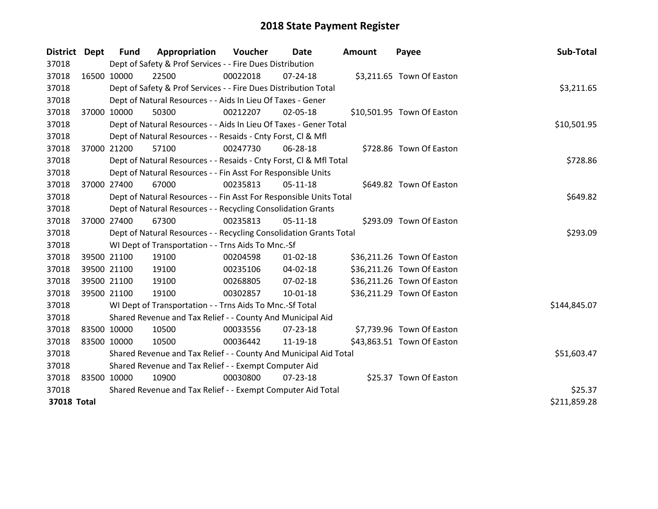| District Dept      |             | <b>Fund</b>                                                 | Appropriation                                                      | Voucher  | Date           | <b>Amount</b> | Payee                      | Sub-Total    |
|--------------------|-------------|-------------------------------------------------------------|--------------------------------------------------------------------|----------|----------------|---------------|----------------------------|--------------|
| 37018              |             |                                                             | Dept of Safety & Prof Services - - Fire Dues Distribution          |          |                |               |                            |              |
| 37018              | 16500 10000 |                                                             | 22500                                                              | 00022018 | $07 - 24 - 18$ |               | \$3,211.65 Town Of Easton  |              |
| 37018              |             |                                                             | Dept of Safety & Prof Services - - Fire Dues Distribution Total    |          |                |               |                            | \$3,211.65   |
| 37018              |             |                                                             | Dept of Natural Resources - - Aids In Lieu Of Taxes - Gener        |          |                |               |                            |              |
| 37018              | 37000 10000 |                                                             | 50300                                                              | 00212207 | 02-05-18       |               | \$10,501.95 Town Of Easton |              |
| 37018              |             |                                                             | Dept of Natural Resources - - Aids In Lieu Of Taxes - Gener Total  |          |                |               |                            | \$10,501.95  |
| 37018              |             |                                                             | Dept of Natural Resources - - Resaids - Cnty Forst, Cl & Mfl       |          |                |               |                            |              |
| 37018              | 37000 21200 |                                                             | 57100                                                              | 00247730 | 06-28-18       |               | \$728.86 Town Of Easton    |              |
| 37018              |             |                                                             | Dept of Natural Resources - - Resaids - Cnty Forst, Cl & Mfl Total |          |                |               |                            | \$728.86     |
| 37018              |             |                                                             | Dept of Natural Resources - - Fin Asst For Responsible Units       |          |                |               |                            |              |
| 37018              | 37000 27400 |                                                             | 67000                                                              | 00235813 | $05-11-18$     |               | \$649.82 Town Of Easton    |              |
| 37018              |             |                                                             | Dept of Natural Resources - - Fin Asst For Responsible Units Total |          |                |               |                            | \$649.82     |
| 37018              |             |                                                             | Dept of Natural Resources - - Recycling Consolidation Grants       |          |                |               |                            |              |
| 37018              | 37000 27400 |                                                             | 67300                                                              | 00235813 | $05-11-18$     |               | \$293.09 Town Of Easton    |              |
| 37018              |             |                                                             | Dept of Natural Resources - - Recycling Consolidation Grants Total |          |                |               |                            | \$293.09     |
| 37018              |             |                                                             | WI Dept of Transportation - - Trns Aids To Mnc.-Sf                 |          |                |               |                            |              |
| 37018              |             | 39500 21100                                                 | 19100                                                              | 00204598 | $01 - 02 - 18$ |               | \$36,211.26 Town Of Easton |              |
| 37018              | 39500 21100 |                                                             | 19100                                                              | 00235106 | 04-02-18       |               | \$36,211.26 Town Of Easton |              |
| 37018              | 39500 21100 |                                                             | 19100                                                              | 00268805 | 07-02-18       |               | \$36,211.26 Town Of Easton |              |
| 37018              | 39500 21100 |                                                             | 19100                                                              | 00302857 | $10 - 01 - 18$ |               | \$36,211.29 Town Of Easton |              |
| 37018              |             |                                                             | WI Dept of Transportation - - Trns Aids To Mnc.-Sf Total           |          |                |               |                            | \$144,845.07 |
| 37018              |             |                                                             | Shared Revenue and Tax Relief - - County And Municipal Aid         |          |                |               |                            |              |
| 37018              | 83500 10000 |                                                             | 10500                                                              | 00033556 | 07-23-18       |               | \$7,739.96 Town Of Easton  |              |
| 37018              | 83500 10000 |                                                             | 10500                                                              | 00036442 | 11-19-18       |               | \$43,863.51 Town Of Easton |              |
| 37018              |             |                                                             | Shared Revenue and Tax Relief - - County And Municipal Aid Total   |          |                |               |                            | \$51,603.47  |
| 37018              |             |                                                             | Shared Revenue and Tax Relief - - Exempt Computer Aid              |          |                |               |                            |              |
| 37018              | 83500 10000 |                                                             | 10900                                                              | 00030800 | 07-23-18       |               | \$25.37 Town Of Easton     |              |
| 37018              |             | Shared Revenue and Tax Relief - - Exempt Computer Aid Total | \$25.37                                                            |          |                |               |                            |              |
| <b>37018 Total</b> |             |                                                             |                                                                    |          |                |               |                            | \$211,859.28 |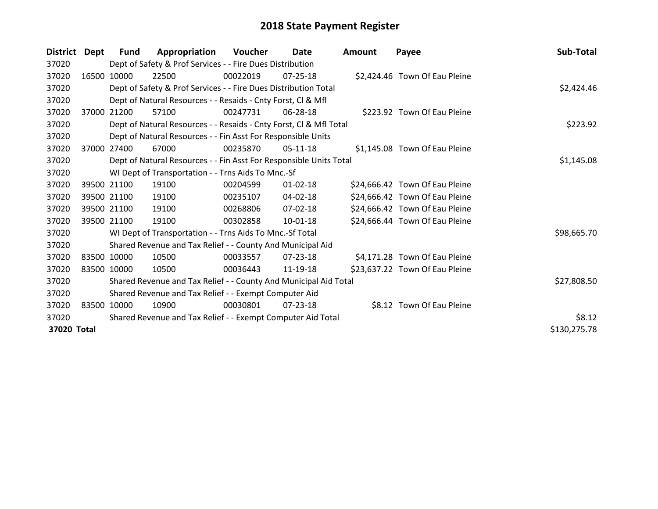| District    | Dept  | <b>Fund</b> | Appropriation                                                      | Voucher  | Date           | <b>Amount</b> | Payee                          | Sub-Total    |
|-------------|-------|-------------|--------------------------------------------------------------------|----------|----------------|---------------|--------------------------------|--------------|
| 37020       |       |             | Dept of Safety & Prof Services - - Fire Dues Distribution          |          |                |               |                                |              |
| 37020       |       | 16500 10000 | 22500                                                              | 00022019 | $07 - 25 - 18$ |               | \$2,424.46 Town Of Eau Pleine  |              |
| 37020       |       |             | Dept of Safety & Prof Services - - Fire Dues Distribution Total    |          | \$2,424.46     |               |                                |              |
| 37020       |       |             | Dept of Natural Resources - - Resaids - Cnty Forst, CI & Mfl       |          |                |               |                                |              |
| 37020       | 37000 | 21200       | 57100                                                              | 00247731 | 06-28-18       |               | \$223.92 Town Of Eau Pleine    |              |
| 37020       |       |             | Dept of Natural Resources - - Resaids - Cnty Forst, Cl & Mfl Total |          |                |               |                                | \$223.92     |
| 37020       |       |             | Dept of Natural Resources - - Fin Asst For Responsible Units       |          |                |               |                                |              |
| 37020       | 37000 | 27400       | 67000                                                              | 00235870 | 05-11-18       |               | \$1,145.08 Town Of Eau Pleine  |              |
| 37020       |       |             | Dept of Natural Resources - - Fin Asst For Responsible Units Total |          |                |               |                                | \$1,145.08   |
| 37020       |       |             | WI Dept of Transportation - - Trns Aids To Mnc.-Sf                 |          |                |               |                                |              |
| 37020       |       | 39500 21100 | 19100                                                              | 00204599 | $01 - 02 - 18$ |               | \$24,666.42 Town Of Eau Pleine |              |
| 37020       |       | 39500 21100 | 19100                                                              | 00235107 | 04-02-18       |               | \$24,666.42 Town Of Eau Pleine |              |
| 37020       |       | 39500 21100 | 19100                                                              | 00268806 | 07-02-18       |               | \$24,666.42 Town Of Eau Pleine |              |
| 37020       |       | 39500 21100 | 19100                                                              | 00302858 | $10 - 01 - 18$ |               | \$24,666.44 Town Of Eau Pleine |              |
| 37020       |       |             | WI Dept of Transportation - - Trns Aids To Mnc.-Sf Total           |          |                |               |                                | \$98,665.70  |
| 37020       |       |             | Shared Revenue and Tax Relief - - County And Municipal Aid         |          |                |               |                                |              |
| 37020       |       | 83500 10000 | 10500                                                              | 00033557 | 07-23-18       |               | \$4,171.28 Town Of Eau Pleine  |              |
| 37020       |       | 83500 10000 | 10500                                                              | 00036443 | 11-19-18       |               | \$23,637.22 Town Of Eau Pleine |              |
| 37020       |       |             | Shared Revenue and Tax Relief - - County And Municipal Aid Total   |          |                |               |                                | \$27,808.50  |
| 37020       |       |             | Shared Revenue and Tax Relief - - Exempt Computer Aid              |          |                |               |                                |              |
| 37020       |       | 83500 10000 | 10900                                                              | 00030801 | $07 - 23 - 18$ |               | \$8.12 Town Of Eau Pleine      |              |
| 37020       |       |             | Shared Revenue and Tax Relief - - Exempt Computer Aid Total        |          |                |               |                                | \$8.12       |
| 37020 Total |       |             |                                                                    |          |                |               |                                | \$130,275.78 |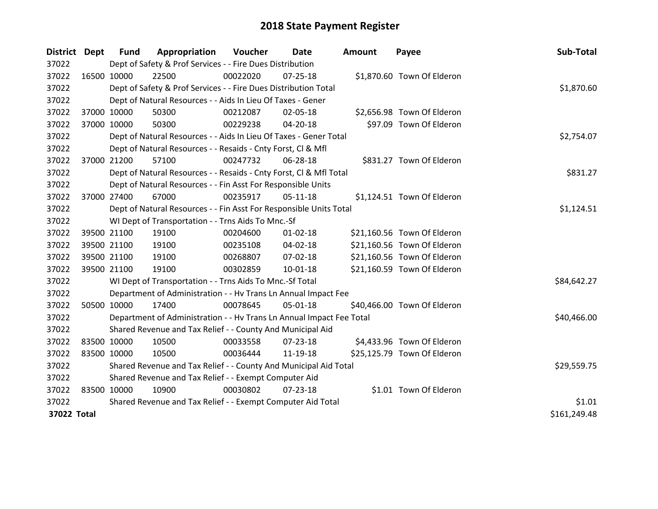| District Dept |             | <b>Fund</b> | Appropriation                                                        | Voucher  | Date           | <b>Amount</b> | Payee                       | Sub-Total    |
|---------------|-------------|-------------|----------------------------------------------------------------------|----------|----------------|---------------|-----------------------------|--------------|
| 37022         |             |             | Dept of Safety & Prof Services - - Fire Dues Distribution            |          |                |               |                             |              |
| 37022         |             | 16500 10000 | 22500                                                                | 00022020 | $07 - 25 - 18$ |               | \$1,870.60 Town Of Elderon  |              |
| 37022         |             |             | Dept of Safety & Prof Services - - Fire Dues Distribution Total      |          |                |               |                             | \$1,870.60   |
| 37022         |             |             | Dept of Natural Resources - - Aids In Lieu Of Taxes - Gener          |          |                |               |                             |              |
| 37022         |             | 37000 10000 | 50300                                                                | 00212087 | 02-05-18       |               | \$2,656.98 Town Of Elderon  |              |
| 37022         |             | 37000 10000 | 50300                                                                | 00229238 | 04-20-18       |               | \$97.09 Town Of Elderon     |              |
| 37022         |             |             | Dept of Natural Resources - - Aids In Lieu Of Taxes - Gener Total    |          | \$2,754.07     |               |                             |              |
| 37022         |             |             | Dept of Natural Resources - - Resaids - Cnty Forst, Cl & Mfl         |          |                |               |                             |              |
| 37022         |             | 37000 21200 | 57100                                                                | 00247732 | 06-28-18       |               | \$831.27 Town Of Elderon    |              |
| 37022         |             |             | Dept of Natural Resources - - Resaids - Cnty Forst, Cl & Mfl Total   |          |                |               |                             | \$831.27     |
| 37022         |             |             | Dept of Natural Resources - - Fin Asst For Responsible Units         |          |                |               |                             |              |
| 37022         |             | 37000 27400 | 67000                                                                | 00235917 | $05-11-18$     |               | \$1,124.51 Town Of Elderon  |              |
| 37022         |             |             | Dept of Natural Resources - - Fin Asst For Responsible Units Total   |          |                |               |                             | \$1,124.51   |
| 37022         |             |             | WI Dept of Transportation - - Trns Aids To Mnc.-Sf                   |          |                |               |                             |              |
| 37022         |             | 39500 21100 | 19100                                                                | 00204600 | $01 - 02 - 18$ |               | \$21,160.56 Town Of Elderon |              |
| 37022         |             | 39500 21100 | 19100                                                                | 00235108 | $04 - 02 - 18$ |               | \$21,160.56 Town Of Elderon |              |
| 37022         |             | 39500 21100 | 19100                                                                | 00268807 | 07-02-18       |               | \$21,160.56 Town Of Elderon |              |
| 37022         |             | 39500 21100 | 19100                                                                | 00302859 | $10 - 01 - 18$ |               | \$21,160.59 Town Of Elderon |              |
| 37022         |             |             | WI Dept of Transportation - - Trns Aids To Mnc.-Sf Total             |          |                |               |                             | \$84,642.27  |
| 37022         |             |             | Department of Administration - - Hv Trans Ln Annual Impact Fee       |          |                |               |                             |              |
| 37022         |             | 50500 10000 | 17400                                                                | 00078645 | 05-01-18       |               | \$40,466.00 Town Of Elderon |              |
| 37022         |             |             | Department of Administration - - Hv Trans Ln Annual Impact Fee Total |          |                |               |                             | \$40,466.00  |
| 37022         |             |             | Shared Revenue and Tax Relief - - County And Municipal Aid           |          |                |               |                             |              |
| 37022         |             | 83500 10000 | 10500                                                                | 00033558 | $07 - 23 - 18$ |               | \$4,433.96 Town Of Elderon  |              |
| 37022         | 83500 10000 |             | 10500                                                                | 00036444 | 11-19-18       |               | \$25,125.79 Town Of Elderon |              |
| 37022         |             |             | Shared Revenue and Tax Relief - - County And Municipal Aid Total     |          |                |               |                             | \$29,559.75  |
| 37022         |             |             | Shared Revenue and Tax Relief - - Exempt Computer Aid                |          |                |               |                             |              |
| 37022         | 83500 10000 |             | 10900                                                                | 00030802 | $07 - 23 - 18$ |               | \$1.01 Town Of Elderon      |              |
| 37022         |             |             | Shared Revenue and Tax Relief - - Exempt Computer Aid Total          |          | \$1.01         |               |                             |              |
| 37022 Total   |             |             |                                                                      |          |                |               |                             | \$161,249.48 |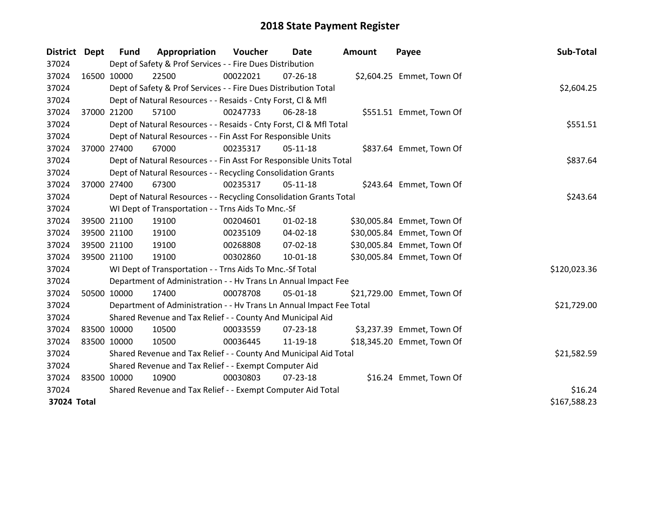| District    | <b>Dept</b> | <b>Fund</b> | Appropriation                                                        | Voucher  | Date           | Amount | Payee                      | Sub-Total    |
|-------------|-------------|-------------|----------------------------------------------------------------------|----------|----------------|--------|----------------------------|--------------|
| 37024       |             |             | Dept of Safety & Prof Services - - Fire Dues Distribution            |          |                |        |                            |              |
| 37024       | 16500 10000 |             | 22500                                                                | 00022021 | $07 - 26 - 18$ |        | \$2,604.25 Emmet, Town Of  |              |
| 37024       |             |             | Dept of Safety & Prof Services - - Fire Dues Distribution Total      |          |                |        |                            | \$2,604.25   |
| 37024       |             |             | Dept of Natural Resources - - Resaids - Cnty Forst, Cl & Mfl         |          |                |        |                            |              |
| 37024       | 37000 21200 |             | 57100                                                                | 00247733 | 06-28-18       |        | \$551.51 Emmet, Town Of    |              |
| 37024       |             |             | Dept of Natural Resources - - Resaids - Cnty Forst, Cl & Mfl Total   |          |                |        |                            | \$551.51     |
| 37024       |             |             | Dept of Natural Resources - - Fin Asst For Responsible Units         |          |                |        |                            |              |
| 37024       | 37000 27400 |             | 67000                                                                | 00235317 | $05-11-18$     |        | \$837.64 Emmet, Town Of    |              |
| 37024       |             |             | Dept of Natural Resources - - Fin Asst For Responsible Units Total   |          |                |        |                            | \$837.64     |
| 37024       |             |             | Dept of Natural Resources - - Recycling Consolidation Grants         |          |                |        |                            |              |
| 37024       | 37000 27400 |             | 67300                                                                | 00235317 | $05-11-18$     |        | \$243.64 Emmet, Town Of    |              |
| 37024       |             |             | Dept of Natural Resources - - Recycling Consolidation Grants Total   |          |                |        |                            | \$243.64     |
| 37024       |             |             | WI Dept of Transportation - - Trns Aids To Mnc.-Sf                   |          |                |        |                            |              |
| 37024       | 39500 21100 |             | 19100                                                                | 00204601 | $01 - 02 - 18$ |        | \$30,005.84 Emmet, Town Of |              |
| 37024       | 39500 21100 |             | 19100                                                                | 00235109 | 04-02-18       |        | \$30,005.84 Emmet, Town Of |              |
| 37024       | 39500 21100 |             | 19100                                                                | 00268808 | 07-02-18       |        | \$30,005.84 Emmet, Town Of |              |
| 37024       | 39500 21100 |             | 19100                                                                | 00302860 | $10-01-18$     |        | \$30,005.84 Emmet, Town Of |              |
| 37024       |             |             | WI Dept of Transportation - - Trns Aids To Mnc.-Sf Total             |          |                |        |                            | \$120,023.36 |
| 37024       |             |             | Department of Administration - - Hv Trans Ln Annual Impact Fee       |          |                |        |                            |              |
| 37024       | 50500 10000 |             | 17400                                                                | 00078708 | 05-01-18       |        | \$21,729.00 Emmet, Town Of |              |
| 37024       |             |             | Department of Administration - - Hv Trans Ln Annual Impact Fee Total |          |                |        |                            | \$21,729.00  |
| 37024       |             |             | Shared Revenue and Tax Relief - - County And Municipal Aid           |          |                |        |                            |              |
| 37024       | 83500 10000 |             | 10500                                                                | 00033559 | 07-23-18       |        | \$3,237.39 Emmet, Town Of  |              |
| 37024       | 83500 10000 |             | 10500                                                                | 00036445 | 11-19-18       |        | \$18,345.20 Emmet, Town Of |              |
| 37024       |             |             | Shared Revenue and Tax Relief - - County And Municipal Aid Total     |          |                |        |                            | \$21,582.59  |
| 37024       |             |             | Shared Revenue and Tax Relief - - Exempt Computer Aid                |          |                |        |                            |              |
| 37024       | 83500 10000 |             | 10900                                                                | 00030803 | 07-23-18       |        | \$16.24 Emmet, Town Of     |              |
| 37024       |             |             | Shared Revenue and Tax Relief - - Exempt Computer Aid Total          | \$16.24  |                |        |                            |              |
| 37024 Total |             |             |                                                                      |          |                |        |                            | \$167,588.23 |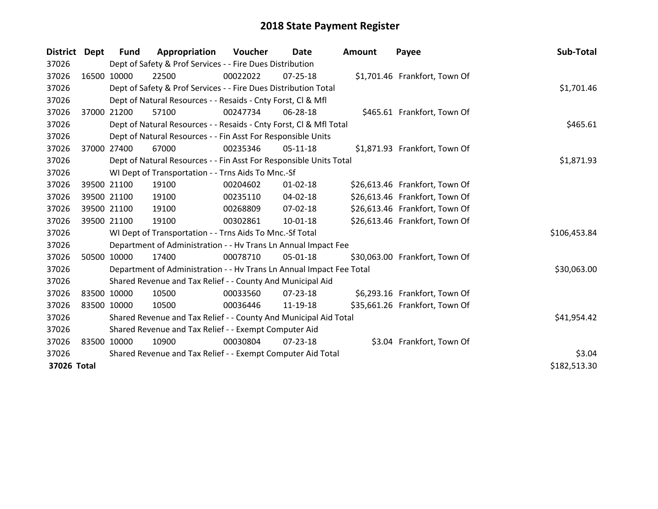| District Dept |             | Fund        | Appropriation                                                        | Voucher     | <b>Date</b>    | <b>Amount</b> | Payee                          | Sub-Total    |
|---------------|-------------|-------------|----------------------------------------------------------------------|-------------|----------------|---------------|--------------------------------|--------------|
| 37026         |             |             | Dept of Safety & Prof Services - - Fire Dues Distribution            |             |                |               |                                |              |
| 37026         | 16500 10000 |             | 22500                                                                | 00022022    | 07-25-18       |               | \$1,701.46 Frankfort, Town Of  |              |
| 37026         |             |             | Dept of Safety & Prof Services - - Fire Dues Distribution Total      |             | \$1,701.46     |               |                                |              |
| 37026         |             |             | Dept of Natural Resources - - Resaids - Cnty Forst, CI & Mfl         |             |                |               |                                |              |
| 37026         |             | 37000 21200 | 57100                                                                | 00247734    | 06-28-18       |               | \$465.61 Frankfort, Town Of    |              |
| 37026         |             |             | Dept of Natural Resources - - Resaids - Cnty Forst, Cl & Mfl Total   |             |                |               |                                | \$465.61     |
| 37026         |             |             | Dept of Natural Resources - - Fin Asst For Responsible Units         |             |                |               |                                |              |
| 37026         | 37000       | 27400       | 67000                                                                | 00235346    | 05-11-18       |               | \$1,871.93 Frankfort, Town Of  |              |
| 37026         |             |             | Dept of Natural Resources - - Fin Asst For Responsible Units Total   |             |                |               |                                | \$1,871.93   |
| 37026         |             |             | WI Dept of Transportation - - Trns Aids To Mnc.-Sf                   |             |                |               |                                |              |
| 37026         |             | 39500 21100 | 19100                                                                | 00204602    | $01 - 02 - 18$ |               | \$26,613.46 Frankfort, Town Of |              |
| 37026         |             | 39500 21100 | 19100                                                                | 00235110    | 04-02-18       |               | \$26,613.46 Frankfort, Town Of |              |
| 37026         |             | 39500 21100 | 19100                                                                | 00268809    | $07 - 02 - 18$ |               | \$26,613.46 Frankfort, Town Of |              |
| 37026         |             | 39500 21100 | 19100                                                                | 00302861    | 10-01-18       |               | \$26,613.46 Frankfort, Town Of |              |
| 37026         |             |             | WI Dept of Transportation - - Trns Aids To Mnc.-Sf Total             |             |                |               |                                | \$106,453.84 |
| 37026         |             |             | Department of Administration - - Hv Trans Ln Annual Impact Fee       |             |                |               |                                |              |
| 37026         | 50500 10000 |             | 17400                                                                | 00078710    | 05-01-18       |               | \$30,063.00 Frankfort, Town Of |              |
| 37026         |             |             | Department of Administration - - Hv Trans Ln Annual Impact Fee Total |             |                |               |                                | \$30,063.00  |
| 37026         |             |             | Shared Revenue and Tax Relief - - County And Municipal Aid           |             |                |               |                                |              |
| 37026         | 83500 10000 |             | 10500                                                                | 00033560    | 07-23-18       |               | \$6,293.16 Frankfort, Town Of  |              |
| 37026         | 83500 10000 |             | 10500                                                                | 00036446    | 11-19-18       |               | \$35,661.26 Frankfort, Town Of |              |
| 37026         |             |             | Shared Revenue and Tax Relief - - County And Municipal Aid Total     | \$41,954.42 |                |               |                                |              |
| 37026         |             |             | Shared Revenue and Tax Relief - - Exempt Computer Aid                |             |                |               |                                |              |
| 37026         |             | 83500 10000 | 10900                                                                | 00030804    | 07-23-18       |               | \$3.04 Frankfort, Town Of      |              |
| 37026         |             |             | Shared Revenue and Tax Relief - - Exempt Computer Aid Total          | \$3.04      |                |               |                                |              |
| 37026 Total   |             |             |                                                                      |             |                |               |                                | \$182,513.30 |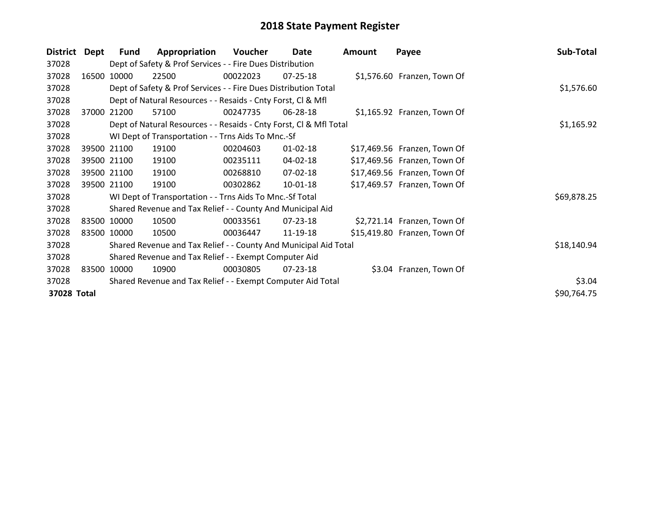| <b>District</b> | Dept   | <b>Fund</b> | Appropriation                                                      | Voucher    | Date           | <b>Amount</b> | Payee                        | Sub-Total   |
|-----------------|--------|-------------|--------------------------------------------------------------------|------------|----------------|---------------|------------------------------|-------------|
| 37028           |        |             | Dept of Safety & Prof Services - - Fire Dues Distribution          |            |                |               |                              |             |
| 37028           | 16500  | 10000       | 22500                                                              | 00022023   | 07-25-18       |               | \$1,576.60 Franzen, Town Of  |             |
| 37028           |        |             | Dept of Safety & Prof Services - - Fire Dues Distribution Total    |            | \$1,576.60     |               |                              |             |
| 37028           |        |             | Dept of Natural Resources - - Resaids - Cnty Forst, CI & Mfl       |            |                |               |                              |             |
| 37028           | 37000  | 21200       | 57100                                                              | 00247735   | 06-28-18       |               | \$1,165.92 Franzen, Town Of  |             |
| 37028           |        |             | Dept of Natural Resources - - Resaids - Cnty Forst, Cl & Mfl Total | \$1,165.92 |                |               |                              |             |
| 37028           |        |             | WI Dept of Transportation - - Trns Aids To Mnc.-Sf                 |            |                |               |                              |             |
| 37028           |        | 39500 21100 | 19100                                                              | 00204603   | $01 - 02 - 18$ |               | \$17,469.56 Franzen, Town Of |             |
| 37028           |        | 39500 21100 | 19100                                                              | 00235111   | 04-02-18       |               | \$17,469.56 Franzen, Town Of |             |
| 37028           |        | 39500 21100 | 19100                                                              | 00268810   | 07-02-18       |               | \$17,469.56 Franzen, Town Of |             |
| 37028           |        | 39500 21100 | 19100                                                              | 00302862   | 10-01-18       |               | \$17,469.57 Franzen, Town Of |             |
| 37028           |        |             | WI Dept of Transportation - - Trns Aids To Mnc.-Sf Total           |            |                |               |                              | \$69,878.25 |
| 37028           |        |             | Shared Revenue and Tax Relief - - County And Municipal Aid         |            |                |               |                              |             |
| 37028           |        | 83500 10000 | 10500                                                              | 00033561   | $07 - 23 - 18$ |               | \$2,721.14 Franzen, Town Of  |             |
| 37028           |        | 83500 10000 | 10500                                                              | 00036447   | 11-19-18       |               | \$15,419.80 Franzen, Town Of |             |
| 37028           |        |             | Shared Revenue and Tax Relief - - County And Municipal Aid Total   |            |                |               |                              | \$18,140.94 |
| 37028           |        |             | Shared Revenue and Tax Relief - - Exempt Computer Aid              |            |                |               |                              |             |
| 37028           |        | 83500 10000 | 10900                                                              | 00030805   | 07-23-18       |               | \$3.04 Franzen, Town Of      |             |
| 37028           | \$3.04 |             |                                                                    |            |                |               |                              |             |
| 37028 Total     |        |             |                                                                    |            |                |               |                              | \$90,764.75 |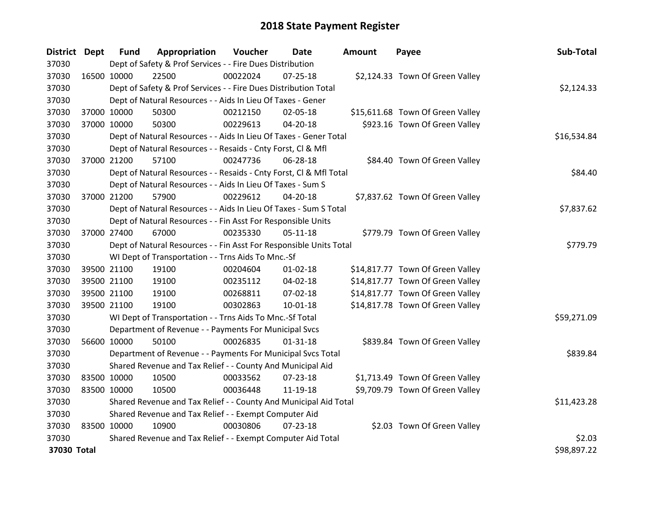| District Dept |             | <b>Fund</b> | Appropriation                                                      | Voucher  | Date           | <b>Amount</b> | Payee                            | Sub-Total   |
|---------------|-------------|-------------|--------------------------------------------------------------------|----------|----------------|---------------|----------------------------------|-------------|
| 37030         |             |             | Dept of Safety & Prof Services - - Fire Dues Distribution          |          |                |               |                                  |             |
| 37030         | 16500 10000 |             | 22500                                                              | 00022024 | $07 - 25 - 18$ |               | \$2,124.33 Town Of Green Valley  |             |
| 37030         |             |             | Dept of Safety & Prof Services - - Fire Dues Distribution Total    |          |                |               |                                  | \$2,124.33  |
| 37030         |             |             | Dept of Natural Resources - - Aids In Lieu Of Taxes - Gener        |          |                |               |                                  |             |
| 37030         |             | 37000 10000 | 50300                                                              | 00212150 | 02-05-18       |               | \$15,611.68 Town Of Green Valley |             |
| 37030         |             | 37000 10000 | 50300                                                              | 00229613 | $04 - 20 - 18$ |               | \$923.16 Town Of Green Valley    |             |
| 37030         |             |             | Dept of Natural Resources - - Aids In Lieu Of Taxes - Gener Total  |          |                |               |                                  | \$16,534.84 |
| 37030         |             |             | Dept of Natural Resources - - Resaids - Cnty Forst, Cl & Mfl       |          |                |               |                                  |             |
| 37030         |             | 37000 21200 | 57100                                                              | 00247736 | 06-28-18       |               | \$84.40 Town Of Green Valley     |             |
| 37030         |             |             | Dept of Natural Resources - - Resaids - Cnty Forst, CI & Mfl Total |          |                |               |                                  | \$84.40     |
| 37030         |             |             | Dept of Natural Resources - - Aids In Lieu Of Taxes - Sum S        |          |                |               |                                  |             |
| 37030         |             | 37000 21200 | 57900                                                              | 00229612 | 04-20-18       |               | \$7,837.62 Town Of Green Valley  |             |
| 37030         |             |             | Dept of Natural Resources - - Aids In Lieu Of Taxes - Sum S Total  |          |                |               |                                  | \$7,837.62  |
| 37030         |             |             | Dept of Natural Resources - - Fin Asst For Responsible Units       |          |                |               |                                  |             |
| 37030         | 37000 27400 |             | 67000                                                              | 00235330 | 05-11-18       |               | \$779.79 Town Of Green Valley    |             |
| 37030         |             |             | Dept of Natural Resources - - Fin Asst For Responsible Units Total |          |                |               |                                  | \$779.79    |
| 37030         |             |             | WI Dept of Transportation - - Trns Aids To Mnc.-Sf                 |          |                |               |                                  |             |
| 37030         |             | 39500 21100 | 19100                                                              | 00204604 | $01 - 02 - 18$ |               | \$14,817.77 Town Of Green Valley |             |
| 37030         |             | 39500 21100 | 19100                                                              | 00235112 | 04-02-18       |               | \$14,817.77 Town Of Green Valley |             |
| 37030         |             | 39500 21100 | 19100                                                              | 00268811 | 07-02-18       |               | \$14,817.77 Town Of Green Valley |             |
| 37030         |             | 39500 21100 | 19100                                                              | 00302863 | 10-01-18       |               | \$14,817.78 Town Of Green Valley |             |
| 37030         |             |             | WI Dept of Transportation - - Trns Aids To Mnc.-Sf Total           |          |                |               |                                  | \$59,271.09 |
| 37030         |             |             | Department of Revenue - - Payments For Municipal Svcs              |          |                |               |                                  |             |
| 37030         | 56600 10000 |             | 50100                                                              | 00026835 | $01 - 31 - 18$ |               | \$839.84 Town Of Green Valley    |             |
| 37030         |             |             | Department of Revenue - - Payments For Municipal Svcs Total        |          |                |               |                                  | \$839.84    |
| 37030         |             |             | Shared Revenue and Tax Relief - - County And Municipal Aid         |          |                |               |                                  |             |
| 37030         | 83500 10000 |             | 10500                                                              | 00033562 | 07-23-18       |               | \$1,713.49 Town Of Green Valley  |             |
| 37030         | 83500 10000 |             | 10500                                                              | 00036448 | 11-19-18       |               | \$9,709.79 Town Of Green Valley  |             |
| 37030         |             |             | Shared Revenue and Tax Relief - - County And Municipal Aid Total   |          |                |               |                                  | \$11,423.28 |
| 37030         |             |             | Shared Revenue and Tax Relief - - Exempt Computer Aid              |          |                |               |                                  |             |
| 37030         | 83500 10000 |             | 10900                                                              | 00030806 | $07 - 23 - 18$ |               | \$2.03 Town Of Green Valley      |             |
| 37030         |             |             | Shared Revenue and Tax Relief - - Exempt Computer Aid Total        |          |                |               |                                  | \$2.03      |
| 37030 Total   |             |             |                                                                    |          |                |               |                                  | \$98,897.22 |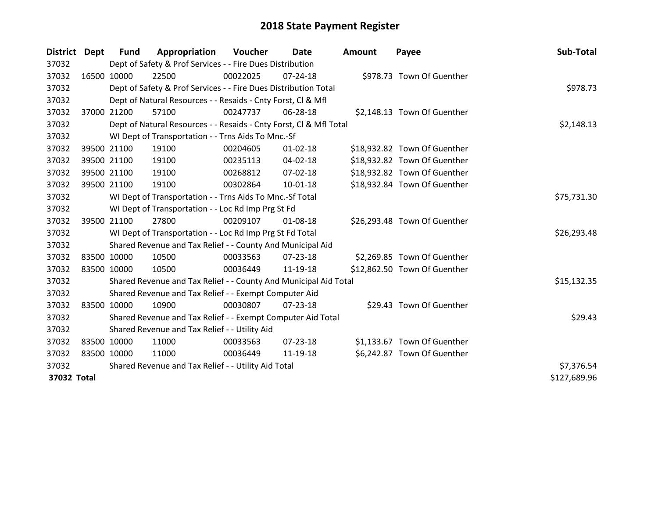| District Dept |                                                     | <b>Fund</b> | Appropriation                                                      | Voucher  | Date           | <b>Amount</b> | Payee                        | Sub-Total   |  |
|---------------|-----------------------------------------------------|-------------|--------------------------------------------------------------------|----------|----------------|---------------|------------------------------|-------------|--|
| 37032         |                                                     |             | Dept of Safety & Prof Services - - Fire Dues Distribution          |          |                |               |                              |             |  |
| 37032         |                                                     | 16500 10000 | 22500                                                              | 00022025 | $07 - 24 - 18$ |               | \$978.73 Town Of Guenther    |             |  |
| 37032         |                                                     |             | Dept of Safety & Prof Services - - Fire Dues Distribution Total    |          |                |               |                              | \$978.73    |  |
| 37032         |                                                     |             | Dept of Natural Resources - - Resaids - Cnty Forst, CI & Mfl       |          |                |               |                              |             |  |
| 37032         |                                                     | 37000 21200 | 57100                                                              | 00247737 | 06-28-18       |               | \$2,148.13 Town Of Guenther  |             |  |
| 37032         |                                                     |             | Dept of Natural Resources - - Resaids - Cnty Forst, Cl & Mfl Total |          |                |               |                              | \$2,148.13  |  |
| 37032         |                                                     |             | WI Dept of Transportation - - Trns Aids To Mnc.-Sf                 |          |                |               |                              |             |  |
| 37032         |                                                     | 39500 21100 | 19100                                                              | 00204605 | $01 - 02 - 18$ |               | \$18,932.82 Town Of Guenther |             |  |
| 37032         |                                                     | 39500 21100 | 19100                                                              | 00235113 | 04-02-18       |               | \$18,932.82 Town Of Guenther |             |  |
| 37032         |                                                     | 39500 21100 | 19100                                                              | 00268812 | $07 - 02 - 18$ |               | \$18,932.82 Town Of Guenther |             |  |
| 37032         |                                                     | 39500 21100 | 19100                                                              | 00302864 | $10 - 01 - 18$ |               | \$18,932.84 Town Of Guenther |             |  |
| 37032         |                                                     |             | WI Dept of Transportation - - Trns Aids To Mnc.-Sf Total           |          |                |               |                              | \$75,731.30 |  |
| 37032         |                                                     |             | WI Dept of Transportation - - Loc Rd Imp Prg St Fd                 |          |                |               |                              |             |  |
| 37032         |                                                     | 39500 21100 | 27800                                                              | 00209107 | 01-08-18       |               | \$26,293.48 Town Of Guenther |             |  |
| 37032         |                                                     |             | WI Dept of Transportation - - Loc Rd Imp Prg St Fd Total           |          |                |               |                              | \$26,293.48 |  |
| 37032         |                                                     |             | Shared Revenue and Tax Relief - - County And Municipal Aid         |          |                |               |                              |             |  |
| 37032         |                                                     | 83500 10000 | 10500                                                              | 00033563 | 07-23-18       |               | \$2,269.85 Town Of Guenther  |             |  |
| 37032         |                                                     | 83500 10000 | 10500                                                              | 00036449 | 11-19-18       |               | \$12,862.50 Town Of Guenther |             |  |
| 37032         |                                                     |             | Shared Revenue and Tax Relief - - County And Municipal Aid Total   |          |                |               |                              | \$15,132.35 |  |
| 37032         |                                                     |             | Shared Revenue and Tax Relief - - Exempt Computer Aid              |          |                |               |                              |             |  |
| 37032         |                                                     | 83500 10000 | 10900                                                              | 00030807 | 07-23-18       |               | \$29.43 Town Of Guenther     |             |  |
| 37032         |                                                     |             | Shared Revenue and Tax Relief - - Exempt Computer Aid Total        |          |                |               |                              | \$29.43     |  |
| 37032         |                                                     |             | Shared Revenue and Tax Relief - - Utility Aid                      |          |                |               |                              |             |  |
| 37032         |                                                     | 83500 10000 | 11000                                                              | 00033563 | $07 - 23 - 18$ |               | \$1,133.67 Town Of Guenther  |             |  |
| 37032         |                                                     | 83500 10000 | 11000                                                              | 00036449 | 11-19-18       |               | \$6,242.87 Town Of Guenther  |             |  |
| 37032         | Shared Revenue and Tax Relief - - Utility Aid Total |             |                                                                    |          |                |               |                              |             |  |
|               | 37032 Total                                         |             |                                                                    |          |                |               |                              |             |  |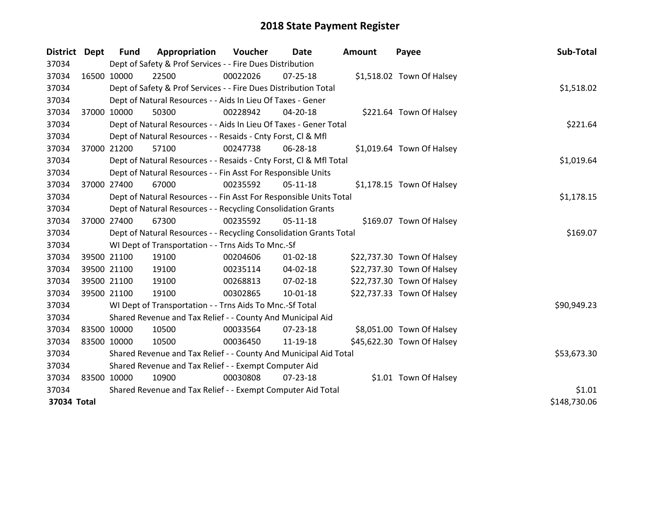| <b>District</b> | <b>Dept</b> | <b>Fund</b>                                                 | Appropriation                                                      | Voucher     | Date           | Amount | Payee                      | Sub-Total    |
|-----------------|-------------|-------------------------------------------------------------|--------------------------------------------------------------------|-------------|----------------|--------|----------------------------|--------------|
| 37034           |             |                                                             | Dept of Safety & Prof Services - - Fire Dues Distribution          |             |                |        |                            |              |
| 37034           | 16500 10000 |                                                             | 22500                                                              | 00022026    | $07 - 25 - 18$ |        | \$1,518.02 Town Of Halsey  |              |
| 37034           |             |                                                             | Dept of Safety & Prof Services - - Fire Dues Distribution Total    |             |                |        |                            | \$1,518.02   |
| 37034           |             |                                                             | Dept of Natural Resources - - Aids In Lieu Of Taxes - Gener        |             |                |        |                            |              |
| 37034           | 37000 10000 |                                                             | 50300                                                              | 00228942    | 04-20-18       |        | \$221.64 Town Of Halsey    |              |
| 37034           |             |                                                             | Dept of Natural Resources - - Aids In Lieu Of Taxes - Gener Total  |             |                |        |                            | \$221.64     |
| 37034           |             |                                                             | Dept of Natural Resources - - Resaids - Cnty Forst, Cl & Mfl       |             |                |        |                            |              |
| 37034           | 37000 21200 |                                                             | 57100                                                              | 00247738    | 06-28-18       |        | \$1,019.64 Town Of Halsey  |              |
| 37034           |             |                                                             | Dept of Natural Resources - - Resaids - Cnty Forst, Cl & Mfl Total |             |                |        |                            | \$1,019.64   |
| 37034           |             |                                                             | Dept of Natural Resources - - Fin Asst For Responsible Units       |             |                |        |                            |              |
| 37034           |             | 37000 27400                                                 | 67000                                                              | 00235592    | $05-11-18$     |        | \$1,178.15 Town Of Halsey  |              |
| 37034           |             |                                                             | Dept of Natural Resources - - Fin Asst For Responsible Units Total |             |                |        |                            | \$1,178.15   |
| 37034           |             |                                                             | Dept of Natural Resources - - Recycling Consolidation Grants       |             |                |        |                            |              |
| 37034           | 37000 27400 |                                                             | 67300                                                              | 00235592    | $05-11-18$     |        | \$169.07 Town Of Halsey    |              |
| 37034           |             |                                                             | Dept of Natural Resources - - Recycling Consolidation Grants Total | \$169.07    |                |        |                            |              |
| 37034           |             |                                                             | WI Dept of Transportation - - Trns Aids To Mnc.-Sf                 |             |                |        |                            |              |
| 37034           |             | 39500 21100                                                 | 19100                                                              | 00204606    | $01 - 02 - 18$ |        | \$22,737.30 Town Of Halsey |              |
| 37034           | 39500 21100 |                                                             | 19100                                                              | 00235114    | 04-02-18       |        | \$22,737.30 Town Of Halsey |              |
| 37034           | 39500 21100 |                                                             | 19100                                                              | 00268813    | 07-02-18       |        | \$22,737.30 Town Of Halsey |              |
| 37034           | 39500 21100 |                                                             | 19100                                                              | 00302865    | $10 - 01 - 18$ |        | \$22,737.33 Town Of Halsey |              |
| 37034           |             |                                                             | WI Dept of Transportation - - Trns Aids To Mnc.-Sf Total           |             |                |        |                            | \$90,949.23  |
| 37034           |             |                                                             | Shared Revenue and Tax Relief - - County And Municipal Aid         |             |                |        |                            |              |
| 37034           | 83500 10000 |                                                             | 10500                                                              | 00033564    | 07-23-18       |        | \$8,051.00 Town Of Halsey  |              |
| 37034           | 83500 10000 |                                                             | 10500                                                              | 00036450    | 11-19-18       |        | \$45,622.30 Town Of Halsey |              |
| 37034           |             |                                                             | Shared Revenue and Tax Relief - - County And Municipal Aid Total   | \$53,673.30 |                |        |                            |              |
| 37034           |             |                                                             | Shared Revenue and Tax Relief - - Exempt Computer Aid              |             |                |        |                            |              |
| 37034           | 83500 10000 |                                                             | 10900                                                              | 00030808    | 07-23-18       |        | \$1.01 Town Of Halsey      |              |
| 37034           |             | Shared Revenue and Tax Relief - - Exempt Computer Aid Total | \$1.01                                                             |             |                |        |                            |              |
| 37034 Total     |             |                                                             |                                                                    |             |                |        |                            | \$148,730.06 |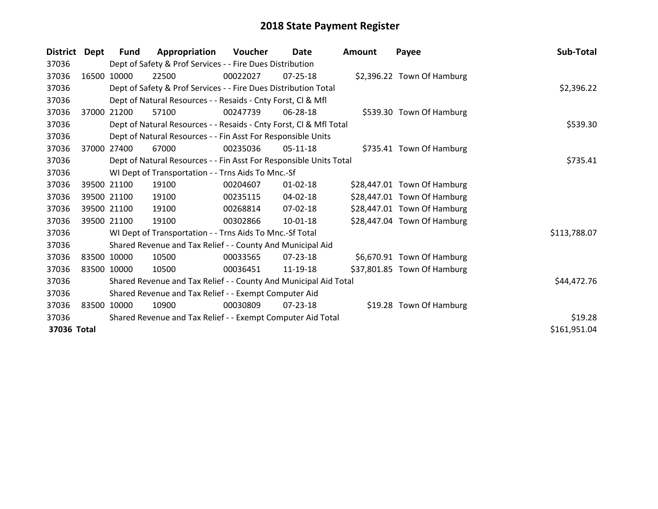| <b>District</b> | Dept  | <b>Fund</b> | Appropriation                                                      | <b>Voucher</b> | Date           | <b>Amount</b> | Payee                       | Sub-Total    |
|-----------------|-------|-------------|--------------------------------------------------------------------|----------------|----------------|---------------|-----------------------------|--------------|
| 37036           |       |             | Dept of Safety & Prof Services - - Fire Dues Distribution          |                |                |               |                             |              |
| 37036           |       | 16500 10000 | 22500                                                              | 00022027       | $07 - 25 - 18$ |               | \$2,396.22 Town Of Hamburg  |              |
| 37036           |       |             | Dept of Safety & Prof Services - - Fire Dues Distribution Total    |                | \$2,396.22     |               |                             |              |
| 37036           |       |             | Dept of Natural Resources - - Resaids - Cnty Forst, CI & Mfl       |                |                |               |                             |              |
| 37036           | 37000 | 21200       | 57100                                                              | 00247739       | 06-28-18       |               | \$539.30 Town Of Hamburg    |              |
| 37036           |       |             | Dept of Natural Resources - - Resaids - Cnty Forst, Cl & Mfl Total |                |                |               |                             | \$539.30     |
| 37036           |       |             | Dept of Natural Resources - - Fin Asst For Responsible Units       |                |                |               |                             |              |
| 37036           | 37000 | 27400       | 67000                                                              | 00235036       | 05-11-18       |               | \$735.41 Town Of Hamburg    |              |
| 37036           |       |             | Dept of Natural Resources - - Fin Asst For Responsible Units Total |                |                |               |                             | \$735.41     |
| 37036           |       |             | WI Dept of Transportation - - Trns Aids To Mnc.-Sf                 |                |                |               |                             |              |
| 37036           |       | 39500 21100 | 19100                                                              | 00204607       | $01 - 02 - 18$ |               | \$28,447.01 Town Of Hamburg |              |
| 37036           |       | 39500 21100 | 19100                                                              | 00235115       | 04-02-18       |               | \$28,447.01 Town Of Hamburg |              |
| 37036           |       | 39500 21100 | 19100                                                              | 00268814       | 07-02-18       |               | \$28,447.01 Town Of Hamburg |              |
| 37036           |       | 39500 21100 | 19100                                                              | 00302866       | $10-01-18$     |               | \$28,447.04 Town Of Hamburg |              |
| 37036           |       |             | WI Dept of Transportation - - Trns Aids To Mnc.-Sf Total           |                |                |               |                             | \$113,788.07 |
| 37036           |       |             | Shared Revenue and Tax Relief - - County And Municipal Aid         |                |                |               |                             |              |
| 37036           |       | 83500 10000 | 10500                                                              | 00033565       | $07 - 23 - 18$ |               | \$6,670.91 Town Of Hamburg  |              |
| 37036           |       | 83500 10000 | 10500                                                              | 00036451       | 11-19-18       |               | \$37,801.85 Town Of Hamburg |              |
| 37036           |       |             | Shared Revenue and Tax Relief - - County And Municipal Aid Total   |                |                |               |                             | \$44,472.76  |
| 37036           |       |             | Shared Revenue and Tax Relief - - Exempt Computer Aid              |                |                |               |                             |              |
| 37036           |       | 83500 10000 | 10900                                                              | 00030809       | 07-23-18       |               | \$19.28 Town Of Hamburg     |              |
| 37036           |       |             | Shared Revenue and Tax Relief - - Exempt Computer Aid Total        |                |                |               |                             | \$19.28      |
| 37036 Total     |       |             |                                                                    |                |                |               |                             | \$161,951.04 |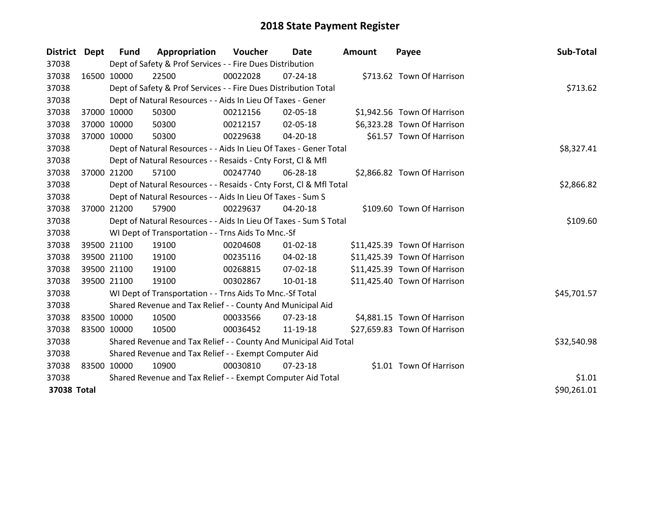| District    | Dept        | <b>Fund</b> | Appropriation                                                      | Voucher     | Date           | <b>Amount</b> | Payee                        | Sub-Total   |
|-------------|-------------|-------------|--------------------------------------------------------------------|-------------|----------------|---------------|------------------------------|-------------|
| 37038       |             |             | Dept of Safety & Prof Services - - Fire Dues Distribution          |             |                |               |                              |             |
| 37038       | 16500 10000 |             | 22500                                                              | 00022028    | 07-24-18       |               | \$713.62 Town Of Harrison    |             |
| 37038       |             |             | Dept of Safety & Prof Services - - Fire Dues Distribution Total    |             |                |               |                              | \$713.62    |
| 37038       |             |             | Dept of Natural Resources - - Aids In Lieu Of Taxes - Gener        |             |                |               |                              |             |
| 37038       | 37000 10000 |             | 50300                                                              | 00212156    | 02-05-18       |               | \$1,942.56 Town Of Harrison  |             |
| 37038       | 37000 10000 |             | 50300                                                              | 00212157    | 02-05-18       |               | \$6,323.28 Town Of Harrison  |             |
| 37038       | 37000 10000 |             | 50300                                                              | 00229638    | 04-20-18       |               | \$61.57 Town Of Harrison     |             |
| 37038       |             |             | Dept of Natural Resources - - Aids In Lieu Of Taxes - Gener Total  |             | \$8,327.41     |               |                              |             |
| 37038       |             |             | Dept of Natural Resources - - Resaids - Cnty Forst, CI & Mfl       |             |                |               |                              |             |
| 37038       | 37000 21200 |             | 57100                                                              | 00247740    | 06-28-18       |               | \$2,866.82 Town Of Harrison  |             |
| 37038       |             |             | Dept of Natural Resources - - Resaids - Cnty Forst, CI & Mfl Total |             | \$2,866.82     |               |                              |             |
| 37038       |             |             | Dept of Natural Resources - - Aids In Lieu Of Taxes - Sum S        |             |                |               |                              |             |
| 37038       | 37000 21200 |             | 57900                                                              | 00229637    | 04-20-18       |               | \$109.60 Town Of Harrison    |             |
| 37038       |             |             | Dept of Natural Resources - - Aids In Lieu Of Taxes - Sum S Total  | \$109.60    |                |               |                              |             |
| 37038       |             |             | WI Dept of Transportation - - Trns Aids To Mnc.-Sf                 |             |                |               |                              |             |
| 37038       |             | 39500 21100 | 19100                                                              | 00204608    | $01 - 02 - 18$ |               | \$11,425.39 Town Of Harrison |             |
| 37038       |             | 39500 21100 | 19100                                                              | 00235116    | $04 - 02 - 18$ |               | \$11,425.39 Town Of Harrison |             |
| 37038       |             | 39500 21100 | 19100                                                              | 00268815    | 07-02-18       |               | \$11,425.39 Town Of Harrison |             |
| 37038       |             | 39500 21100 | 19100                                                              | 00302867    | $10 - 01 - 18$ |               | \$11,425.40 Town Of Harrison |             |
| 37038       |             |             | WI Dept of Transportation - - Trns Aids To Mnc.-Sf Total           |             |                |               |                              | \$45,701.57 |
| 37038       |             |             | Shared Revenue and Tax Relief - - County And Municipal Aid         |             |                |               |                              |             |
| 37038       | 83500 10000 |             | 10500                                                              | 00033566    | 07-23-18       |               | \$4,881.15 Town Of Harrison  |             |
| 37038       | 83500 10000 |             | 10500                                                              | 00036452    | 11-19-18       |               | \$27,659.83 Town Of Harrison |             |
| 37038       |             |             | Shared Revenue and Tax Relief - - County And Municipal Aid Total   | \$32,540.98 |                |               |                              |             |
| 37038       |             |             | Shared Revenue and Tax Relief - - Exempt Computer Aid              |             |                |               |                              |             |
| 37038       | 83500 10000 |             | 10900                                                              | 00030810    | $07 - 23 - 18$ |               | \$1.01 Town Of Harrison      |             |
| 37038       |             |             | Shared Revenue and Tax Relief - - Exempt Computer Aid Total        |             |                |               |                              | \$1.01      |
| 37038 Total |             |             |                                                                    |             |                |               |                              | \$90,261.01 |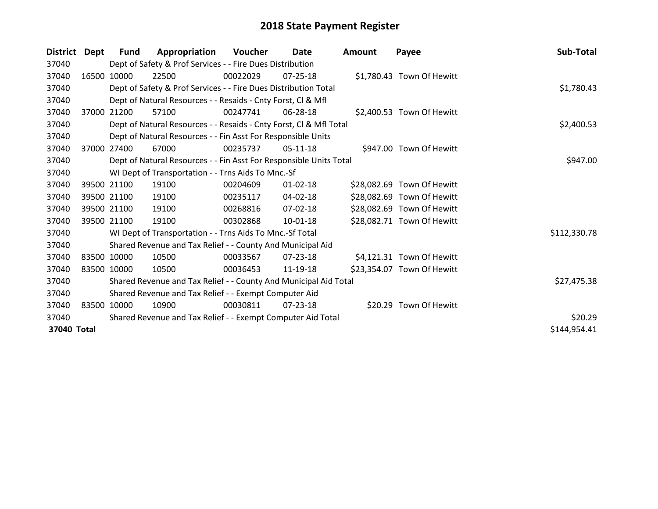| <b>District</b> | Dept        | <b>Fund</b> | Appropriation                                                      | <b>Voucher</b> | Date           | <b>Amount</b> | Payee                      | Sub-Total    |
|-----------------|-------------|-------------|--------------------------------------------------------------------|----------------|----------------|---------------|----------------------------|--------------|
| 37040           |             |             | Dept of Safety & Prof Services - - Fire Dues Distribution          |                |                |               |                            |              |
| 37040           |             | 16500 10000 | 22500                                                              | 00022029       | $07 - 25 - 18$ |               | \$1,780.43 Town Of Hewitt  |              |
| 37040           |             |             | Dept of Safety & Prof Services - - Fire Dues Distribution Total    |                |                |               |                            | \$1,780.43   |
| 37040           |             |             | Dept of Natural Resources - - Resaids - Cnty Forst, CI & Mfl       |                |                |               |                            |              |
| 37040           | 37000       | 21200       | 57100                                                              | 00247741       | 06-28-18       |               | \$2,400.53 Town Of Hewitt  |              |
| 37040           |             |             | Dept of Natural Resources - - Resaids - Cnty Forst, Cl & Mfl Total | \$2,400.53     |                |               |                            |              |
| 37040           |             |             | Dept of Natural Resources - - Fin Asst For Responsible Units       |                |                |               |                            |              |
| 37040           | 37000       | 27400       | 67000                                                              | 00235737       | 05-11-18       |               | \$947.00 Town Of Hewitt    |              |
| 37040           |             |             | Dept of Natural Resources - - Fin Asst For Responsible Units Total |                |                |               |                            | \$947.00     |
| 37040           |             |             | WI Dept of Transportation - - Trns Aids To Mnc.-Sf                 |                |                |               |                            |              |
| 37040           |             | 39500 21100 | 19100                                                              | 00204609       | $01 - 02 - 18$ |               | \$28,082.69 Town Of Hewitt |              |
| 37040           |             | 39500 21100 | 19100                                                              | 00235117       | 04-02-18       |               | \$28,082.69 Town Of Hewitt |              |
| 37040           |             | 39500 21100 | 19100                                                              | 00268816       | 07-02-18       |               | \$28,082.69 Town Of Hewitt |              |
| 37040           |             | 39500 21100 | 19100                                                              | 00302868       | 10-01-18       |               | \$28,082.71 Town Of Hewitt |              |
| 37040           |             |             | WI Dept of Transportation - - Trns Aids To Mnc.-Sf Total           |                |                |               |                            | \$112,330.78 |
| 37040           |             |             | Shared Revenue and Tax Relief - - County And Municipal Aid         |                |                |               |                            |              |
| 37040           |             | 83500 10000 | 10500                                                              | 00033567       | $07 - 23 - 18$ |               | \$4,121.31 Town Of Hewitt  |              |
| 37040           | 83500 10000 |             | 10500                                                              | 00036453       | 11-19-18       |               | \$23,354.07 Town Of Hewitt |              |
| 37040           |             |             | Shared Revenue and Tax Relief - - County And Municipal Aid Total   |                |                |               |                            | \$27,475.38  |
| 37040           |             |             | Shared Revenue and Tax Relief - - Exempt Computer Aid              |                |                |               |                            |              |
| 37040           | 83500 10000 |             | 10900                                                              | 00030811       | 07-23-18       |               | \$20.29 Town Of Hewitt     |              |
| 37040           |             |             | Shared Revenue and Tax Relief - - Exempt Computer Aid Total        |                |                |               |                            | \$20.29      |
| 37040 Total     |             |             |                                                                    |                |                |               |                            | \$144,954.41 |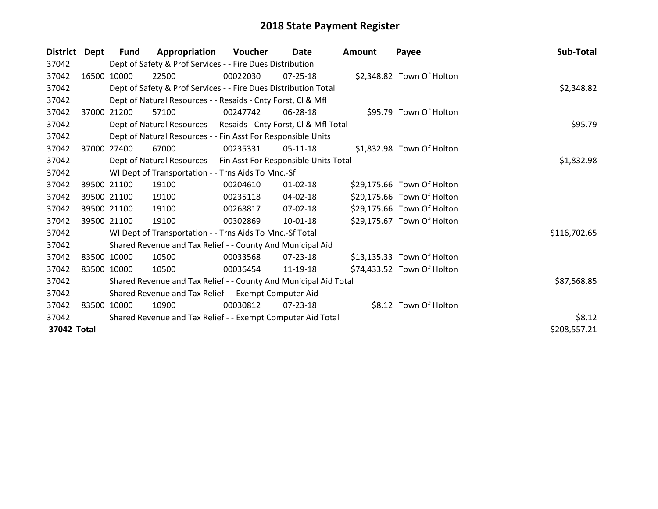| <b>District</b> | Dept        | Fund        | Appropriation                                                      | <b>Voucher</b> | Date           | <b>Amount</b> | Payee                      | Sub-Total    |
|-----------------|-------------|-------------|--------------------------------------------------------------------|----------------|----------------|---------------|----------------------------|--------------|
| 37042           |             |             | Dept of Safety & Prof Services - - Fire Dues Distribution          |                |                |               |                            |              |
| 37042           |             | 16500 10000 | 22500                                                              | 00022030       | $07 - 25 - 18$ |               | \$2,348.82 Town Of Holton  |              |
| 37042           |             |             | Dept of Safety & Prof Services - - Fire Dues Distribution Total    |                |                |               |                            | \$2,348.82   |
| 37042           |             |             | Dept of Natural Resources - - Resaids - Cnty Forst, CI & Mfl       |                |                |               |                            |              |
| 37042           | 37000       | 21200       | 57100                                                              | 00247742       | 06-28-18       |               | \$95.79 Town Of Holton     |              |
| 37042           |             |             | Dept of Natural Resources - - Resaids - Cnty Forst, Cl & Mfl Total |                | \$95.79        |               |                            |              |
| 37042           |             |             | Dept of Natural Resources - - Fin Asst For Responsible Units       |                |                |               |                            |              |
| 37042           | 37000       | 27400       | 67000                                                              | 00235331       | $05-11-18$     |               | \$1,832.98 Town Of Holton  |              |
| 37042           |             |             | Dept of Natural Resources - - Fin Asst For Responsible Units Total |                |                |               |                            | \$1,832.98   |
| 37042           |             |             | WI Dept of Transportation - - Trns Aids To Mnc.-Sf                 |                |                |               |                            |              |
| 37042           |             | 39500 21100 | 19100                                                              | 00204610       | $01 - 02 - 18$ |               | \$29,175.66 Town Of Holton |              |
| 37042           |             | 39500 21100 | 19100                                                              | 00235118       | 04-02-18       |               | \$29,175.66 Town Of Holton |              |
| 37042           |             | 39500 21100 | 19100                                                              | 00268817       | 07-02-18       |               | \$29,175.66 Town Of Holton |              |
| 37042           |             | 39500 21100 | 19100                                                              | 00302869       | $10 - 01 - 18$ |               | \$29,175.67 Town Of Holton |              |
| 37042           |             |             | WI Dept of Transportation - - Trns Aids To Mnc.-Sf Total           |                |                |               |                            | \$116,702.65 |
| 37042           |             |             | Shared Revenue and Tax Relief - - County And Municipal Aid         |                |                |               |                            |              |
| 37042           |             | 83500 10000 | 10500                                                              | 00033568       | 07-23-18       |               | \$13,135.33 Town Of Holton |              |
| 37042           |             | 83500 10000 | 10500                                                              | 00036454       | 11-19-18       |               | \$74,433.52 Town Of Holton |              |
| 37042           |             |             | Shared Revenue and Tax Relief - - County And Municipal Aid Total   |                |                |               |                            | \$87,568.85  |
| 37042           |             |             | Shared Revenue and Tax Relief - - Exempt Computer Aid              |                |                |               |                            |              |
| 37042           | 83500 10000 |             | 10900                                                              | 00030812       | 07-23-18       |               | \$8.12 Town Of Holton      |              |
| 37042           |             |             | Shared Revenue and Tax Relief - - Exempt Computer Aid Total        |                |                |               |                            | \$8.12       |
| 37042 Total     |             |             |                                                                    |                |                |               |                            | \$208,557.21 |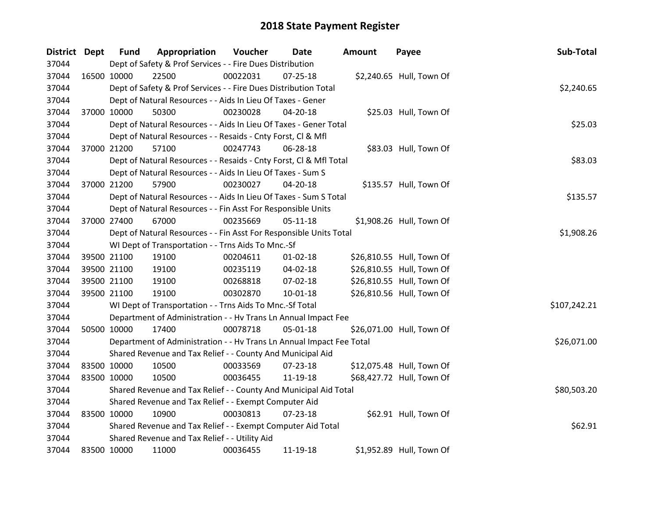| District Dept |             | <b>Fund</b> | Appropriation                                                        | Voucher    | Date           | <b>Amount</b> | Payee                     | Sub-Total    |
|---------------|-------------|-------------|----------------------------------------------------------------------|------------|----------------|---------------|---------------------------|--------------|
| 37044         |             |             | Dept of Safety & Prof Services - - Fire Dues Distribution            |            |                |               |                           |              |
| 37044         | 16500 10000 |             | 22500                                                                | 00022031   | 07-25-18       |               | \$2,240.65 Hull, Town Of  |              |
| 37044         |             |             | Dept of Safety & Prof Services - - Fire Dues Distribution Total      |            |                |               |                           | \$2,240.65   |
| 37044         |             |             | Dept of Natural Resources - - Aids In Lieu Of Taxes - Gener          |            |                |               |                           |              |
| 37044         | 37000 10000 |             | 50300                                                                | 00230028   | 04-20-18       |               | \$25.03 Hull, Town Of     |              |
| 37044         |             |             | Dept of Natural Resources - - Aids In Lieu Of Taxes - Gener Total    |            |                |               |                           | \$25.03      |
| 37044         |             |             | Dept of Natural Resources - - Resaids - Cnty Forst, Cl & Mfl         |            |                |               |                           |              |
| 37044         |             | 37000 21200 | 57100                                                                | 00247743   | 06-28-18       |               | \$83.03 Hull, Town Of     |              |
| 37044         |             |             | Dept of Natural Resources - - Resaids - Cnty Forst, Cl & Mfl Total   |            |                |               |                           | \$83.03      |
| 37044         |             |             | Dept of Natural Resources - - Aids In Lieu Of Taxes - Sum S          |            |                |               |                           |              |
| 37044         |             | 37000 21200 | 57900                                                                | 00230027   | 04-20-18       |               | \$135.57 Hull, Town Of    |              |
| 37044         |             |             | Dept of Natural Resources - - Aids In Lieu Of Taxes - Sum S Total    |            |                |               |                           | \$135.57     |
| 37044         |             |             | Dept of Natural Resources - - Fin Asst For Responsible Units         |            |                |               |                           |              |
| 37044         | 37000 27400 |             | 67000                                                                | 00235669   | $05 - 11 - 18$ |               | \$1,908.26 Hull, Town Of  |              |
| 37044         |             |             | Dept of Natural Resources - - Fin Asst For Responsible Units Total   | \$1,908.26 |                |               |                           |              |
| 37044         |             |             | WI Dept of Transportation - - Trns Aids To Mnc.-Sf                   |            |                |               |                           |              |
| 37044         | 39500 21100 |             | 19100                                                                | 00204611   | $01 - 02 - 18$ |               | \$26,810.55 Hull, Town Of |              |
| 37044         |             | 39500 21100 | 19100                                                                | 00235119   | $04 - 02 - 18$ |               | \$26,810.55 Hull, Town Of |              |
| 37044         |             | 39500 21100 | 19100                                                                | 00268818   | 07-02-18       |               | \$26,810.55 Hull, Town Of |              |
| 37044         | 39500 21100 |             | 19100                                                                | 00302870   | 10-01-18       |               | \$26,810.56 Hull, Town Of |              |
| 37044         |             |             | WI Dept of Transportation - - Trns Aids To Mnc.-Sf Total             |            |                |               |                           | \$107,242.21 |
| 37044         |             |             | Department of Administration - - Hv Trans Ln Annual Impact Fee       |            |                |               |                           |              |
| 37044         |             | 50500 10000 | 17400                                                                | 00078718   | 05-01-18       |               | \$26,071.00 Hull, Town Of |              |
| 37044         |             |             | Department of Administration - - Hv Trans Ln Annual Impact Fee Total |            |                |               |                           | \$26,071.00  |
| 37044         |             |             | Shared Revenue and Tax Relief - - County And Municipal Aid           |            |                |               |                           |              |
| 37044         | 83500 10000 |             | 10500                                                                | 00033569   | 07-23-18       |               | \$12,075.48 Hull, Town Of |              |
| 37044         | 83500 10000 |             | 10500                                                                | 00036455   | 11-19-18       |               | \$68,427.72 Hull, Town Of |              |
| 37044         |             |             | Shared Revenue and Tax Relief - - County And Municipal Aid Total     |            |                |               |                           | \$80,503.20  |
| 37044         |             |             | Shared Revenue and Tax Relief - - Exempt Computer Aid                |            |                |               |                           |              |
| 37044         | 83500 10000 |             | 10900                                                                | 00030813   | $07 - 23 - 18$ |               | \$62.91 Hull, Town Of     |              |
| 37044         |             |             | Shared Revenue and Tax Relief - - Exempt Computer Aid Total          |            |                |               |                           | \$62.91      |
| 37044         |             |             | Shared Revenue and Tax Relief - - Utility Aid                        |            |                |               |                           |              |
| 37044         | 83500 10000 |             | 11000                                                                | 00036455   | 11-19-18       |               | \$1,952.89 Hull, Town Of  |              |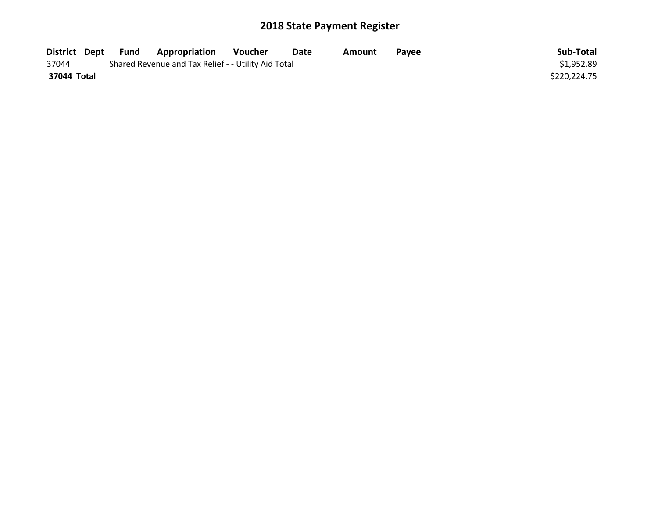| District Dept | Fund | <b>Appropriation</b>                                | <b>Voucher</b> | Date | Amount | <b>Pavee</b> | Sub-Total    |
|---------------|------|-----------------------------------------------------|----------------|------|--------|--------------|--------------|
| 37044         |      | Shared Revenue and Tax Relief - - Utility Aid Total |                |      |        |              | \$1,952.89   |
| 37044 Total   |      |                                                     |                |      |        |              | \$220,224.75 |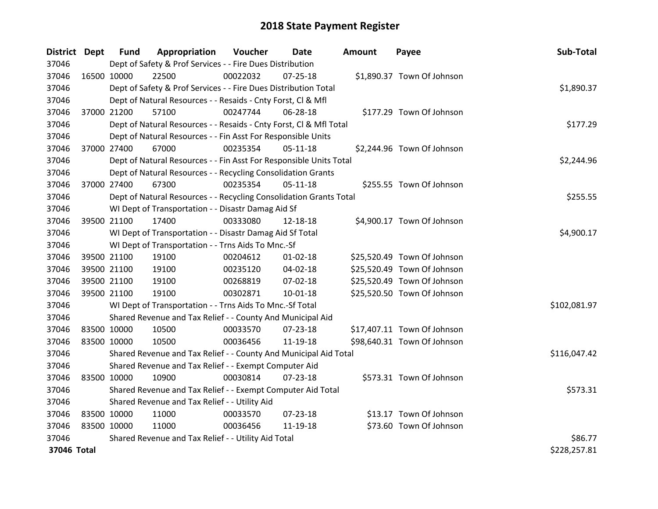| District Dept |             | <b>Fund</b> | Appropriation                                                      | Voucher    | Date           | <b>Amount</b> | Payee                       | Sub-Total    |
|---------------|-------------|-------------|--------------------------------------------------------------------|------------|----------------|---------------|-----------------------------|--------------|
| 37046         |             |             | Dept of Safety & Prof Services - - Fire Dues Distribution          |            |                |               |                             |              |
| 37046         | 16500 10000 |             | 22500                                                              | 00022032   | $07 - 25 - 18$ |               | \$1,890.37 Town Of Johnson  |              |
| 37046         |             |             | Dept of Safety & Prof Services - - Fire Dues Distribution Total    |            |                |               |                             | \$1,890.37   |
| 37046         |             |             | Dept of Natural Resources - - Resaids - Cnty Forst, CI & Mfl       |            |                |               |                             |              |
| 37046         |             | 37000 21200 | 57100                                                              | 00247744   | 06-28-18       |               | \$177.29 Town Of Johnson    |              |
| 37046         |             |             | Dept of Natural Resources - - Resaids - Cnty Forst, CI & Mfl Total |            |                |               |                             | \$177.29     |
| 37046         |             |             | Dept of Natural Resources - - Fin Asst For Responsible Units       |            |                |               |                             |              |
| 37046         | 37000 27400 |             | 67000                                                              | 00235354   | $05 - 11 - 18$ |               | \$2,244.96 Town Of Johnson  |              |
| 37046         |             |             | Dept of Natural Resources - - Fin Asst For Responsible Units Total |            |                |               |                             | \$2,244.96   |
| 37046         |             |             | Dept of Natural Resources - - Recycling Consolidation Grants       |            |                |               |                             |              |
| 37046         | 37000 27400 |             | 67300                                                              | 00235354   | $05-11-18$     |               | \$255.55 Town Of Johnson    |              |
| 37046         |             |             | Dept of Natural Resources - - Recycling Consolidation Grants Total |            |                |               |                             | \$255.55     |
| 37046         |             |             | WI Dept of Transportation - - Disastr Damag Aid Sf                 |            |                |               |                             |              |
| 37046         | 39500 21100 |             | 17400                                                              | 00333080   | 12-18-18       |               | \$4,900.17 Town Of Johnson  |              |
| 37046         |             |             | WI Dept of Transportation - - Disastr Damag Aid Sf Total           | \$4,900.17 |                |               |                             |              |
| 37046         |             |             | WI Dept of Transportation - - Trns Aids To Mnc.-Sf                 |            |                |               |                             |              |
| 37046         |             | 39500 21100 | 19100                                                              | 00204612   | $01 - 02 - 18$ |               | \$25,520.49 Town Of Johnson |              |
| 37046         |             | 39500 21100 | 19100                                                              | 00235120   | 04-02-18       |               | \$25,520.49 Town Of Johnson |              |
| 37046         |             | 39500 21100 | 19100                                                              | 00268819   | 07-02-18       |               | \$25,520.49 Town Of Johnson |              |
| 37046         |             | 39500 21100 | 19100                                                              | 00302871   | $10-01-18$     |               | \$25,520.50 Town Of Johnson |              |
| 37046         |             |             | WI Dept of Transportation - - Trns Aids To Mnc.-Sf Total           |            |                |               |                             | \$102,081.97 |
| 37046         |             |             | Shared Revenue and Tax Relief - - County And Municipal Aid         |            |                |               |                             |              |
| 37046         |             | 83500 10000 | 10500                                                              | 00033570   | $07 - 23 - 18$ |               | \$17,407.11 Town Of Johnson |              |
| 37046         | 83500 10000 |             | 10500                                                              | 00036456   | 11-19-18       |               | \$98,640.31 Town Of Johnson |              |
| 37046         |             |             | Shared Revenue and Tax Relief - - County And Municipal Aid Total   |            |                |               |                             | \$116,047.42 |
| 37046         |             |             | Shared Revenue and Tax Relief - - Exempt Computer Aid              |            |                |               |                             |              |
| 37046         | 83500 10000 |             | 10900                                                              | 00030814   | $07 - 23 - 18$ |               | \$573.31 Town Of Johnson    |              |
| 37046         |             |             | Shared Revenue and Tax Relief - - Exempt Computer Aid Total        |            |                |               |                             | \$573.31     |
| 37046         |             |             | Shared Revenue and Tax Relief - - Utility Aid                      |            |                |               |                             |              |
| 37046         | 83500 10000 |             | 11000                                                              | 00033570   | $07 - 23 - 18$ |               | \$13.17 Town Of Johnson     |              |
| 37046         | 83500 10000 |             | 11000                                                              | 00036456   | 11-19-18       |               | \$73.60 Town Of Johnson     |              |
| 37046         |             |             | Shared Revenue and Tax Relief - - Utility Aid Total                |            |                |               |                             | \$86.77      |
| 37046 Total   |             |             |                                                                    |            |                |               |                             | \$228,257.81 |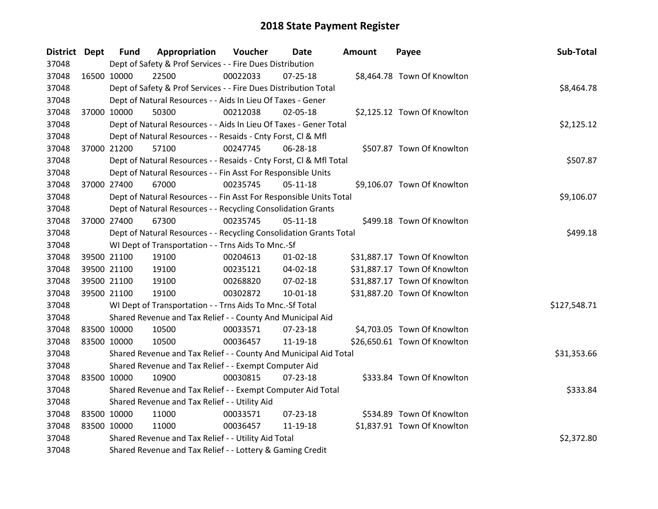| District Dept |             | <b>Fund</b> | Appropriation                                                      | Voucher  | Date           | <b>Amount</b> | Payee                        | Sub-Total    |
|---------------|-------------|-------------|--------------------------------------------------------------------|----------|----------------|---------------|------------------------------|--------------|
| 37048         |             |             | Dept of Safety & Prof Services - - Fire Dues Distribution          |          |                |               |                              |              |
| 37048         | 16500 10000 |             | 22500                                                              | 00022033 | 07-25-18       |               | \$8,464.78 Town Of Knowlton  |              |
| 37048         |             |             | Dept of Safety & Prof Services - - Fire Dues Distribution Total    |          |                |               |                              | \$8,464.78   |
| 37048         |             |             | Dept of Natural Resources - - Aids In Lieu Of Taxes - Gener        |          |                |               |                              |              |
| 37048         | 37000 10000 |             | 50300                                                              | 00212038 | 02-05-18       |               | \$2,125.12 Town Of Knowlton  |              |
| 37048         |             |             | Dept of Natural Resources - - Aids In Lieu Of Taxes - Gener Total  |          |                |               |                              | \$2,125.12   |
| 37048         |             |             | Dept of Natural Resources - - Resaids - Cnty Forst, Cl & Mfl       |          |                |               |                              |              |
| 37048         |             | 37000 21200 | 57100                                                              | 00247745 | 06-28-18       |               | \$507.87 Town Of Knowlton    |              |
| 37048         |             |             | Dept of Natural Resources - - Resaids - Cnty Forst, CI & Mfl Total |          |                |               |                              | \$507.87     |
| 37048         |             |             | Dept of Natural Resources - - Fin Asst For Responsible Units       |          |                |               |                              |              |
| 37048         |             | 37000 27400 | 67000                                                              | 00235745 | $05-11-18$     |               | \$9,106.07 Town Of Knowlton  |              |
| 37048         |             |             | Dept of Natural Resources - - Fin Asst For Responsible Units Total |          |                |               |                              | \$9,106.07   |
| 37048         |             |             | Dept of Natural Resources - - Recycling Consolidation Grants       |          |                |               |                              |              |
| 37048         | 37000 27400 |             | 67300                                                              | 00235745 | $05 - 11 - 18$ |               | \$499.18 Town Of Knowlton    |              |
| 37048         |             |             | Dept of Natural Resources - - Recycling Consolidation Grants Total | \$499.18 |                |               |                              |              |
| 37048         |             |             | WI Dept of Transportation - - Trns Aids To Mnc.-Sf                 |          |                |               |                              |              |
| 37048         | 39500 21100 |             | 19100                                                              | 00204613 | $01 - 02 - 18$ |               | \$31,887.17 Town Of Knowlton |              |
| 37048         | 39500 21100 |             | 19100                                                              | 00235121 | 04-02-18       |               | \$31,887.17 Town Of Knowlton |              |
| 37048         |             | 39500 21100 | 19100                                                              | 00268820 | $07 - 02 - 18$ |               | \$31,887.17 Town Of Knowlton |              |
| 37048         | 39500 21100 |             | 19100                                                              | 00302872 | $10 - 01 - 18$ |               | \$31,887.20 Town Of Knowlton |              |
| 37048         |             |             | WI Dept of Transportation - - Trns Aids To Mnc.-Sf Total           |          |                |               |                              | \$127,548.71 |
| 37048         |             |             | Shared Revenue and Tax Relief - - County And Municipal Aid         |          |                |               |                              |              |
| 37048         | 83500 10000 |             | 10500                                                              | 00033571 | $07 - 23 - 18$ |               | \$4,703.05 Town Of Knowlton  |              |
| 37048         | 83500 10000 |             | 10500                                                              | 00036457 | 11-19-18       |               | \$26,650.61 Town Of Knowlton |              |
| 37048         |             |             | Shared Revenue and Tax Relief - - County And Municipal Aid Total   |          |                |               |                              | \$31,353.66  |
| 37048         |             |             | Shared Revenue and Tax Relief - - Exempt Computer Aid              |          |                |               |                              |              |
| 37048         | 83500 10000 |             | 10900                                                              | 00030815 | $07 - 23 - 18$ |               | \$333.84 Town Of Knowlton    |              |
| 37048         |             |             | Shared Revenue and Tax Relief - - Exempt Computer Aid Total        |          |                |               |                              | \$333.84     |
| 37048         |             |             | Shared Revenue and Tax Relief - - Utility Aid                      |          |                |               |                              |              |
| 37048         | 83500 10000 |             | 11000                                                              | 00033571 | $07 - 23 - 18$ |               | \$534.89 Town Of Knowlton    |              |
| 37048         | 83500 10000 |             | 11000                                                              | 00036457 | 11-19-18       |               | \$1,837.91 Town Of Knowlton  |              |
| 37048         |             |             | Shared Revenue and Tax Relief - - Utility Aid Total                |          |                |               |                              | \$2,372.80   |
| 37048         |             |             | Shared Revenue and Tax Relief - - Lottery & Gaming Credit          |          |                |               |                              |              |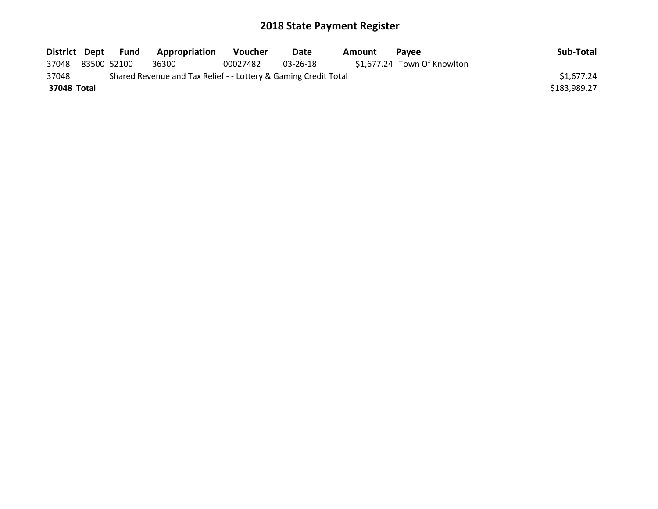| District Dept | Fund        | Appropriation                                                   | <b>Voucher</b> | Date     | Amount | <b>Pavee</b>                | Sub-Total    |
|---------------|-------------|-----------------------------------------------------------------|----------------|----------|--------|-----------------------------|--------------|
| 37048         | 83500 52100 | 36300                                                           | 00027482       | 03-26-18 |        | \$1,677.24 Town Of Knowlton |              |
| 37048         |             | Shared Revenue and Tax Relief - - Lottery & Gaming Credit Total |                |          |        |                             | \$1,677.24   |
| 37048 Total   |             |                                                                 |                |          |        |                             | \$183,989.27 |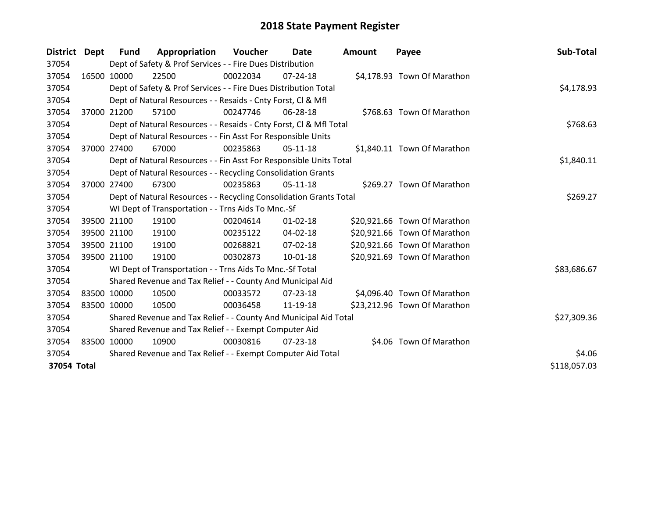| District    | Dept        | Fund        | Appropriation                                                      | <b>Voucher</b> | Date           | Amount | Payee                        | Sub-Total    |
|-------------|-------------|-------------|--------------------------------------------------------------------|----------------|----------------|--------|------------------------------|--------------|
| 37054       |             |             | Dept of Safety & Prof Services - - Fire Dues Distribution          |                |                |        |                              |              |
| 37054       | 16500 10000 |             | 22500                                                              | 00022034       | 07-24-18       |        | \$4,178.93 Town Of Marathon  |              |
| 37054       |             |             | Dept of Safety & Prof Services - - Fire Dues Distribution Total    |                |                |        |                              | \$4,178.93   |
| 37054       |             |             | Dept of Natural Resources - - Resaids - Cnty Forst, CI & Mfl       |                |                |        |                              |              |
| 37054       |             | 37000 21200 | 57100                                                              | 00247746       | 06-28-18       |        | \$768.63 Town Of Marathon    |              |
| 37054       |             |             | Dept of Natural Resources - - Resaids - Cnty Forst, Cl & Mfl Total |                |                |        |                              | \$768.63     |
| 37054       |             |             | Dept of Natural Resources - - Fin Asst For Responsible Units       |                |                |        |                              |              |
| 37054       | 37000       | 27400       | 67000                                                              | 00235863       | 05-11-18       |        | \$1,840.11 Town Of Marathon  |              |
| 37054       |             |             | Dept of Natural Resources - - Fin Asst For Responsible Units Total |                | \$1,840.11     |        |                              |              |
| 37054       |             |             | Dept of Natural Resources - - Recycling Consolidation Grants       |                |                |        |                              |              |
| 37054       |             | 37000 27400 | 67300                                                              | 00235863       | $05-11-18$     |        | \$269.27 Town Of Marathon    |              |
| 37054       |             |             | Dept of Natural Resources - - Recycling Consolidation Grants Total |                | \$269.27       |        |                              |              |
| 37054       |             |             | WI Dept of Transportation - - Trns Aids To Mnc.-Sf                 |                |                |        |                              |              |
| 37054       |             | 39500 21100 | 19100                                                              | 00204614       | $01 - 02 - 18$ |        | \$20,921.66 Town Of Marathon |              |
| 37054       | 39500 21100 |             | 19100                                                              | 00235122       | 04-02-18       |        | \$20,921.66 Town Of Marathon |              |
| 37054       |             | 39500 21100 | 19100                                                              | 00268821       | 07-02-18       |        | \$20,921.66 Town Of Marathon |              |
| 37054       |             | 39500 21100 | 19100                                                              | 00302873       | 10-01-18       |        | \$20,921.69 Town Of Marathon |              |
| 37054       |             |             | WI Dept of Transportation - - Trns Aids To Mnc.-Sf Total           |                |                |        |                              | \$83,686.67  |
| 37054       |             |             | Shared Revenue and Tax Relief - - County And Municipal Aid         |                |                |        |                              |              |
| 37054       | 83500 10000 |             | 10500                                                              | 00033572       | $07 - 23 - 18$ |        | \$4,096.40 Town Of Marathon  |              |
| 37054       | 83500 10000 |             | 10500                                                              | 00036458       | 11-19-18       |        | \$23,212.96 Town Of Marathon |              |
| 37054       |             |             | Shared Revenue and Tax Relief - - County And Municipal Aid Total   |                | \$27,309.36    |        |                              |              |
| 37054       |             |             | Shared Revenue and Tax Relief - - Exempt Computer Aid              |                |                |        |                              |              |
| 37054       | 83500 10000 |             | 10900                                                              | 00030816       | 07-23-18       |        | \$4.06 Town Of Marathon      |              |
| 37054       |             |             | Shared Revenue and Tax Relief - - Exempt Computer Aid Total        |                |                |        |                              | \$4.06       |
| 37054 Total |             |             |                                                                    |                |                |        |                              | \$118,057.03 |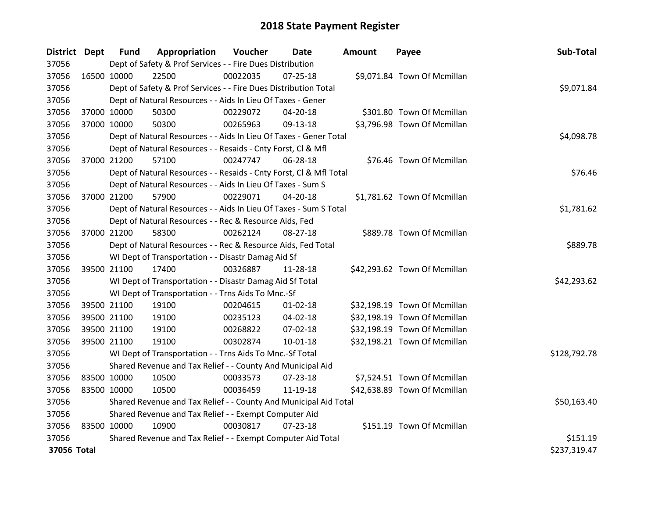| District Dept |             | <b>Fund</b> | Appropriation                                                      | Voucher  | Date           | <b>Amount</b> | Payee                        | Sub-Total    |
|---------------|-------------|-------------|--------------------------------------------------------------------|----------|----------------|---------------|------------------------------|--------------|
| 37056         |             |             | Dept of Safety & Prof Services - - Fire Dues Distribution          |          |                |               |                              |              |
| 37056         | 16500 10000 |             | 22500                                                              | 00022035 | $07 - 25 - 18$ |               | \$9,071.84 Town Of Mcmillan  |              |
| 37056         |             |             | Dept of Safety & Prof Services - - Fire Dues Distribution Total    |          |                |               |                              | \$9,071.84   |
| 37056         |             |             | Dept of Natural Resources - - Aids In Lieu Of Taxes - Gener        |          |                |               |                              |              |
| 37056         | 37000 10000 |             | 50300                                                              | 00229072 | 04-20-18       |               | \$301.80 Town Of Mcmillan    |              |
| 37056         | 37000 10000 |             | 50300                                                              | 00265963 | 09-13-18       |               | \$3,796.98 Town Of Mcmillan  |              |
| 37056         |             |             | Dept of Natural Resources - - Aids In Lieu Of Taxes - Gener Total  |          | \$4,098.78     |               |                              |              |
| 37056         |             |             | Dept of Natural Resources - - Resaids - Cnty Forst, Cl & Mfl       |          |                |               |                              |              |
| 37056         | 37000 21200 |             | 57100                                                              | 00247747 | 06-28-18       |               | \$76.46 Town Of Mcmillan     |              |
| 37056         |             |             | Dept of Natural Resources - - Resaids - Cnty Forst, CI & Mfl Total |          |                |               |                              | \$76.46      |
| 37056         |             |             | Dept of Natural Resources - - Aids In Lieu Of Taxes - Sum S        |          |                |               |                              |              |
| 37056         | 37000 21200 |             | 57900                                                              | 00229071 | 04-20-18       |               | \$1,781.62 Town Of Mcmillan  |              |
| 37056         |             |             | Dept of Natural Resources - - Aids In Lieu Of Taxes - Sum S Total  |          |                |               |                              | \$1,781.62   |
| 37056         |             |             | Dept of Natural Resources - - Rec & Resource Aids, Fed             |          |                |               |                              |              |
| 37056         | 37000 21200 |             | 58300                                                              | 00262124 | 08-27-18       |               | \$889.78 Town Of Mcmillan    |              |
| 37056         |             |             | Dept of Natural Resources - - Rec & Resource Aids, Fed Total       |          |                |               |                              | \$889.78     |
| 37056         |             |             | WI Dept of Transportation - - Disastr Damag Aid Sf                 |          |                |               |                              |              |
| 37056         | 39500 21100 |             | 17400                                                              | 00326887 | 11-28-18       |               | \$42,293.62 Town Of Mcmillan |              |
| 37056         |             |             | WI Dept of Transportation - - Disastr Damag Aid Sf Total           |          |                |               |                              | \$42,293.62  |
| 37056         |             |             | WI Dept of Transportation - - Trns Aids To Mnc.-Sf                 |          |                |               |                              |              |
| 37056         |             | 39500 21100 | 19100                                                              | 00204615 | $01 - 02 - 18$ |               | \$32,198.19 Town Of Mcmillan |              |
| 37056         |             | 39500 21100 | 19100                                                              | 00235123 | 04-02-18       |               | \$32,198.19 Town Of Mcmillan |              |
| 37056         |             | 39500 21100 | 19100                                                              | 00268822 | 07-02-18       |               | \$32,198.19 Town Of Mcmillan |              |
| 37056         | 39500 21100 |             | 19100                                                              | 00302874 | $10 - 01 - 18$ |               | \$32,198.21 Town Of Mcmillan |              |
| 37056         |             |             | WI Dept of Transportation - - Trns Aids To Mnc.-Sf Total           |          |                |               |                              | \$128,792.78 |
| 37056         |             |             | Shared Revenue and Tax Relief - - County And Municipal Aid         |          |                |               |                              |              |
| 37056         | 83500 10000 |             | 10500                                                              | 00033573 | 07-23-18       |               | \$7,524.51 Town Of Mcmillan  |              |
| 37056         | 83500 10000 |             | 10500                                                              | 00036459 | 11-19-18       |               | \$42,638.89 Town Of Mcmillan |              |
| 37056         |             |             | Shared Revenue and Tax Relief - - County And Municipal Aid Total   |          |                |               |                              | \$50,163.40  |
| 37056         |             |             | Shared Revenue and Tax Relief - - Exempt Computer Aid              |          |                |               |                              |              |
| 37056         | 83500 10000 |             | 10900                                                              | 00030817 | $07 - 23 - 18$ |               | \$151.19 Town Of Mcmillan    |              |
| 37056         |             |             | Shared Revenue and Tax Relief - - Exempt Computer Aid Total        |          |                |               |                              | \$151.19     |
| 37056 Total   |             |             |                                                                    |          |                |               |                              | \$237,319.47 |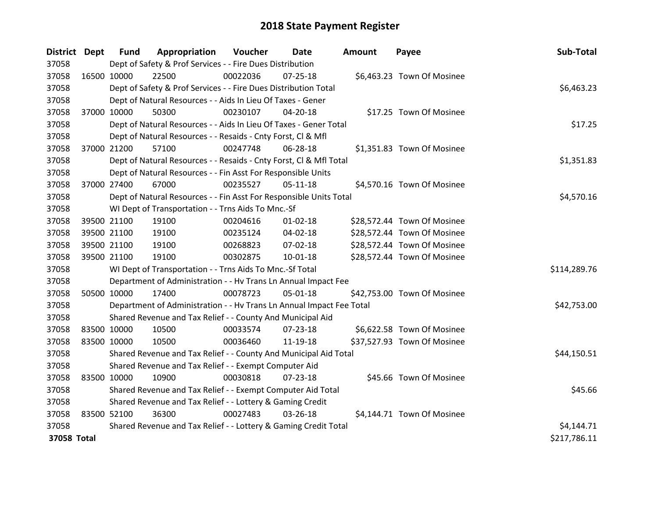| <b>District Dept</b> |             | <b>Fund</b> | Appropriation                                                        | Voucher  | <b>Date</b>    | Amount | Payee                       | Sub-Total    |
|----------------------|-------------|-------------|----------------------------------------------------------------------|----------|----------------|--------|-----------------------------|--------------|
| 37058                |             |             | Dept of Safety & Prof Services - - Fire Dues Distribution            |          |                |        |                             |              |
| 37058                | 16500 10000 |             | 22500                                                                | 00022036 | 07-25-18       |        | \$6,463.23 Town Of Mosinee  |              |
| 37058                |             |             | Dept of Safety & Prof Services - - Fire Dues Distribution Total      |          |                |        |                             | \$6,463.23   |
| 37058                |             |             | Dept of Natural Resources - - Aids In Lieu Of Taxes - Gener          |          |                |        |                             |              |
| 37058                | 37000 10000 |             | 50300                                                                | 00230107 | 04-20-18       |        | \$17.25 Town Of Mosinee     |              |
| 37058                |             |             | Dept of Natural Resources - - Aids In Lieu Of Taxes - Gener Total    |          |                |        |                             | \$17.25      |
| 37058                |             |             | Dept of Natural Resources - - Resaids - Cnty Forst, CI & Mfl         |          |                |        |                             |              |
| 37058                |             | 37000 21200 | 57100                                                                | 00247748 | 06-28-18       |        | \$1,351.83 Town Of Mosinee  |              |
| 37058                |             |             | Dept of Natural Resources - - Resaids - Cnty Forst, CI & Mfl Total   |          | \$1,351.83     |        |                             |              |
| 37058                |             |             | Dept of Natural Resources - - Fin Asst For Responsible Units         |          |                |        |                             |              |
| 37058                | 37000 27400 |             | 67000                                                                | 00235527 | $05-11-18$     |        | \$4,570.16 Town Of Mosinee  |              |
| 37058                |             |             | Dept of Natural Resources - - Fin Asst For Responsible Units Total   |          |                |        |                             | \$4,570.16   |
| 37058                |             |             | WI Dept of Transportation - - Trns Aids To Mnc.-Sf                   |          |                |        |                             |              |
| 37058                |             | 39500 21100 | 19100                                                                | 00204616 | $01 - 02 - 18$ |        | \$28,572.44 Town Of Mosinee |              |
| 37058                |             | 39500 21100 | 19100                                                                | 00235124 | 04-02-18       |        | \$28,572.44 Town Of Mosinee |              |
| 37058                |             | 39500 21100 | 19100                                                                | 00268823 | 07-02-18       |        | \$28,572.44 Town Of Mosinee |              |
| 37058                | 39500 21100 |             | 19100                                                                | 00302875 | $10 - 01 - 18$ |        | \$28,572.44 Town Of Mosinee |              |
| 37058                |             |             | WI Dept of Transportation - - Trns Aids To Mnc.-Sf Total             |          |                |        |                             | \$114,289.76 |
| 37058                |             |             | Department of Administration - - Hv Trans Ln Annual Impact Fee       |          |                |        |                             |              |
| 37058                |             | 50500 10000 | 17400                                                                | 00078723 | 05-01-18       |        | \$42,753.00 Town Of Mosinee |              |
| 37058                |             |             | Department of Administration - - Hv Trans Ln Annual Impact Fee Total |          |                |        |                             | \$42,753.00  |
| 37058                |             |             | Shared Revenue and Tax Relief - - County And Municipal Aid           |          |                |        |                             |              |
| 37058                | 83500 10000 |             | 10500                                                                | 00033574 | $07 - 23 - 18$ |        | \$6,622.58 Town Of Mosinee  |              |
| 37058                | 83500 10000 |             | 10500                                                                | 00036460 | 11-19-18       |        | \$37,527.93 Town Of Mosinee |              |
| 37058                |             |             | Shared Revenue and Tax Relief - - County And Municipal Aid Total     |          |                |        |                             | \$44,150.51  |
| 37058                |             |             | Shared Revenue and Tax Relief - - Exempt Computer Aid                |          |                |        |                             |              |
| 37058                | 83500 10000 |             | 10900                                                                | 00030818 | 07-23-18       |        | \$45.66 Town Of Mosinee     |              |
| 37058                |             |             | Shared Revenue and Tax Relief - - Exempt Computer Aid Total          |          |                |        |                             | \$45.66      |
| 37058                |             |             | Shared Revenue and Tax Relief - - Lottery & Gaming Credit            |          |                |        |                             |              |
| 37058                | 83500 52100 |             | 36300                                                                | 00027483 | 03-26-18       |        | \$4,144.71 Town Of Mosinee  |              |
| 37058                |             |             | Shared Revenue and Tax Relief - - Lottery & Gaming Credit Total      |          |                |        |                             | \$4,144.71   |
| 37058 Total          |             |             |                                                                      |          |                |        |                             | \$217,786.11 |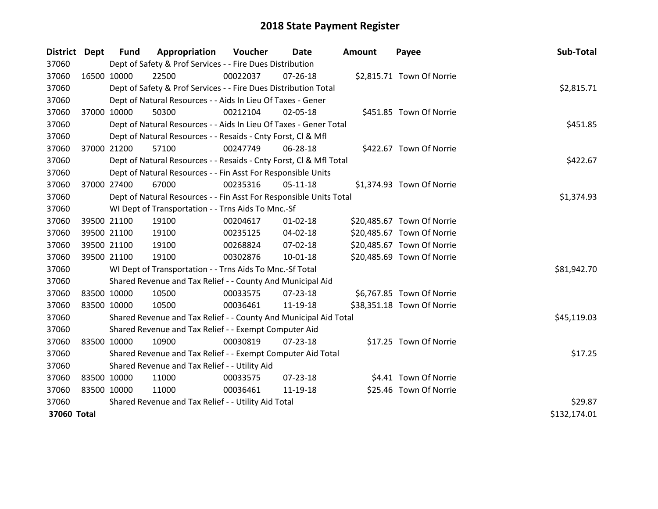| District Dept |             | <b>Fund</b> | Appropriation                                                      | Voucher  | Date           | Amount | Payee                      | Sub-Total    |
|---------------|-------------|-------------|--------------------------------------------------------------------|----------|----------------|--------|----------------------------|--------------|
| 37060         |             |             | Dept of Safety & Prof Services - - Fire Dues Distribution          |          |                |        |                            |              |
| 37060         | 16500 10000 |             | 22500                                                              | 00022037 | $07 - 26 - 18$ |        | \$2,815.71 Town Of Norrie  |              |
| 37060         |             |             | Dept of Safety & Prof Services - - Fire Dues Distribution Total    |          |                |        |                            | \$2,815.71   |
| 37060         |             |             | Dept of Natural Resources - - Aids In Lieu Of Taxes - Gener        |          |                |        |                            |              |
| 37060         |             | 37000 10000 | 50300                                                              | 00212104 | 02-05-18       |        | \$451.85 Town Of Norrie    |              |
| 37060         |             |             | Dept of Natural Resources - - Aids In Lieu Of Taxes - Gener Total  |          |                |        |                            | \$451.85     |
| 37060         |             |             | Dept of Natural Resources - - Resaids - Cnty Forst, CI & Mfl       |          |                |        |                            |              |
| 37060         |             | 37000 21200 | 57100                                                              | 00247749 | 06-28-18       |        | \$422.67 Town Of Norrie    |              |
| 37060         |             |             | Dept of Natural Resources - - Resaids - Cnty Forst, CI & Mfl Total |          |                |        |                            | \$422.67     |
| 37060         |             |             | Dept of Natural Resources - - Fin Asst For Responsible Units       |          |                |        |                            |              |
| 37060         |             | 37000 27400 | 67000                                                              | 00235316 | $05-11-18$     |        | \$1,374.93 Town Of Norrie  |              |
| 37060         |             |             | Dept of Natural Resources - - Fin Asst For Responsible Units Total |          |                |        |                            | \$1,374.93   |
| 37060         |             |             | WI Dept of Transportation - - Trns Aids To Mnc.-Sf                 |          |                |        |                            |              |
| 37060         |             | 39500 21100 | 19100                                                              | 00204617 | $01 - 02 - 18$ |        | \$20,485.67 Town Of Norrie |              |
| 37060         |             | 39500 21100 | 19100                                                              | 00235125 | 04-02-18       |        | \$20,485.67 Town Of Norrie |              |
| 37060         |             | 39500 21100 | 19100                                                              | 00268824 | 07-02-18       |        | \$20,485.67 Town Of Norrie |              |
| 37060         |             | 39500 21100 | 19100                                                              | 00302876 | $10 - 01 - 18$ |        | \$20,485.69 Town Of Norrie |              |
| 37060         |             |             | WI Dept of Transportation - - Trns Aids To Mnc.-Sf Total           |          |                |        |                            | \$81,942.70  |
| 37060         |             |             | Shared Revenue and Tax Relief - - County And Municipal Aid         |          |                |        |                            |              |
| 37060         | 83500 10000 |             | 10500                                                              | 00033575 | 07-23-18       |        | \$6,767.85 Town Of Norrie  |              |
| 37060         | 83500 10000 |             | 10500                                                              | 00036461 | 11-19-18       |        | \$38,351.18 Town Of Norrie |              |
| 37060         |             |             | Shared Revenue and Tax Relief - - County And Municipal Aid Total   |          |                |        |                            | \$45,119.03  |
| 37060         |             |             | Shared Revenue and Tax Relief - - Exempt Computer Aid              |          |                |        |                            |              |
| 37060         | 83500 10000 |             | 10900                                                              | 00030819 | $07 - 23 - 18$ |        | \$17.25 Town Of Norrie     |              |
| 37060         |             |             | Shared Revenue and Tax Relief - - Exempt Computer Aid Total        |          |                |        |                            | \$17.25      |
| 37060         |             |             | Shared Revenue and Tax Relief - - Utility Aid                      |          |                |        |                            |              |
| 37060         | 83500 10000 |             | 11000                                                              | 00033575 | 07-23-18       |        | \$4.41 Town Of Norrie      |              |
| 37060         | 83500 10000 |             | 11000                                                              | 00036461 | 11-19-18       |        | \$25.46 Town Of Norrie     |              |
| 37060         |             |             | Shared Revenue and Tax Relief - - Utility Aid Total                |          |                |        |                            | \$29.87      |
| 37060 Total   |             |             |                                                                    |          |                |        |                            | \$132,174.01 |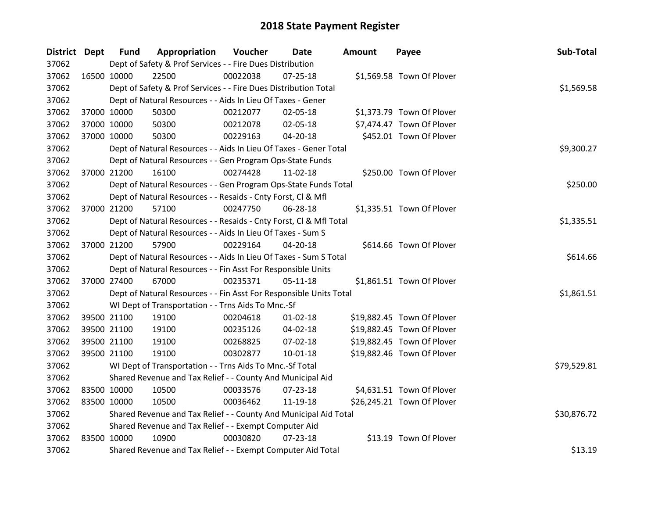| District Dept |             | <b>Fund</b> | Appropriation                                                      | Voucher  | Date           | <b>Amount</b> | Payee                      | Sub-Total   |
|---------------|-------------|-------------|--------------------------------------------------------------------|----------|----------------|---------------|----------------------------|-------------|
| 37062         |             |             | Dept of Safety & Prof Services - - Fire Dues Distribution          |          |                |               |                            |             |
| 37062         | 16500 10000 |             | 22500                                                              | 00022038 | $07 - 25 - 18$ |               | \$1,569.58 Town Of Plover  |             |
| 37062         |             |             | Dept of Safety & Prof Services - - Fire Dues Distribution Total    |          |                |               |                            | \$1,569.58  |
| 37062         |             |             | Dept of Natural Resources - - Aids In Lieu Of Taxes - Gener        |          |                |               |                            |             |
| 37062         |             | 37000 10000 | 50300                                                              | 00212077 | 02-05-18       |               | \$1,373.79 Town Of Plover  |             |
| 37062         |             | 37000 10000 | 50300                                                              | 00212078 | 02-05-18       |               | \$7,474.47 Town Of Plover  |             |
| 37062         |             | 37000 10000 | 50300                                                              | 00229163 | $04 - 20 - 18$ |               | \$452.01 Town Of Plover    |             |
| 37062         |             |             | Dept of Natural Resources - - Aids In Lieu Of Taxes - Gener Total  |          |                |               |                            | \$9,300.27  |
| 37062         |             |             | Dept of Natural Resources - - Gen Program Ops-State Funds          |          |                |               |                            |             |
| 37062         |             | 37000 21200 | 16100                                                              | 00274428 | $11-02-18$     |               | \$250.00 Town Of Plover    |             |
| 37062         |             |             | Dept of Natural Resources - - Gen Program Ops-State Funds Total    |          |                |               |                            | \$250.00    |
| 37062         |             |             | Dept of Natural Resources - - Resaids - Cnty Forst, Cl & Mfl       |          |                |               |                            |             |
| 37062         |             | 37000 21200 | 57100                                                              | 00247750 | 06-28-18       |               | \$1,335.51 Town Of Plover  |             |
| 37062         |             |             | Dept of Natural Resources - - Resaids - Cnty Forst, CI & Mfl Total |          |                |               |                            | \$1,335.51  |
| 37062         |             |             | Dept of Natural Resources - - Aids In Lieu Of Taxes - Sum S        |          |                |               |                            |             |
| 37062         |             | 37000 21200 | 57900                                                              | 00229164 | 04-20-18       |               | \$614.66 Town Of Plover    |             |
| 37062         |             |             | Dept of Natural Resources - - Aids In Lieu Of Taxes - Sum S Total  |          |                |               |                            | \$614.66    |
| 37062         |             |             | Dept of Natural Resources - - Fin Asst For Responsible Units       |          |                |               |                            |             |
| 37062         | 37000 27400 |             | 67000                                                              | 00235371 | $05-11-18$     |               | \$1,861.51 Town Of Plover  |             |
| 37062         |             |             | Dept of Natural Resources - - Fin Asst For Responsible Units Total |          |                |               |                            | \$1,861.51  |
| 37062         |             |             | WI Dept of Transportation - - Trns Aids To Mnc.-Sf                 |          |                |               |                            |             |
| 37062         |             | 39500 21100 | 19100                                                              | 00204618 | $01 - 02 - 18$ |               | \$19,882.45 Town Of Plover |             |
| 37062         |             | 39500 21100 | 19100                                                              | 00235126 | 04-02-18       |               | \$19,882.45 Town Of Plover |             |
| 37062         |             | 39500 21100 | 19100                                                              | 00268825 | 07-02-18       |               | \$19,882.45 Town Of Plover |             |
| 37062         |             | 39500 21100 | 19100                                                              | 00302877 | 10-01-18       |               | \$19,882.46 Town Of Plover |             |
| 37062         |             |             | WI Dept of Transportation - - Trns Aids To Mnc.-Sf Total           |          |                |               |                            | \$79,529.81 |
| 37062         |             |             | Shared Revenue and Tax Relief - - County And Municipal Aid         |          |                |               |                            |             |
| 37062         | 83500 10000 |             | 10500                                                              | 00033576 | $07 - 23 - 18$ |               | \$4,631.51 Town Of Plover  |             |
| 37062         | 83500 10000 |             | 10500                                                              | 00036462 | 11-19-18       |               | \$26,245.21 Town Of Plover |             |
| 37062         |             |             | Shared Revenue and Tax Relief - - County And Municipal Aid Total   |          |                |               |                            | \$30,876.72 |
| 37062         |             |             | Shared Revenue and Tax Relief - - Exempt Computer Aid              |          |                |               |                            |             |
| 37062         | 83500 10000 |             | 10900                                                              | 00030820 | $07 - 23 - 18$ |               | \$13.19 Town Of Plover     |             |
| 37062         |             |             | Shared Revenue and Tax Relief - - Exempt Computer Aid Total        |          |                |               |                            | \$13.19     |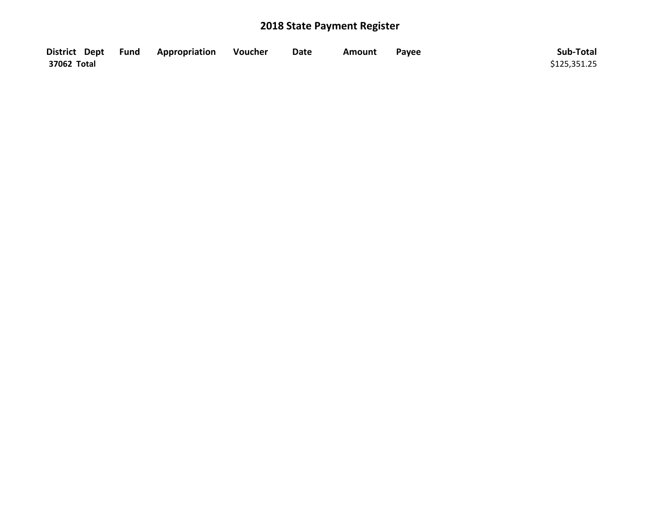| District Dept Fund | <b>Appropriation</b> | Voucher | <b>Date</b> | Amount | Pavee | Sub-Total    |
|--------------------|----------------------|---------|-------------|--------|-------|--------------|
| 37062 Total        |                      |         |             |        |       | \$125,351.25 |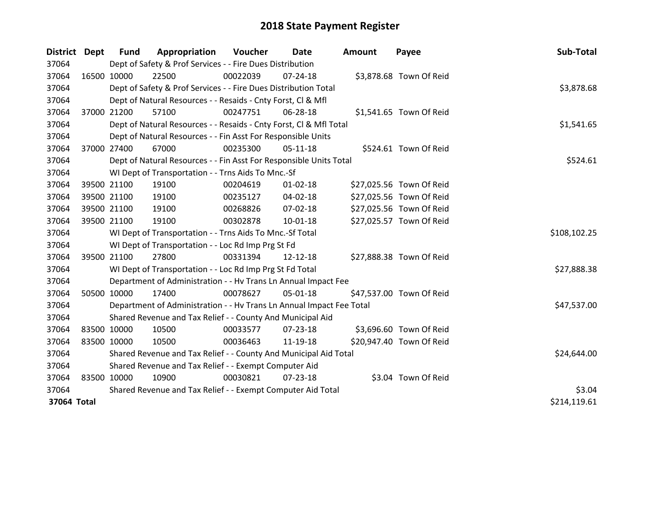| District    | <b>Dept</b> | <b>Fund</b> | Appropriation                                                        | Voucher     | Date           | Amount | Payee                    | Sub-Total    |
|-------------|-------------|-------------|----------------------------------------------------------------------|-------------|----------------|--------|--------------------------|--------------|
| 37064       |             |             | Dept of Safety & Prof Services - - Fire Dues Distribution            |             |                |        |                          |              |
| 37064       | 16500 10000 |             | 22500                                                                | 00022039    | 07-24-18       |        | \$3,878.68 Town Of Reid  |              |
| 37064       |             |             | Dept of Safety & Prof Services - - Fire Dues Distribution Total      |             |                |        |                          | \$3,878.68   |
| 37064       |             |             | Dept of Natural Resources - - Resaids - Cnty Forst, CI & Mfl         |             |                |        |                          |              |
| 37064       |             | 37000 21200 | 57100                                                                | 00247751    | 06-28-18       |        | \$1,541.65 Town Of Reid  |              |
| 37064       |             |             | Dept of Natural Resources - - Resaids - Cnty Forst, Cl & Mfl Total   |             |                |        |                          | \$1,541.65   |
| 37064       |             |             | Dept of Natural Resources - - Fin Asst For Responsible Units         |             |                |        |                          |              |
| 37064       | 37000 27400 |             | 67000                                                                | 00235300    | 05-11-18       |        | \$524.61 Town Of Reid    |              |
| 37064       |             |             | Dept of Natural Resources - - Fin Asst For Responsible Units Total   |             |                |        |                          | \$524.61     |
| 37064       |             |             | WI Dept of Transportation - - Trns Aids To Mnc.-Sf                   |             |                |        |                          |              |
| 37064       |             | 39500 21100 | 19100                                                                | 00204619    | $01 - 02 - 18$ |        | \$27,025.56 Town Of Reid |              |
| 37064       |             | 39500 21100 | 19100                                                                | 00235127    | $04 - 02 - 18$ |        | \$27,025.56 Town Of Reid |              |
| 37064       |             | 39500 21100 | 19100                                                                | 00268826    | 07-02-18       |        | \$27,025.56 Town Of Reid |              |
| 37064       | 39500 21100 |             | 19100                                                                | 00302878    | $10 - 01 - 18$ |        | \$27,025.57 Town Of Reid |              |
| 37064       |             |             | WI Dept of Transportation - - Trns Aids To Mnc.-Sf Total             |             |                |        |                          | \$108,102.25 |
| 37064       |             |             | WI Dept of Transportation - - Loc Rd Imp Prg St Fd                   |             |                |        |                          |              |
| 37064       | 39500 21100 |             | 27800                                                                | 00331394    | 12-12-18       |        | \$27,888.38 Town Of Reid |              |
| 37064       |             |             | WI Dept of Transportation - - Loc Rd Imp Prg St Fd Total             |             |                |        |                          | \$27,888.38  |
| 37064       |             |             | Department of Administration - - Hv Trans Ln Annual Impact Fee       |             |                |        |                          |              |
| 37064       | 50500 10000 |             | 17400                                                                | 00078627    | 05-01-18       |        | \$47,537.00 Town Of Reid |              |
| 37064       |             |             | Department of Administration - - Hv Trans Ln Annual Impact Fee Total |             |                |        |                          | \$47,537.00  |
| 37064       |             |             | Shared Revenue and Tax Relief - - County And Municipal Aid           |             |                |        |                          |              |
| 37064       | 83500 10000 |             | 10500                                                                | 00033577    | $07 - 23 - 18$ |        | \$3,696.60 Town Of Reid  |              |
| 37064       | 83500 10000 |             | 10500                                                                | 00036463    | 11-19-18       |        | \$20,947.40 Town Of Reid |              |
| 37064       |             |             | Shared Revenue and Tax Relief - - County And Municipal Aid Total     | \$24,644.00 |                |        |                          |              |
| 37064       |             |             | Shared Revenue and Tax Relief - - Exempt Computer Aid                |             |                |        |                          |              |
| 37064       | 83500 10000 |             | 10900                                                                | 00030821    | $07 - 23 - 18$ |        | \$3.04 Town Of Reid      |              |
| 37064       |             |             | Shared Revenue and Tax Relief - - Exempt Computer Aid Total          |             |                |        |                          | \$3.04       |
| 37064 Total |             |             |                                                                      |             |                |        |                          | \$214,119.61 |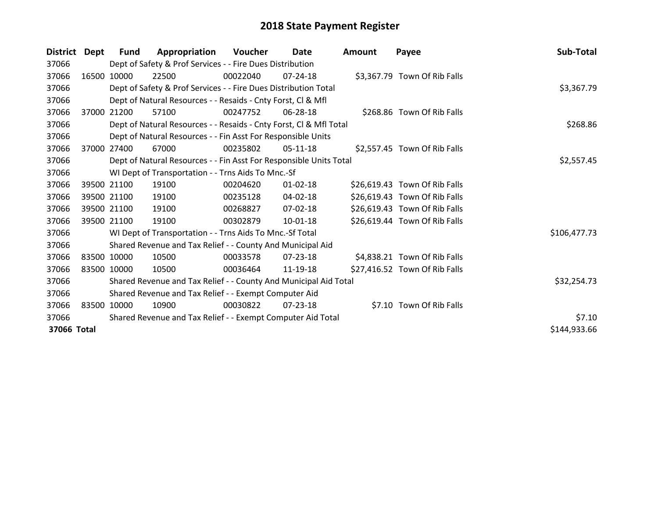| District    | Dept        | <b>Fund</b> | Appropriation                                                      | <b>Voucher</b> | <b>Date</b>    | <b>Amount</b> | Payee                         | Sub-Total    |
|-------------|-------------|-------------|--------------------------------------------------------------------|----------------|----------------|---------------|-------------------------------|--------------|
| 37066       |             |             | Dept of Safety & Prof Services - - Fire Dues Distribution          |                |                |               |                               |              |
| 37066       |             | 16500 10000 | 22500                                                              | 00022040       | $07 - 24 - 18$ |               | \$3,367.79 Town Of Rib Falls  |              |
| 37066       |             |             | Dept of Safety & Prof Services - - Fire Dues Distribution Total    |                |                |               |                               | \$3,367.79   |
| 37066       |             |             | Dept of Natural Resources - - Resaids - Cnty Forst, CI & Mfl       |                |                |               |                               |              |
| 37066       |             | 37000 21200 | 57100                                                              | 00247752       | 06-28-18       |               | \$268.86 Town Of Rib Falls    |              |
| 37066       |             |             | Dept of Natural Resources - - Resaids - Cnty Forst, CI & Mfl Total |                |                |               |                               | \$268.86     |
| 37066       |             |             | Dept of Natural Resources - - Fin Asst For Responsible Units       |                |                |               |                               |              |
| 37066       | 37000       | 27400       | 67000                                                              | 00235802       | $05-11-18$     |               | \$2,557.45 Town Of Rib Falls  |              |
| 37066       |             |             | Dept of Natural Resources - - Fin Asst For Responsible Units Total |                |                |               |                               | \$2,557.45   |
| 37066       |             |             | WI Dept of Transportation - - Trns Aids To Mnc.-Sf                 |                |                |               |                               |              |
| 37066       |             | 39500 21100 | 19100                                                              | 00204620       | 01-02-18       |               | \$26,619.43 Town Of Rib Falls |              |
| 37066       |             | 39500 21100 | 19100                                                              | 00235128       | 04-02-18       |               | \$26,619.43 Town Of Rib Falls |              |
| 37066       |             | 39500 21100 | 19100                                                              | 00268827       | 07-02-18       |               | \$26,619.43 Town Of Rib Falls |              |
| 37066       |             | 39500 21100 | 19100                                                              | 00302879       | 10-01-18       |               | \$26,619.44 Town Of Rib Falls |              |
| 37066       |             |             | WI Dept of Transportation - - Trns Aids To Mnc.-Sf Total           |                |                |               |                               | \$106,477.73 |
| 37066       |             |             | Shared Revenue and Tax Relief - - County And Municipal Aid         |                |                |               |                               |              |
| 37066       |             | 83500 10000 | 10500                                                              | 00033578       | $07 - 23 - 18$ |               | \$4,838.21 Town Of Rib Falls  |              |
| 37066       |             | 83500 10000 | 10500                                                              | 00036464       | 11-19-18       |               | \$27,416.52 Town Of Rib Falls |              |
| 37066       |             |             | Shared Revenue and Tax Relief - - County And Municipal Aid Total   |                |                |               |                               | \$32,254.73  |
| 37066       |             |             | Shared Revenue and Tax Relief - - Exempt Computer Aid              |                |                |               |                               |              |
| 37066       | 83500 10000 |             | 10900                                                              | 00030822       | $07 - 23 - 18$ |               | \$7.10 Town Of Rib Falls      |              |
| 37066       |             |             | Shared Revenue and Tax Relief - - Exempt Computer Aid Total        |                |                |               |                               | \$7.10       |
| 37066 Total |             |             |                                                                    |                |                |               |                               | \$144,933.66 |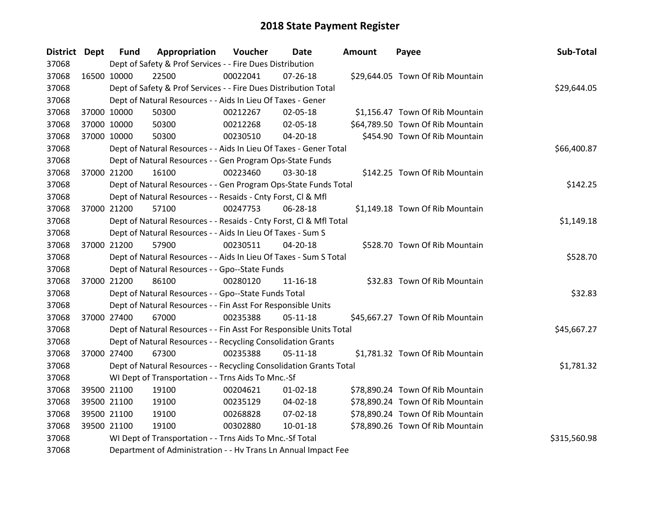| District Dept |             | <b>Fund</b> | Appropriation                                                      | Voucher  | <b>Date</b>    | <b>Amount</b> | Payee                            | Sub-Total    |
|---------------|-------------|-------------|--------------------------------------------------------------------|----------|----------------|---------------|----------------------------------|--------------|
| 37068         |             |             | Dept of Safety & Prof Services - - Fire Dues Distribution          |          |                |               |                                  |              |
| 37068         | 16500 10000 |             | 22500                                                              | 00022041 | $07 - 26 - 18$ |               | \$29,644.05 Town Of Rib Mountain |              |
| 37068         |             |             | Dept of Safety & Prof Services - - Fire Dues Distribution Total    |          |                |               |                                  | \$29,644.05  |
| 37068         |             |             | Dept of Natural Resources - - Aids In Lieu Of Taxes - Gener        |          |                |               |                                  |              |
| 37068         | 37000 10000 |             | 50300                                                              | 00212267 | 02-05-18       |               | \$1,156.47 Town Of Rib Mountain  |              |
| 37068         |             | 37000 10000 | 50300                                                              | 00212268 | $02 - 05 - 18$ |               | \$64,789.50 Town Of Rib Mountain |              |
| 37068         |             | 37000 10000 | 50300                                                              | 00230510 | $04 - 20 - 18$ |               | \$454.90 Town Of Rib Mountain    |              |
| 37068         |             |             | Dept of Natural Resources - - Aids In Lieu Of Taxes - Gener Total  |          |                |               |                                  | \$66,400.87  |
| 37068         |             |             | Dept of Natural Resources - - Gen Program Ops-State Funds          |          |                |               |                                  |              |
| 37068         | 37000 21200 |             | 16100                                                              | 00223460 | 03-30-18       |               | \$142.25 Town Of Rib Mountain    |              |
| 37068         |             |             | Dept of Natural Resources - - Gen Program Ops-State Funds Total    |          |                |               |                                  | \$142.25     |
| 37068         |             |             | Dept of Natural Resources - - Resaids - Cnty Forst, Cl & Mfl       |          |                |               |                                  |              |
| 37068         |             | 37000 21200 | 57100                                                              | 00247753 | 06-28-18       |               | \$1,149.18 Town Of Rib Mountain  |              |
| 37068         |             |             | Dept of Natural Resources - - Resaids - Cnty Forst, CI & Mfl Total |          |                |               |                                  | \$1,149.18   |
| 37068         |             |             | Dept of Natural Resources - - Aids In Lieu Of Taxes - Sum S        |          |                |               |                                  |              |
| 37068         | 37000 21200 |             | 57900                                                              | 00230511 | 04-20-18       |               | \$528.70 Town Of Rib Mountain    |              |
| 37068         |             |             | Dept of Natural Resources - - Aids In Lieu Of Taxes - Sum S Total  |          |                |               |                                  | \$528.70     |
| 37068         |             |             | Dept of Natural Resources - - Gpo--State Funds                     |          |                |               |                                  |              |
| 37068         |             | 37000 21200 | 86100                                                              | 00280120 | $11 - 16 - 18$ |               | \$32.83 Town Of Rib Mountain     |              |
| 37068         |             |             | Dept of Natural Resources - - Gpo--State Funds Total               |          |                |               |                                  | \$32.83      |
| 37068         |             |             | Dept of Natural Resources - - Fin Asst For Responsible Units       |          |                |               |                                  |              |
| 37068         |             | 37000 27400 | 67000                                                              | 00235388 | $05-11-18$     |               | \$45,667.27 Town Of Rib Mountain |              |
| 37068         |             |             | Dept of Natural Resources - - Fin Asst For Responsible Units Total |          |                |               |                                  | \$45,667.27  |
| 37068         |             |             | Dept of Natural Resources - - Recycling Consolidation Grants       |          |                |               |                                  |              |
| 37068         | 37000 27400 |             | 67300                                                              | 00235388 | $05 - 11 - 18$ |               | \$1,781.32 Town Of Rib Mountain  |              |
| 37068         |             |             | Dept of Natural Resources - - Recycling Consolidation Grants Total |          |                |               |                                  | \$1,781.32   |
| 37068         |             |             | WI Dept of Transportation - - Trns Aids To Mnc.-Sf                 |          |                |               |                                  |              |
| 37068         | 39500 21100 |             | 19100                                                              | 00204621 | $01 - 02 - 18$ |               | \$78,890.24 Town Of Rib Mountain |              |
| 37068         |             | 39500 21100 | 19100                                                              | 00235129 | 04-02-18       |               | \$78,890.24 Town Of Rib Mountain |              |
| 37068         |             | 39500 21100 | 19100                                                              | 00268828 | 07-02-18       |               | \$78,890.24 Town Of Rib Mountain |              |
| 37068         | 39500 21100 |             | 19100                                                              | 00302880 | $10 - 01 - 18$ |               | \$78,890.26 Town Of Rib Mountain |              |
| 37068         |             |             | WI Dept of Transportation - - Trns Aids To Mnc.-Sf Total           |          |                |               |                                  | \$315,560.98 |
| 37068         |             |             | Department of Administration - - Hv Trans Ln Annual Impact Fee     |          |                |               |                                  |              |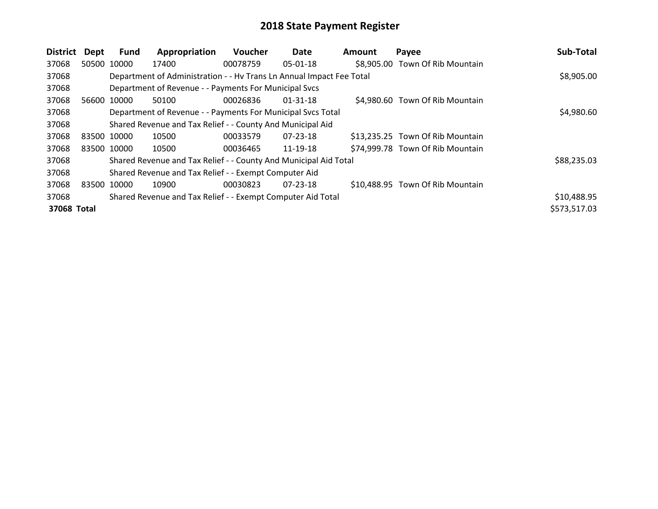| District    | Dept        | <b>Fund</b> | Appropriation                                                        | <b>Voucher</b> | Date           | Amount | Payee                            | Sub-Total    |
|-------------|-------------|-------------|----------------------------------------------------------------------|----------------|----------------|--------|----------------------------------|--------------|
| 37068       | 50500 10000 |             | 17400                                                                | 00078759       | $05-01-18$     |        | \$8,905.00 Town Of Rib Mountain  |              |
| 37068       |             |             | Department of Administration - - Hv Trans Ln Annual Impact Fee Total |                |                |        |                                  | \$8,905.00   |
| 37068       |             |             | Department of Revenue - - Payments For Municipal Svcs                |                |                |        |                                  |              |
| 37068       | 56600 10000 |             | 50100                                                                | 00026836       | $01 - 31 - 18$ |        | \$4,980.60 Town Of Rib Mountain  |              |
| 37068       |             |             | Department of Revenue - - Payments For Municipal Svcs Total          |                |                |        |                                  | \$4,980.60   |
| 37068       |             |             | Shared Revenue and Tax Relief - - County And Municipal Aid           |                |                |        |                                  |              |
| 37068       | 83500 10000 |             | 10500                                                                | 00033579       | 07-23-18       |        | \$13,235.25 Town Of Rib Mountain |              |
| 37068       | 83500 10000 |             | 10500                                                                | 00036465       | 11-19-18       |        | \$74,999.78 Town Of Rib Mountain |              |
| 37068       |             |             | Shared Revenue and Tax Relief - - County And Municipal Aid Total     |                |                |        |                                  | \$88,235.03  |
| 37068       |             |             | Shared Revenue and Tax Relief - - Exempt Computer Aid                |                |                |        |                                  |              |
| 37068       | 83500 10000 |             | 10900                                                                | 00030823       | $07 - 23 - 18$ |        | \$10,488.95 Town Of Rib Mountain |              |
| 37068       |             |             | Shared Revenue and Tax Relief - - Exempt Computer Aid Total          |                |                |        |                                  | \$10,488.95  |
| 37068 Total |             |             |                                                                      |                |                |        |                                  | \$573,517.03 |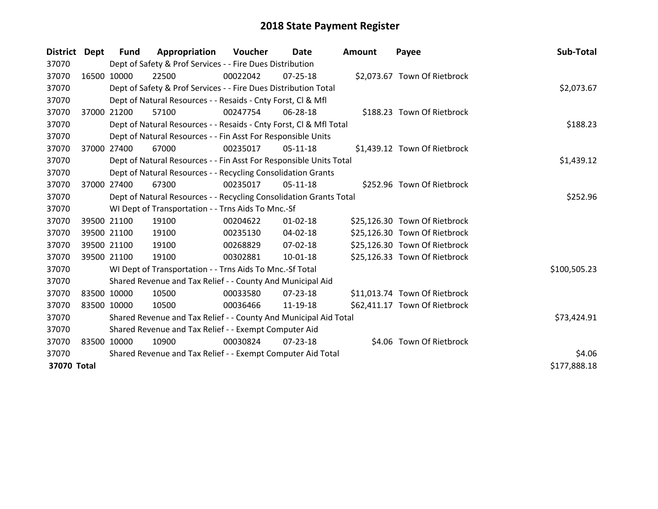| District Dept |              | <b>Fund</b> | Appropriation                                                      | Voucher     | Date           | Amount | Payee                         | Sub-Total    |
|---------------|--------------|-------------|--------------------------------------------------------------------|-------------|----------------|--------|-------------------------------|--------------|
| 37070         |              |             | Dept of Safety & Prof Services - - Fire Dues Distribution          |             |                |        |                               |              |
| 37070         | 16500 10000  |             | 22500                                                              | 00022042    | 07-25-18       |        | \$2,073.67 Town Of Rietbrock  |              |
| 37070         |              |             | Dept of Safety & Prof Services - - Fire Dues Distribution Total    |             |                |        |                               | \$2,073.67   |
| 37070         |              |             | Dept of Natural Resources - - Resaids - Cnty Forst, CI & Mfl       |             |                |        |                               |              |
| 37070         | 37000 21200  |             | 57100                                                              | 00247754    | $06 - 28 - 18$ |        | \$188.23 Town Of Rietbrock    |              |
| 37070         |              |             | Dept of Natural Resources - - Resaids - Cnty Forst, CI & Mfl Total |             |                |        |                               | \$188.23     |
| 37070         |              |             | Dept of Natural Resources - - Fin Asst For Responsible Units       |             |                |        |                               |              |
| 37070         | 37000        | 27400       | 67000                                                              | 00235017    | $05-11-18$     |        | \$1,439.12 Town Of Rietbrock  |              |
| 37070         |              |             | Dept of Natural Resources - - Fin Asst For Responsible Units Total |             | \$1,439.12     |        |                               |              |
| 37070         |              |             | Dept of Natural Resources - - Recycling Consolidation Grants       |             |                |        |                               |              |
| 37070         |              | 37000 27400 | 67300                                                              | 00235017    | $05-11-18$     |        | \$252.96 Town Of Rietbrock    |              |
| 37070         |              |             | Dept of Natural Resources - - Recycling Consolidation Grants Total |             | \$252.96       |        |                               |              |
| 37070         |              |             | WI Dept of Transportation - - Trns Aids To Mnc.-Sf                 |             |                |        |                               |              |
| 37070         |              | 39500 21100 | 19100                                                              | 00204622    | $01 - 02 - 18$ |        | \$25,126.30 Town Of Rietbrock |              |
| 37070         | 39500 21100  |             | 19100                                                              | 00235130    | 04-02-18       |        | \$25,126.30 Town Of Rietbrock |              |
| 37070         | 39500 21100  |             | 19100                                                              | 00268829    | $07 - 02 - 18$ |        | \$25,126.30 Town Of Rietbrock |              |
| 37070         |              | 39500 21100 | 19100                                                              | 00302881    | $10 - 01 - 18$ |        | \$25,126.33 Town Of Rietbrock |              |
| 37070         |              |             | WI Dept of Transportation - - Trns Aids To Mnc.-Sf Total           |             |                |        |                               | \$100,505.23 |
| 37070         |              |             | Shared Revenue and Tax Relief - - County And Municipal Aid         |             |                |        |                               |              |
| 37070         | 83500 10000  |             | 10500                                                              | 00033580    | 07-23-18       |        | \$11,013.74 Town Of Rietbrock |              |
| 37070         | 83500 10000  |             | 10500                                                              | 00036466    | 11-19-18       |        | \$62,411.17 Town Of Rietbrock |              |
| 37070         |              |             | Shared Revenue and Tax Relief - - County And Municipal Aid Total   | \$73,424.91 |                |        |                               |              |
| 37070         |              |             | Shared Revenue and Tax Relief - - Exempt Computer Aid              |             |                |        |                               |              |
| 37070         | 83500 10000  |             | 10900                                                              | 00030824    | 07-23-18       |        | \$4.06 Town Of Rietbrock      |              |
| 37070         |              |             | Shared Revenue and Tax Relief - - Exempt Computer Aid Total        |             |                |        |                               | \$4.06       |
| 37070 Total   | \$177,888.18 |             |                                                                    |             |                |        |                               |              |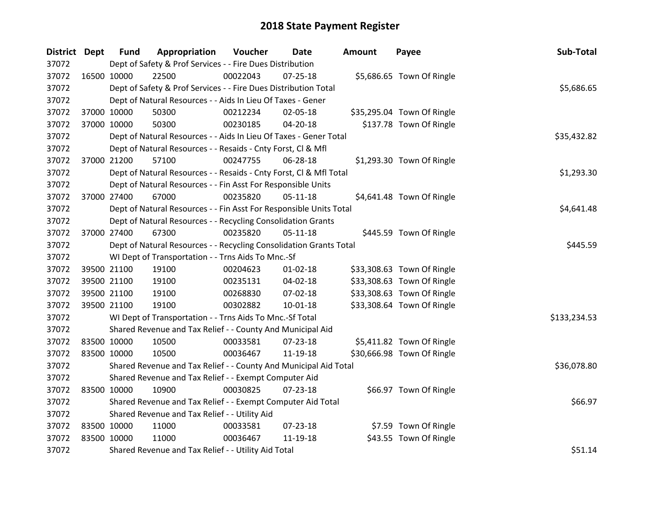| District Dept |             | <b>Fund</b> | Appropriation                                                      | Voucher  | Date           | <b>Amount</b> | Payee                      | Sub-Total    |  |  |
|---------------|-------------|-------------|--------------------------------------------------------------------|----------|----------------|---------------|----------------------------|--------------|--|--|
| 37072         |             |             | Dept of Safety & Prof Services - - Fire Dues Distribution          |          |                |               |                            |              |  |  |
| 37072         | 16500 10000 |             | 22500                                                              | 00022043 | $07 - 25 - 18$ |               | \$5,686.65 Town Of Ringle  |              |  |  |
| 37072         |             |             | Dept of Safety & Prof Services - - Fire Dues Distribution Total    |          |                |               |                            | \$5,686.65   |  |  |
| 37072         |             |             | Dept of Natural Resources - - Aids In Lieu Of Taxes - Gener        |          |                |               |                            |              |  |  |
| 37072         |             | 37000 10000 | 50300                                                              | 00212234 | 02-05-18       |               | \$35,295.04 Town Of Ringle |              |  |  |
| 37072         |             | 37000 10000 | 50300                                                              | 00230185 | 04-20-18       |               | \$137.78 Town Of Ringle    |              |  |  |
| 37072         |             |             | Dept of Natural Resources - - Aids In Lieu Of Taxes - Gener Total  |          |                |               |                            | \$35,432.82  |  |  |
| 37072         |             |             | Dept of Natural Resources - - Resaids - Cnty Forst, Cl & Mfl       |          |                |               |                            |              |  |  |
| 37072         |             | 37000 21200 | 57100                                                              | 00247755 | 06-28-18       |               | \$1,293.30 Town Of Ringle  |              |  |  |
| 37072         |             |             | Dept of Natural Resources - - Resaids - Cnty Forst, Cl & Mfl Total |          |                |               |                            | \$1,293.30   |  |  |
| 37072         |             |             | Dept of Natural Resources - - Fin Asst For Responsible Units       |          |                |               |                            |              |  |  |
| 37072         |             | 37000 27400 | 67000                                                              | 00235820 | $05-11-18$     |               | \$4,641.48 Town Of Ringle  |              |  |  |
| 37072         |             |             | Dept of Natural Resources - - Fin Asst For Responsible Units Total |          |                |               |                            | \$4,641.48   |  |  |
| 37072         |             |             | Dept of Natural Resources - - Recycling Consolidation Grants       |          |                |               |                            |              |  |  |
| 37072         |             | 37000 27400 | 67300                                                              | 00235820 | $05 - 11 - 18$ |               | \$445.59 Town Of Ringle    |              |  |  |
| 37072         |             |             | Dept of Natural Resources - - Recycling Consolidation Grants Total |          |                |               |                            | \$445.59     |  |  |
| 37072         |             |             | WI Dept of Transportation - - Trns Aids To Mnc.-Sf                 |          |                |               |                            |              |  |  |
| 37072         |             | 39500 21100 | 19100                                                              | 00204623 | $01 - 02 - 18$ |               | \$33,308.63 Town Of Ringle |              |  |  |
| 37072         |             | 39500 21100 | 19100                                                              | 00235131 | 04-02-18       |               | \$33,308.63 Town Of Ringle |              |  |  |
| 37072         |             | 39500 21100 | 19100                                                              | 00268830 | 07-02-18       |               | \$33,308.63 Town Of Ringle |              |  |  |
| 37072         |             | 39500 21100 | 19100                                                              | 00302882 | 10-01-18       |               | \$33,308.64 Town Of Ringle |              |  |  |
| 37072         |             |             | WI Dept of Transportation - - Trns Aids To Mnc.-Sf Total           |          |                |               |                            | \$133,234.53 |  |  |
| 37072         |             |             | Shared Revenue and Tax Relief - - County And Municipal Aid         |          |                |               |                            |              |  |  |
| 37072         |             | 83500 10000 | 10500                                                              | 00033581 | 07-23-18       |               | \$5,411.82 Town Of Ringle  |              |  |  |
| 37072         | 83500 10000 |             | 10500                                                              | 00036467 | 11-19-18       |               | \$30,666.98 Town Of Ringle |              |  |  |
| 37072         |             |             | Shared Revenue and Tax Relief - - County And Municipal Aid Total   |          |                |               |                            | \$36,078.80  |  |  |
| 37072         |             |             | Shared Revenue and Tax Relief - - Exempt Computer Aid              |          |                |               |                            |              |  |  |
| 37072         | 83500 10000 |             | 10900                                                              | 00030825 | $07 - 23 - 18$ |               | \$66.97 Town Of Ringle     |              |  |  |
| 37072         |             |             | Shared Revenue and Tax Relief - - Exempt Computer Aid Total        |          |                |               |                            | \$66.97      |  |  |
| 37072         |             |             | Shared Revenue and Tax Relief - - Utility Aid                      |          |                |               |                            |              |  |  |
| 37072         | 83500 10000 |             | 11000                                                              | 00033581 | 07-23-18       |               | \$7.59 Town Of Ringle      |              |  |  |
| 37072         | 83500 10000 |             | 11000                                                              | 00036467 | 11-19-18       |               | \$43.55 Town Of Ringle     |              |  |  |
| 37072         |             |             | Shared Revenue and Tax Relief - - Utility Aid Total                |          |                |               |                            | \$51.14      |  |  |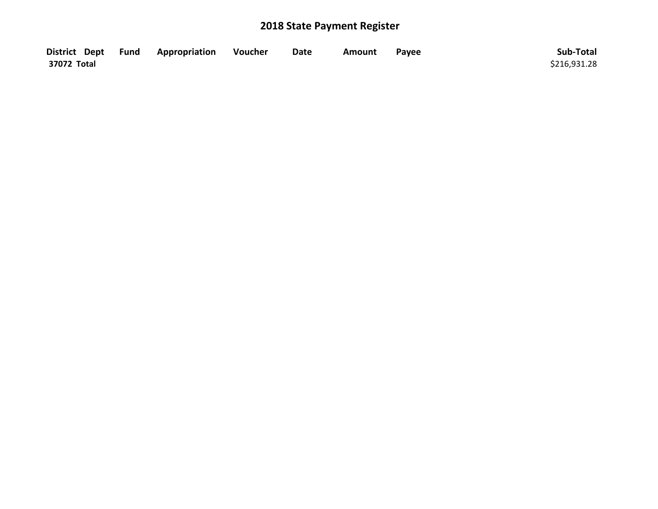|             | District Dept Fund Appropriation | Voucher | <b>Date</b> | Amount | Pavee | Sub-Total    |
|-------------|----------------------------------|---------|-------------|--------|-------|--------------|
| 37072 Total |                                  |         |             |        |       | \$216,931.28 |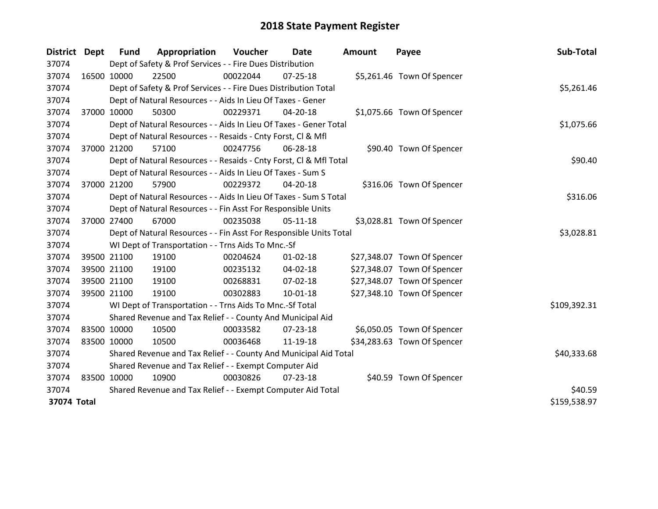| <b>District</b> | <b>Dept</b> | <b>Fund</b> | Appropriation                                                      | Voucher  | Date           | Amount | Payee                       | Sub-Total    |
|-----------------|-------------|-------------|--------------------------------------------------------------------|----------|----------------|--------|-----------------------------|--------------|
| 37074           |             |             | Dept of Safety & Prof Services - - Fire Dues Distribution          |          |                |        |                             |              |
| 37074           | 16500 10000 |             | 22500                                                              | 00022044 | 07-25-18       |        | \$5,261.46 Town Of Spencer  |              |
| 37074           |             |             | Dept of Safety & Prof Services - - Fire Dues Distribution Total    |          |                |        |                             | \$5,261.46   |
| 37074           |             |             | Dept of Natural Resources - - Aids In Lieu Of Taxes - Gener        |          |                |        |                             |              |
| 37074           | 37000 10000 |             | 50300                                                              | 00229371 | 04-20-18       |        | \$1,075.66 Town Of Spencer  |              |
| 37074           |             |             | Dept of Natural Resources - - Aids In Lieu Of Taxes - Gener Total  |          |                |        |                             | \$1,075.66   |
| 37074           |             |             | Dept of Natural Resources - - Resaids - Cnty Forst, CI & Mfl       |          |                |        |                             |              |
| 37074           | 37000 21200 |             | 57100                                                              | 00247756 | 06-28-18       |        | \$90.40 Town Of Spencer     |              |
| 37074           |             |             | Dept of Natural Resources - - Resaids - Cnty Forst, Cl & Mfl Total |          |                |        |                             | \$90.40      |
| 37074           |             |             | Dept of Natural Resources - - Aids In Lieu Of Taxes - Sum S        |          |                |        |                             |              |
| 37074           |             | 37000 21200 | 57900                                                              | 00229372 | 04-20-18       |        | \$316.06 Town Of Spencer    |              |
| 37074           |             |             | Dept of Natural Resources - - Aids In Lieu Of Taxes - Sum S Total  |          |                |        |                             | \$316.06     |
| 37074           |             |             | Dept of Natural Resources - - Fin Asst For Responsible Units       |          |                |        |                             |              |
| 37074           | 37000 27400 |             | 67000                                                              | 00235038 | $05-11-18$     |        | \$3,028.81 Town Of Spencer  |              |
| 37074           |             |             | Dept of Natural Resources - - Fin Asst For Responsible Units Total |          |                |        |                             | \$3,028.81   |
| 37074           |             |             | WI Dept of Transportation - - Trns Aids To Mnc.-Sf                 |          |                |        |                             |              |
| 37074           |             | 39500 21100 | 19100                                                              | 00204624 | $01 - 02 - 18$ |        | \$27,348.07 Town Of Spencer |              |
| 37074           |             | 39500 21100 | 19100                                                              | 00235132 | 04-02-18       |        | \$27,348.07 Town Of Spencer |              |
| 37074           |             | 39500 21100 | 19100                                                              | 00268831 | 07-02-18       |        | \$27,348.07 Town Of Spencer |              |
| 37074           | 39500 21100 |             | 19100                                                              | 00302883 | $10 - 01 - 18$ |        | \$27,348.10 Town Of Spencer |              |
| 37074           |             |             | WI Dept of Transportation - - Trns Aids To Mnc.-Sf Total           |          |                |        |                             | \$109,392.31 |
| 37074           |             |             | Shared Revenue and Tax Relief - - County And Municipal Aid         |          |                |        |                             |              |
| 37074           | 83500 10000 |             | 10500                                                              | 00033582 | 07-23-18       |        | \$6,050.05 Town Of Spencer  |              |
| 37074           | 83500 10000 |             | 10500                                                              | 00036468 | 11-19-18       |        | \$34,283.63 Town Of Spencer |              |
| 37074           |             |             | Shared Revenue and Tax Relief - - County And Municipal Aid Total   |          |                |        |                             | \$40,333.68  |
| 37074           |             |             | Shared Revenue and Tax Relief - - Exempt Computer Aid              |          |                |        |                             |              |
| 37074           | 83500 10000 |             | 10900                                                              | 00030826 | $07 - 23 - 18$ |        | \$40.59 Town Of Spencer     |              |
| 37074           |             |             | Shared Revenue and Tax Relief - - Exempt Computer Aid Total        |          |                |        |                             | \$40.59      |
| 37074 Total     |             |             |                                                                    |          |                |        |                             | \$159,538.97 |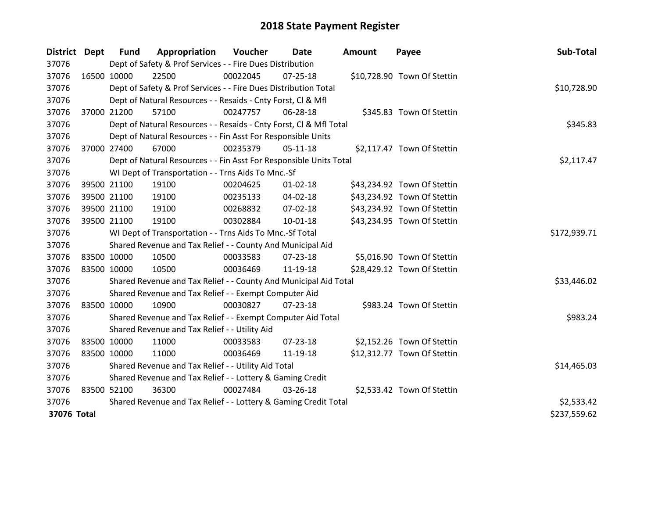| District Dept |             | <b>Fund</b> | Appropriation                                                      | Voucher  | Date           | <b>Amount</b> | Payee                       | Sub-Total    |
|---------------|-------------|-------------|--------------------------------------------------------------------|----------|----------------|---------------|-----------------------------|--------------|
| 37076         |             |             | Dept of Safety & Prof Services - - Fire Dues Distribution          |          |                |               |                             |              |
| 37076         | 16500 10000 |             | 22500                                                              | 00022045 | $07 - 25 - 18$ |               | \$10,728.90 Town Of Stettin |              |
| 37076         |             |             | Dept of Safety & Prof Services - - Fire Dues Distribution Total    |          |                |               |                             | \$10,728.90  |
| 37076         |             |             | Dept of Natural Resources - - Resaids - Cnty Forst, CI & Mfl       |          |                |               |                             |              |
| 37076         |             | 37000 21200 | 57100                                                              | 00247757 | 06-28-18       |               | \$345.83 Town Of Stettin    |              |
| 37076         |             |             | Dept of Natural Resources - - Resaids - Cnty Forst, CI & Mfl Total |          |                |               |                             | \$345.83     |
| 37076         |             |             | Dept of Natural Resources - - Fin Asst For Responsible Units       |          |                |               |                             |              |
| 37076         |             | 37000 27400 | 67000                                                              | 00235379 | $05-11-18$     |               | \$2,117.47 Town Of Stettin  |              |
| 37076         |             |             | Dept of Natural Resources - - Fin Asst For Responsible Units Total |          |                |               |                             | \$2,117.47   |
| 37076         |             |             | WI Dept of Transportation - - Trns Aids To Mnc.-Sf                 |          |                |               |                             |              |
| 37076         |             | 39500 21100 | 19100                                                              | 00204625 | $01 - 02 - 18$ |               | \$43,234.92 Town Of Stettin |              |
| 37076         |             | 39500 21100 | 19100                                                              | 00235133 | 04-02-18       |               | \$43,234.92 Town Of Stettin |              |
| 37076         |             | 39500 21100 | 19100                                                              | 00268832 | 07-02-18       |               | \$43,234.92 Town Of Stettin |              |
| 37076         |             | 39500 21100 | 19100                                                              | 00302884 | $10 - 01 - 18$ |               | \$43,234.95 Town Of Stettin |              |
| 37076         |             |             | WI Dept of Transportation - - Trns Aids To Mnc.-Sf Total           |          |                |               |                             | \$172,939.71 |
| 37076         |             |             | Shared Revenue and Tax Relief - - County And Municipal Aid         |          |                |               |                             |              |
| 37076         | 83500 10000 |             | 10500                                                              | 00033583 | 07-23-18       |               | \$5,016.90 Town Of Stettin  |              |
| 37076         | 83500 10000 |             | 10500                                                              | 00036469 | 11-19-18       |               | \$28,429.12 Town Of Stettin |              |
| 37076         |             |             | Shared Revenue and Tax Relief - - County And Municipal Aid Total   |          |                |               |                             | \$33,446.02  |
| 37076         |             |             | Shared Revenue and Tax Relief - - Exempt Computer Aid              |          |                |               |                             |              |
| 37076         |             | 83500 10000 | 10900                                                              | 00030827 | $07 - 23 - 18$ |               | \$983.24 Town Of Stettin    |              |
| 37076         |             |             | Shared Revenue and Tax Relief - - Exempt Computer Aid Total        |          |                |               |                             | \$983.24     |
| 37076         |             |             | Shared Revenue and Tax Relief - - Utility Aid                      |          |                |               |                             |              |
| 37076         | 83500 10000 |             | 11000                                                              | 00033583 | $07 - 23 - 18$ |               | \$2,152.26 Town Of Stettin  |              |
| 37076         | 83500 10000 |             | 11000                                                              | 00036469 | 11-19-18       |               | \$12,312.77 Town Of Stettin |              |
| 37076         |             |             | Shared Revenue and Tax Relief - - Utility Aid Total                |          |                |               |                             | \$14,465.03  |
| 37076         |             |             | Shared Revenue and Tax Relief - - Lottery & Gaming Credit          |          |                |               |                             |              |
| 37076         | 83500 52100 |             | 36300                                                              | 00027484 | 03-26-18       |               | \$2,533.42 Town Of Stettin  |              |
| 37076         |             |             | Shared Revenue and Tax Relief - - Lottery & Gaming Credit Total    |          | \$2,533.42     |               |                             |              |
| 37076 Total   |             |             |                                                                    |          |                |               |                             | \$237,559.62 |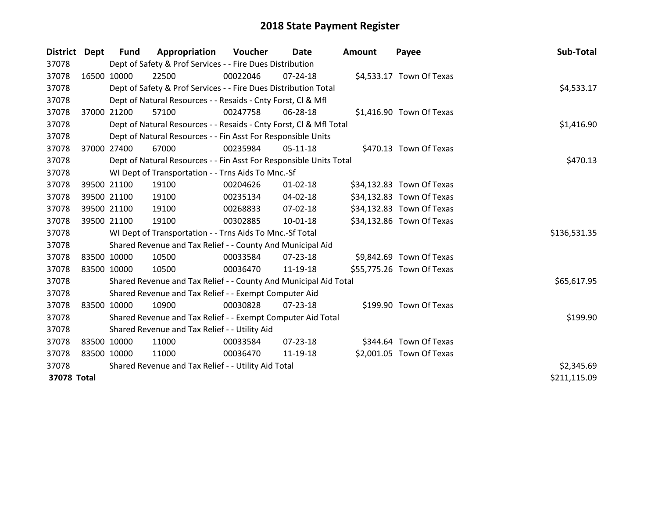| District Dept |             | Fund        | Appropriation                                                      | Voucher  | Date           | <b>Amount</b> | Payee                     | Sub-Total    |
|---------------|-------------|-------------|--------------------------------------------------------------------|----------|----------------|---------------|---------------------------|--------------|
| 37078         |             |             | Dept of Safety & Prof Services - - Fire Dues Distribution          |          |                |               |                           |              |
| 37078         |             | 16500 10000 | 22500                                                              | 00022046 | $07 - 24 - 18$ |               | \$4,533.17 Town Of Texas  |              |
| 37078         |             |             | Dept of Safety & Prof Services - - Fire Dues Distribution Total    |          |                |               |                           | \$4,533.17   |
| 37078         |             |             | Dept of Natural Resources - - Resaids - Cnty Forst, CI & Mfl       |          |                |               |                           |              |
| 37078         |             | 37000 21200 | 57100                                                              | 00247758 | 06-28-18       |               | \$1,416.90 Town Of Texas  |              |
| 37078         |             |             | Dept of Natural Resources - - Resaids - Cnty Forst, Cl & Mfl Total |          |                |               |                           | \$1,416.90   |
| 37078         |             |             | Dept of Natural Resources - - Fin Asst For Responsible Units       |          |                |               |                           |              |
| 37078         | 37000 27400 |             | 67000                                                              | 00235984 | $05-11-18$     |               | \$470.13 Town Of Texas    |              |
| 37078         |             |             | Dept of Natural Resources - - Fin Asst For Responsible Units Total |          |                |               |                           | \$470.13     |
| 37078         |             |             | WI Dept of Transportation - - Trns Aids To Mnc.-Sf                 |          |                |               |                           |              |
| 37078         |             | 39500 21100 | 19100                                                              | 00204626 | $01 - 02 - 18$ |               | \$34,132.83 Town Of Texas |              |
| 37078         |             | 39500 21100 | 19100                                                              | 00235134 | 04-02-18       |               | \$34,132.83 Town Of Texas |              |
| 37078         |             | 39500 21100 | 19100                                                              | 00268833 | $07 - 02 - 18$ |               | \$34,132.83 Town Of Texas |              |
| 37078         |             | 39500 21100 | 19100                                                              | 00302885 | $10 - 01 - 18$ |               | \$34,132.86 Town Of Texas |              |
| 37078         |             |             | WI Dept of Transportation - - Trns Aids To Mnc.-Sf Total           |          |                |               |                           | \$136,531.35 |
| 37078         |             |             | Shared Revenue and Tax Relief - - County And Municipal Aid         |          |                |               |                           |              |
| 37078         | 83500 10000 |             | 10500                                                              | 00033584 | $07 - 23 - 18$ |               | \$9,842.69 Town Of Texas  |              |
| 37078         |             | 83500 10000 | 10500                                                              | 00036470 | 11-19-18       |               | \$55,775.26 Town Of Texas |              |
| 37078         |             |             | Shared Revenue and Tax Relief - - County And Municipal Aid Total   |          |                |               |                           | \$65,617.95  |
| 37078         |             |             | Shared Revenue and Tax Relief - - Exempt Computer Aid              |          |                |               |                           |              |
| 37078         |             | 83500 10000 | 10900                                                              | 00030828 | 07-23-18       |               | \$199.90 Town Of Texas    |              |
| 37078         |             |             | Shared Revenue and Tax Relief - - Exempt Computer Aid Total        |          |                |               |                           | \$199.90     |
| 37078         |             |             | Shared Revenue and Tax Relief - - Utility Aid                      |          |                |               |                           |              |
| 37078         | 83500 10000 |             | 11000                                                              | 00033584 | $07 - 23 - 18$ |               | \$344.64 Town Of Texas    |              |
| 37078         |             | 83500 10000 | 11000                                                              | 00036470 | 11-19-18       |               | \$2,001.05 Town Of Texas  |              |
| 37078         |             |             | Shared Revenue and Tax Relief - - Utility Aid Total                |          |                |               |                           | \$2,345.69   |
| 37078 Total   |             |             |                                                                    |          |                |               |                           | \$211,115.09 |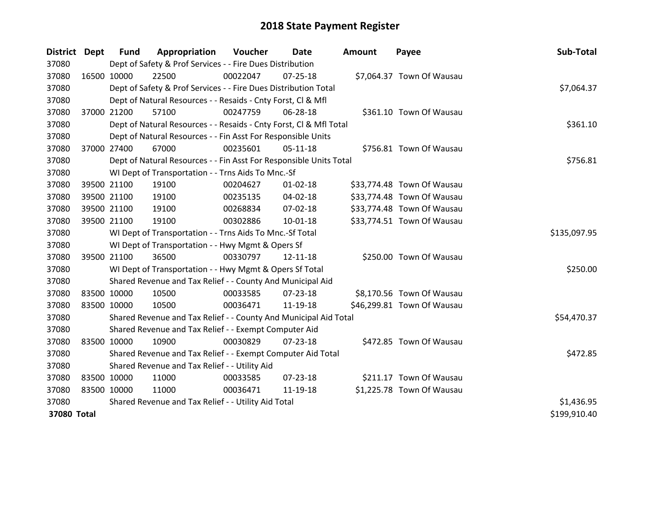| <b>District</b> | <b>Dept</b> | <b>Fund</b> | Appropriation                                                      | Voucher  | Date           | <b>Amount</b> | Payee                      | Sub-Total    |
|-----------------|-------------|-------------|--------------------------------------------------------------------|----------|----------------|---------------|----------------------------|--------------|
| 37080           |             |             | Dept of Safety & Prof Services - - Fire Dues Distribution          |          |                |               |                            |              |
| 37080           | 16500 10000 |             | 22500                                                              | 00022047 | $07 - 25 - 18$ |               | \$7,064.37 Town Of Wausau  |              |
| 37080           |             |             | Dept of Safety & Prof Services - - Fire Dues Distribution Total    |          |                |               |                            | \$7,064.37   |
| 37080           |             |             | Dept of Natural Resources - - Resaids - Cnty Forst, Cl & Mfl       |          |                |               |                            |              |
| 37080           | 37000 21200 |             | 57100                                                              | 00247759 | 06-28-18       |               | \$361.10 Town Of Wausau    |              |
| 37080           |             |             | Dept of Natural Resources - - Resaids - Cnty Forst, Cl & Mfl Total |          |                |               |                            | \$361.10     |
| 37080           |             |             | Dept of Natural Resources - - Fin Asst For Responsible Units       |          |                |               |                            |              |
| 37080           | 37000 27400 |             | 67000                                                              | 00235601 | $05-11-18$     |               | \$756.81 Town Of Wausau    |              |
| 37080           |             |             | Dept of Natural Resources - - Fin Asst For Responsible Units Total |          |                |               |                            | \$756.81     |
| 37080           |             |             | WI Dept of Transportation - - Trns Aids To Mnc.-Sf                 |          |                |               |                            |              |
| 37080           |             | 39500 21100 | 19100                                                              | 00204627 | $01 - 02 - 18$ |               | \$33,774.48 Town Of Wausau |              |
| 37080           | 39500 21100 |             | 19100                                                              | 00235135 | $04 - 02 - 18$ |               | \$33,774.48 Town Of Wausau |              |
| 37080           |             | 39500 21100 | 19100                                                              | 00268834 | 07-02-18       |               | \$33,774.48 Town Of Wausau |              |
| 37080           | 39500 21100 |             | 19100                                                              | 00302886 | $10 - 01 - 18$ |               | \$33,774.51 Town Of Wausau |              |
| 37080           |             |             | WI Dept of Transportation - - Trns Aids To Mnc.-Sf Total           |          |                |               |                            | \$135,097.95 |
| 37080           |             |             | WI Dept of Transportation - - Hwy Mgmt & Opers Sf                  |          |                |               |                            |              |
| 37080           | 39500 21100 |             | 36500                                                              | 00330797 | 12-11-18       |               | \$250.00 Town Of Wausau    |              |
| 37080           |             |             | WI Dept of Transportation - - Hwy Mgmt & Opers Sf Total            |          |                |               |                            | \$250.00     |
| 37080           |             |             | Shared Revenue and Tax Relief - - County And Municipal Aid         |          |                |               |                            |              |
| 37080           | 83500 10000 |             | 10500                                                              | 00033585 | $07 - 23 - 18$ |               | \$8,170.56 Town Of Wausau  |              |
| 37080           | 83500 10000 |             | 10500                                                              | 00036471 | 11-19-18       |               | \$46,299.81 Town Of Wausau |              |
| 37080           |             |             | Shared Revenue and Tax Relief - - County And Municipal Aid Total   |          |                |               |                            | \$54,470.37  |
| 37080           |             |             | Shared Revenue and Tax Relief - - Exempt Computer Aid              |          |                |               |                            |              |
| 37080           | 83500 10000 |             | 10900                                                              | 00030829 | $07 - 23 - 18$ |               | \$472.85 Town Of Wausau    |              |
| 37080           |             |             | Shared Revenue and Tax Relief - - Exempt Computer Aid Total        |          |                |               |                            | \$472.85     |
| 37080           |             |             | Shared Revenue and Tax Relief - - Utility Aid                      |          |                |               |                            |              |
| 37080           | 83500 10000 |             | 11000                                                              | 00033585 | 07-23-18       |               | \$211.17 Town Of Wausau    |              |
| 37080           | 83500 10000 |             | 11000                                                              | 00036471 | 11-19-18       |               | \$1,225.78 Town Of Wausau  |              |
| 37080           |             |             | Shared Revenue and Tax Relief - - Utility Aid Total                |          |                |               |                            | \$1,436.95   |
| 37080 Total     |             |             |                                                                    |          |                |               |                            | \$199,910.40 |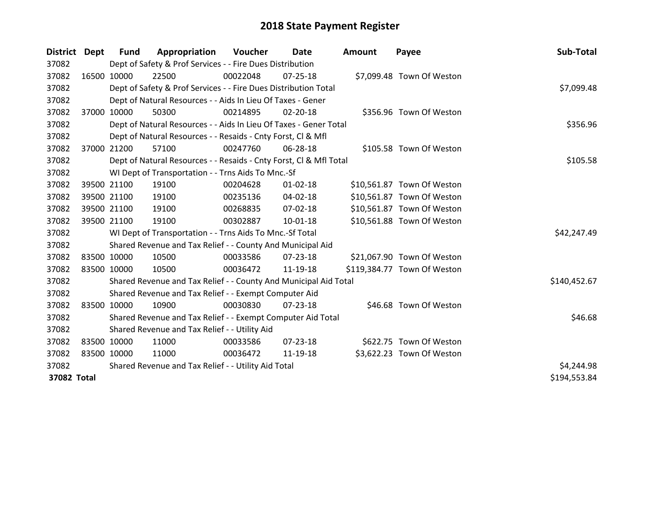| District Dept | <b>Fund</b> | Appropriation                                                      | Voucher  | Date           | <b>Amount</b> | Payee                       | Sub-Total    |
|---------------|-------------|--------------------------------------------------------------------|----------|----------------|---------------|-----------------------------|--------------|
| 37082         |             | Dept of Safety & Prof Services - - Fire Dues Distribution          |          |                |               |                             |              |
| 37082         | 16500 10000 | 22500                                                              | 00022048 | $07 - 25 - 18$ |               | \$7,099.48 Town Of Weston   |              |
| 37082         |             | Dept of Safety & Prof Services - - Fire Dues Distribution Total    |          |                |               |                             | \$7,099.48   |
| 37082         |             | Dept of Natural Resources - - Aids In Lieu Of Taxes - Gener        |          |                |               |                             |              |
| 37082         | 37000 10000 | 50300                                                              | 00214895 | 02-20-18       |               | \$356.96 Town Of Weston     |              |
| 37082         |             | Dept of Natural Resources - - Aids In Lieu Of Taxes - Gener Total  |          |                |               |                             | \$356.96     |
| 37082         |             | Dept of Natural Resources - - Resaids - Cnty Forst, Cl & Mfl       |          |                |               |                             |              |
| 37082         | 37000 21200 | 57100                                                              | 00247760 | 06-28-18       |               | \$105.58 Town Of Weston     |              |
| 37082         |             | Dept of Natural Resources - - Resaids - Cnty Forst, Cl & Mfl Total |          |                |               |                             | \$105.58     |
| 37082         |             | WI Dept of Transportation - - Trns Aids To Mnc.-Sf                 |          |                |               |                             |              |
| 37082         | 39500 21100 | 19100                                                              | 00204628 | $01 - 02 - 18$ |               | \$10,561.87 Town Of Weston  |              |
| 37082         | 39500 21100 | 19100                                                              | 00235136 | 04-02-18       |               | \$10,561.87 Town Of Weston  |              |
| 37082         | 39500 21100 | 19100                                                              | 00268835 | 07-02-18       |               | \$10,561.87 Town Of Weston  |              |
| 37082         | 39500 21100 | 19100                                                              | 00302887 | $10 - 01 - 18$ |               | \$10,561.88 Town Of Weston  |              |
| 37082         |             | WI Dept of Transportation - - Trns Aids To Mnc.-Sf Total           |          |                |               |                             | \$42,247.49  |
| 37082         |             | Shared Revenue and Tax Relief - - County And Municipal Aid         |          |                |               |                             |              |
| 37082         | 83500 10000 | 10500                                                              | 00033586 | $07 - 23 - 18$ |               | \$21,067.90 Town Of Weston  |              |
| 37082         | 83500 10000 | 10500                                                              | 00036472 | 11-19-18       |               | \$119,384.77 Town Of Weston |              |
| 37082         |             | Shared Revenue and Tax Relief - - County And Municipal Aid Total   |          |                |               |                             | \$140,452.67 |
| 37082         |             | Shared Revenue and Tax Relief - - Exempt Computer Aid              |          |                |               |                             |              |
| 37082         | 83500 10000 | 10900                                                              | 00030830 | 07-23-18       |               | \$46.68 Town Of Weston      |              |
| 37082         |             | Shared Revenue and Tax Relief - - Exempt Computer Aid Total        |          |                |               |                             | \$46.68      |
| 37082         |             | Shared Revenue and Tax Relief - - Utility Aid                      |          |                |               |                             |              |
| 37082         | 83500 10000 | 11000                                                              | 00033586 | $07 - 23 - 18$ |               | \$622.75 Town Of Weston     |              |
| 37082         | 83500 10000 | 11000                                                              | 00036472 | 11-19-18       |               | \$3,622.23 Town Of Weston   |              |
| 37082         |             | Shared Revenue and Tax Relief - - Utility Aid Total                |          |                |               |                             | \$4,244.98   |
| 37082 Total   |             |                                                                    |          |                |               |                             | \$194,553.84 |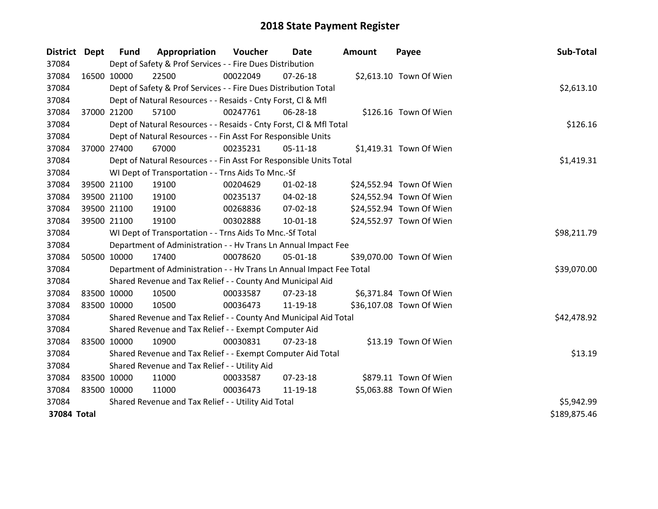| District Dept |             | <b>Fund</b> | Appropriation                                                        | Voucher  | Date           | <b>Amount</b> | Payee                    | Sub-Total    |
|---------------|-------------|-------------|----------------------------------------------------------------------|----------|----------------|---------------|--------------------------|--------------|
| 37084         |             |             | Dept of Safety & Prof Services - - Fire Dues Distribution            |          |                |               |                          |              |
| 37084         | 16500 10000 |             | 22500                                                                | 00022049 | $07 - 26 - 18$ |               | \$2,613.10 Town Of Wien  |              |
| 37084         |             |             | Dept of Safety & Prof Services - - Fire Dues Distribution Total      |          |                |               |                          | \$2,613.10   |
| 37084         |             |             | Dept of Natural Resources - - Resaids - Cnty Forst, CI & Mfl         |          |                |               |                          |              |
| 37084         |             | 37000 21200 | 57100                                                                | 00247761 | 06-28-18       |               | \$126.16 Town Of Wien    |              |
| 37084         |             |             | Dept of Natural Resources - - Resaids - Cnty Forst, Cl & Mfl Total   |          |                |               |                          | \$126.16     |
| 37084         |             |             | Dept of Natural Resources - - Fin Asst For Responsible Units         |          |                |               |                          |              |
| 37084         |             | 37000 27400 | 67000                                                                | 00235231 | $05-11-18$     |               | \$1,419.31 Town Of Wien  |              |
| 37084         |             |             | Dept of Natural Resources - - Fin Asst For Responsible Units Total   |          |                |               |                          | \$1,419.31   |
| 37084         |             |             | WI Dept of Transportation - - Trns Aids To Mnc.-Sf                   |          |                |               |                          |              |
| 37084         |             | 39500 21100 | 19100                                                                | 00204629 | $01 - 02 - 18$ |               | \$24,552.94 Town Of Wien |              |
| 37084         |             | 39500 21100 | 19100                                                                | 00235137 | 04-02-18       |               | \$24,552.94 Town Of Wien |              |
| 37084         |             | 39500 21100 | 19100                                                                | 00268836 | 07-02-18       |               | \$24,552.94 Town Of Wien |              |
| 37084         |             | 39500 21100 | 19100                                                                | 00302888 | $10 - 01 - 18$ |               | \$24,552.97 Town Of Wien |              |
| 37084         |             |             | WI Dept of Transportation - - Trns Aids To Mnc.-Sf Total             |          |                |               |                          | \$98,211.79  |
| 37084         |             |             | Department of Administration - - Hv Trans Ln Annual Impact Fee       |          |                |               |                          |              |
| 37084         |             | 50500 10000 | 17400                                                                | 00078620 | 05-01-18       |               | \$39,070.00 Town Of Wien |              |
| 37084         |             |             | Department of Administration - - Hv Trans Ln Annual Impact Fee Total |          |                |               |                          | \$39,070.00  |
| 37084         |             |             | Shared Revenue and Tax Relief - - County And Municipal Aid           |          |                |               |                          |              |
| 37084         | 83500 10000 |             | 10500                                                                | 00033587 | 07-23-18       |               | \$6,371.84 Town Of Wien  |              |
| 37084         | 83500 10000 |             | 10500                                                                | 00036473 | 11-19-18       |               | \$36,107.08 Town Of Wien |              |
| 37084         |             |             | Shared Revenue and Tax Relief - - County And Municipal Aid Total     |          |                |               |                          | \$42,478.92  |
| 37084         |             |             | Shared Revenue and Tax Relief - - Exempt Computer Aid                |          |                |               |                          |              |
| 37084         | 83500 10000 |             | 10900                                                                | 00030831 | $07 - 23 - 18$ |               | \$13.19 Town Of Wien     |              |
| 37084         |             |             | Shared Revenue and Tax Relief - - Exempt Computer Aid Total          |          |                |               |                          | \$13.19      |
| 37084         |             |             | Shared Revenue and Tax Relief - - Utility Aid                        |          |                |               |                          |              |
| 37084         | 83500 10000 |             | 11000                                                                | 00033587 | 07-23-18       |               | \$879.11 Town Of Wien    |              |
| 37084         | 83500 10000 |             | 11000                                                                | 00036473 | 11-19-18       |               | \$5,063.88 Town Of Wien  |              |
| 37084         |             |             | Shared Revenue and Tax Relief - - Utility Aid Total                  |          | \$5,942.99     |               |                          |              |
| 37084 Total   |             |             |                                                                      |          |                |               |                          | \$189,875.46 |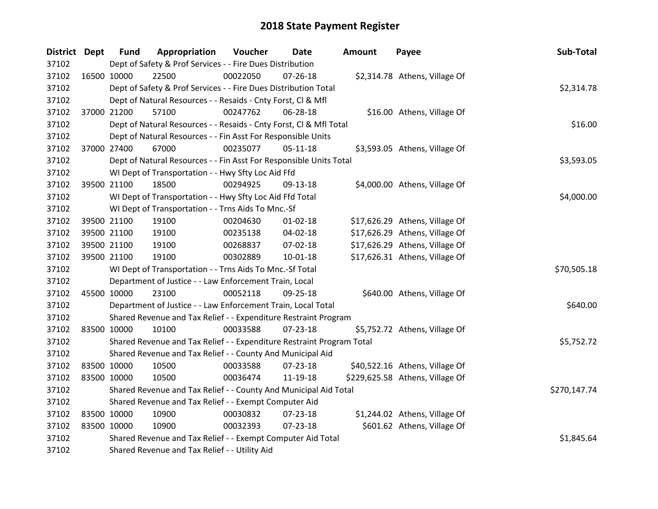| District Dept |             | <b>Fund</b> | Appropriation                                                         | Voucher  | Date           | <b>Amount</b> | Payee                           | Sub-Total    |
|---------------|-------------|-------------|-----------------------------------------------------------------------|----------|----------------|---------------|---------------------------------|--------------|
| 37102         |             |             | Dept of Safety & Prof Services - - Fire Dues Distribution             |          |                |               |                                 |              |
| 37102         | 16500 10000 |             | 22500                                                                 | 00022050 | $07 - 26 - 18$ |               | \$2,314.78 Athens, Village Of   |              |
| 37102         |             |             | Dept of Safety & Prof Services - - Fire Dues Distribution Total       |          |                |               |                                 | \$2,314.78   |
| 37102         |             |             | Dept of Natural Resources - - Resaids - Cnty Forst, Cl & Mfl          |          |                |               |                                 |              |
| 37102         |             | 37000 21200 | 57100                                                                 | 00247762 | 06-28-18       |               | \$16.00 Athens, Village Of      |              |
| 37102         |             |             | Dept of Natural Resources - - Resaids - Cnty Forst, CI & Mfl Total    |          |                |               |                                 | \$16.00      |
| 37102         |             |             | Dept of Natural Resources - - Fin Asst For Responsible Units          |          |                |               |                                 |              |
| 37102         |             | 37000 27400 | 67000                                                                 | 00235077 | $05 - 11 - 18$ |               | \$3,593.05 Athens, Village Of   |              |
| 37102         |             |             | Dept of Natural Resources - - Fin Asst For Responsible Units Total    |          |                |               |                                 | \$3,593.05   |
| 37102         |             |             | WI Dept of Transportation - - Hwy Sfty Loc Aid Ffd                    |          |                |               |                                 |              |
| 37102         |             | 39500 21100 | 18500                                                                 | 00294925 | 09-13-18       |               | \$4,000.00 Athens, Village Of   |              |
| 37102         |             |             | WI Dept of Transportation - - Hwy Sfty Loc Aid Ffd Total              |          |                |               |                                 | \$4,000.00   |
| 37102         |             |             | WI Dept of Transportation - - Trns Aids To Mnc.-Sf                    |          |                |               |                                 |              |
| 37102         |             | 39500 21100 | 19100                                                                 | 00204630 | $01 - 02 - 18$ |               | \$17,626.29 Athens, Village Of  |              |
| 37102         |             | 39500 21100 | 19100                                                                 | 00235138 | 04-02-18       |               | \$17,626.29 Athens, Village Of  |              |
| 37102         |             | 39500 21100 | 19100                                                                 | 00268837 | 07-02-18       |               | \$17,626.29 Athens, Village Of  |              |
| 37102         |             | 39500 21100 | 19100                                                                 | 00302889 | 10-01-18       |               | \$17,626.31 Athens, Village Of  |              |
| 37102         |             |             | WI Dept of Transportation - - Trns Aids To Mnc.-Sf Total              |          |                |               |                                 | \$70,505.18  |
| 37102         |             |             | Department of Justice - - Law Enforcement Train, Local                |          |                |               |                                 |              |
| 37102         | 45500 10000 |             | 23100                                                                 | 00052118 | 09-25-18       |               | \$640.00 Athens, Village Of     |              |
| 37102         |             |             | Department of Justice - - Law Enforcement Train, Local Total          |          |                |               |                                 | \$640.00     |
| 37102         |             |             | Shared Revenue and Tax Relief - - Expenditure Restraint Program       |          |                |               |                                 |              |
| 37102         | 83500 10000 |             | 10100                                                                 | 00033588 | 07-23-18       |               | \$5,752.72 Athens, Village Of   |              |
| 37102         |             |             | Shared Revenue and Tax Relief - - Expenditure Restraint Program Total |          |                |               |                                 | \$5,752.72   |
| 37102         |             |             | Shared Revenue and Tax Relief - - County And Municipal Aid            |          |                |               |                                 |              |
| 37102         | 83500 10000 |             | 10500                                                                 | 00033588 | $07 - 23 - 18$ |               | \$40,522.16 Athens, Village Of  |              |
| 37102         | 83500 10000 |             | 10500                                                                 | 00036474 | 11-19-18       |               | \$229,625.58 Athens, Village Of |              |
| 37102         |             |             | Shared Revenue and Tax Relief - - County And Municipal Aid Total      |          |                |               |                                 | \$270,147.74 |
| 37102         |             |             | Shared Revenue and Tax Relief - - Exempt Computer Aid                 |          |                |               |                                 |              |
| 37102         | 83500 10000 |             | 10900                                                                 | 00030832 | 07-23-18       |               | \$1,244.02 Athens, Village Of   |              |
| 37102         | 83500 10000 |             | 10900                                                                 | 00032393 | 07-23-18       |               | \$601.62 Athens, Village Of     |              |
| 37102         |             |             | Shared Revenue and Tax Relief - - Exempt Computer Aid Total           |          |                |               |                                 | \$1,845.64   |
| 37102         |             |             | Shared Revenue and Tax Relief - - Utility Aid                         |          |                |               |                                 |              |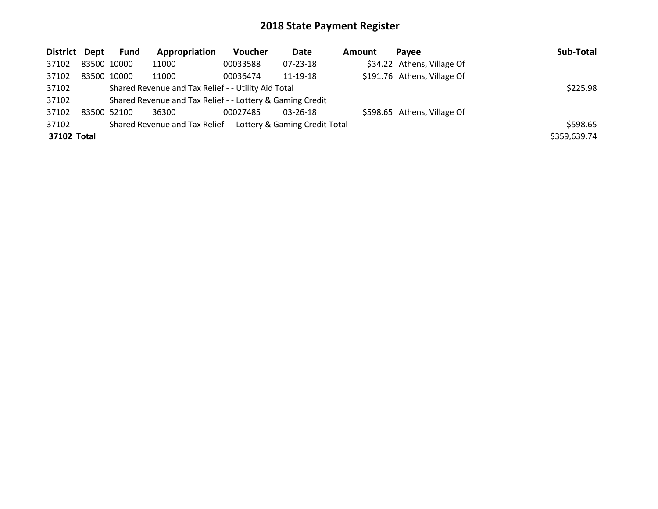| District Dept | <b>Fund</b> | Appropriation                                                   | <b>Voucher</b> | Date           | <b>Amount</b> | Pavee                       | Sub-Total    |
|---------------|-------------|-----------------------------------------------------------------|----------------|----------------|---------------|-----------------------------|--------------|
| 37102         | 83500 10000 | 11000                                                           | 00033588       | 07-23-18       |               | \$34.22 Athens, Village Of  |              |
| 37102         | 83500 10000 | 11000                                                           | 00036474       | 11-19-18       |               | \$191.76 Athens, Village Of |              |
| 37102         |             | Shared Revenue and Tax Relief - - Utility Aid Total             |                |                |               |                             | \$225.98     |
| 37102         |             | Shared Revenue and Tax Relief - - Lottery & Gaming Credit       |                |                |               |                             |              |
| 37102         | 83500 52100 | 36300                                                           | 00027485       | $03 - 26 - 18$ |               | \$598.65 Athens, Village Of |              |
| 37102         |             | Shared Revenue and Tax Relief - - Lottery & Gaming Credit Total |                |                |               |                             | \$598.65     |
| 37102 Total   |             |                                                                 |                |                |               |                             | \$359,639.74 |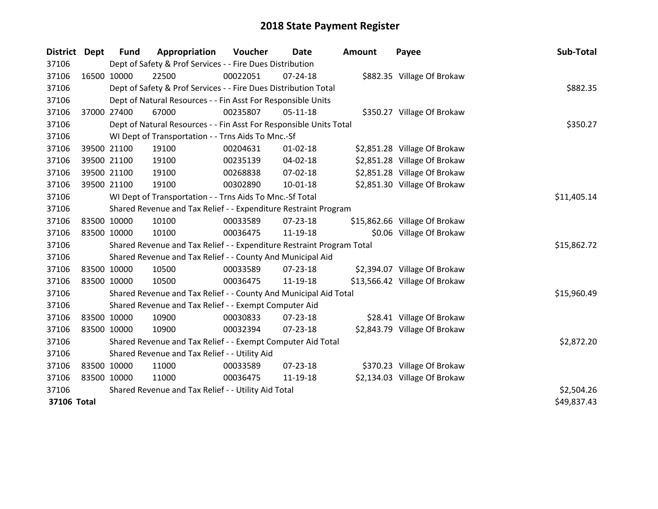| <b>District</b>    | <b>Dept</b> | <b>Fund</b> | Appropriation                                                         | Voucher  | Date           | Amount | Payee                         | Sub-Total   |
|--------------------|-------------|-------------|-----------------------------------------------------------------------|----------|----------------|--------|-------------------------------|-------------|
| 37106              |             |             | Dept of Safety & Prof Services - - Fire Dues Distribution             |          |                |        |                               |             |
| 37106              |             | 16500 10000 | 22500                                                                 | 00022051 | $07 - 24 - 18$ |        | \$882.35 Village Of Brokaw    |             |
| 37106              |             |             | Dept of Safety & Prof Services - - Fire Dues Distribution Total       |          |                |        |                               | \$882.35    |
| 37106              |             |             | Dept of Natural Resources - - Fin Asst For Responsible Units          |          |                |        |                               |             |
| 37106              |             | 37000 27400 | 67000                                                                 | 00235807 | $05-11-18$     |        | \$350.27 Village Of Brokaw    |             |
| 37106              |             |             | Dept of Natural Resources - - Fin Asst For Responsible Units Total    |          |                |        |                               | \$350.27    |
| 37106              |             |             | WI Dept of Transportation - - Trns Aids To Mnc.-Sf                    |          |                |        |                               |             |
| 37106              |             | 39500 21100 | 19100                                                                 | 00204631 | $01 - 02 - 18$ |        | \$2,851.28 Village Of Brokaw  |             |
| 37106              |             | 39500 21100 | 19100                                                                 | 00235139 | 04-02-18       |        | \$2,851.28 Village Of Brokaw  |             |
| 37106              |             | 39500 21100 | 19100                                                                 | 00268838 | 07-02-18       |        | \$2,851.28 Village Of Brokaw  |             |
| 37106              |             | 39500 21100 | 19100                                                                 | 00302890 | $10 - 01 - 18$ |        | \$2,851.30 Village Of Brokaw  |             |
| 37106              |             |             | WI Dept of Transportation - - Trns Aids To Mnc.-Sf Total              |          |                |        |                               | \$11,405.14 |
| 37106              |             |             | Shared Revenue and Tax Relief - - Expenditure Restraint Program       |          |                |        |                               |             |
| 37106              |             | 83500 10000 | 10100                                                                 | 00033589 | 07-23-18       |        | \$15,862.66 Village Of Brokaw |             |
| 37106              | 83500 10000 |             | 10100                                                                 | 00036475 | 11-19-18       |        | \$0.06 Village Of Brokaw      |             |
| 37106              |             |             | Shared Revenue and Tax Relief - - Expenditure Restraint Program Total |          |                |        |                               | \$15,862.72 |
| 37106              |             |             | Shared Revenue and Tax Relief - - County And Municipal Aid            |          |                |        |                               |             |
| 37106              |             | 83500 10000 | 10500                                                                 | 00033589 | $07 - 23 - 18$ |        | \$2,394.07 Village Of Brokaw  |             |
| 37106              | 83500 10000 |             | 10500                                                                 | 00036475 | 11-19-18       |        | \$13,566.42 Village Of Brokaw |             |
| 37106              |             |             | Shared Revenue and Tax Relief - - County And Municipal Aid Total      |          |                |        |                               | \$15,960.49 |
| 37106              |             |             | Shared Revenue and Tax Relief - - Exempt Computer Aid                 |          |                |        |                               |             |
| 37106              |             | 83500 10000 | 10900                                                                 | 00030833 | $07 - 23 - 18$ |        | \$28.41 Village Of Brokaw     |             |
| 37106              | 83500 10000 |             | 10900                                                                 | 00032394 | $07 - 23 - 18$ |        | \$2,843.79 Village Of Brokaw  |             |
| 37106              |             |             | Shared Revenue and Tax Relief - - Exempt Computer Aid Total           |          |                |        |                               | \$2,872.20  |
| 37106              |             |             | Shared Revenue and Tax Relief - - Utility Aid                         |          |                |        |                               |             |
| 37106              | 83500 10000 |             | 11000                                                                 | 00033589 | 07-23-18       |        | \$370.23 Village Of Brokaw    |             |
| 37106              | 83500 10000 |             | 11000                                                                 | 00036475 | 11-19-18       |        | \$2,134.03 Village Of Brokaw  |             |
| 37106              |             |             | Shared Revenue and Tax Relief - - Utility Aid Total                   |          |                |        |                               | \$2,504.26  |
| <b>37106 Total</b> |             |             |                                                                       |          |                |        |                               | \$49,837.43 |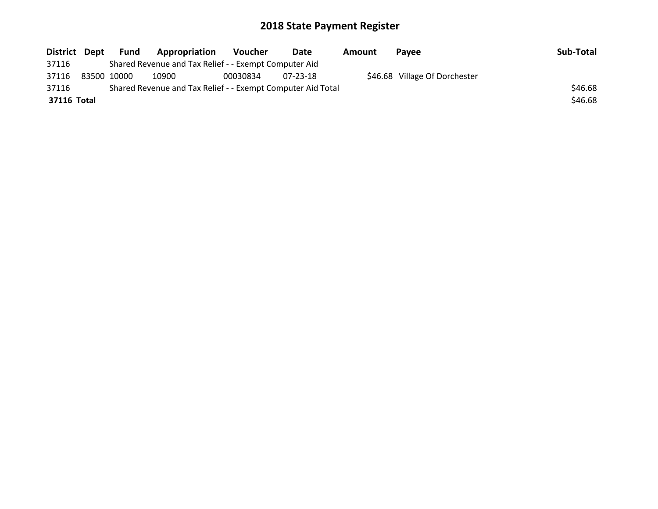| District Dept |             | Fund | Appropriation                                               | Voucher  | Date           | Amount | <b>Pavee</b>                  | Sub-Total |
|---------------|-------------|------|-------------------------------------------------------------|----------|----------------|--------|-------------------------------|-----------|
| 37116         |             |      | Shared Revenue and Tax Relief - - Exempt Computer Aid       |          |                |        |                               |           |
| 37116         | 83500 10000 |      | 10900                                                       | 00030834 | $07 - 23 - 18$ |        | \$46.68 Village Of Dorchester |           |
| 37116         |             |      | Shared Revenue and Tax Relief - - Exempt Computer Aid Total |          |                |        |                               | \$46.68   |
| 37116 Total   |             |      |                                                             |          |                |        |                               | \$46.68   |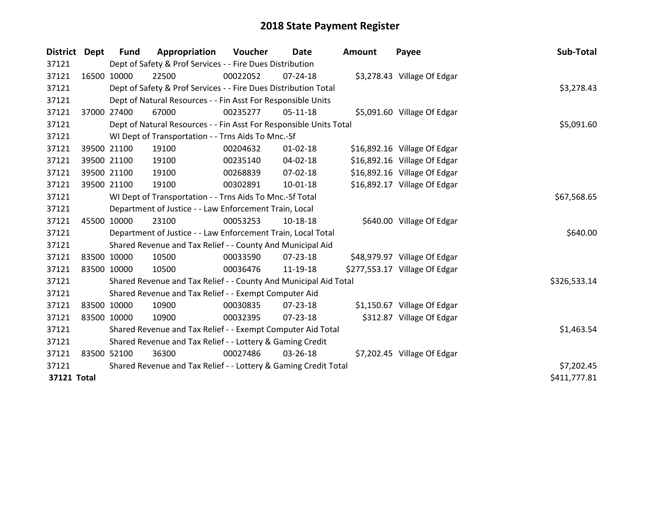| District Dept | <b>Fund</b> | Appropriation                                                      | Voucher    | Date           | <b>Amount</b> | Payee                         | Sub-Total    |
|---------------|-------------|--------------------------------------------------------------------|------------|----------------|---------------|-------------------------------|--------------|
| 37121         |             | Dept of Safety & Prof Services - - Fire Dues Distribution          |            |                |               |                               |              |
| 37121         | 16500 10000 | 22500                                                              | 00022052   | $07 - 24 - 18$ |               | \$3,278.43 Village Of Edgar   |              |
| 37121         |             | Dept of Safety & Prof Services - - Fire Dues Distribution Total    |            |                |               |                               | \$3,278.43   |
| 37121         |             | Dept of Natural Resources - - Fin Asst For Responsible Units       |            |                |               |                               |              |
| 37121         | 37000 27400 | 67000                                                              | 00235277   | $05-11-18$     |               | \$5,091.60 Village Of Edgar   |              |
| 37121         |             | Dept of Natural Resources - - Fin Asst For Responsible Units Total |            |                |               |                               | \$5,091.60   |
| 37121         |             | WI Dept of Transportation - - Trns Aids To Mnc.-Sf                 |            |                |               |                               |              |
| 37121         | 39500 21100 | 19100                                                              | 00204632   | $01 - 02 - 18$ |               | \$16,892.16 Village Of Edgar  |              |
| 37121         | 39500 21100 | 19100                                                              | 00235140   | 04-02-18       |               | \$16,892.16 Village Of Edgar  |              |
| 37121         | 39500 21100 | 19100                                                              | 00268839   | $07 - 02 - 18$ |               | \$16,892.16 Village Of Edgar  |              |
| 37121         | 39500 21100 | 19100                                                              | 00302891   | $10 - 01 - 18$ |               | \$16,892.17 Village Of Edgar  |              |
| 37121         |             | WI Dept of Transportation - - Trns Aids To Mnc.-Sf Total           |            |                |               |                               | \$67,568.65  |
| 37121         |             | Department of Justice - - Law Enforcement Train, Local             |            |                |               |                               |              |
| 37121         | 45500 10000 | 23100                                                              | 00053253   | 10-18-18       |               | \$640.00 Village Of Edgar     |              |
| 37121         |             | Department of Justice - - Law Enforcement Train, Local Total       |            |                |               |                               | \$640.00     |
| 37121         |             | Shared Revenue and Tax Relief - - County And Municipal Aid         |            |                |               |                               |              |
| 37121         | 83500 10000 | 10500                                                              | 00033590   | $07 - 23 - 18$ |               | \$48,979.97 Village Of Edgar  |              |
| 37121         | 83500 10000 | 10500                                                              | 00036476   | 11-19-18       |               | \$277,553.17 Village Of Edgar |              |
| 37121         |             | Shared Revenue and Tax Relief - - County And Municipal Aid Total   |            |                |               |                               | \$326,533.14 |
| 37121         |             | Shared Revenue and Tax Relief - - Exempt Computer Aid              |            |                |               |                               |              |
| 37121         | 83500 10000 | 10900                                                              | 00030835   | 07-23-18       |               | \$1,150.67 Village Of Edgar   |              |
| 37121         | 83500 10000 | 10900                                                              | 00032395   | $07 - 23 - 18$ |               | \$312.87 Village Of Edgar     |              |
| 37121         |             | Shared Revenue and Tax Relief - - Exempt Computer Aid Total        | \$1,463.54 |                |               |                               |              |
| 37121         |             | Shared Revenue and Tax Relief - - Lottery & Gaming Credit          |            |                |               |                               |              |
| 37121         | 83500 52100 | 36300                                                              | 00027486   | 03-26-18       |               | \$7,202.45 Village Of Edgar   |              |
| 37121         |             | Shared Revenue and Tax Relief - - Lottery & Gaming Credit Total    | \$7,202.45 |                |               |                               |              |
| 37121 Total   |             |                                                                    |            |                |               |                               | \$411,777.81 |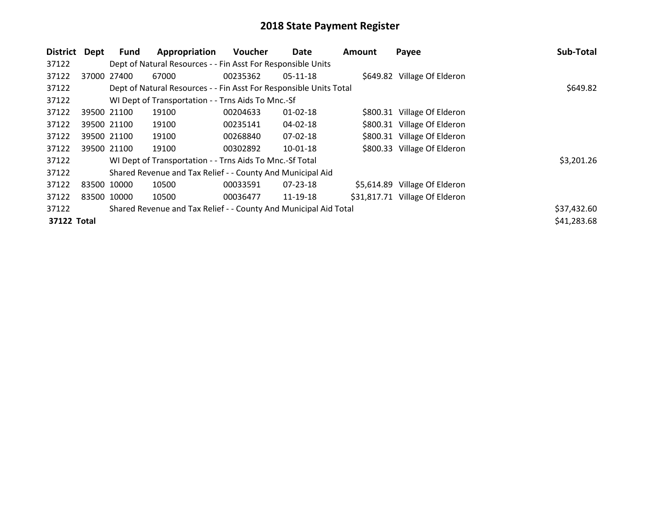| <b>District</b> | Dept        | Fund        | Appropriation                                                      | Voucher  | Date           | Amount | Payee                          | Sub-Total   |
|-----------------|-------------|-------------|--------------------------------------------------------------------|----------|----------------|--------|--------------------------------|-------------|
| 37122           |             |             | Dept of Natural Resources - - Fin Asst For Responsible Units       |          |                |        |                                |             |
| 37122           | 37000       | 27400       | 67000                                                              | 00235362 | $05-11-18$     |        | \$649.82 Village Of Elderon    |             |
| 37122           |             |             | Dept of Natural Resources - - Fin Asst For Responsible Units Total |          |                |        |                                | \$649.82    |
| 37122           |             |             | WI Dept of Transportation - - Trns Aids To Mnc.-Sf                 |          |                |        |                                |             |
| 37122           |             | 39500 21100 | 19100                                                              | 00204633 | $01 - 02 - 18$ |        | \$800.31 Village Of Elderon    |             |
| 37122           |             | 39500 21100 | 19100                                                              | 00235141 | 04-02-18       |        | \$800.31 Village Of Elderon    |             |
| 37122           |             | 39500 21100 | 19100                                                              | 00268840 | 07-02-18       |        | \$800.31 Village Of Elderon    |             |
| 37122           |             | 39500 21100 | 19100                                                              | 00302892 | $10-01-18$     |        | \$800.33 Village Of Elderon    |             |
| 37122           |             |             | WI Dept of Transportation - - Trns Aids To Mnc.-Sf Total           |          |                |        |                                | \$3,201.26  |
| 37122           |             |             | Shared Revenue and Tax Relief - - County And Municipal Aid         |          |                |        |                                |             |
| 37122           | 83500 10000 |             | 10500                                                              | 00033591 | $07 - 23 - 18$ |        | \$5,614.89 Village Of Elderon  |             |
| 37122           |             | 83500 10000 | 10500                                                              | 00036477 | 11-19-18       |        | \$31,817.71 Village Of Elderon |             |
| 37122           |             |             | Shared Revenue and Tax Relief - - County And Municipal Aid Total   |          |                |        |                                | \$37,432.60 |
| 37122 Total     |             |             |                                                                    |          |                |        |                                | \$41,283.68 |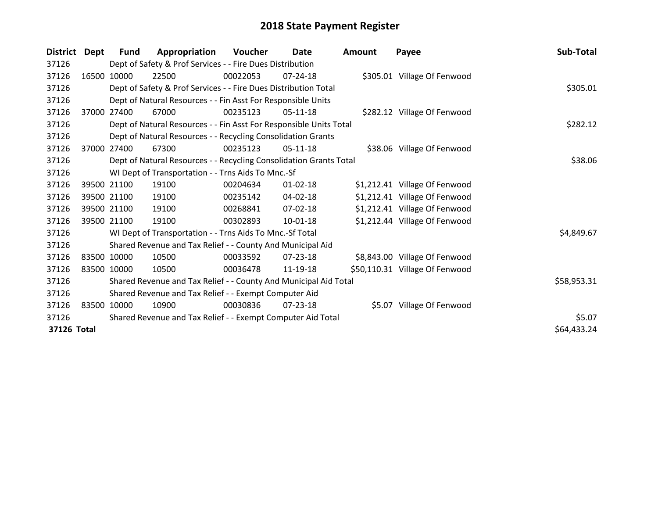| <b>District</b> | Dept  | <b>Fund</b> | Appropriation                                                      | Voucher  | Date           | <b>Amount</b> | Payee                          | Sub-Total   |
|-----------------|-------|-------------|--------------------------------------------------------------------|----------|----------------|---------------|--------------------------------|-------------|
| 37126           |       |             | Dept of Safety & Prof Services - - Fire Dues Distribution          |          |                |               |                                |             |
| 37126           |       | 16500 10000 | 22500                                                              | 00022053 | $07 - 24 - 18$ |               | \$305.01 Village Of Fenwood    |             |
| 37126           |       |             | Dept of Safety & Prof Services - - Fire Dues Distribution Total    |          | \$305.01       |               |                                |             |
| 37126           |       |             | Dept of Natural Resources - - Fin Asst For Responsible Units       |          |                |               |                                |             |
| 37126           | 37000 | 27400       | 67000                                                              | 00235123 | 05-11-18       |               | \$282.12 Village Of Fenwood    |             |
| 37126           |       |             | Dept of Natural Resources - - Fin Asst For Responsible Units Total |          |                |               |                                | \$282.12    |
| 37126           |       |             | Dept of Natural Resources - - Recycling Consolidation Grants       |          |                |               |                                |             |
| 37126           | 37000 | 27400       | 67300                                                              | 00235123 | 05-11-18       |               | \$38.06 Village Of Fenwood     |             |
| 37126           |       |             | Dept of Natural Resources - - Recycling Consolidation Grants Total |          |                |               |                                | \$38.06     |
| 37126           |       |             | WI Dept of Transportation - - Trns Aids To Mnc.-Sf                 |          |                |               |                                |             |
| 37126           |       | 39500 21100 | 19100                                                              | 00204634 | $01 - 02 - 18$ |               | \$1,212.41 Village Of Fenwood  |             |
| 37126           |       | 39500 21100 | 19100                                                              | 00235142 | 04-02-18       |               | \$1,212.41 Village Of Fenwood  |             |
| 37126           |       | 39500 21100 | 19100                                                              | 00268841 | $07 - 02 - 18$ |               | \$1,212.41 Village Of Fenwood  |             |
| 37126           |       | 39500 21100 | 19100                                                              | 00302893 | $10 - 01 - 18$ |               | \$1,212.44 Village Of Fenwood  |             |
| 37126           |       |             | WI Dept of Transportation - - Trns Aids To Mnc.-Sf Total           |          |                |               |                                | \$4,849.67  |
| 37126           |       |             | Shared Revenue and Tax Relief - - County And Municipal Aid         |          |                |               |                                |             |
| 37126           |       | 83500 10000 | 10500                                                              | 00033592 | 07-23-18       |               | \$8,843.00 Village Of Fenwood  |             |
| 37126           |       | 83500 10000 | 10500                                                              | 00036478 | 11-19-18       |               | \$50,110.31 Village Of Fenwood |             |
| 37126           |       |             | Shared Revenue and Tax Relief - - County And Municipal Aid Total   |          |                |               |                                | \$58,953.31 |
| 37126           |       |             | Shared Revenue and Tax Relief - - Exempt Computer Aid              |          |                |               |                                |             |
| 37126           |       | 83500 10000 | 10900                                                              | 00030836 | $07 - 23 - 18$ |               | \$5.07 Village Of Fenwood      |             |
| 37126           |       |             | Shared Revenue and Tax Relief - - Exempt Computer Aid Total        |          |                |               |                                | \$5.07      |
| 37126 Total     |       |             |                                                                    |          |                |               |                                | \$64,433.24 |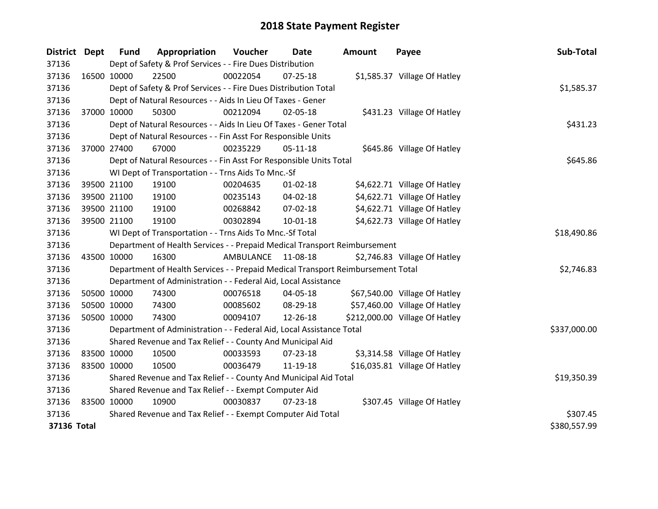| <b>District</b> | Dept        | <b>Fund</b>                                                      | Appropriation                                                                   | Voucher     | Date           | <b>Amount</b> | Payee                          | Sub-Total    |
|-----------------|-------------|------------------------------------------------------------------|---------------------------------------------------------------------------------|-------------|----------------|---------------|--------------------------------|--------------|
| 37136           |             |                                                                  | Dept of Safety & Prof Services - - Fire Dues Distribution                       |             |                |               |                                |              |
| 37136           | 16500 10000 |                                                                  | 22500                                                                           | 00022054    | 07-25-18       |               | \$1,585.37 Village Of Hatley   |              |
| 37136           |             |                                                                  | Dept of Safety & Prof Services - - Fire Dues Distribution Total                 |             |                |               |                                | \$1,585.37   |
| 37136           |             |                                                                  | Dept of Natural Resources - - Aids In Lieu Of Taxes - Gener                     |             |                |               |                                |              |
| 37136           | 37000 10000 |                                                                  | 50300                                                                           | 00212094    | 02-05-18       |               | \$431.23 Village Of Hatley     |              |
| 37136           |             |                                                                  | Dept of Natural Resources - - Aids In Lieu Of Taxes - Gener Total               |             |                |               |                                | \$431.23     |
| 37136           |             |                                                                  | Dept of Natural Resources - - Fin Asst For Responsible Units                    |             |                |               |                                |              |
| 37136           | 37000 27400 |                                                                  | 67000                                                                           | 00235229    | $05 - 11 - 18$ |               | \$645.86 Village Of Hatley     |              |
| 37136           |             |                                                                  | Dept of Natural Resources - - Fin Asst For Responsible Units Total              |             |                |               |                                | \$645.86     |
| 37136           |             |                                                                  | WI Dept of Transportation - - Trns Aids To Mnc.-Sf                              |             |                |               |                                |              |
| 37136           |             | 39500 21100                                                      | 19100                                                                           | 00204635    | $01 - 02 - 18$ |               | \$4,622.71 Village Of Hatley   |              |
| 37136           |             | 39500 21100                                                      | 19100                                                                           | 00235143    | 04-02-18       |               | \$4,622.71 Village Of Hatley   |              |
| 37136           |             | 39500 21100                                                      | 19100                                                                           | 00268842    | 07-02-18       |               | \$4,622.71 Village Of Hatley   |              |
| 37136           | 39500 21100 |                                                                  | 19100                                                                           | 00302894    | 10-01-18       |               | \$4,622.73 Village Of Hatley   |              |
| 37136           |             |                                                                  | WI Dept of Transportation - - Trns Aids To Mnc.-Sf Total                        | \$18,490.86 |                |               |                                |              |
| 37136           |             |                                                                  | Department of Health Services - - Prepaid Medical Transport Reimbursement       |             |                |               |                                |              |
| 37136           | 43500 10000 |                                                                  | 16300                                                                           | AMBULANCE   | 11-08-18       |               | \$2,746.83 Village Of Hatley   |              |
| 37136           |             |                                                                  | Department of Health Services - - Prepaid Medical Transport Reimbursement Total |             |                |               |                                | \$2,746.83   |
| 37136           |             |                                                                  | Department of Administration - - Federal Aid, Local Assistance                  |             |                |               |                                |              |
| 37136           |             | 50500 10000                                                      | 74300                                                                           | 00076518    | 04-05-18       |               | \$67,540.00 Village Of Hatley  |              |
| 37136           | 50500 10000 |                                                                  | 74300                                                                           | 00085602    | 08-29-18       |               | \$57,460.00 Village Of Hatley  |              |
| 37136           | 50500 10000 |                                                                  | 74300                                                                           | 00094107    | 12-26-18       |               | \$212,000.00 Village Of Hatley |              |
| 37136           |             |                                                                  | Department of Administration - - Federal Aid, Local Assistance Total            |             |                |               |                                | \$337,000.00 |
| 37136           |             |                                                                  | Shared Revenue and Tax Relief - - County And Municipal Aid                      |             |                |               |                                |              |
| 37136           | 83500 10000 |                                                                  | 10500                                                                           | 00033593    | 07-23-18       |               | \$3,314.58 Village Of Hatley   |              |
| 37136           | 83500 10000 |                                                                  | 10500                                                                           | 00036479    | 11-19-18       |               | \$16,035.81 Village Of Hatley  |              |
| 37136           |             | Shared Revenue and Tax Relief - - County And Municipal Aid Total |                                                                                 |             |                |               |                                | \$19,350.39  |
| 37136           |             |                                                                  | Shared Revenue and Tax Relief - - Exempt Computer Aid                           |             |                |               |                                |              |
| 37136           | 83500 10000 |                                                                  | 10900                                                                           | 00030837    | $07 - 23 - 18$ |               | \$307.45 Village Of Hatley     |              |
| 37136           |             |                                                                  | Shared Revenue and Tax Relief - - Exempt Computer Aid Total                     |             |                |               |                                | \$307.45     |
| 37136 Total     |             |                                                                  |                                                                                 |             |                |               |                                | \$380,557.99 |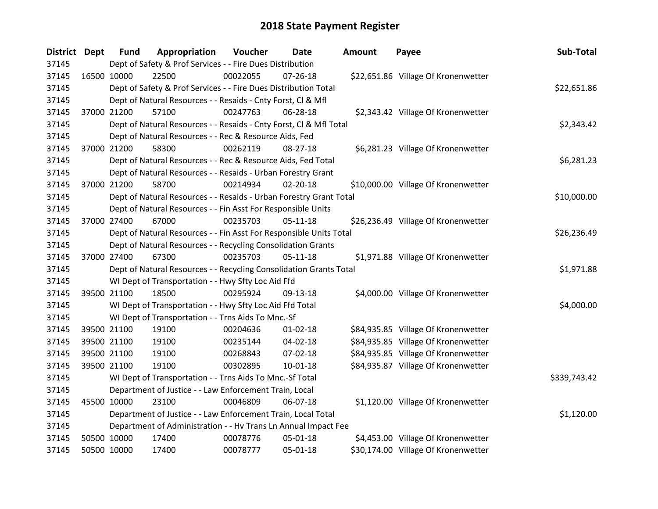| <b>District Dept</b> |             | <b>Fund</b> | Appropriation                                                      | Voucher  | Date           | Amount | Payee                               | Sub-Total    |  |  |
|----------------------|-------------|-------------|--------------------------------------------------------------------|----------|----------------|--------|-------------------------------------|--------------|--|--|
| 37145                |             |             | Dept of Safety & Prof Services - - Fire Dues Distribution          |          |                |        |                                     |              |  |  |
| 37145                | 16500 10000 |             | 22500                                                              | 00022055 | $07 - 26 - 18$ |        | \$22,651.86 Village Of Kronenwetter |              |  |  |
| 37145                |             |             | Dept of Safety & Prof Services - - Fire Dues Distribution Total    |          |                |        |                                     | \$22,651.86  |  |  |
| 37145                |             |             | Dept of Natural Resources - - Resaids - Cnty Forst, Cl & Mfl       |          |                |        |                                     |              |  |  |
| 37145                | 37000 21200 |             | 57100                                                              | 00247763 | 06-28-18       |        | \$2,343.42 Village Of Kronenwetter  |              |  |  |
| 37145                |             |             | Dept of Natural Resources - - Resaids - Cnty Forst, CI & Mfl Total |          |                |        |                                     | \$2,343.42   |  |  |
| 37145                |             |             | Dept of Natural Resources - - Rec & Resource Aids, Fed             |          |                |        |                                     |              |  |  |
| 37145                | 37000 21200 |             | 58300                                                              | 00262119 | 08-27-18       |        | \$6,281.23 Village Of Kronenwetter  |              |  |  |
| 37145                |             |             | Dept of Natural Resources - - Rec & Resource Aids, Fed Total       |          |                |        |                                     | \$6,281.23   |  |  |
| 37145                |             |             | Dept of Natural Resources - - Resaids - Urban Forestry Grant       |          |                |        |                                     |              |  |  |
| 37145                |             | 37000 21200 | 58700                                                              | 00214934 | $02 - 20 - 18$ |        | \$10,000.00 Village Of Kronenwetter |              |  |  |
| 37145                |             |             | Dept of Natural Resources - - Resaids - Urban Forestry Grant Total |          |                |        |                                     | \$10,000.00  |  |  |
| 37145                |             |             | Dept of Natural Resources - - Fin Asst For Responsible Units       |          |                |        |                                     |              |  |  |
| 37145                | 37000 27400 |             | 67000                                                              | 00235703 | $05-11-18$     |        | \$26,236.49 Village Of Kronenwetter |              |  |  |
| 37145                |             |             | Dept of Natural Resources - - Fin Asst For Responsible Units Total |          |                |        |                                     |              |  |  |
| 37145                |             |             | Dept of Natural Resources - - Recycling Consolidation Grants       |          |                |        |                                     |              |  |  |
| 37145                | 37000 27400 |             | 67300                                                              | 00235703 | $05 - 11 - 18$ |        | \$1,971.88 Village Of Kronenwetter  |              |  |  |
| 37145                |             |             | Dept of Natural Resources - - Recycling Consolidation Grants Total |          |                |        |                                     | \$1,971.88   |  |  |
| 37145                |             |             | WI Dept of Transportation - - Hwy Sfty Loc Aid Ffd                 |          |                |        |                                     |              |  |  |
| 37145                | 39500 21100 |             | 18500                                                              | 00295924 | 09-13-18       |        | \$4,000.00 Village Of Kronenwetter  |              |  |  |
| 37145                |             |             | WI Dept of Transportation - - Hwy Sfty Loc Aid Ffd Total           |          |                |        |                                     | \$4,000.00   |  |  |
| 37145                |             |             | WI Dept of Transportation - - Trns Aids To Mnc.-Sf                 |          |                |        |                                     |              |  |  |
| 37145                |             | 39500 21100 | 19100                                                              | 00204636 | $01 - 02 - 18$ |        | \$84,935.85 Village Of Kronenwetter |              |  |  |
| 37145                |             | 39500 21100 | 19100                                                              | 00235144 | 04-02-18       |        | \$84,935.85 Village Of Kronenwetter |              |  |  |
| 37145                | 39500 21100 |             | 19100                                                              | 00268843 | 07-02-18       |        | \$84,935.85 Village Of Kronenwetter |              |  |  |
| 37145                |             | 39500 21100 | 19100                                                              | 00302895 | 10-01-18       |        | \$84,935.87 Village Of Kronenwetter |              |  |  |
| 37145                |             |             | WI Dept of Transportation - - Trns Aids To Mnc.-Sf Total           |          |                |        |                                     | \$339,743.42 |  |  |
| 37145                |             |             | Department of Justice - - Law Enforcement Train, Local             |          |                |        |                                     |              |  |  |
| 37145                | 45500 10000 |             | 23100                                                              | 00046809 | 06-07-18       |        | \$1,120.00 Village Of Kronenwetter  |              |  |  |
| 37145                |             |             | Department of Justice - - Law Enforcement Train, Local Total       |          |                |        |                                     | \$1,120.00   |  |  |
| 37145                |             |             | Department of Administration - - Hv Trans Ln Annual Impact Fee     |          |                |        |                                     |              |  |  |
| 37145                | 50500 10000 |             | 17400                                                              | 00078776 | 05-01-18       |        | \$4,453.00 Village Of Kronenwetter  |              |  |  |
| 37145                | 50500 10000 |             | 17400                                                              | 00078777 | 05-01-18       |        | \$30,174.00 Village Of Kronenwetter |              |  |  |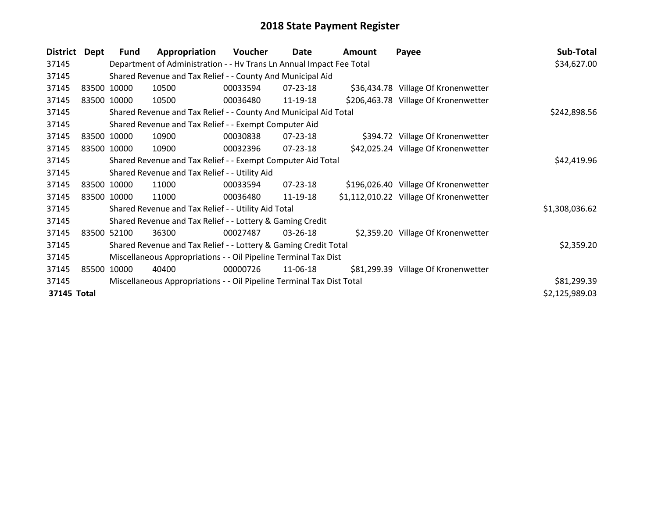| <b>District</b> | Dept  | <b>Fund</b> | Appropriation                                                         | <b>Voucher</b> | Date           | Amount | Payee                                  | Sub-Total      |  |
|-----------------|-------|-------------|-----------------------------------------------------------------------|----------------|----------------|--------|----------------------------------------|----------------|--|
| 37145           |       |             | Department of Administration - - Hv Trans Ln Annual Impact Fee Total  |                |                |        |                                        | \$34,627.00    |  |
| 37145           |       |             | Shared Revenue and Tax Relief - - County And Municipal Aid            |                |                |        |                                        |                |  |
| 37145           |       | 83500 10000 | 10500                                                                 | 00033594       | $07 - 23 - 18$ |        | \$36,434.78 Village Of Kronenwetter    |                |  |
| 37145           |       | 83500 10000 | 10500                                                                 | 00036480       | 11-19-18       |        | \$206,463.78 Village Of Kronenwetter   |                |  |
| 37145           |       |             | Shared Revenue and Tax Relief - - County And Municipal Aid Total      |                |                |        |                                        | \$242,898.56   |  |
| 37145           |       |             | Shared Revenue and Tax Relief - - Exempt Computer Aid                 |                |                |        |                                        |                |  |
| 37145           |       | 83500 10000 | 10900                                                                 | 00030838       | $07 - 23 - 18$ |        | \$394.72 Village Of Kronenwetter       |                |  |
| 37145           |       | 83500 10000 | 10900                                                                 | 00032396       | $07 - 23 - 18$ |        | \$42,025.24 Village Of Kronenwetter    |                |  |
| 37145           |       |             | Shared Revenue and Tax Relief - - Exempt Computer Aid Total           | \$42,419.96    |                |        |                                        |                |  |
| 37145           |       |             | Shared Revenue and Tax Relief - - Utility Aid                         |                |                |        |                                        |                |  |
| 37145           |       | 83500 10000 | 11000                                                                 | 00033594       | $07 - 23 - 18$ |        | \$196,026.40 Village Of Kronenwetter   |                |  |
| 37145           |       | 83500 10000 | 11000                                                                 | 00036480       | 11-19-18       |        | \$1,112,010.22 Village Of Kronenwetter |                |  |
| 37145           |       |             | Shared Revenue and Tax Relief - - Utility Aid Total                   |                |                |        |                                        | \$1,308,036.62 |  |
| 37145           |       |             | Shared Revenue and Tax Relief - - Lottery & Gaming Credit             |                |                |        |                                        |                |  |
| 37145           |       | 83500 52100 | 36300                                                                 | 00027487       | $03 - 26 - 18$ |        | \$2,359.20 Village Of Kronenwetter     |                |  |
| 37145           |       |             | Shared Revenue and Tax Relief - - Lottery & Gaming Credit Total       |                |                |        |                                        | \$2,359.20     |  |
| 37145           |       |             | Miscellaneous Appropriations - - Oil Pipeline Terminal Tax Dist       |                |                |        |                                        |                |  |
| 37145           | 85500 | 10000       | 40400                                                                 | 00000726       | 11-06-18       |        | \$81,299.39 Village Of Kronenwetter    |                |  |
| 37145           |       |             | Miscellaneous Appropriations - - Oil Pipeline Terminal Tax Dist Total |                |                |        |                                        | \$81,299.39    |  |
| 37145 Total     |       |             |                                                                       |                |                |        |                                        | \$2,125,989.03 |  |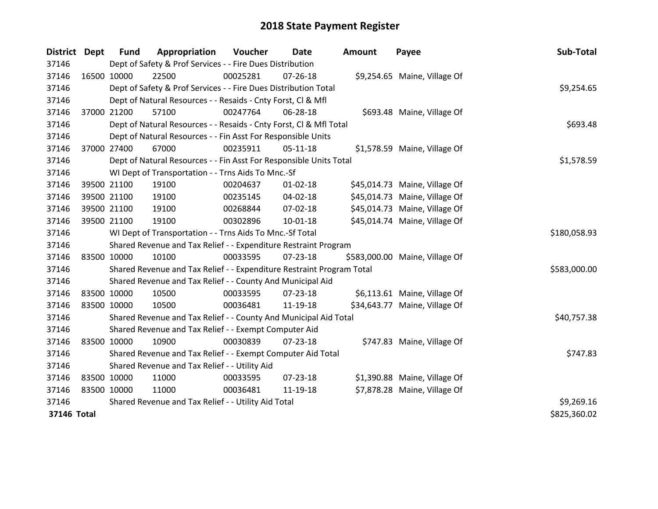| District Dept |             | <b>Fund</b> | Appropriation                                                         | Voucher      | Date           | <b>Amount</b> | Payee                          | Sub-Total    |
|---------------|-------------|-------------|-----------------------------------------------------------------------|--------------|----------------|---------------|--------------------------------|--------------|
| 37146         |             |             | Dept of Safety & Prof Services - - Fire Dues Distribution             |              |                |               |                                |              |
| 37146         | 16500 10000 |             | 22500                                                                 | 00025281     | $07 - 26 - 18$ |               | \$9,254.65 Maine, Village Of   |              |
| 37146         |             |             | Dept of Safety & Prof Services - - Fire Dues Distribution Total       |              |                |               |                                | \$9,254.65   |
| 37146         |             |             | Dept of Natural Resources - - Resaids - Cnty Forst, Cl & Mfl          |              |                |               |                                |              |
| 37146         | 37000 21200 |             | 57100                                                                 | 00247764     | 06-28-18       |               | \$693.48 Maine, Village Of     |              |
| 37146         |             |             | Dept of Natural Resources - - Resaids - Cnty Forst, Cl & Mfl Total    |              |                |               |                                | \$693.48     |
| 37146         |             |             | Dept of Natural Resources - - Fin Asst For Responsible Units          |              |                |               |                                |              |
| 37146         | 37000 27400 |             | 67000                                                                 | 00235911     | $05 - 11 - 18$ |               | \$1,578.59 Maine, Village Of   |              |
| 37146         |             |             | Dept of Natural Resources - - Fin Asst For Responsible Units Total    |              |                |               |                                | \$1,578.59   |
| 37146         |             |             | WI Dept of Transportation - - Trns Aids To Mnc.-Sf                    |              |                |               |                                |              |
| 37146         |             | 39500 21100 | 19100                                                                 | 00204637     | $01 - 02 - 18$ |               | \$45,014.73 Maine, Village Of  |              |
| 37146         |             | 39500 21100 | 19100                                                                 | 00235145     | $04 - 02 - 18$ |               | \$45,014.73 Maine, Village Of  |              |
| 37146         | 39500 21100 |             | 19100                                                                 | 00268844     | 07-02-18       |               | \$45,014.73 Maine, Village Of  |              |
| 37146         | 39500 21100 |             | 19100                                                                 | 00302896     | $10 - 01 - 18$ |               | \$45,014.74 Maine, Village Of  |              |
| 37146         |             |             | WI Dept of Transportation - - Trns Aids To Mnc.-Sf Total              | \$180,058.93 |                |               |                                |              |
| 37146         |             |             | Shared Revenue and Tax Relief - - Expenditure Restraint Program       |              |                |               |                                |              |
| 37146         | 83500 10000 |             | 10100                                                                 | 00033595     | 07-23-18       |               | \$583,000.00 Maine, Village Of |              |
| 37146         |             |             | Shared Revenue and Tax Relief - - Expenditure Restraint Program Total |              |                |               |                                | \$583,000.00 |
| 37146         |             |             | Shared Revenue and Tax Relief - - County And Municipal Aid            |              |                |               |                                |              |
| 37146         | 83500 10000 |             | 10500                                                                 | 00033595     | $07 - 23 - 18$ |               | \$6,113.61 Maine, Village Of   |              |
| 37146         | 83500 10000 |             | 10500                                                                 | 00036481     | 11-19-18       |               | \$34,643.77 Maine, Village Of  |              |
| 37146         |             |             | Shared Revenue and Tax Relief - - County And Municipal Aid Total      |              |                |               |                                | \$40,757.38  |
| 37146         |             |             | Shared Revenue and Tax Relief - - Exempt Computer Aid                 |              |                |               |                                |              |
| 37146         | 83500 10000 |             | 10900                                                                 | 00030839     | $07 - 23 - 18$ |               | \$747.83 Maine, Village Of     |              |
| 37146         |             |             | Shared Revenue and Tax Relief - - Exempt Computer Aid Total           |              |                |               |                                | \$747.83     |
| 37146         |             |             | Shared Revenue and Tax Relief - - Utility Aid                         |              |                |               |                                |              |
| 37146         | 83500 10000 |             | 11000                                                                 | 00033595     | 07-23-18       |               | \$1,390.88 Maine, Village Of   |              |
| 37146         | 83500 10000 |             | 11000                                                                 | 00036481     | 11-19-18       |               | \$7,878.28 Maine, Village Of   |              |
| 37146         |             |             | Shared Revenue and Tax Relief - - Utility Aid Total                   |              |                |               |                                | \$9,269.16   |
| 37146 Total   |             |             |                                                                       |              |                |               |                                | \$825,360.02 |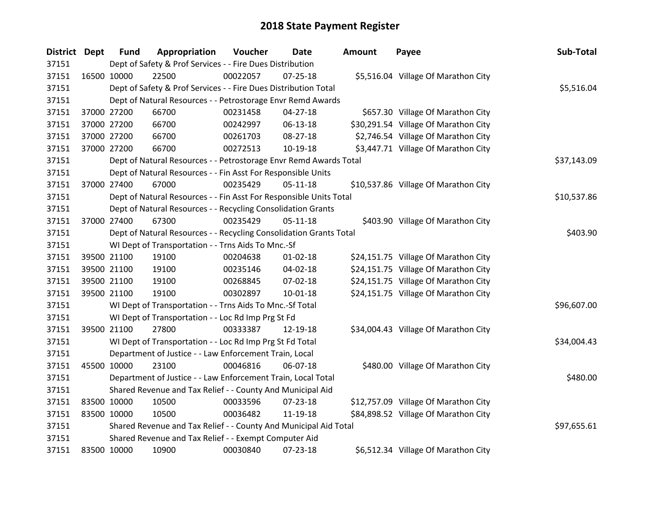| District Dept |             | <b>Fund</b> | Appropriation                                                      | Voucher  | Date           | Amount | Payee                                | Sub-Total   |
|---------------|-------------|-------------|--------------------------------------------------------------------|----------|----------------|--------|--------------------------------------|-------------|
| 37151         |             |             | Dept of Safety & Prof Services - - Fire Dues Distribution          |          |                |        |                                      |             |
| 37151         |             | 16500 10000 | 22500                                                              | 00022057 | $07 - 25 - 18$ |        | \$5,516.04 Village Of Marathon City  |             |
| 37151         |             |             | Dept of Safety & Prof Services - - Fire Dues Distribution Total    |          |                |        |                                      | \$5,516.04  |
| 37151         |             |             | Dept of Natural Resources - - Petrostorage Envr Remd Awards        |          |                |        |                                      |             |
| 37151         |             | 37000 27200 | 66700                                                              | 00231458 | $04 - 27 - 18$ |        | \$657.30 Village Of Marathon City    |             |
| 37151         |             | 37000 27200 | 66700                                                              | 00242997 | 06-13-18       |        | \$30,291.54 Village Of Marathon City |             |
| 37151         |             | 37000 27200 | 66700                                                              | 00261703 | 08-27-18       |        | \$2,746.54 Village Of Marathon City  |             |
| 37151         |             | 37000 27200 | 66700                                                              | 00272513 | 10-19-18       |        | \$3,447.71 Village Of Marathon City  |             |
| 37151         |             |             | Dept of Natural Resources - - Petrostorage Envr Remd Awards Total  |          |                |        |                                      | \$37,143.09 |
| 37151         |             |             | Dept of Natural Resources - - Fin Asst For Responsible Units       |          |                |        |                                      |             |
| 37151         |             | 37000 27400 | 67000                                                              | 00235429 | $05-11-18$     |        | \$10,537.86 Village Of Marathon City |             |
| 37151         |             |             | Dept of Natural Resources - - Fin Asst For Responsible Units Total |          |                |        |                                      | \$10,537.86 |
| 37151         |             |             | Dept of Natural Resources - - Recycling Consolidation Grants       |          |                |        |                                      |             |
| 37151         |             | 37000 27400 | 67300                                                              | 00235429 | $05-11-18$     |        | \$403.90 Village Of Marathon City    |             |
| 37151         |             |             | Dept of Natural Resources - - Recycling Consolidation Grants Total | \$403.90 |                |        |                                      |             |
| 37151         |             |             | WI Dept of Transportation - - Trns Aids To Mnc.-Sf                 |          |                |        |                                      |             |
| 37151         |             | 39500 21100 | 19100                                                              | 00204638 | $01 - 02 - 18$ |        | \$24,151.75 Village Of Marathon City |             |
| 37151         |             | 39500 21100 | 19100                                                              | 00235146 | 04-02-18       |        | \$24,151.75 Village Of Marathon City |             |
| 37151         |             | 39500 21100 | 19100                                                              | 00268845 | 07-02-18       |        | \$24,151.75 Village Of Marathon City |             |
| 37151         |             | 39500 21100 | 19100                                                              | 00302897 | $10-01-18$     |        | \$24,151.75 Village Of Marathon City |             |
| 37151         |             |             | WI Dept of Transportation - - Trns Aids To Mnc.-Sf Total           |          |                |        |                                      | \$96,607.00 |
| 37151         |             |             | WI Dept of Transportation - - Loc Rd Imp Prg St Fd                 |          |                |        |                                      |             |
| 37151         |             | 39500 21100 | 27800                                                              | 00333387 | 12-19-18       |        | \$34,004.43 Village Of Marathon City |             |
| 37151         |             |             | WI Dept of Transportation - - Loc Rd Imp Prg St Fd Total           |          |                |        |                                      | \$34,004.43 |
| 37151         |             |             | Department of Justice - - Law Enforcement Train, Local             |          |                |        |                                      |             |
| 37151         |             | 45500 10000 | 23100                                                              | 00046816 | 06-07-18       |        | \$480.00 Village Of Marathon City    |             |
| 37151         |             |             | Department of Justice - - Law Enforcement Train, Local Total       |          |                |        |                                      | \$480.00    |
| 37151         |             |             | Shared Revenue and Tax Relief - - County And Municipal Aid         |          |                |        |                                      |             |
| 37151         | 83500 10000 |             | 10500                                                              | 00033596 | 07-23-18       |        | \$12,757.09 Village Of Marathon City |             |
| 37151         | 83500 10000 |             | 10500                                                              | 00036482 | 11-19-18       |        | \$84,898.52 Village Of Marathon City |             |
| 37151         |             |             | Shared Revenue and Tax Relief - - County And Municipal Aid Total   |          |                |        |                                      | \$97,655.61 |
| 37151         |             |             | Shared Revenue and Tax Relief - - Exempt Computer Aid              |          |                |        |                                      |             |
| 37151         | 83500 10000 |             | 10900                                                              | 00030840 | 07-23-18       |        | \$6,512.34 Village Of Marathon City  |             |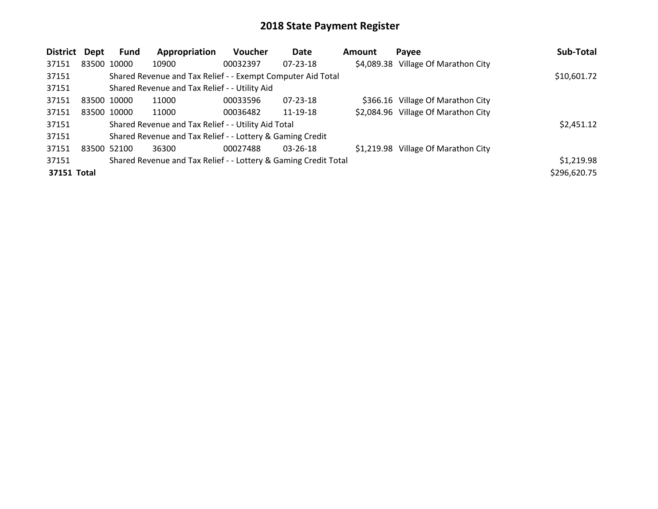| District    | Dept        | Fund        | Appropriation                                                   | <b>Voucher</b> | <b>Date</b>    | <b>Amount</b> | Payee                               | Sub-Total    |
|-------------|-------------|-------------|-----------------------------------------------------------------|----------------|----------------|---------------|-------------------------------------|--------------|
| 37151       | 83500 10000 |             | 10900                                                           | 00032397       | $07 - 23 - 18$ |               | \$4,089.38 Village Of Marathon City |              |
| 37151       |             |             | Shared Revenue and Tax Relief - - Exempt Computer Aid Total     |                |                |               |                                     | \$10,601.72  |
| 37151       |             |             | Shared Revenue and Tax Relief - - Utility Aid                   |                |                |               |                                     |              |
| 37151       | 83500 10000 |             | 11000                                                           | 00033596       | $07 - 23 - 18$ |               | \$366.16 Village Of Marathon City   |              |
| 37151       |             | 83500 10000 | 11000                                                           | 00036482       | 11-19-18       |               | \$2,084.96 Village Of Marathon City |              |
| 37151       |             |             | Shared Revenue and Tax Relief - - Utility Aid Total             |                |                |               |                                     | \$2,451.12   |
| 37151       |             |             | Shared Revenue and Tax Relief - - Lottery & Gaming Credit       |                |                |               |                                     |              |
| 37151       | 83500 52100 |             | 36300                                                           | 00027488       | $03 - 26 - 18$ |               | \$1,219.98 Village Of Marathon City |              |
| 37151       |             |             | Shared Revenue and Tax Relief - - Lottery & Gaming Credit Total |                |                |               |                                     | \$1,219.98   |
| 37151 Total |             |             |                                                                 |                |                |               |                                     | \$296,620.75 |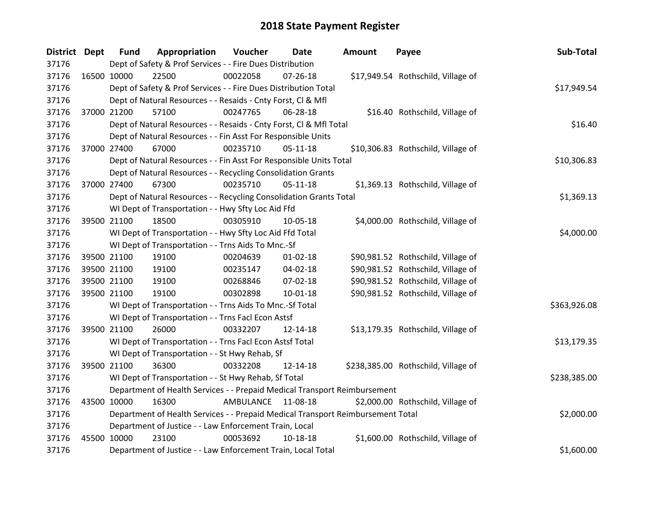| <b>District Dept</b> |             | <b>Fund</b> | Appropriation                                                                   | Voucher    | Date           | Amount | Payee                               | Sub-Total    |
|----------------------|-------------|-------------|---------------------------------------------------------------------------------|------------|----------------|--------|-------------------------------------|--------------|
| 37176                |             |             | Dept of Safety & Prof Services - - Fire Dues Distribution                       |            |                |        |                                     |              |
| 37176                | 16500 10000 |             | 22500                                                                           | 00022058   | $07 - 26 - 18$ |        | \$17,949.54 Rothschild, Village of  |              |
| 37176                |             |             | Dept of Safety & Prof Services - - Fire Dues Distribution Total                 |            |                |        |                                     | \$17,949.54  |
| 37176                |             |             | Dept of Natural Resources - - Resaids - Cnty Forst, Cl & Mfl                    |            |                |        |                                     |              |
| 37176                | 37000 21200 |             | 57100                                                                           | 00247765   | 06-28-18       |        | \$16.40 Rothschild, Village of      |              |
| 37176                |             |             | Dept of Natural Resources - - Resaids - Cnty Forst, Cl & Mfl Total              |            |                |        |                                     | \$16.40      |
| 37176                |             |             | Dept of Natural Resources - - Fin Asst For Responsible Units                    |            |                |        |                                     |              |
| 37176                | 37000 27400 |             | 67000                                                                           | 00235710   | $05 - 11 - 18$ |        | \$10,306.83 Rothschild, Village of  |              |
| 37176                |             |             | Dept of Natural Resources - - Fin Asst For Responsible Units Total              |            |                |        |                                     | \$10,306.83  |
| 37176                |             |             | Dept of Natural Resources - - Recycling Consolidation Grants                    |            |                |        |                                     |              |
| 37176                |             | 37000 27400 | 67300                                                                           | 00235710   | $05-11-18$     |        | \$1,369.13 Rothschild, Village of   |              |
| 37176                |             |             | Dept of Natural Resources - - Recycling Consolidation Grants Total              |            |                |        |                                     | \$1,369.13   |
| 37176                |             |             | WI Dept of Transportation - - Hwy Sfty Loc Aid Ffd                              |            |                |        |                                     |              |
| 37176                | 39500 21100 |             | 18500                                                                           | 00305910   | 10-05-18       |        | \$4,000.00 Rothschild, Village of   |              |
| 37176                |             |             | WI Dept of Transportation - - Hwy Sfty Loc Aid Ffd Total                        | \$4,000.00 |                |        |                                     |              |
| 37176                |             |             | WI Dept of Transportation - - Trns Aids To Mnc.-Sf                              |            |                |        |                                     |              |
| 37176                | 39500 21100 |             | 19100                                                                           | 00204639   | $01 - 02 - 18$ |        | \$90,981.52 Rothschild, Village of  |              |
| 37176                | 39500 21100 |             | 19100                                                                           | 00235147   | 04-02-18       |        | \$90,981.52 Rothschild, Village of  |              |
| 37176                | 39500 21100 |             | 19100                                                                           | 00268846   | 07-02-18       |        | \$90,981.52 Rothschild, Village of  |              |
| 37176                |             | 39500 21100 | 19100                                                                           | 00302898   | $10 - 01 - 18$ |        | \$90,981.52 Rothschild, Village of  |              |
| 37176                |             |             | WI Dept of Transportation - - Trns Aids To Mnc.-Sf Total                        |            |                |        |                                     | \$363,926.08 |
| 37176                |             |             | WI Dept of Transportation - - Trns Facl Econ Astsf                              |            |                |        |                                     |              |
| 37176                |             | 39500 21100 | 26000                                                                           | 00332207   | 12-14-18       |        | \$13,179.35 Rothschild, Village of  |              |
| 37176                |             |             | WI Dept of Transportation - - Trns Facl Econ Astsf Total                        |            |                |        |                                     | \$13,179.35  |
| 37176                |             |             | WI Dept of Transportation - - St Hwy Rehab, Sf                                  |            |                |        |                                     |              |
| 37176                | 39500 21100 |             | 36300                                                                           | 00332208   | 12-14-18       |        | \$238,385.00 Rothschild, Village of |              |
| 37176                |             |             | WI Dept of Transportation - - St Hwy Rehab, Sf Total                            |            |                |        |                                     | \$238,385.00 |
| 37176                |             |             | Department of Health Services - - Prepaid Medical Transport Reimbursement       |            |                |        |                                     |              |
| 37176                | 43500 10000 |             | 16300                                                                           | AMBULANCE  | 11-08-18       |        | \$2,000.00 Rothschild, Village of   |              |
| 37176                |             |             | Department of Health Services - - Prepaid Medical Transport Reimbursement Total |            |                |        |                                     | \$2,000.00   |
| 37176                |             |             | Department of Justice - - Law Enforcement Train, Local                          |            |                |        |                                     |              |
| 37176                | 45500 10000 |             | 23100                                                                           | 00053692   | 10-18-18       |        | \$1,600.00 Rothschild, Village of   |              |
| 37176                |             |             | Department of Justice - - Law Enforcement Train, Local Total                    |            |                |        |                                     | \$1,600.00   |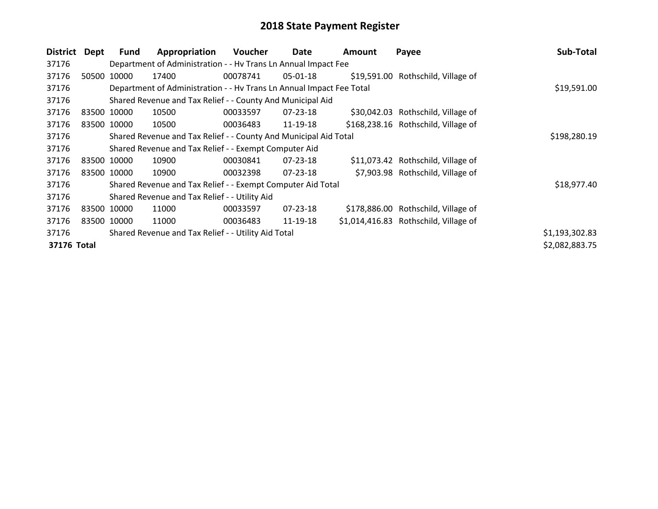| <b>District</b> | Dept        | <b>Fund</b> | Appropriation                                                        | <b>Voucher</b> | Date           | <b>Amount</b> | Payee                                 | Sub-Total      |
|-----------------|-------------|-------------|----------------------------------------------------------------------|----------------|----------------|---------------|---------------------------------------|----------------|
| 37176           |             |             | Department of Administration - - Hv Trans Ln Annual Impact Fee       |                |                |               |                                       |                |
| 37176           | 50500       | 10000       | 17400                                                                | 00078741       | 05-01-18       |               | \$19,591.00 Rothschild, Village of    |                |
| 37176           |             |             | Department of Administration - - Hv Trans Ln Annual Impact Fee Total |                |                |               |                                       | \$19,591.00    |
| 37176           |             |             | Shared Revenue and Tax Relief - - County And Municipal Aid           |                |                |               |                                       |                |
| 37176           | 83500 10000 |             | 10500                                                                | 00033597       | $07 - 23 - 18$ |               | \$30,042.03 Rothschild, Village of    |                |
| 37176           |             | 83500 10000 | 10500                                                                | 00036483       | 11-19-18       |               | \$168,238.16 Rothschild, Village of   |                |
| 37176           |             |             | Shared Revenue and Tax Relief - - County And Municipal Aid Total     |                |                |               |                                       | \$198,280.19   |
| 37176           |             |             | Shared Revenue and Tax Relief - - Exempt Computer Aid                |                |                |               |                                       |                |
| 37176           |             | 83500 10000 | 10900                                                                | 00030841       | $07 - 23 - 18$ |               | \$11,073.42 Rothschild, Village of    |                |
| 37176           |             | 83500 10000 | 10900                                                                | 00032398       | 07-23-18       |               | \$7,903.98 Rothschild, Village of     |                |
| 37176           |             |             | Shared Revenue and Tax Relief - - Exempt Computer Aid Total          |                |                |               |                                       | \$18,977.40    |
| 37176           |             |             | Shared Revenue and Tax Relief - - Utility Aid                        |                |                |               |                                       |                |
| 37176           |             | 83500 10000 | 11000                                                                | 00033597       | $07 - 23 - 18$ |               | \$178,886.00 Rothschild, Village of   |                |
| 37176           |             | 83500 10000 | 11000                                                                | 00036483       | 11-19-18       |               | \$1,014,416.83 Rothschild, Village of |                |
| 37176           |             |             | Shared Revenue and Tax Relief - - Utility Aid Total                  |                |                |               |                                       | \$1,193,302.83 |
| 37176 Total     |             |             |                                                                      |                |                |               |                                       | \$2,082,883.75 |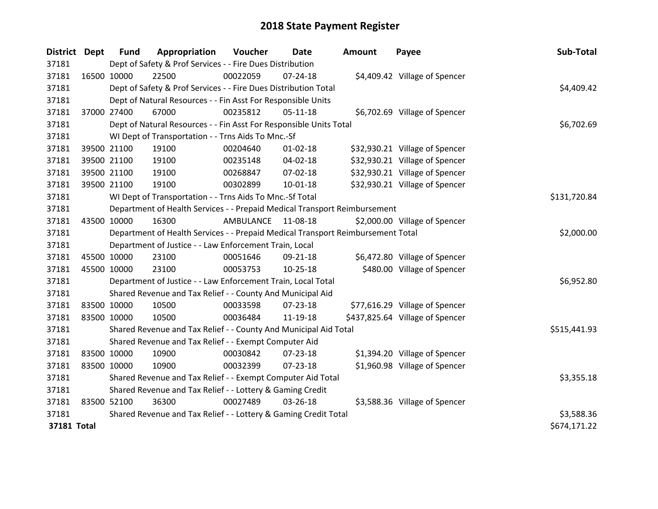| District Dept |             | <b>Fund</b>                                                 | Appropriation                                                                   | Voucher    | <b>Date</b>    | <b>Amount</b> | Payee                           | Sub-Total    |
|---------------|-------------|-------------------------------------------------------------|---------------------------------------------------------------------------------|------------|----------------|---------------|---------------------------------|--------------|
| 37181         |             |                                                             | Dept of Safety & Prof Services - - Fire Dues Distribution                       |            |                |               |                                 |              |
| 37181         | 16500 10000 |                                                             | 22500                                                                           | 00022059   | $07 - 24 - 18$ |               | \$4,409.42 Village of Spencer   |              |
| 37181         |             |                                                             | Dept of Safety & Prof Services - - Fire Dues Distribution Total                 |            |                |               |                                 | \$4,409.42   |
| 37181         |             |                                                             | Dept of Natural Resources - - Fin Asst For Responsible Units                    |            |                |               |                                 |              |
| 37181         | 37000 27400 |                                                             | 67000                                                                           | 00235812   | $05-11-18$     |               | \$6,702.69 Village of Spencer   |              |
| 37181         |             |                                                             | Dept of Natural Resources - - Fin Asst For Responsible Units Total              |            |                |               |                                 | \$6,702.69   |
| 37181         |             |                                                             | WI Dept of Transportation - - Trns Aids To Mnc.-Sf                              |            |                |               |                                 |              |
| 37181         |             | 39500 21100                                                 | 19100                                                                           | 00204640   | $01 - 02 - 18$ |               | \$32,930.21 Village of Spencer  |              |
| 37181         |             | 39500 21100                                                 | 19100                                                                           | 00235148   | $04 - 02 - 18$ |               | \$32,930.21 Village of Spencer  |              |
| 37181         |             | 39500 21100                                                 | 19100                                                                           | 00268847   | 07-02-18       |               | \$32,930.21 Village of Spencer  |              |
| 37181         |             | 39500 21100                                                 | 19100                                                                           | 00302899   | $10 - 01 - 18$ |               | \$32,930.21 Village of Spencer  |              |
| 37181         |             |                                                             | WI Dept of Transportation - - Trns Aids To Mnc.-Sf Total                        |            |                |               |                                 | \$131,720.84 |
| 37181         |             |                                                             | Department of Health Services - - Prepaid Medical Transport Reimbursement       |            |                |               |                                 |              |
| 37181         | 43500 10000 |                                                             | 16300                                                                           | AMBULANCE  | 11-08-18       |               | \$2,000.00 Village of Spencer   |              |
| 37181         |             |                                                             | Department of Health Services - - Prepaid Medical Transport Reimbursement Total |            | \$2,000.00     |               |                                 |              |
| 37181         |             |                                                             | Department of Justice - - Law Enforcement Train, Local                          |            |                |               |                                 |              |
| 37181         |             | 45500 10000                                                 | 23100                                                                           | 00051646   | 09-21-18       |               | \$6,472.80 Village of Spencer   |              |
| 37181         |             | 45500 10000                                                 | 23100                                                                           | 00053753   | $10 - 25 - 18$ |               | \$480.00 Village of Spencer     |              |
| 37181         |             |                                                             | Department of Justice - - Law Enforcement Train, Local Total                    |            |                |               |                                 | \$6,952.80   |
| 37181         |             |                                                             | Shared Revenue and Tax Relief - - County And Municipal Aid                      |            |                |               |                                 |              |
| 37181         |             | 83500 10000                                                 | 10500                                                                           | 00033598   | 07-23-18       |               | \$77,616.29 Village of Spencer  |              |
| 37181         |             | 83500 10000                                                 | 10500                                                                           | 00036484   | 11-19-18       |               | \$437,825.64 Village of Spencer |              |
| 37181         |             |                                                             | Shared Revenue and Tax Relief - - County And Municipal Aid Total                |            |                |               |                                 | \$515,441.93 |
| 37181         |             |                                                             | Shared Revenue and Tax Relief - - Exempt Computer Aid                           |            |                |               |                                 |              |
| 37181         |             | 83500 10000                                                 | 10900                                                                           | 00030842   | 07-23-18       |               | \$1,394.20 Village of Spencer   |              |
| 37181         |             | 83500 10000                                                 | 10900                                                                           | 00032399   | 07-23-18       |               | \$1,960.98 Village of Spencer   |              |
| 37181         |             | Shared Revenue and Tax Relief - - Exempt Computer Aid Total |                                                                                 |            |                |               |                                 | \$3,355.18   |
| 37181         |             |                                                             | Shared Revenue and Tax Relief - - Lottery & Gaming Credit                       |            |                |               |                                 |              |
| 37181         | 83500 52100 |                                                             | 36300                                                                           | 00027489   | 03-26-18       |               | \$3,588.36 Village of Spencer   |              |
| 37181         |             |                                                             | Shared Revenue and Tax Relief - - Lottery & Gaming Credit Total                 | \$3,588.36 |                |               |                                 |              |
| 37181 Total   |             |                                                             |                                                                                 |            |                |               |                                 | \$674,171.22 |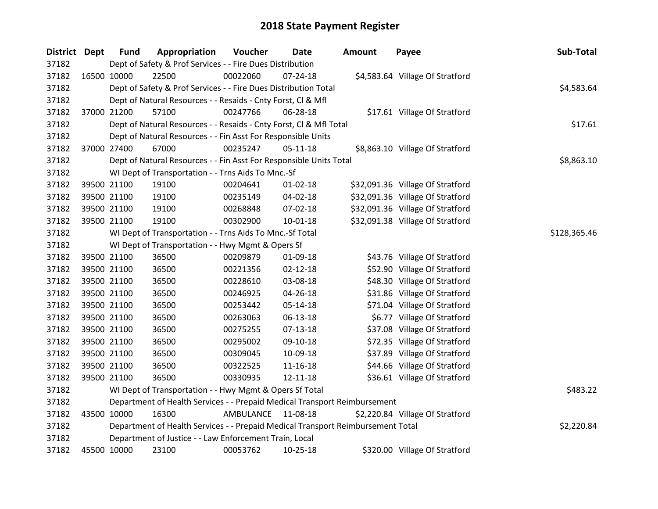| District Dept |             | <b>Fund</b> | Appropriation                                                                   | Voucher      | Date           | Amount | Payee                            | Sub-Total  |
|---------------|-------------|-------------|---------------------------------------------------------------------------------|--------------|----------------|--------|----------------------------------|------------|
| 37182         |             |             | Dept of Safety & Prof Services - - Fire Dues Distribution                       |              |                |        |                                  |            |
| 37182         | 16500 10000 |             | 22500                                                                           | 00022060     | $07 - 24 - 18$ |        | \$4,583.64 Village Of Stratford  |            |
| 37182         |             |             | Dept of Safety & Prof Services - - Fire Dues Distribution Total                 |              |                |        |                                  | \$4,583.64 |
| 37182         |             |             | Dept of Natural Resources - - Resaids - Cnty Forst, Cl & Mfl                    |              |                |        |                                  |            |
| 37182         | 37000 21200 |             | 57100                                                                           | 00247766     | 06-28-18       |        | \$17.61 Village Of Stratford     |            |
| 37182         |             |             | Dept of Natural Resources - - Resaids - Cnty Forst, Cl & Mfl Total              |              |                |        |                                  | \$17.61    |
| 37182         |             |             | Dept of Natural Resources - - Fin Asst For Responsible Units                    |              |                |        |                                  |            |
| 37182         | 37000 27400 |             | 67000                                                                           | 00235247     | 05-11-18       |        | \$8,863.10 Village Of Stratford  |            |
| 37182         |             |             | Dept of Natural Resources - - Fin Asst For Responsible Units Total              |              |                |        |                                  | \$8,863.10 |
| 37182         |             |             | WI Dept of Transportation - - Trns Aids To Mnc.-Sf                              |              |                |        |                                  |            |
| 37182         | 39500 21100 |             | 19100                                                                           | 00204641     | 01-02-18       |        | \$32,091.36 Village Of Stratford |            |
| 37182         | 39500 21100 |             | 19100                                                                           | 00235149     | 04-02-18       |        | \$32,091.36 Village Of Stratford |            |
| 37182         | 39500 21100 |             | 19100                                                                           | 00268848     | 07-02-18       |        | \$32,091.36 Village Of Stratford |            |
| 37182         | 39500 21100 |             | 19100                                                                           | 00302900     | $10 - 01 - 18$ |        | \$32,091.38 Village Of Stratford |            |
| 37182         |             |             | WI Dept of Transportation - - Trns Aids To Mnc.-Sf Total                        | \$128,365.46 |                |        |                                  |            |
| 37182         |             |             | WI Dept of Transportation - - Hwy Mgmt & Opers Sf                               |              |                |        |                                  |            |
| 37182         | 39500 21100 |             | 36500                                                                           | 00209879     | 01-09-18       |        | \$43.76 Village Of Stratford     |            |
| 37182         | 39500 21100 |             | 36500                                                                           | 00221356     | $02 - 12 - 18$ |        | \$52.90 Village Of Stratford     |            |
| 37182         | 39500 21100 |             | 36500                                                                           | 00228610     | 03-08-18       |        | \$48.30 Village Of Stratford     |            |
| 37182         | 39500 21100 |             | 36500                                                                           | 00246925     | 04-26-18       |        | \$31.86 Village Of Stratford     |            |
| 37182         | 39500 21100 |             | 36500                                                                           | 00253442     | 05-14-18       |        | \$71.04 Village Of Stratford     |            |
| 37182         | 39500 21100 |             | 36500                                                                           | 00263063     | 06-13-18       |        | \$6.77 Village Of Stratford      |            |
| 37182         | 39500 21100 |             | 36500                                                                           | 00275255     | 07-13-18       |        | \$37.08 Village Of Stratford     |            |
| 37182         | 39500 21100 |             | 36500                                                                           | 00295002     | 09-10-18       |        | \$72.35 Village Of Stratford     |            |
| 37182         |             | 39500 21100 | 36500                                                                           | 00309045     | 10-09-18       |        | \$37.89 Village Of Stratford     |            |
| 37182         | 39500 21100 |             | 36500                                                                           | 00322525     | $11 - 16 - 18$ |        | \$44.66 Village Of Stratford     |            |
| 37182         | 39500 21100 |             | 36500                                                                           | 00330935     | 12-11-18       |        | \$36.61 Village Of Stratford     |            |
| 37182         |             |             | WI Dept of Transportation - - Hwy Mgmt & Opers Sf Total                         |              |                |        |                                  | \$483.22   |
| 37182         |             |             | Department of Health Services - - Prepaid Medical Transport Reimbursement       |              |                |        |                                  |            |
| 37182         | 43500 10000 |             | 16300                                                                           | AMBULANCE    | 11-08-18       |        | \$2,220.84 Village Of Stratford  |            |
| 37182         |             |             | Department of Health Services - - Prepaid Medical Transport Reimbursement Total |              |                |        |                                  | \$2,220.84 |
| 37182         |             |             | Department of Justice - - Law Enforcement Train, Local                          |              |                |        |                                  |            |
| 37182         | 45500 10000 |             | 23100                                                                           | 00053762     | 10-25-18       |        | \$320.00 Village Of Stratford    |            |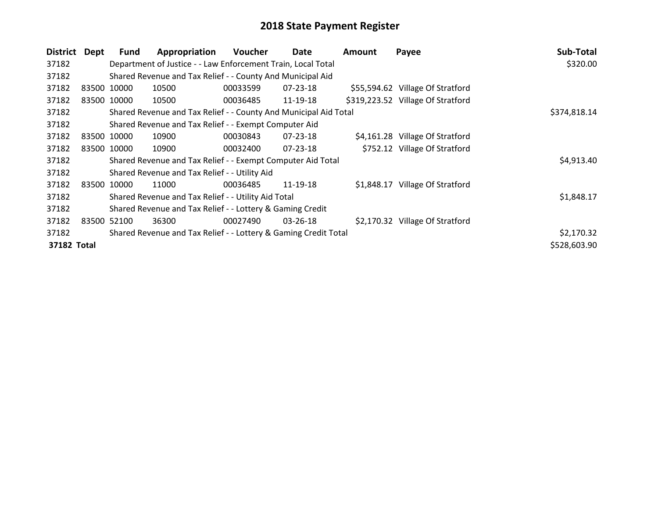| <b>District</b> | Dept        | <b>Fund</b> | Appropriation                                                    | <b>Voucher</b> | Date           | <b>Amount</b> | Payee                             | Sub-Total    |
|-----------------|-------------|-------------|------------------------------------------------------------------|----------------|----------------|---------------|-----------------------------------|--------------|
| 37182           |             |             | Department of Justice - - Law Enforcement Train, Local Total     |                |                |               |                                   | \$320.00     |
| 37182           |             |             | Shared Revenue and Tax Relief - - County And Municipal Aid       |                |                |               |                                   |              |
| 37182           | 83500 10000 |             | 10500                                                            | 00033599       | $07 - 23 - 18$ |               | \$55,594.62 Village Of Stratford  |              |
| 37182           |             | 83500 10000 | 10500                                                            | 00036485       | 11-19-18       |               | \$319,223.52 Village Of Stratford |              |
| 37182           |             |             | Shared Revenue and Tax Relief - - County And Municipal Aid Total | \$374,818.14   |                |               |                                   |              |
| 37182           |             |             | Shared Revenue and Tax Relief - - Exempt Computer Aid            |                |                |               |                                   |              |
| 37182           | 83500 10000 |             | 10900                                                            | 00030843       | 07-23-18       |               | \$4,161.28 Village Of Stratford   |              |
| 37182           |             | 83500 10000 | 10900                                                            | 00032400       | 07-23-18       |               | \$752.12 Village Of Stratford     |              |
| 37182           |             |             | Shared Revenue and Tax Relief - - Exempt Computer Aid Total      |                |                |               |                                   | \$4,913.40   |
| 37182           |             |             | Shared Revenue and Tax Relief - - Utility Aid                    |                |                |               |                                   |              |
| 37182           | 83500       | 10000       | 11000                                                            | 00036485       | 11-19-18       |               | \$1,848.17 Village Of Stratford   |              |
| 37182           |             |             | Shared Revenue and Tax Relief - - Utility Aid Total              |                |                |               |                                   | \$1,848.17   |
| 37182           |             |             | Shared Revenue and Tax Relief - - Lottery & Gaming Credit        |                |                |               |                                   |              |
| 37182           | 83500       | 52100       | 36300                                                            | 00027490       | $03 - 26 - 18$ |               | \$2,170.32 Village Of Stratford   |              |
| 37182           |             |             | Shared Revenue and Tax Relief - - Lottery & Gaming Credit Total  |                |                |               |                                   | \$2,170.32   |
| 37182 Total     |             |             |                                                                  |                |                |               |                                   | \$528,603.90 |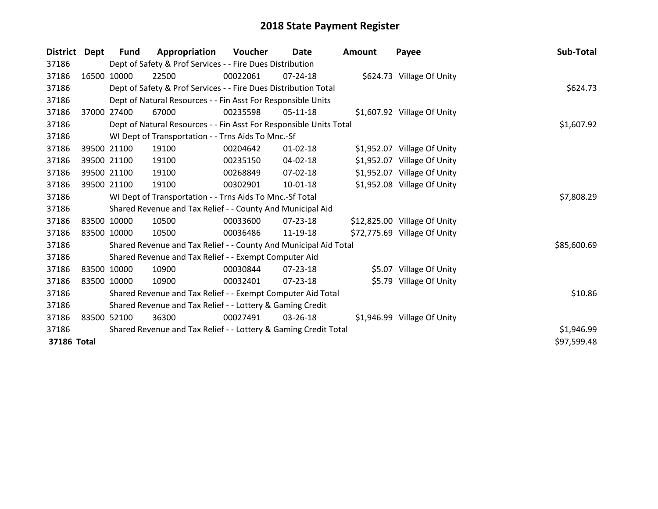| <b>District</b> | Dept  | <b>Fund</b>                                                     | Appropriation                                                      | Voucher  | Date           | <b>Amount</b> | Payee                        | Sub-Total   |
|-----------------|-------|-----------------------------------------------------------------|--------------------------------------------------------------------|----------|----------------|---------------|------------------------------|-------------|
| 37186           |       |                                                                 | Dept of Safety & Prof Services - - Fire Dues Distribution          |          |                |               |                              |             |
| 37186           |       | 16500 10000                                                     | 22500                                                              | 00022061 | 07-24-18       |               | \$624.73 Village Of Unity    |             |
| 37186           |       |                                                                 | Dept of Safety & Prof Services - - Fire Dues Distribution Total    |          |                |               |                              | \$624.73    |
| 37186           |       |                                                                 | Dept of Natural Resources - - Fin Asst For Responsible Units       |          |                |               |                              |             |
| 37186           | 37000 | 27400                                                           | 67000                                                              | 00235598 | $05-11-18$     |               | \$1,607.92 Village Of Unity  |             |
| 37186           |       |                                                                 | Dept of Natural Resources - - Fin Asst For Responsible Units Total |          |                |               |                              | \$1,607.92  |
| 37186           |       |                                                                 | WI Dept of Transportation - - Trns Aids To Mnc.-Sf                 |          |                |               |                              |             |
| 37186           |       | 39500 21100                                                     | 19100                                                              | 00204642 | $01 - 02 - 18$ |               | \$1,952.07 Village Of Unity  |             |
| 37186           |       | 39500 21100                                                     | 19100                                                              | 00235150 | 04-02-18       |               | \$1,952.07 Village Of Unity  |             |
| 37186           |       | 39500 21100                                                     | 19100                                                              | 00268849 | 07-02-18       |               | \$1,952.07 Village Of Unity  |             |
| 37186           |       | 39500 21100                                                     | 19100                                                              | 00302901 | 10-01-18       |               | \$1,952.08 Village Of Unity  |             |
| 37186           |       |                                                                 | WI Dept of Transportation - - Trns Aids To Mnc.-Sf Total           |          |                |               |                              | \$7,808.29  |
| 37186           |       |                                                                 | Shared Revenue and Tax Relief - - County And Municipal Aid         |          |                |               |                              |             |
| 37186           |       | 83500 10000                                                     | 10500                                                              | 00033600 | 07-23-18       |               | \$12,825.00 Village Of Unity |             |
| 37186           |       | 83500 10000                                                     | 10500                                                              | 00036486 | 11-19-18       |               | \$72,775.69 Village Of Unity |             |
| 37186           |       |                                                                 | Shared Revenue and Tax Relief - - County And Municipal Aid Total   |          |                |               |                              | \$85,600.69 |
| 37186           |       |                                                                 | Shared Revenue and Tax Relief - - Exempt Computer Aid              |          |                |               |                              |             |
| 37186           |       | 83500 10000                                                     | 10900                                                              | 00030844 | 07-23-18       |               | \$5.07 Village Of Unity      |             |
| 37186           |       | 83500 10000                                                     | 10900                                                              | 00032401 | 07-23-18       |               | \$5.79 Village Of Unity      |             |
| 37186           |       |                                                                 | Shared Revenue and Tax Relief - - Exempt Computer Aid Total        |          |                |               |                              | \$10.86     |
| 37186           |       |                                                                 | Shared Revenue and Tax Relief - - Lottery & Gaming Credit          |          |                |               |                              |             |
| 37186           |       | 83500 52100                                                     | 36300                                                              | 00027491 | 03-26-18       |               | \$1,946.99 Village Of Unity  |             |
| 37186           |       | Shared Revenue and Tax Relief - - Lottery & Gaming Credit Total |                                                                    |          |                |               |                              | \$1,946.99  |
| 37186 Total     |       |                                                                 |                                                                    |          |                |               |                              | \$97,599.48 |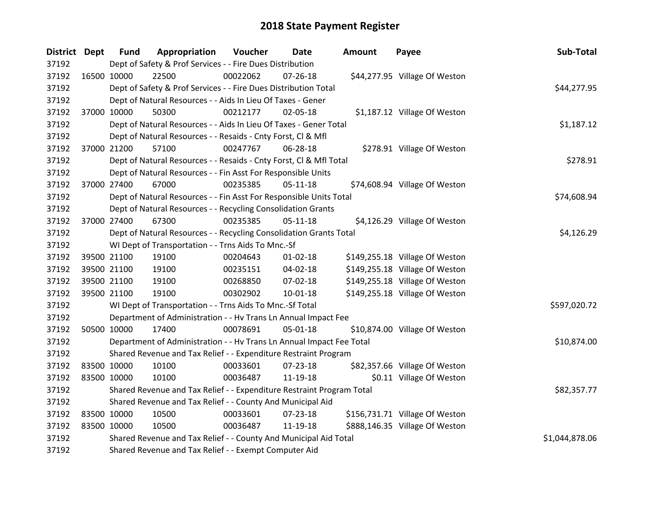| District Dept | <b>Fund</b> | Appropriation                                                         | Voucher        | Date           | Amount | Payee                          | Sub-Total    |
|---------------|-------------|-----------------------------------------------------------------------|----------------|----------------|--------|--------------------------------|--------------|
| 37192         |             | Dept of Safety & Prof Services - - Fire Dues Distribution             |                |                |        |                                |              |
| 37192         | 16500 10000 | 22500                                                                 | 00022062       | $07 - 26 - 18$ |        | \$44,277.95 Village Of Weston  |              |
| 37192         |             | Dept of Safety & Prof Services - - Fire Dues Distribution Total       |                |                |        |                                | \$44,277.95  |
| 37192         |             | Dept of Natural Resources - - Aids In Lieu Of Taxes - Gener           |                |                |        |                                |              |
| 37192         | 37000 10000 | 50300                                                                 | 00212177       | 02-05-18       |        | \$1,187.12 Village Of Weston   |              |
| 37192         |             | Dept of Natural Resources - - Aids In Lieu Of Taxes - Gener Total     |                |                |        |                                | \$1,187.12   |
| 37192         |             | Dept of Natural Resources - - Resaids - Cnty Forst, Cl & Mfl          |                |                |        |                                |              |
| 37192         | 37000 21200 | 57100                                                                 | 00247767       | 06-28-18       |        | \$278.91 Village Of Weston     |              |
| 37192         |             | Dept of Natural Resources - - Resaids - Cnty Forst, Cl & Mfl Total    |                |                |        |                                | \$278.91     |
| 37192         |             | Dept of Natural Resources - - Fin Asst For Responsible Units          |                |                |        |                                |              |
| 37192         | 37000 27400 | 67000                                                                 | 00235385       | $05-11-18$     |        | \$74,608.94 Village Of Weston  |              |
| 37192         |             | Dept of Natural Resources - - Fin Asst For Responsible Units Total    |                |                |        |                                | \$74,608.94  |
| 37192         |             | Dept of Natural Resources - - Recycling Consolidation Grants          |                |                |        |                                |              |
| 37192         | 37000 27400 | 67300                                                                 | 00235385       | $05 - 11 - 18$ |        | \$4,126.29 Village Of Weston   |              |
| 37192         |             | Dept of Natural Resources - - Recycling Consolidation Grants Total    | \$4,126.29     |                |        |                                |              |
| 37192         |             | WI Dept of Transportation - - Trns Aids To Mnc.-Sf                    |                |                |        |                                |              |
| 37192         | 39500 21100 | 19100                                                                 | 00204643       | $01 - 02 - 18$ |        | \$149,255.18 Village Of Weston |              |
| 37192         | 39500 21100 | 19100                                                                 | 00235151       | 04-02-18       |        | \$149,255.18 Village Of Weston |              |
| 37192         | 39500 21100 | 19100                                                                 | 00268850       | 07-02-18       |        | \$149,255.18 Village Of Weston |              |
| 37192         | 39500 21100 | 19100                                                                 | 00302902       | 10-01-18       |        | \$149,255.18 Village Of Weston |              |
| 37192         |             | WI Dept of Transportation - - Trns Aids To Mnc.-Sf Total              |                |                |        |                                | \$597,020.72 |
| 37192         |             | Department of Administration - - Hv Trans Ln Annual Impact Fee        |                |                |        |                                |              |
| 37192         | 50500 10000 | 17400                                                                 | 00078691       | 05-01-18       |        | \$10,874.00 Village Of Weston  |              |
| 37192         |             | Department of Administration - - Hv Trans Ln Annual Impact Fee Total  |                |                |        |                                | \$10,874.00  |
| 37192         |             | Shared Revenue and Tax Relief - - Expenditure Restraint Program       |                |                |        |                                |              |
| 37192         | 83500 10000 | 10100                                                                 | 00033601       | 07-23-18       |        | \$82,357.66 Village Of Weston  |              |
| 37192         | 83500 10000 | 10100                                                                 | 00036487       | 11-19-18       |        | \$0.11 Village Of Weston       |              |
| 37192         |             | Shared Revenue and Tax Relief - - Expenditure Restraint Program Total |                |                |        |                                | \$82,357.77  |
| 37192         |             | Shared Revenue and Tax Relief - - County And Municipal Aid            |                |                |        |                                |              |
| 37192         | 83500 10000 | 10500                                                                 | 00033601       | $07 - 23 - 18$ |        | \$156,731.71 Village Of Weston |              |
| 37192         | 83500 10000 | 10500                                                                 | 00036487       | 11-19-18       |        | \$888,146.35 Village Of Weston |              |
| 37192         |             | Shared Revenue and Tax Relief - - County And Municipal Aid Total      | \$1,044,878.06 |                |        |                                |              |
| 37192         |             | Shared Revenue and Tax Relief - - Exempt Computer Aid                 |                |                |        |                                |              |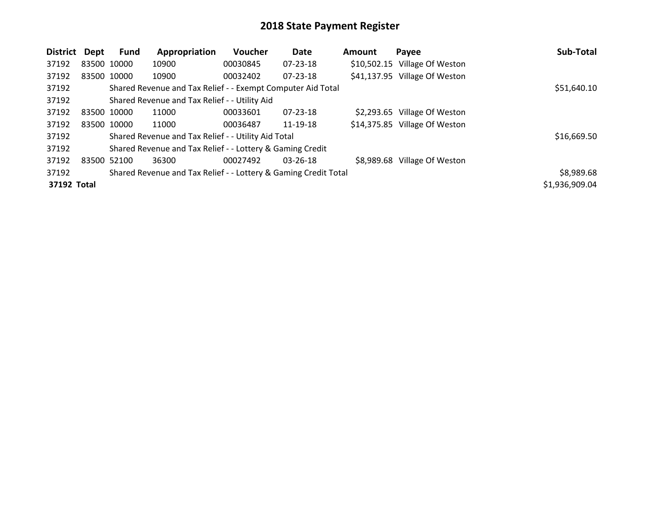| <b>District</b> | Dept        | Fund        | Appropriation                                                   | Voucher  | Date           | <b>Amount</b> | Payee                         | Sub-Total      |
|-----------------|-------------|-------------|-----------------------------------------------------------------|----------|----------------|---------------|-------------------------------|----------------|
| 37192           | 83500 10000 |             | 10900                                                           | 00030845 | $07 - 23 - 18$ |               | \$10,502.15 Village Of Weston |                |
| 37192           |             | 83500 10000 | 10900                                                           | 00032402 | $07 - 23 - 18$ |               | \$41,137.95 Village Of Weston |                |
| 37192           |             |             | Shared Revenue and Tax Relief - - Exempt Computer Aid Total     |          |                |               |                               | \$51,640.10    |
| 37192           |             |             | Shared Revenue and Tax Relief - - Utility Aid                   |          |                |               |                               |                |
| 37192           | 83500 10000 |             | 11000                                                           | 00033601 | $07 - 23 - 18$ |               | \$2,293.65 Village Of Weston  |                |
| 37192           |             | 83500 10000 | 11000                                                           | 00036487 | 11-19-18       |               | \$14,375.85 Village Of Weston |                |
| 37192           |             |             | Shared Revenue and Tax Relief - - Utility Aid Total             |          |                |               |                               | \$16,669.50    |
| 37192           |             |             | Shared Revenue and Tax Relief - - Lottery & Gaming Credit       |          |                |               |                               |                |
| 37192           | 83500 52100 |             | 36300                                                           | 00027492 | $03 - 26 - 18$ |               | \$8,989.68 Village Of Weston  |                |
| 37192           |             |             | Shared Revenue and Tax Relief - - Lottery & Gaming Credit Total |          |                |               |                               | \$8,989.68     |
| 37192 Total     |             |             |                                                                 |          |                |               |                               | \$1,936,909.04 |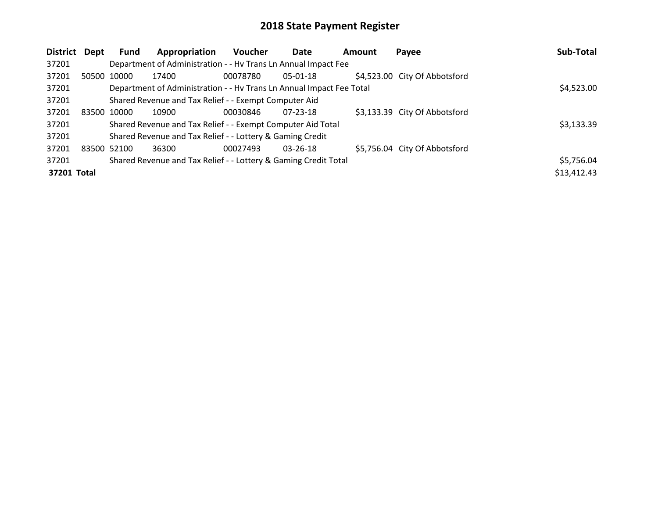| District    | Dept        | Fund        | Appropriation                                                        | <b>Voucher</b> | Date           | <b>Amount</b> | Payee                         | Sub-Total   |
|-------------|-------------|-------------|----------------------------------------------------------------------|----------------|----------------|---------------|-------------------------------|-------------|
| 37201       |             |             | Department of Administration - - Hv Trans Ln Annual Impact Fee       |                |                |               |                               |             |
| 37201       |             | 50500 10000 | 17400                                                                | 00078780       | $05-01-18$     |               | \$4,523.00 City Of Abbotsford |             |
| 37201       |             |             | Department of Administration - - Hv Trans Ln Annual Impact Fee Total |                |                |               |                               | \$4,523.00  |
| 37201       |             |             | Shared Revenue and Tax Relief - - Exempt Computer Aid                |                |                |               |                               |             |
| 37201       | 83500 10000 |             | 10900                                                                | 00030846       | $07 - 23 - 18$ |               | \$3,133.39 City Of Abbotsford |             |
| 37201       |             |             | Shared Revenue and Tax Relief - - Exempt Computer Aid Total          |                |                |               |                               | \$3,133.39  |
| 37201       |             |             | Shared Revenue and Tax Relief - - Lottery & Gaming Credit            |                |                |               |                               |             |
| 37201       | 83500 52100 |             | 36300                                                                | 00027493       | $03 - 26 - 18$ |               | \$5,756.04 City Of Abbotsford |             |
| 37201       |             |             | Shared Revenue and Tax Relief - - Lottery & Gaming Credit Total      |                |                |               |                               | \$5,756.04  |
| 37201 Total |             |             |                                                                      |                |                |               |                               | \$13,412.43 |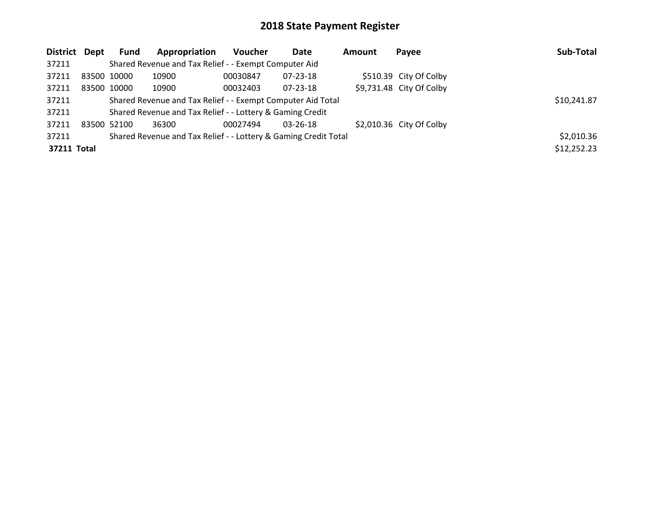| District Dept |             | Fund | Appropriation                                                   | <b>Voucher</b> | Date           | <b>Amount</b> | Payee                     | Sub-Total   |
|---------------|-------------|------|-----------------------------------------------------------------|----------------|----------------|---------------|---------------------------|-------------|
| 37211         |             |      | Shared Revenue and Tax Relief - - Exempt Computer Aid           |                |                |               |                           |             |
| 37211         | 83500 10000 |      | 10900                                                           | 00030847       | 07-23-18       |               | \$510.39 City Of Colby    |             |
| 37211         | 83500 10000 |      | 10900                                                           | 00032403       | $07 - 23 - 18$ |               | $$9,731.48$ City Of Colby |             |
| 37211         |             |      | Shared Revenue and Tax Relief - - Exempt Computer Aid Total     |                |                |               |                           | \$10,241.87 |
| 37211         |             |      | Shared Revenue and Tax Relief - - Lottery & Gaming Credit       |                |                |               |                           |             |
| 37211         | 83500 52100 |      | 36300                                                           | 00027494       | $03 - 26 - 18$ |               | $$2,010.36$ City Of Colby |             |
| 37211         |             |      | Shared Revenue and Tax Relief - - Lottery & Gaming Credit Total |                |                |               |                           | \$2,010.36  |
| 37211 Total   |             |      |                                                                 |                |                |               |                           | \$12,252.23 |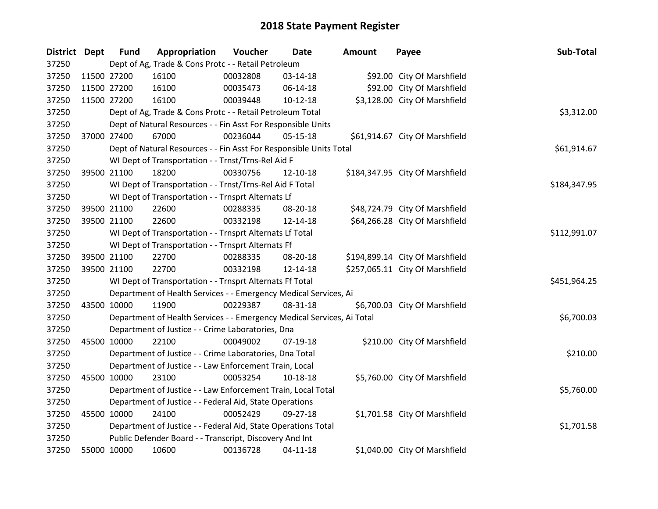| District Dept |             | <b>Fund</b> | Appropriation                                                          | Voucher  | Date           | Amount | Payee                           | Sub-Total    |
|---------------|-------------|-------------|------------------------------------------------------------------------|----------|----------------|--------|---------------------------------|--------------|
| 37250         |             |             | Dept of Ag, Trade & Cons Protc - - Retail Petroleum                    |          |                |        |                                 |              |
| 37250         |             | 11500 27200 | 16100                                                                  | 00032808 | 03-14-18       |        | \$92.00 City Of Marshfield      |              |
| 37250         |             | 11500 27200 | 16100                                                                  | 00035473 | 06-14-18       |        | \$92.00 City Of Marshfield      |              |
| 37250         | 11500 27200 |             | 16100                                                                  | 00039448 | $10-12-18$     |        | \$3,128.00 City Of Marshfield   |              |
| 37250         |             |             | Dept of Ag, Trade & Cons Protc - - Retail Petroleum Total              |          |                |        |                                 | \$3,312.00   |
| 37250         |             |             | Dept of Natural Resources - - Fin Asst For Responsible Units           |          |                |        |                                 |              |
| 37250         |             | 37000 27400 | 67000                                                                  | 00236044 | 05-15-18       |        | \$61,914.67 City Of Marshfield  |              |
| 37250         |             |             | Dept of Natural Resources - - Fin Asst For Responsible Units Total     |          |                |        |                                 | \$61,914.67  |
| 37250         |             |             | WI Dept of Transportation - - Trnst/Trns-Rel Aid F                     |          |                |        |                                 |              |
| 37250         |             | 39500 21100 | 18200                                                                  | 00330756 | 12-10-18       |        | \$184,347.95 City Of Marshfield |              |
| 37250         |             |             | WI Dept of Transportation - - Trnst/Trns-Rel Aid F Total               |          |                |        |                                 | \$184,347.95 |
| 37250         |             |             | WI Dept of Transportation - - Trnsprt Alternats Lf                     |          |                |        |                                 |              |
| 37250         |             | 39500 21100 | 22600                                                                  | 00288335 | 08-20-18       |        | \$48,724.79 City Of Marshfield  |              |
| 37250         |             | 39500 21100 | 22600                                                                  | 00332198 | 12-14-18       |        | \$64,266.28 City Of Marshfield  |              |
| 37250         |             |             | WI Dept of Transportation - - Trnsprt Alternats Lf Total               |          | \$112,991.07   |        |                                 |              |
| 37250         |             |             | WI Dept of Transportation - - Trnsprt Alternats Ff                     |          |                |        |                                 |              |
| 37250         |             | 39500 21100 | 22700                                                                  | 00288335 | 08-20-18       |        | \$194,899.14 City Of Marshfield |              |
| 37250         | 39500 21100 |             | 22700                                                                  | 00332198 | 12-14-18       |        | \$257,065.11 City Of Marshfield |              |
| 37250         |             |             | WI Dept of Transportation - - Trnsprt Alternats Ff Total               |          |                |        |                                 | \$451,964.25 |
| 37250         |             |             | Department of Health Services - - Emergency Medical Services, Ai       |          |                |        |                                 |              |
| 37250         | 43500 10000 |             | 11900                                                                  | 00229387 | 08-31-18       |        | \$6,700.03 City Of Marshfield   |              |
| 37250         |             |             | Department of Health Services - - Emergency Medical Services, Ai Total |          |                |        |                                 | \$6,700.03   |
| 37250         |             |             | Department of Justice - - Crime Laboratories, Dna                      |          |                |        |                                 |              |
| 37250         | 45500 10000 |             | 22100                                                                  | 00049002 | 07-19-18       |        | \$210.00 City Of Marshfield     |              |
| 37250         |             |             | Department of Justice - - Crime Laboratories, Dna Total                |          |                |        |                                 | \$210.00     |
| 37250         |             |             | Department of Justice - - Law Enforcement Train, Local                 |          |                |        |                                 |              |
| 37250         | 45500 10000 |             | 23100                                                                  | 00053254 | 10-18-18       |        | \$5,760.00 City Of Marshfield   |              |
| 37250         |             |             | Department of Justice - - Law Enforcement Train, Local Total           |          |                |        |                                 | \$5,760.00   |
| 37250         |             |             | Department of Justice - - Federal Aid, State Operations                |          |                |        |                                 |              |
| 37250         | 45500 10000 |             | 24100                                                                  | 00052429 | 09-27-18       |        | \$1,701.58 City Of Marshfield   |              |
| 37250         |             |             | Department of Justice - - Federal Aid, State Operations Total          |          |                |        |                                 | \$1,701.58   |
| 37250         |             |             | Public Defender Board - - Transcript, Discovery And Int                |          |                |        |                                 |              |
| 37250         |             | 55000 10000 | 10600                                                                  | 00136728 | $04 - 11 - 18$ |        | \$1,040.00 City Of Marshfield   |              |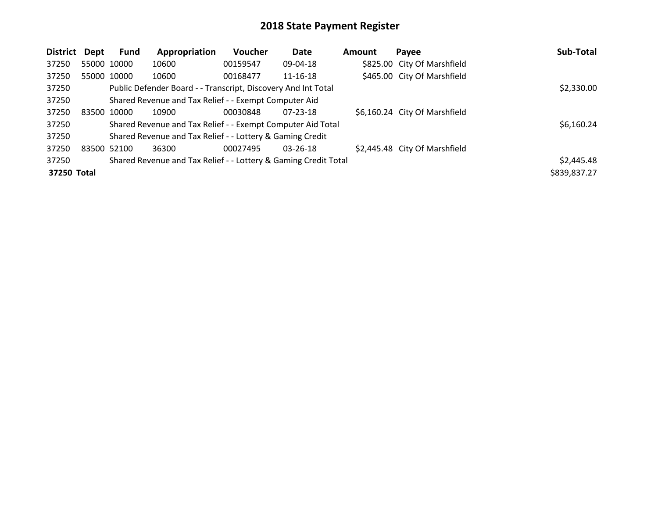| <b>District</b> | Dept        | Fund        | Appropriation                                                   | Voucher  | <b>Date</b>    | Amount | Payee                         | Sub-Total    |
|-----------------|-------------|-------------|-----------------------------------------------------------------|----------|----------------|--------|-------------------------------|--------------|
| 37250           |             | 55000 10000 | 10600                                                           | 00159547 | 09-04-18       |        | \$825.00 City Of Marshfield   |              |
| 37250           |             | 55000 10000 | 10600                                                           | 00168477 | $11 - 16 - 18$ |        | \$465.00 City Of Marshfield   |              |
| 37250           |             |             | Public Defender Board - - Transcript, Discovery And Int Total   |          |                |        |                               | \$2,330.00   |
| 37250           |             |             | Shared Revenue and Tax Relief - - Exempt Computer Aid           |          |                |        |                               |              |
| 37250           | 83500       | 10000       | 10900                                                           | 00030848 | 07-23-18       |        | \$6,160.24 City Of Marshfield |              |
| 37250           |             |             | Shared Revenue and Tax Relief - - Exempt Computer Aid Total     |          |                |        |                               | \$6,160.24   |
| 37250           |             |             | Shared Revenue and Tax Relief - - Lottery & Gaming Credit       |          |                |        |                               |              |
| 37250           | 83500 52100 |             | 36300                                                           | 00027495 | $03 - 26 - 18$ |        | \$2,445.48 City Of Marshfield |              |
| 37250           |             |             | Shared Revenue and Tax Relief - - Lottery & Gaming Credit Total |          |                |        |                               | \$2,445.48   |
| 37250 Total     |             |             |                                                                 |          |                |        |                               | \$839,837.27 |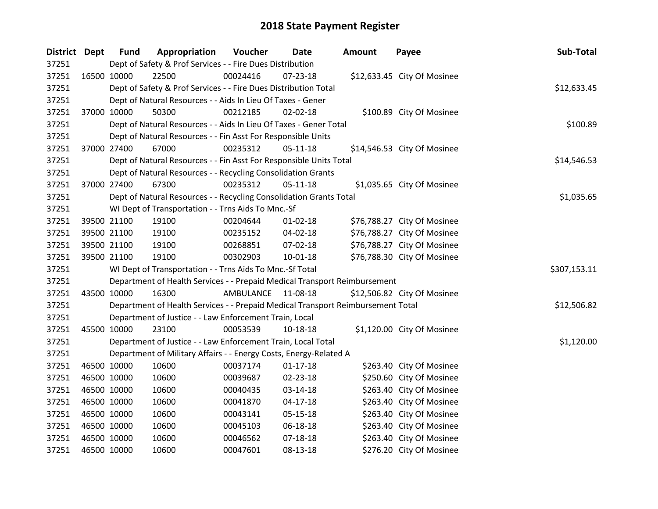| District Dept |             | <b>Fund</b> | Appropriation                                                                   | Voucher   | Date           | <b>Amount</b> | Payee                       | Sub-Total    |
|---------------|-------------|-------------|---------------------------------------------------------------------------------|-----------|----------------|---------------|-----------------------------|--------------|
| 37251         |             |             | Dept of Safety & Prof Services - - Fire Dues Distribution                       |           |                |               |                             |              |
| 37251         | 16500 10000 |             | 22500                                                                           | 00024416  | 07-23-18       |               | \$12,633.45 City Of Mosinee |              |
| 37251         |             |             | Dept of Safety & Prof Services - - Fire Dues Distribution Total                 |           |                |               |                             | \$12,633.45  |
| 37251         |             |             | Dept of Natural Resources - - Aids In Lieu Of Taxes - Gener                     |           |                |               |                             |              |
| 37251         |             | 37000 10000 | 50300                                                                           | 00212185  | 02-02-18       |               | \$100.89 City Of Mosinee    |              |
| 37251         |             |             | Dept of Natural Resources - - Aids In Lieu Of Taxes - Gener Total               |           |                |               |                             | \$100.89     |
| 37251         |             |             | Dept of Natural Resources - - Fin Asst For Responsible Units                    |           |                |               |                             |              |
| 37251         |             | 37000 27400 | 67000                                                                           | 00235312  | $05 - 11 - 18$ |               | \$14,546.53 City Of Mosinee |              |
| 37251         |             |             | Dept of Natural Resources - - Fin Asst For Responsible Units Total              |           |                |               |                             | \$14,546.53  |
| 37251         |             |             | Dept of Natural Resources - - Recycling Consolidation Grants                    |           |                |               |                             |              |
| 37251         |             | 37000 27400 | 67300                                                                           | 00235312  | $05-11-18$     |               | \$1,035.65 City Of Mosinee  |              |
| 37251         |             |             | Dept of Natural Resources - - Recycling Consolidation Grants Total              |           |                |               |                             | \$1,035.65   |
| 37251         |             |             | WI Dept of Transportation - - Trns Aids To Mnc.-Sf                              |           |                |               |                             |              |
| 37251         |             | 39500 21100 | 19100                                                                           | 00204644  | $01 - 02 - 18$ |               | \$76,788.27 City Of Mosinee |              |
| 37251         |             | 39500 21100 | 19100                                                                           | 00235152  | 04-02-18       |               | \$76,788.27 City Of Mosinee |              |
| 37251         |             | 39500 21100 | 19100                                                                           | 00268851  | 07-02-18       |               | \$76,788.27 City Of Mosinee |              |
| 37251         |             | 39500 21100 | 19100                                                                           | 00302903  | 10-01-18       |               | \$76,788.30 City Of Mosinee |              |
| 37251         |             |             | WI Dept of Transportation - - Trns Aids To Mnc.-Sf Total                        |           |                |               |                             | \$307,153.11 |
| 37251         |             |             | Department of Health Services - - Prepaid Medical Transport Reimbursement       |           |                |               |                             |              |
| 37251         | 43500 10000 |             | 16300                                                                           | AMBULANCE | 11-08-18       |               | \$12,506.82 City Of Mosinee |              |
| 37251         |             |             | Department of Health Services - - Prepaid Medical Transport Reimbursement Total |           |                |               |                             | \$12,506.82  |
| 37251         |             |             | Department of Justice - - Law Enforcement Train, Local                          |           |                |               |                             |              |
| 37251         | 45500 10000 |             | 23100                                                                           | 00053539  | $10-18-18$     |               | \$1,120.00 City Of Mosinee  |              |
| 37251         |             |             | Department of Justice - - Law Enforcement Train, Local Total                    |           |                |               |                             | \$1,120.00   |
| 37251         |             |             | Department of Military Affairs - - Energy Costs, Energy-Related A               |           |                |               |                             |              |
| 37251         |             | 46500 10000 | 10600                                                                           | 00037174  | $01 - 17 - 18$ |               | \$263.40 City Of Mosinee    |              |
| 37251         |             | 46500 10000 | 10600                                                                           | 00039687  | 02-23-18       |               | \$250.60 City Of Mosinee    |              |
| 37251         | 46500 10000 |             | 10600                                                                           | 00040435  | 03-14-18       |               | \$263.40 City Of Mosinee    |              |
| 37251         | 46500 10000 |             | 10600                                                                           | 00041870  | $04-17-18$     |               | \$263.40 City Of Mosinee    |              |
| 37251         |             | 46500 10000 | 10600                                                                           | 00043141  | 05-15-18       |               | \$263.40 City Of Mosinee    |              |
| 37251         |             | 46500 10000 | 10600                                                                           | 00045103  | 06-18-18       |               | \$263.40 City Of Mosinee    |              |
| 37251         |             | 46500 10000 | 10600                                                                           | 00046562  | $07 - 18 - 18$ |               | \$263.40 City Of Mosinee    |              |
| 37251         | 46500 10000 |             | 10600                                                                           | 00047601  | 08-13-18       |               | \$276.20 City Of Mosinee    |              |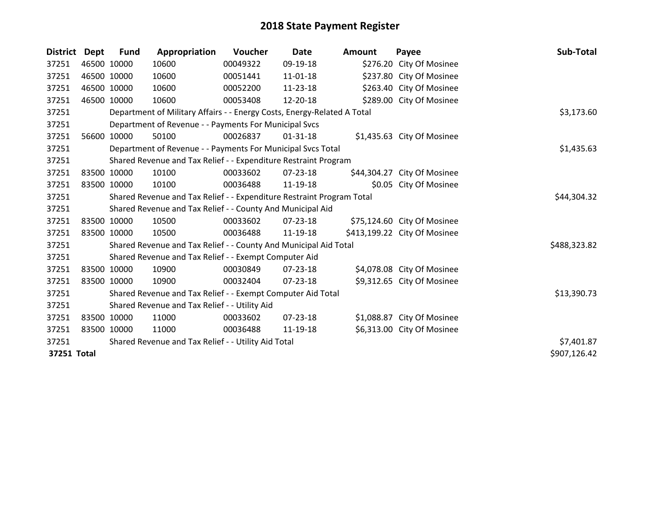| <b>District</b> | Dept        | Fund        | Appropriation                                                           | Voucher     | <b>Date</b>    | <b>Amount</b> | Payee                        | Sub-Total    |
|-----------------|-------------|-------------|-------------------------------------------------------------------------|-------------|----------------|---------------|------------------------------|--------------|
| 37251           |             | 46500 10000 | 10600                                                                   | 00049322    | 09-19-18       |               | \$276.20 City Of Mosinee     |              |
| 37251           |             | 46500 10000 | 10600                                                                   | 00051441    | $11 - 01 - 18$ |               | \$237.80 City Of Mosinee     |              |
| 37251           |             | 46500 10000 | 10600                                                                   | 00052200    | 11-23-18       |               | \$263.40 City Of Mosinee     |              |
| 37251           |             | 46500 10000 | 10600                                                                   | 00053408    | 12-20-18       |               | \$289.00 City Of Mosinee     |              |
| 37251           |             |             | Department of Military Affairs - - Energy Costs, Energy-Related A Total |             |                |               |                              | \$3,173.60   |
| 37251           |             |             | Department of Revenue - - Payments For Municipal Svcs                   |             |                |               |                              |              |
| 37251           | 56600       | 10000       | 50100                                                                   | 00026837    | $01 - 31 - 18$ |               | \$1,435.63 City Of Mosinee   |              |
| 37251           |             |             | Department of Revenue - - Payments For Municipal Svcs Total             |             |                |               |                              | \$1,435.63   |
| 37251           |             |             | Shared Revenue and Tax Relief - - Expenditure Restraint Program         |             |                |               |                              |              |
| 37251           |             | 83500 10000 | 10100                                                                   | 00033602    | 07-23-18       |               | \$44,304.27 City Of Mosinee  |              |
| 37251           | 83500 10000 |             | 10100                                                                   | 00036488    | 11-19-18       |               | \$0.05 City Of Mosinee       |              |
| 37251           |             |             | Shared Revenue and Tax Relief - - Expenditure Restraint Program Total   | \$44,304.32 |                |               |                              |              |
| 37251           |             |             | Shared Revenue and Tax Relief - - County And Municipal Aid              |             |                |               |                              |              |
| 37251           |             | 83500 10000 | 10500                                                                   | 00033602    | 07-23-18       |               | \$75,124.60 City Of Mosinee  |              |
| 37251           |             | 83500 10000 | 10500                                                                   | 00036488    | 11-19-18       |               | \$413,199.22 City Of Mosinee |              |
| 37251           |             |             | Shared Revenue and Tax Relief - - County And Municipal Aid Total        |             |                |               |                              | \$488,323.82 |
| 37251           |             |             | Shared Revenue and Tax Relief - - Exempt Computer Aid                   |             |                |               |                              |              |
| 37251           |             | 83500 10000 | 10900                                                                   | 00030849    | $07 - 23 - 18$ |               | \$4,078.08 City Of Mosinee   |              |
| 37251           |             | 83500 10000 | 10900                                                                   | 00032404    | 07-23-18       |               | \$9,312.65 City Of Mosinee   |              |
| 37251           |             |             | Shared Revenue and Tax Relief - - Exempt Computer Aid Total             |             |                |               |                              | \$13,390.73  |
| 37251           |             |             | Shared Revenue and Tax Relief - - Utility Aid                           |             |                |               |                              |              |
| 37251           |             | 83500 10000 | 11000                                                                   | 00033602    | $07 - 23 - 18$ |               | \$1,088.87 City Of Mosinee   |              |
| 37251           | 83500 10000 |             | 11000                                                                   | 00036488    | 11-19-18       |               | \$6,313.00 City Of Mosinee   |              |
| 37251           |             |             | Shared Revenue and Tax Relief - - Utility Aid Total                     |             |                |               |                              | \$7,401.87   |
| 37251 Total     |             |             |                                                                         |             |                |               |                              | \$907,126.42 |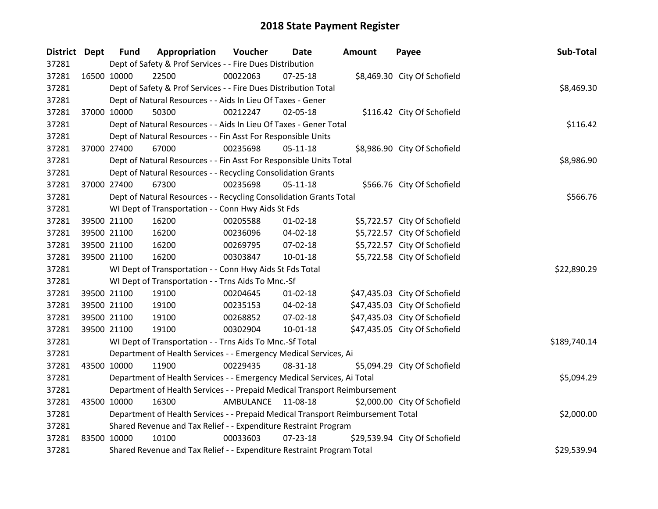| <b>District Dept</b> |             | <b>Fund</b>                                                                     | Appropriation                                                          | Voucher    | Date           | <b>Amount</b> | Payee                         | Sub-Total    |
|----------------------|-------------|---------------------------------------------------------------------------------|------------------------------------------------------------------------|------------|----------------|---------------|-------------------------------|--------------|
| 37281                |             |                                                                                 | Dept of Safety & Prof Services - - Fire Dues Distribution              |            |                |               |                               |              |
| 37281                | 16500 10000 |                                                                                 | 22500                                                                  | 00022063   | 07-25-18       |               | \$8,469.30 City Of Schofield  |              |
| 37281                |             |                                                                                 | Dept of Safety & Prof Services - - Fire Dues Distribution Total        | \$8,469.30 |                |               |                               |              |
| 37281                |             |                                                                                 | Dept of Natural Resources - - Aids In Lieu Of Taxes - Gener            |            |                |               |                               |              |
| 37281                |             | 37000 10000                                                                     | 50300                                                                  | 00212247   | 02-05-18       |               | \$116.42 City Of Schofield    |              |
| 37281                |             |                                                                                 | Dept of Natural Resources - - Aids In Lieu Of Taxes - Gener Total      |            |                |               |                               | \$116.42     |
| 37281                |             |                                                                                 | Dept of Natural Resources - - Fin Asst For Responsible Units           |            |                |               |                               |              |
| 37281                |             | 37000 27400                                                                     | 67000                                                                  | 00235698   | $05 - 11 - 18$ |               | \$8,986.90 City Of Schofield  |              |
| 37281                |             |                                                                                 | Dept of Natural Resources - - Fin Asst For Responsible Units Total     |            |                |               |                               | \$8,986.90   |
| 37281                |             |                                                                                 | Dept of Natural Resources - - Recycling Consolidation Grants           |            |                |               |                               |              |
| 37281                |             | 37000 27400                                                                     | 67300                                                                  | 00235698   | $05-11-18$     |               | \$566.76 City Of Schofield    |              |
| 37281                |             |                                                                                 | Dept of Natural Resources - - Recycling Consolidation Grants Total     |            |                |               |                               | \$566.76     |
| 37281                |             |                                                                                 | WI Dept of Transportation - - Conn Hwy Aids St Fds                     |            |                |               |                               |              |
| 37281                |             | 39500 21100                                                                     | 16200                                                                  | 00205588   | 01-02-18       |               | \$5,722.57 City Of Schofield  |              |
| 37281                |             | 39500 21100                                                                     | 16200                                                                  | 00236096   | 04-02-18       |               | \$5,722.57 City Of Schofield  |              |
| 37281                |             | 39500 21100                                                                     | 16200                                                                  | 00269795   | $07 - 02 - 18$ |               | \$5,722.57 City Of Schofield  |              |
| 37281                |             | 39500 21100                                                                     | 16200                                                                  | 00303847   | $10 - 01 - 18$ |               | \$5,722.58 City Of Schofield  |              |
| 37281                |             |                                                                                 | WI Dept of Transportation - - Conn Hwy Aids St Fds Total               |            |                |               |                               | \$22,890.29  |
| 37281                |             |                                                                                 | WI Dept of Transportation - - Trns Aids To Mnc.-Sf                     |            |                |               |                               |              |
| 37281                |             | 39500 21100                                                                     | 19100                                                                  | 00204645   | $01 - 02 - 18$ |               | \$47,435.03 City Of Schofield |              |
| 37281                |             | 39500 21100                                                                     | 19100                                                                  | 00235153   | 04-02-18       |               | \$47,435.03 City Of Schofield |              |
| 37281                |             | 39500 21100                                                                     | 19100                                                                  | 00268852   | 07-02-18       |               | \$47,435.03 City Of Schofield |              |
| 37281                |             | 39500 21100                                                                     | 19100                                                                  | 00302904   | $10 - 01 - 18$ |               | \$47,435.05 City Of Schofield |              |
| 37281                |             |                                                                                 | WI Dept of Transportation - - Trns Aids To Mnc.-Sf Total               |            |                |               |                               | \$189,740.14 |
| 37281                |             |                                                                                 | Department of Health Services - - Emergency Medical Services, Ai       |            |                |               |                               |              |
| 37281                | 43500 10000 |                                                                                 | 11900                                                                  | 00229435   | 08-31-18       |               | \$5,094.29 City Of Schofield  |              |
| 37281                |             |                                                                                 | Department of Health Services - - Emergency Medical Services, Ai Total |            |                |               |                               | \$5,094.29   |
| 37281                |             | Department of Health Services - - Prepaid Medical Transport Reimbursement       |                                                                        |            |                |               |                               |              |
| 37281                | 43500 10000 |                                                                                 | 16300                                                                  | AMBULANCE  | 11-08-18       |               | \$2,000.00 City Of Schofield  |              |
| 37281                |             | Department of Health Services - - Prepaid Medical Transport Reimbursement Total | \$2,000.00                                                             |            |                |               |                               |              |
| 37281                |             |                                                                                 | Shared Revenue and Tax Relief - - Expenditure Restraint Program        |            |                |               |                               |              |
| 37281                | 83500 10000 |                                                                                 | 10100                                                                  | 00033603   | 07-23-18       |               | \$29,539.94 City Of Schofield |              |
| 37281                |             |                                                                                 | Shared Revenue and Tax Relief - - Expenditure Restraint Program Total  |            |                |               |                               | \$29,539.94  |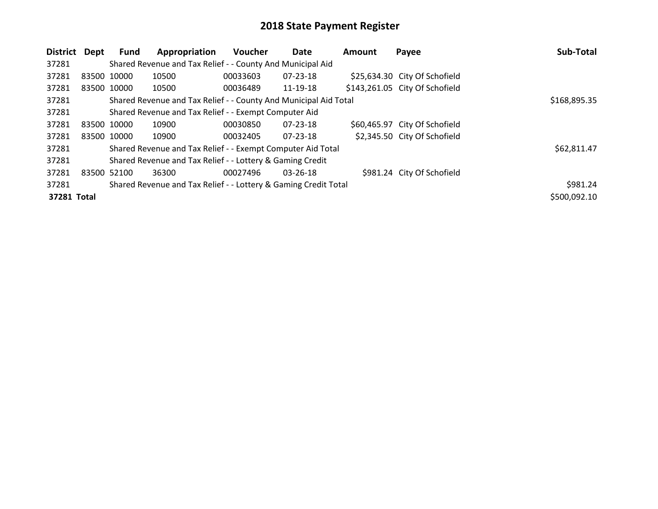| District    | Dept        | <b>Fund</b> | Appropriation                                                    | <b>Voucher</b> | Date           | <b>Amount</b> | Payee                          | Sub-Total    |
|-------------|-------------|-------------|------------------------------------------------------------------|----------------|----------------|---------------|--------------------------------|--------------|
| 37281       |             |             | Shared Revenue and Tax Relief - - County And Municipal Aid       |                |                |               |                                |              |
| 37281       | 83500 10000 |             | 10500                                                            | 00033603       | 07-23-18       |               | \$25,634.30 City Of Schofield  |              |
| 37281       |             | 83500 10000 | 10500                                                            | 00036489       | 11-19-18       |               | \$143,261.05 City Of Schofield |              |
| 37281       |             |             | Shared Revenue and Tax Relief - - County And Municipal Aid Total |                |                |               |                                | \$168,895.35 |
| 37281       |             |             | Shared Revenue and Tax Relief - - Exempt Computer Aid            |                |                |               |                                |              |
| 37281       | 83500 10000 |             | 10900                                                            | 00030850       | 07-23-18       |               | \$60,465.97 City Of Schofield  |              |
| 37281       | 83500 10000 |             | 10900                                                            | 00032405       | $07 - 23 - 18$ |               | \$2,345.50 City Of Schofield   |              |
| 37281       |             |             | Shared Revenue and Tax Relief - - Exempt Computer Aid Total      |                |                |               |                                | \$62,811.47  |
| 37281       |             |             | Shared Revenue and Tax Relief - - Lottery & Gaming Credit        |                |                |               |                                |              |
| 37281       | 83500       | 52100       | 36300                                                            | 00027496       | $03 - 26 - 18$ |               | \$981.24 City Of Schofield     |              |
| 37281       |             |             | Shared Revenue and Tax Relief - - Lottery & Gaming Credit Total  |                |                |               |                                | \$981.24     |
| 37281 Total |             |             |                                                                  |                |                |               |                                | \$500,092.10 |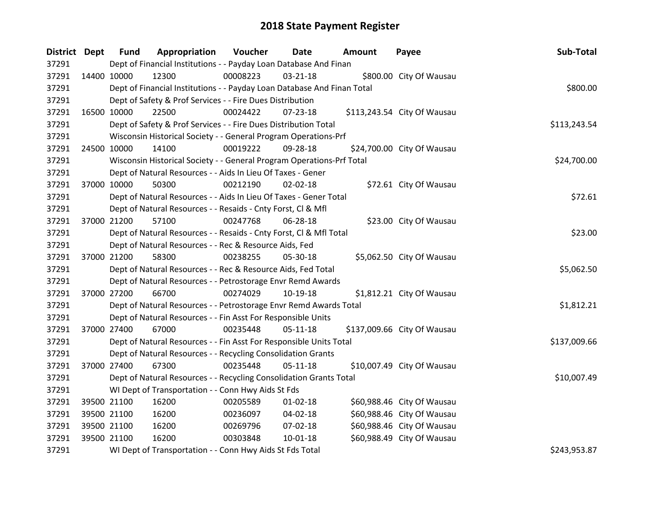| District Dept |             | <b>Fund</b> | Appropriation                                                           | Voucher  | Date           | <b>Amount</b> | Payee                       | Sub-Total    |
|---------------|-------------|-------------|-------------------------------------------------------------------------|----------|----------------|---------------|-----------------------------|--------------|
| 37291         |             |             | Dept of Financial Institutions - - Payday Loan Database And Finan       |          |                |               |                             |              |
| 37291         | 14400 10000 |             | 12300                                                                   | 00008223 | $03 - 21 - 18$ |               | \$800.00 City Of Wausau     |              |
| 37291         |             |             | Dept of Financial Institutions - - Payday Loan Database And Finan Total |          |                |               |                             | \$800.00     |
| 37291         |             |             | Dept of Safety & Prof Services - - Fire Dues Distribution               |          |                |               |                             |              |
| 37291         |             | 16500 10000 | 22500                                                                   | 00024422 | $07 - 23 - 18$ |               | \$113,243.54 City Of Wausau |              |
| 37291         |             |             | Dept of Safety & Prof Services - - Fire Dues Distribution Total         |          |                |               |                             | \$113,243.54 |
| 37291         |             |             | Wisconsin Historical Society - - General Program Operations-Prf         |          |                |               |                             |              |
| 37291         | 24500 10000 |             | 14100                                                                   | 00019222 | 09-28-18       |               | \$24,700.00 City Of Wausau  |              |
| 37291         |             |             | Wisconsin Historical Society - - General Program Operations-Prf Total   |          |                |               |                             | \$24,700.00  |
| 37291         |             |             | Dept of Natural Resources - - Aids In Lieu Of Taxes - Gener             |          |                |               |                             |              |
| 37291         | 37000 10000 |             | 50300                                                                   | 00212190 | $02 - 02 - 18$ |               | \$72.61 City Of Wausau      |              |
| 37291         |             |             | Dept of Natural Resources - - Aids In Lieu Of Taxes - Gener Total       |          |                |               |                             | \$72.61      |
| 37291         |             |             | Dept of Natural Resources - - Resaids - Cnty Forst, Cl & Mfl            |          |                |               |                             |              |
| 37291         |             | 37000 21200 | 57100                                                                   | 00247768 | 06-28-18       |               | \$23.00 City Of Wausau      |              |
| 37291         |             |             | Dept of Natural Resources - - Resaids - Cnty Forst, CI & Mfl Total      |          |                |               |                             | \$23.00      |
| 37291         |             |             | Dept of Natural Resources - - Rec & Resource Aids, Fed                  |          |                |               |                             |              |
| 37291         |             | 37000 21200 | 58300                                                                   | 00238255 | 05-30-18       |               | \$5,062.50 City Of Wausau   |              |
| 37291         |             |             | Dept of Natural Resources - - Rec & Resource Aids, Fed Total            |          |                |               |                             | \$5,062.50   |
| 37291         |             |             | Dept of Natural Resources - - Petrostorage Envr Remd Awards             |          |                |               |                             |              |
| 37291         |             | 37000 27200 | 66700                                                                   | 00274029 | 10-19-18       |               | \$1,812.21 City Of Wausau   |              |
| 37291         |             |             | Dept of Natural Resources - - Petrostorage Envr Remd Awards Total       |          |                |               |                             | \$1,812.21   |
| 37291         |             |             | Dept of Natural Resources - - Fin Asst For Responsible Units            |          |                |               |                             |              |
| 37291         |             | 37000 27400 | 67000                                                                   | 00235448 | 05-11-18       |               | \$137,009.66 City Of Wausau |              |
| 37291         |             |             | Dept of Natural Resources - - Fin Asst For Responsible Units Total      |          |                |               |                             | \$137,009.66 |
| 37291         |             |             | Dept of Natural Resources - - Recycling Consolidation Grants            |          |                |               |                             |              |
| 37291         | 37000 27400 |             | 67300                                                                   | 00235448 | $05-11-18$     |               | \$10,007.49 City Of Wausau  |              |
| 37291         |             |             | Dept of Natural Resources - - Recycling Consolidation Grants Total      |          |                |               |                             | \$10,007.49  |
| 37291         |             |             | WI Dept of Transportation - - Conn Hwy Aids St Fds                      |          |                |               |                             |              |
| 37291         |             | 39500 21100 | 16200                                                                   | 00205589 | $01 - 02 - 18$ |               | \$60,988.46 City Of Wausau  |              |
| 37291         |             | 39500 21100 | 16200                                                                   | 00236097 | 04-02-18       |               | \$60,988.46 City Of Wausau  |              |
| 37291         |             | 39500 21100 | 16200                                                                   | 00269796 | 07-02-18       |               | \$60,988.46 City Of Wausau  |              |
| 37291         |             | 39500 21100 | 16200                                                                   | 00303848 | $10 - 01 - 18$ |               | \$60,988.49 City Of Wausau  |              |
| 37291         |             |             | WI Dept of Transportation - - Conn Hwy Aids St Fds Total                |          |                |               |                             | \$243,953.87 |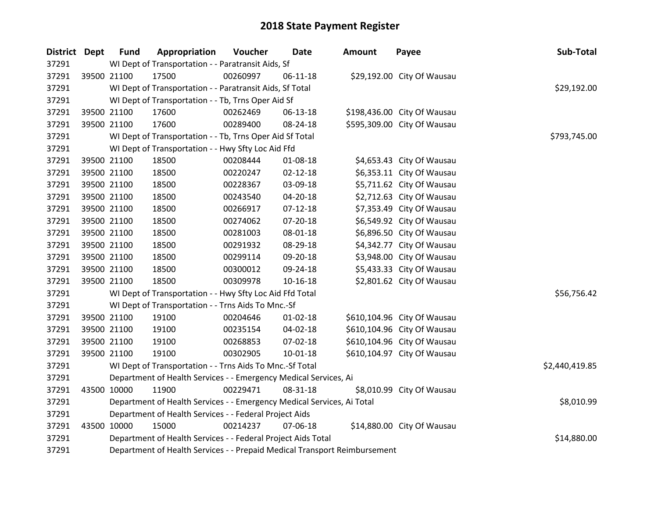| District Dept | <b>Fund</b>                                            | Appropriation                                                             | Voucher  | <b>Date</b>    | <b>Amount</b> | Payee                       | Sub-Total      |  |
|---------------|--------------------------------------------------------|---------------------------------------------------------------------------|----------|----------------|---------------|-----------------------------|----------------|--|
| 37291         |                                                        | WI Dept of Transportation - - Paratransit Aids, Sf                        |          |                |               |                             |                |  |
| 37291         | 39500 21100                                            | 17500                                                                     | 00260997 | 06-11-18       |               | \$29,192.00 City Of Wausau  |                |  |
| 37291         |                                                        | WI Dept of Transportation - - Paratransit Aids, Sf Total                  |          | \$29,192.00    |               |                             |                |  |
| 37291         |                                                        | WI Dept of Transportation - - Tb, Trns Oper Aid Sf                        |          |                |               |                             |                |  |
| 37291         | 39500 21100                                            | 17600                                                                     | 00262469 | 06-13-18       |               | \$198,436.00 City Of Wausau |                |  |
| 37291         | 39500 21100                                            | 17600                                                                     | 00289400 | 08-24-18       |               | \$595,309.00 City Of Wausau |                |  |
| 37291         |                                                        | WI Dept of Transportation - - Tb, Trns Oper Aid Sf Total                  |          |                |               |                             | \$793,745.00   |  |
| 37291         |                                                        | WI Dept of Transportation - - Hwy Sfty Loc Aid Ffd                        |          |                |               |                             |                |  |
| 37291         | 39500 21100                                            | 18500                                                                     | 00208444 | 01-08-18       |               | \$4,653.43 City Of Wausau   |                |  |
| 37291         | 39500 21100                                            | 18500                                                                     | 00220247 | $02 - 12 - 18$ |               | \$6,353.11 City Of Wausau   |                |  |
| 37291         | 39500 21100                                            | 18500                                                                     | 00228367 | 03-09-18       |               | \$5,711.62 City Of Wausau   |                |  |
| 37291         | 39500 21100                                            | 18500                                                                     | 00243540 | 04-20-18       |               | \$2,712.63 City Of Wausau   |                |  |
| 37291         | 39500 21100                                            | 18500                                                                     | 00266917 | $07-12-18$     |               | \$7,353.49 City Of Wausau   |                |  |
| 37291         | 39500 21100                                            | 18500                                                                     | 00274062 | 07-20-18       |               | \$6,549.92 City Of Wausau   |                |  |
| 37291         | 39500 21100                                            | 18500                                                                     | 00281003 | 08-01-18       |               | \$6,896.50 City Of Wausau   |                |  |
| 37291         | 39500 21100                                            | 18500                                                                     | 00291932 | 08-29-18       |               | \$4,342.77 City Of Wausau   |                |  |
| 37291         | 39500 21100                                            | 18500                                                                     | 00299114 | 09-20-18       |               | \$3,948.00 City Of Wausau   |                |  |
| 37291         | 39500 21100                                            | 18500                                                                     | 00300012 | 09-24-18       |               | \$5,433.33 City Of Wausau   |                |  |
| 37291         | 39500 21100                                            | 18500                                                                     | 00309978 | $10 - 16 - 18$ |               | \$2,801.62 City Of Wausau   |                |  |
| 37291         |                                                        | WI Dept of Transportation - - Hwy Sfty Loc Aid Ffd Total                  |          |                |               |                             | \$56,756.42    |  |
| 37291         |                                                        | WI Dept of Transportation - - Trns Aids To Mnc.-Sf                        |          |                |               |                             |                |  |
| 37291         | 39500 21100                                            | 19100                                                                     | 00204646 | 01-02-18       |               | \$610,104.96 City Of Wausau |                |  |
| 37291         | 39500 21100                                            | 19100                                                                     | 00235154 | 04-02-18       |               | \$610,104.96 City Of Wausau |                |  |
| 37291         | 39500 21100                                            | 19100                                                                     | 00268853 | 07-02-18       |               | \$610,104.96 City Of Wausau |                |  |
| 37291         | 39500 21100                                            | 19100                                                                     | 00302905 | 10-01-18       |               | \$610,104.97 City Of Wausau |                |  |
| 37291         |                                                        | WI Dept of Transportation - - Trns Aids To Mnc.-Sf Total                  |          |                |               |                             | \$2,440,419.85 |  |
| 37291         |                                                        | Department of Health Services - - Emergency Medical Services, Ai          |          |                |               |                             |                |  |
| 37291         | 43500 10000                                            | 11900                                                                     | 00229471 | 08-31-18       |               | \$8,010.99 City Of Wausau   |                |  |
| 37291         |                                                        | Department of Health Services - - Emergency Medical Services, Ai Total    |          |                |               |                             | \$8,010.99     |  |
| 37291         | Department of Health Services - - Federal Project Aids |                                                                           |          |                |               |                             |                |  |
| 37291         | 43500 10000                                            | 15000                                                                     | 00214237 | 07-06-18       |               | \$14,880.00 City Of Wausau  |                |  |
| 37291         |                                                        | Department of Health Services - - Federal Project Aids Total              |          |                |               |                             | \$14,880.00    |  |
| 37291         |                                                        | Department of Health Services - - Prepaid Medical Transport Reimbursement |          |                |               |                             |                |  |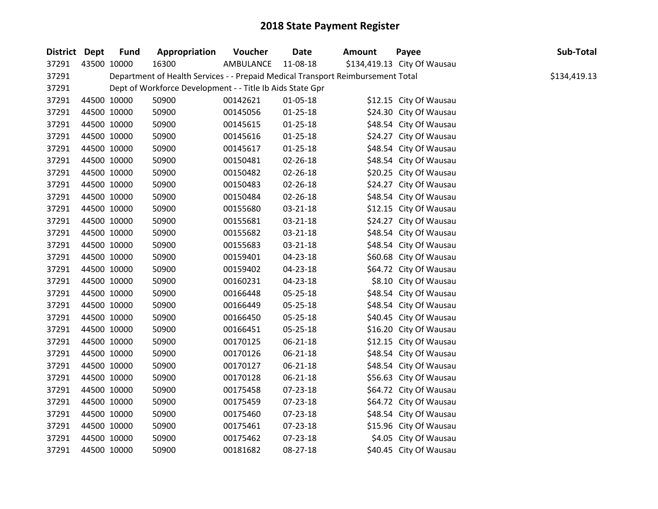| <b>District Dept</b> | <b>Fund</b> | Appropriation                                                                   | Voucher   | <b>Date</b>    | Amount | Payee                       | Sub-Total    |
|----------------------|-------------|---------------------------------------------------------------------------------|-----------|----------------|--------|-----------------------------|--------------|
| 37291                | 43500 10000 | 16300                                                                           | AMBULANCE | 11-08-18       |        | \$134,419.13 City Of Wausau |              |
| 37291                |             | Department of Health Services - - Prepaid Medical Transport Reimbursement Total |           |                |        |                             | \$134,419.13 |
| 37291                |             | Dept of Workforce Development - - Title Ib Aids State Gpr                       |           |                |        |                             |              |
| 37291                | 44500 10000 | 50900                                                                           | 00142621  | 01-05-18       |        | \$12.15 City Of Wausau      |              |
| 37291                | 44500 10000 | 50900                                                                           | 00145056  | $01 - 25 - 18$ |        | \$24.30 City Of Wausau      |              |
| 37291                | 44500 10000 | 50900                                                                           | 00145615  | $01 - 25 - 18$ |        | \$48.54 City Of Wausau      |              |
| 37291                | 44500 10000 | 50900                                                                           | 00145616  | $01 - 25 - 18$ |        | \$24.27 City Of Wausau      |              |
| 37291                | 44500 10000 | 50900                                                                           | 00145617  | $01 - 25 - 18$ |        | \$48.54 City Of Wausau      |              |
| 37291                | 44500 10000 | 50900                                                                           | 00150481  | 02-26-18       |        | \$48.54 City Of Wausau      |              |
| 37291                | 44500 10000 | 50900                                                                           | 00150482  | 02-26-18       |        | \$20.25 City Of Wausau      |              |
| 37291                | 44500 10000 | 50900                                                                           | 00150483  | 02-26-18       |        | \$24.27 City Of Wausau      |              |
| 37291                | 44500 10000 | 50900                                                                           | 00150484  | 02-26-18       |        | \$48.54 City Of Wausau      |              |
| 37291                | 44500 10000 | 50900                                                                           | 00155680  | 03-21-18       |        | \$12.15 City Of Wausau      |              |
| 37291                | 44500 10000 | 50900                                                                           | 00155681  | 03-21-18       |        | \$24.27 City Of Wausau      |              |
| 37291                | 44500 10000 | 50900                                                                           | 00155682  | 03-21-18       |        | \$48.54 City Of Wausau      |              |
| 37291                | 44500 10000 | 50900                                                                           | 00155683  | 03-21-18       |        | \$48.54 City Of Wausau      |              |
| 37291                | 44500 10000 | 50900                                                                           | 00159401  | 04-23-18       |        | \$60.68 City Of Wausau      |              |
| 37291                | 44500 10000 | 50900                                                                           | 00159402  | 04-23-18       |        | \$64.72 City Of Wausau      |              |
| 37291                | 44500 10000 | 50900                                                                           | 00160231  | 04-23-18       |        | \$8.10 City Of Wausau       |              |
| 37291                | 44500 10000 | 50900                                                                           | 00166448  | 05-25-18       |        | \$48.54 City Of Wausau      |              |
| 37291                | 44500 10000 | 50900                                                                           | 00166449  | 05-25-18       |        | \$48.54 City Of Wausau      |              |
| 37291                | 44500 10000 | 50900                                                                           | 00166450  | 05-25-18       |        | \$40.45 City Of Wausau      |              |
| 37291                | 44500 10000 | 50900                                                                           | 00166451  | 05-25-18       |        | \$16.20 City Of Wausau      |              |
| 37291                | 44500 10000 | 50900                                                                           | 00170125  | 06-21-18       |        | \$12.15 City Of Wausau      |              |
| 37291                | 44500 10000 | 50900                                                                           | 00170126  | 06-21-18       |        | \$48.54 City Of Wausau      |              |
| 37291                | 44500 10000 | 50900                                                                           | 00170127  | 06-21-18       |        | \$48.54 City Of Wausau      |              |
| 37291                | 44500 10000 | 50900                                                                           | 00170128  | 06-21-18       |        | \$56.63 City Of Wausau      |              |
| 37291                | 44500 10000 | 50900                                                                           | 00175458  | 07-23-18       |        | \$64.72 City Of Wausau      |              |
| 37291                | 44500 10000 | 50900                                                                           | 00175459  | 07-23-18       |        | \$64.72 City Of Wausau      |              |
| 37291                | 44500 10000 | 50900                                                                           | 00175460  | 07-23-18       |        | \$48.54 City Of Wausau      |              |
| 37291                | 44500 10000 | 50900                                                                           | 00175461  | 07-23-18       |        | \$15.96 City Of Wausau      |              |
| 37291                | 44500 10000 | 50900                                                                           | 00175462  | 07-23-18       |        | \$4.05 City Of Wausau       |              |
| 37291                | 44500 10000 | 50900                                                                           | 00181682  | 08-27-18       |        | \$40.45 City Of Wausau      |              |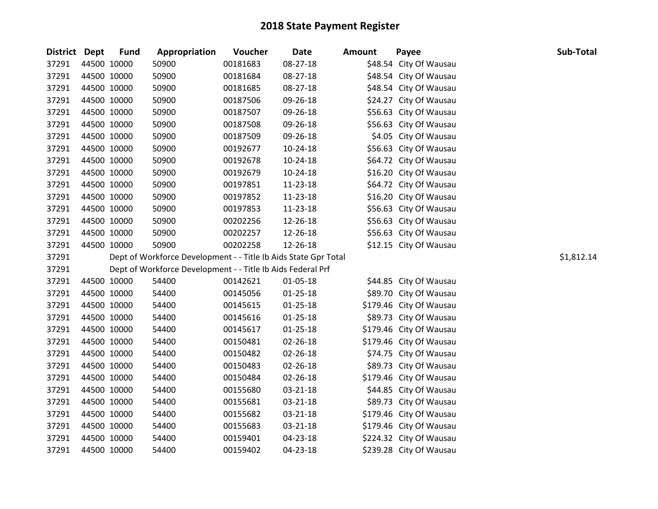| District Dept | Fund        | Appropriation                                                   | Voucher  | <b>Date</b>    | <b>Amount</b> | Payee                   | Sub-Total  |
|---------------|-------------|-----------------------------------------------------------------|----------|----------------|---------------|-------------------------|------------|
| 37291         | 44500 10000 | 50900                                                           | 00181683 | 08-27-18       |               | \$48.54 City Of Wausau  |            |
| 37291         | 44500 10000 | 50900                                                           | 00181684 | 08-27-18       |               | \$48.54 City Of Wausau  |            |
| 37291         | 44500 10000 | 50900                                                           | 00181685 | 08-27-18       |               | \$48.54 City Of Wausau  |            |
| 37291         | 44500 10000 | 50900                                                           | 00187506 | 09-26-18       |               | \$24.27 City Of Wausau  |            |
| 37291         | 44500 10000 | 50900                                                           | 00187507 | 09-26-18       |               | \$56.63 City Of Wausau  |            |
| 37291         | 44500 10000 | 50900                                                           | 00187508 | 09-26-18       |               | \$56.63 City Of Wausau  |            |
| 37291         | 44500 10000 | 50900                                                           | 00187509 | 09-26-18       |               | \$4.05 City Of Wausau   |            |
| 37291         | 44500 10000 | 50900                                                           | 00192677 | $10-24-18$     |               | \$56.63 City Of Wausau  |            |
| 37291         | 44500 10000 | 50900                                                           | 00192678 | 10-24-18       |               | \$64.72 City Of Wausau  |            |
| 37291         | 44500 10000 | 50900                                                           | 00192679 | $10-24-18$     |               | \$16.20 City Of Wausau  |            |
| 37291         | 44500 10000 | 50900                                                           | 00197851 | 11-23-18       |               | \$64.72 City Of Wausau  |            |
| 37291         | 44500 10000 | 50900                                                           | 00197852 | 11-23-18       |               | \$16.20 City Of Wausau  |            |
| 37291         | 44500 10000 | 50900                                                           | 00197853 | 11-23-18       |               | \$56.63 City Of Wausau  |            |
| 37291         | 44500 10000 | 50900                                                           | 00202256 | 12-26-18       |               | \$56.63 City Of Wausau  |            |
| 37291         | 44500 10000 | 50900                                                           | 00202257 | 12-26-18       |               | \$56.63 City Of Wausau  |            |
| 37291         | 44500 10000 | 50900                                                           | 00202258 | 12-26-18       |               | \$12.15 City Of Wausau  |            |
| 37291         |             | Dept of Workforce Development - - Title Ib Aids State Gpr Total |          |                |               |                         | \$1,812.14 |
| 37291         |             | Dept of Workforce Development - - Title Ib Aids Federal Prf     |          |                |               |                         |            |
| 37291         | 44500 10000 | 54400                                                           | 00142621 | 01-05-18       |               | \$44.85 City Of Wausau  |            |
| 37291         | 44500 10000 | 54400                                                           | 00145056 | $01 - 25 - 18$ |               | \$89.70 City Of Wausau  |            |
| 37291         | 44500 10000 | 54400                                                           | 00145615 | $01 - 25 - 18$ |               | \$179.46 City Of Wausau |            |
| 37291         | 44500 10000 | 54400                                                           | 00145616 | $01 - 25 - 18$ |               | \$89.73 City Of Wausau  |            |
| 37291         | 44500 10000 | 54400                                                           | 00145617 | $01 - 25 - 18$ |               | \$179.46 City Of Wausau |            |
| 37291         | 44500 10000 | 54400                                                           | 00150481 | 02-26-18       |               | \$179.46 City Of Wausau |            |
| 37291         | 44500 10000 | 54400                                                           | 00150482 | $02 - 26 - 18$ |               | \$74.75 City Of Wausau  |            |
| 37291         | 44500 10000 | 54400                                                           | 00150483 | 02-26-18       |               | \$89.73 City Of Wausau  |            |
| 37291         | 44500 10000 | 54400                                                           | 00150484 | 02-26-18       |               | \$179.46 City Of Wausau |            |
| 37291         | 44500 10000 | 54400                                                           | 00155680 | 03-21-18       |               | \$44.85 City Of Wausau  |            |
| 37291         | 44500 10000 | 54400                                                           | 00155681 | 03-21-18       |               | \$89.73 City Of Wausau  |            |
| 37291         | 44500 10000 | 54400                                                           | 00155682 | 03-21-18       |               | \$179.46 City Of Wausau |            |
| 37291         | 44500 10000 | 54400                                                           | 00155683 | 03-21-18       |               | \$179.46 City Of Wausau |            |
| 37291         | 44500 10000 | 54400                                                           | 00159401 | 04-23-18       |               | \$224.32 City Of Wausau |            |
| 37291         | 44500 10000 | 54400                                                           | 00159402 | 04-23-18       |               | \$239.28 City Of Wausau |            |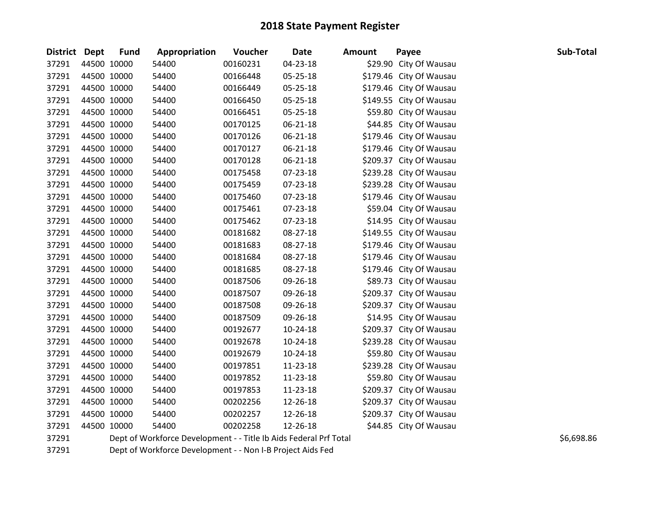| <b>District Dept</b> |             | <b>Fund</b> | Appropriation                                                     | <b>Voucher</b> | <b>Date</b>    | <b>Amount</b> | Payee                   | Sub-Total  |
|----------------------|-------------|-------------|-------------------------------------------------------------------|----------------|----------------|---------------|-------------------------|------------|
| 37291                | 44500 10000 |             | 54400                                                             | 00160231       | 04-23-18       |               | \$29.90 City Of Wausau  |            |
| 37291                | 44500 10000 |             | 54400                                                             | 00166448       | 05-25-18       |               | \$179.46 City Of Wausau |            |
| 37291                | 44500 10000 |             | 54400                                                             | 00166449       | 05-25-18       |               | \$179.46 City Of Wausau |            |
| 37291                | 44500 10000 |             | 54400                                                             | 00166450       | 05-25-18       |               | \$149.55 City Of Wausau |            |
| 37291                | 44500 10000 |             | 54400                                                             | 00166451       | 05-25-18       |               | \$59.80 City Of Wausau  |            |
| 37291                | 44500 10000 |             | 54400                                                             | 00170125       | $06 - 21 - 18$ |               | \$44.85 City Of Wausau  |            |
| 37291                |             | 44500 10000 | 54400                                                             | 00170126       | 06-21-18       |               | \$179.46 City Of Wausau |            |
| 37291                | 44500 10000 |             | 54400                                                             | 00170127       | 06-21-18       |               | \$179.46 City Of Wausau |            |
| 37291                | 44500 10000 |             | 54400                                                             | 00170128       | 06-21-18       |               | \$209.37 City Of Wausau |            |
| 37291                | 44500 10000 |             | 54400                                                             | 00175458       | 07-23-18       |               | \$239.28 City Of Wausau |            |
| 37291                | 44500 10000 |             | 54400                                                             | 00175459       | 07-23-18       |               | \$239.28 City Of Wausau |            |
| 37291                | 44500 10000 |             | 54400                                                             | 00175460       | 07-23-18       |               | \$179.46 City Of Wausau |            |
| 37291                | 44500 10000 |             | 54400                                                             | 00175461       | 07-23-18       |               | \$59.04 City Of Wausau  |            |
| 37291                | 44500 10000 |             | 54400                                                             | 00175462       | 07-23-18       |               | \$14.95 City Of Wausau  |            |
| 37291                |             | 44500 10000 | 54400                                                             | 00181682       | 08-27-18       |               | \$149.55 City Of Wausau |            |
| 37291                | 44500 10000 |             | 54400                                                             | 00181683       | 08-27-18       |               | \$179.46 City Of Wausau |            |
| 37291                | 44500 10000 |             | 54400                                                             | 00181684       | 08-27-18       |               | \$179.46 City Of Wausau |            |
| 37291                | 44500 10000 |             | 54400                                                             | 00181685       | 08-27-18       |               | \$179.46 City Of Wausau |            |
| 37291                | 44500 10000 |             | 54400                                                             | 00187506       | 09-26-18       |               | \$89.73 City Of Wausau  |            |
| 37291                | 44500 10000 |             | 54400                                                             | 00187507       | 09-26-18       |               | \$209.37 City Of Wausau |            |
| 37291                | 44500 10000 |             | 54400                                                             | 00187508       | 09-26-18       |               | \$209.37 City Of Wausau |            |
| 37291                | 44500 10000 |             | 54400                                                             | 00187509       | 09-26-18       |               | \$14.95 City Of Wausau  |            |
| 37291                | 44500 10000 |             | 54400                                                             | 00192677       | 10-24-18       |               | \$209.37 City Of Wausau |            |
| 37291                | 44500 10000 |             | 54400                                                             | 00192678       | 10-24-18       |               | \$239.28 City Of Wausau |            |
| 37291                | 44500 10000 |             | 54400                                                             | 00192679       | 10-24-18       |               | \$59.80 City Of Wausau  |            |
| 37291                | 44500 10000 |             | 54400                                                             | 00197851       | 11-23-18       |               | \$239.28 City Of Wausau |            |
| 37291                | 44500 10000 |             | 54400                                                             | 00197852       | 11-23-18       |               | \$59.80 City Of Wausau  |            |
| 37291                | 44500 10000 |             | 54400                                                             | 00197853       | 11-23-18       |               | \$209.37 City Of Wausau |            |
| 37291                | 44500 10000 |             | 54400                                                             | 00202256       | 12-26-18       |               | \$209.37 City Of Wausau |            |
| 37291                | 44500 10000 |             | 54400                                                             | 00202257       | 12-26-18       |               | \$209.37 City Of Wausau |            |
| 37291                | 44500 10000 |             | 54400                                                             | 00202258       | 12-26-18       |               | \$44.85 City Of Wausau  |            |
| 37291                |             |             | Dept of Workforce Development - - Title Ib Aids Federal Prf Total |                |                |               |                         | \$6,698.86 |

Dept of Workforce Development - - Non I-B Project Aids Fed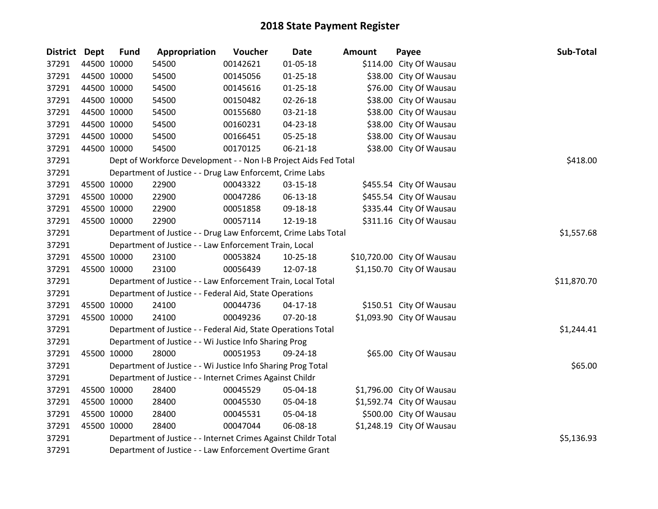| District Dept |             | <b>Fund</b> | Appropriation                                                    | Voucher  | <b>Date</b>    | <b>Amount</b> | Payee                      | Sub-Total   |
|---------------|-------------|-------------|------------------------------------------------------------------|----------|----------------|---------------|----------------------------|-------------|
| 37291         | 44500 10000 |             | 54500                                                            | 00142621 | $01 - 05 - 18$ |               | \$114.00 City Of Wausau    |             |
| 37291         |             | 44500 10000 | 54500                                                            | 00145056 | $01 - 25 - 18$ |               | \$38.00 City Of Wausau     |             |
| 37291         |             | 44500 10000 | 54500                                                            | 00145616 | $01 - 25 - 18$ |               | \$76.00 City Of Wausau     |             |
| 37291         | 44500 10000 |             | 54500                                                            | 00150482 | 02-26-18       |               | \$38.00 City Of Wausau     |             |
| 37291         |             | 44500 10000 | 54500                                                            | 00155680 | 03-21-18       |               | \$38.00 City Of Wausau     |             |
| 37291         |             | 44500 10000 | 54500                                                            | 00160231 | 04-23-18       |               | \$38.00 City Of Wausau     |             |
| 37291         |             | 44500 10000 | 54500                                                            | 00166451 | 05-25-18       |               | \$38.00 City Of Wausau     |             |
| 37291         |             | 44500 10000 | 54500                                                            | 00170125 | 06-21-18       |               | \$38.00 City Of Wausau     |             |
| 37291         |             |             | Dept of Workforce Development - - Non I-B Project Aids Fed Total |          |                |               |                            | \$418.00    |
| 37291         |             |             | Department of Justice - - Drug Law Enforcemt, Crime Labs         |          |                |               |                            |             |
| 37291         |             | 45500 10000 | 22900                                                            | 00043322 | 03-15-18       |               | \$455.54 City Of Wausau    |             |
| 37291         |             | 45500 10000 | 22900                                                            | 00047286 | 06-13-18       |               | \$455.54 City Of Wausau    |             |
| 37291         | 45500 10000 |             | 22900                                                            | 00051858 | 09-18-18       |               | \$335.44 City Of Wausau    |             |
| 37291         | 45500 10000 |             | 22900                                                            | 00057114 | 12-19-18       |               | \$311.16 City Of Wausau    |             |
| 37291         |             |             | Department of Justice - - Drug Law Enforcemt, Crime Labs Total   |          |                |               |                            | \$1,557.68  |
| 37291         |             |             | Department of Justice - - Law Enforcement Train, Local           |          |                |               |                            |             |
| 37291         |             | 45500 10000 | 23100                                                            | 00053824 | $10 - 25 - 18$ |               | \$10,720.00 City Of Wausau |             |
| 37291         | 45500 10000 |             | 23100                                                            | 00056439 | 12-07-18       |               | \$1,150.70 City Of Wausau  |             |
| 37291         |             |             | Department of Justice - - Law Enforcement Train, Local Total     |          |                |               |                            | \$11,870.70 |
| 37291         |             |             | Department of Justice - - Federal Aid, State Operations          |          |                |               |                            |             |
| 37291         |             | 45500 10000 | 24100                                                            | 00044736 | 04-17-18       |               | \$150.51 City Of Wausau    |             |
| 37291         |             | 45500 10000 | 24100                                                            | 00049236 | 07-20-18       |               | \$1,093.90 City Of Wausau  |             |
| 37291         |             |             | Department of Justice - - Federal Aid, State Operations Total    |          |                |               |                            | \$1,244.41  |
| 37291         |             |             | Department of Justice - - Wi Justice Info Sharing Prog           |          |                |               |                            |             |
| 37291         | 45500 10000 |             | 28000                                                            | 00051953 | 09-24-18       |               | \$65.00 City Of Wausau     |             |
| 37291         |             |             | Department of Justice - - Wi Justice Info Sharing Prog Total     |          |                |               |                            | \$65.00     |
| 37291         |             |             | Department of Justice - - Internet Crimes Against Childr         |          |                |               |                            |             |
| 37291         | 45500 10000 |             | 28400                                                            | 00045529 | 05-04-18       |               | \$1,796.00 City Of Wausau  |             |
| 37291         | 45500 10000 |             | 28400                                                            | 00045530 | 05-04-18       |               | \$1,592.74 City Of Wausau  |             |
| 37291         |             | 45500 10000 | 28400                                                            | 00045531 | 05-04-18       |               | \$500.00 City Of Wausau    |             |
| 37291         |             | 45500 10000 | 28400                                                            | 00047044 | 06-08-18       |               | \$1,248.19 City Of Wausau  |             |
| 37291         |             |             | Department of Justice - - Internet Crimes Against Childr Total   |          |                |               |                            | \$5,136.93  |
| 37291         |             |             | Department of Justice - - Law Enforcement Overtime Grant         |          |                |               |                            |             |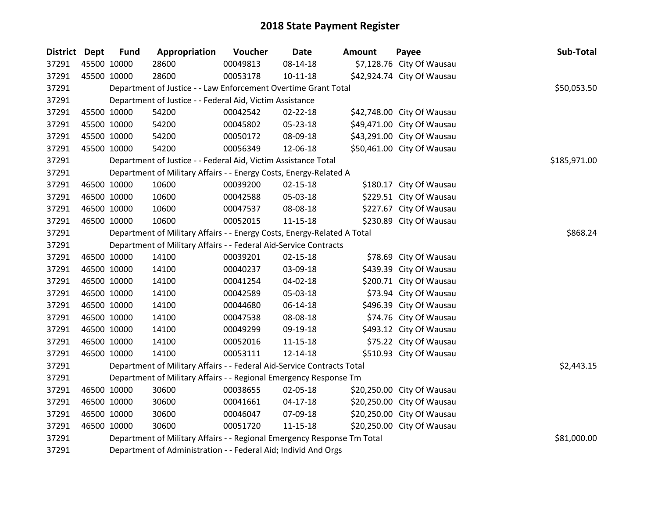| District Dept |             | <b>Fund</b> | Appropriation                                                           | Voucher  | Date           | <b>Amount</b> | Payee                      | Sub-Total    |
|---------------|-------------|-------------|-------------------------------------------------------------------------|----------|----------------|---------------|----------------------------|--------------|
| 37291         | 45500 10000 |             | 28600                                                                   | 00049813 | 08-14-18       |               | \$7,128.76 City Of Wausau  |              |
| 37291         |             | 45500 10000 | 28600                                                                   | 00053178 | $10 - 11 - 18$ |               | \$42,924.74 City Of Wausau |              |
| 37291         |             |             | Department of Justice - - Law Enforcement Overtime Grant Total          |          |                |               |                            | \$50,053.50  |
| 37291         |             |             | Department of Justice - - Federal Aid, Victim Assistance                |          |                |               |                            |              |
| 37291         |             | 45500 10000 | 54200                                                                   | 00042542 | 02-22-18       |               | \$42,748.00 City Of Wausau |              |
| 37291         |             | 45500 10000 | 54200                                                                   | 00045802 | 05-23-18       |               | \$49,471.00 City Of Wausau |              |
| 37291         |             | 45500 10000 | 54200                                                                   | 00050172 | 08-09-18       |               | \$43,291.00 City Of Wausau |              |
| 37291         |             | 45500 10000 | 54200                                                                   | 00056349 | 12-06-18       |               | \$50,461.00 City Of Wausau |              |
| 37291         |             |             | Department of Justice - - Federal Aid, Victim Assistance Total          |          |                |               |                            | \$185,971.00 |
| 37291         |             |             | Department of Military Affairs - - Energy Costs, Energy-Related A       |          |                |               |                            |              |
| 37291         |             | 46500 10000 | 10600                                                                   | 00039200 | 02-15-18       |               | \$180.17 City Of Wausau    |              |
| 37291         |             | 46500 10000 | 10600                                                                   | 00042588 | 05-03-18       |               | \$229.51 City Of Wausau    |              |
| 37291         |             | 46500 10000 | 10600                                                                   | 00047537 | 08-08-18       |               | \$227.67 City Of Wausau    |              |
| 37291         |             | 46500 10000 | 10600                                                                   | 00052015 | $11 - 15 - 18$ |               | \$230.89 City Of Wausau    |              |
| 37291         |             |             | Department of Military Affairs - - Energy Costs, Energy-Related A Total |          |                |               |                            | \$868.24     |
| 37291         |             |             | Department of Military Affairs - - Federal Aid-Service Contracts        |          |                |               |                            |              |
| 37291         |             | 46500 10000 | 14100                                                                   | 00039201 | $02 - 15 - 18$ |               | \$78.69 City Of Wausau     |              |
| 37291         |             | 46500 10000 | 14100                                                                   | 00040237 | 03-09-18       |               | \$439.39 City Of Wausau    |              |
| 37291         |             | 46500 10000 | 14100                                                                   | 00041254 | 04-02-18       |               | \$200.71 City Of Wausau    |              |
| 37291         |             | 46500 10000 | 14100                                                                   | 00042589 | 05-03-18       |               | \$73.94 City Of Wausau     |              |
| 37291         |             | 46500 10000 | 14100                                                                   | 00044680 | 06-14-18       |               | \$496.39 City Of Wausau    |              |
| 37291         |             | 46500 10000 | 14100                                                                   | 00047538 | 08-08-18       |               | \$74.76 City Of Wausau     |              |
| 37291         |             | 46500 10000 | 14100                                                                   | 00049299 | 09-19-18       |               | \$493.12 City Of Wausau    |              |
| 37291         |             | 46500 10000 | 14100                                                                   | 00052016 | $11 - 15 - 18$ |               | \$75.22 City Of Wausau     |              |
| 37291         |             | 46500 10000 | 14100                                                                   | 00053111 | 12-14-18       |               | \$510.93 City Of Wausau    |              |
| 37291         |             |             | Department of Military Affairs - - Federal Aid-Service Contracts Total  |          |                |               |                            | \$2,443.15   |
| 37291         |             |             | Department of Military Affairs - - Regional Emergency Response Tm       |          |                |               |                            |              |
| 37291         |             | 46500 10000 | 30600                                                                   | 00038655 | 02-05-18       |               | \$20,250.00 City Of Wausau |              |
| 37291         |             | 46500 10000 | 30600                                                                   | 00041661 | $04 - 17 - 18$ |               | \$20,250.00 City Of Wausau |              |
| 37291         |             | 46500 10000 | 30600                                                                   | 00046047 | 07-09-18       |               | \$20,250.00 City Of Wausau |              |
| 37291         |             | 46500 10000 | 30600                                                                   | 00051720 | 11-15-18       |               | \$20,250.00 City Of Wausau |              |
| 37291         |             |             | Department of Military Affairs - - Regional Emergency Response Tm Total |          |                |               |                            | \$81,000.00  |
| 37291         |             |             | Department of Administration - - Federal Aid; Individ And Orgs          |          |                |               |                            |              |